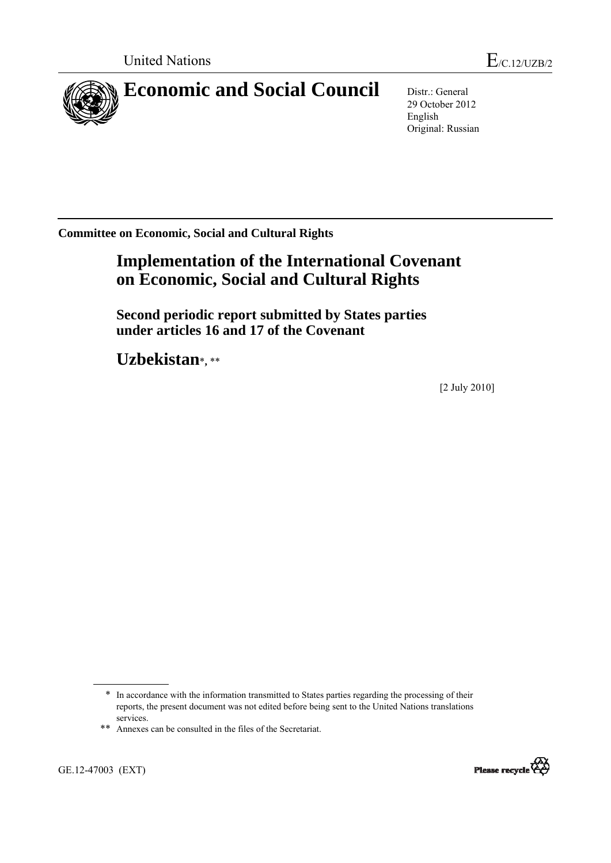

29 October 2012 English Original: Russian

**Committee on Economic, Social and Cultural Rights** 

# **Implementation of the International Covenant on Economic, Social and Cultural Rights**

 **Second periodic report submitted by States parties under articles 16 and 17 of the Covenant** 

 **Uzbekistan**\***,** \*\*

[2 July 2010]

GE.12-47003 (EXT)



<sup>\*</sup> In accordance with the information transmitted to States parties regarding the processing of their reports, the present document was not edited before being sent to the United Nations translations services.

<sup>\*\*</sup> Annexes can be consulted in the files of the Secretariat.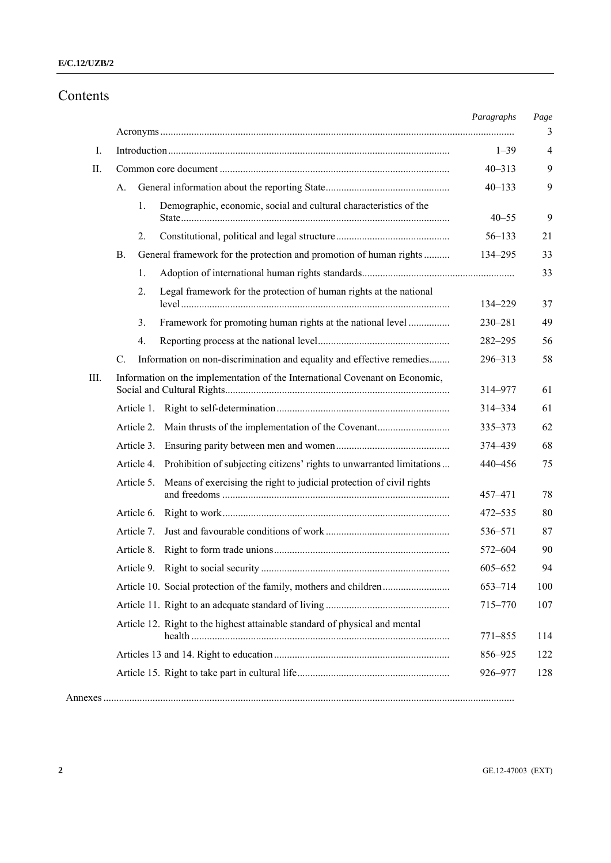## Contents

|      |             |            |                                                                                  | Paragraphs | Page<br>3      |
|------|-------------|------------|----------------------------------------------------------------------------------|------------|----------------|
| I.   |             |            |                                                                                  | $1 - 39$   | $\overline{4}$ |
| Π.   |             |            | $40 - 313$                                                                       | 9          |                |
|      | А.          |            |                                                                                  | $40 - 133$ | 9              |
|      |             | 1.         | Demographic, economic, social and cultural characteristics of the                | $40 - 55$  | 9              |
|      |             | 2.         |                                                                                  | $56 - 133$ | 21             |
|      | В.          |            | General framework for the protection and promotion of human rights               | 134-295    | 33             |
|      |             | 1.         |                                                                                  |            | 33             |
|      |             | 2.         | Legal framework for the protection of human rights at the national               | 134-229    | 37             |
|      |             | 3.         | Framework for promoting human rights at the national level                       | 230-281    | 49             |
|      |             | 4.         |                                                                                  | 282-295    | 56             |
|      | $C_{\cdot}$ |            | Information on non-discrimination and equality and effective remedies            | 296-313    | 58             |
| III. |             |            | Information on the implementation of the International Covenant on Economic,     | 314-977    | 61             |
|      |             |            |                                                                                  | 314-334    | 61             |
|      |             | Article 2. |                                                                                  | 335-373    | 62             |
|      |             | Article 3. |                                                                                  | 374 - 439  | 68             |
|      |             |            | Article 4. Prohibition of subjecting citizens' rights to unwarranted limitations | 440-456    | 75             |
|      |             | Article 5. | Means of exercising the right to judicial protection of civil rights             | 457-471    | 78             |
|      |             | Article 6. |                                                                                  | 472-535    | 80             |
|      |             | Article 7. |                                                                                  | 536-571    | 87             |
|      |             | Article 8. |                                                                                  | 572-604    | 90             |
|      |             |            |                                                                                  | 605-652    | 94             |
|      |             |            | Article 10. Social protection of the family, mothers and children                | 653-714    | 100            |
|      |             |            |                                                                                  | 715-770    | 107            |
|      |             |            | Article 12. Right to the highest attainable standard of physical and mental      | 771-855    | 114            |
|      |             |            |                                                                                  | 856-925    | 122            |
|      |             |            |                                                                                  | 926-977    | 128            |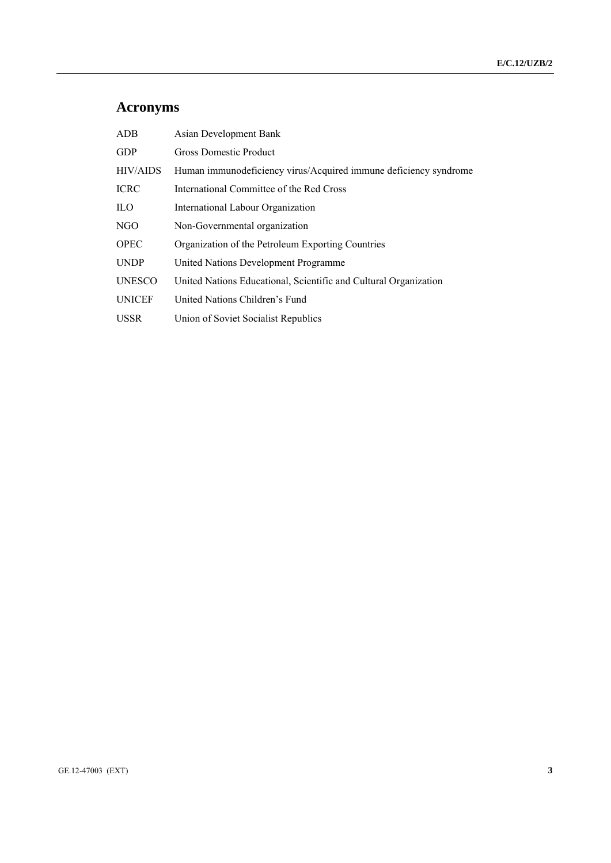# **Acronyms**

| ADB             | <b>Asian Development Bank</b>                                    |
|-----------------|------------------------------------------------------------------|
| <b>GDP</b>      | <b>Gross Domestic Product</b>                                    |
| <b>HIV/AIDS</b> | Human immunodeficiency virus/Acquired immune deficiency syndrome |
| <b>ICRC</b>     | International Committee of the Red Cross                         |
| <b>ILO</b>      | International Labour Organization                                |
| NGO             | Non-Governmental organization                                    |
| <b>OPEC</b>     | Organization of the Petroleum Exporting Countries                |
| <b>UNDP</b>     | United Nations Development Programme                             |
| <b>UNESCO</b>   | United Nations Educational, Scientific and Cultural Organization |
| <b>UNICEF</b>   | United Nations Children's Fund                                   |
| <b>USSR</b>     | Union of Soviet Socialist Republics                              |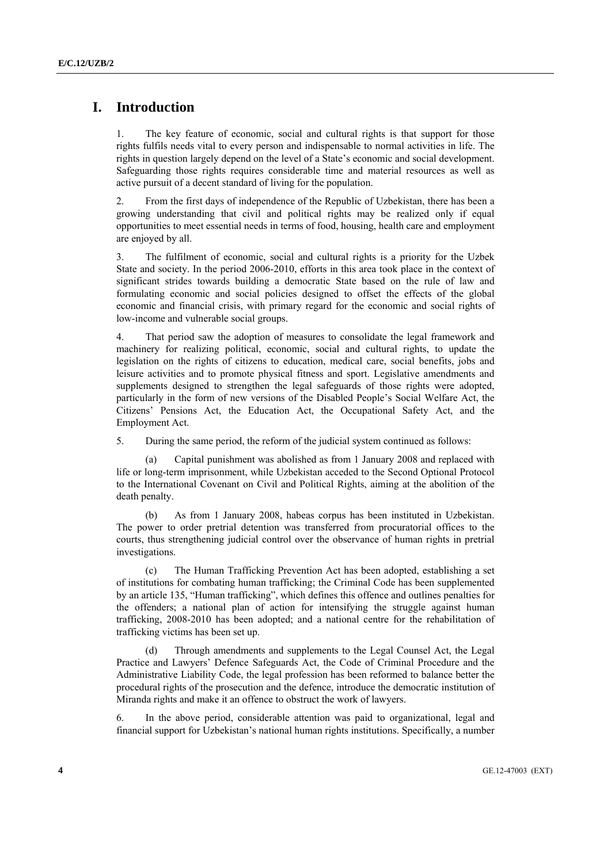## **I. Introduction**

1. The key feature of economic, social and cultural rights is that support for those rights fulfils needs vital to every person and indispensable to normal activities in life. The rights in question largely depend on the level of a State's economic and social development. Safeguarding those rights requires considerable time and material resources as well as active pursuit of a decent standard of living for the population.

2. From the first days of independence of the Republic of Uzbekistan, there has been a growing understanding that civil and political rights may be realized only if equal opportunities to meet essential needs in terms of food, housing, health care and employment are enjoyed by all.

3. The fulfilment of economic, social and cultural rights is a priority for the Uzbek State and society. In the period 2006-2010, efforts in this area took place in the context of significant strides towards building a democratic State based on the rule of law and formulating economic and social policies designed to offset the effects of the global economic and financial crisis, with primary regard for the economic and social rights of low-income and vulnerable social groups.

4. That period saw the adoption of measures to consolidate the legal framework and machinery for realizing political, economic, social and cultural rights, to update the legislation on the rights of citizens to education, medical care, social benefits, jobs and leisure activities and to promote physical fitness and sport. Legislative amendments and supplements designed to strengthen the legal safeguards of those rights were adopted, particularly in the form of new versions of the Disabled People's Social Welfare Act, the Citizens' Pensions Act, the Education Act, the Occupational Safety Act, and the Employment Act.

5. During the same period, the reform of the judicial system continued as follows:

Capital punishment was abolished as from 1 January 2008 and replaced with life or long-term imprisonment, while Uzbekistan acceded to the Second Optional Protocol to the International Covenant on Civil and Political Rights, aiming at the abolition of the death penalty.

 (b) As from 1 January 2008, habeas corpus has been instituted in Uzbekistan. The power to order pretrial detention was transferred from procuratorial offices to the courts, thus strengthening judicial control over the observance of human rights in pretrial investigations.

 (c) The Human Trafficking Prevention Act has been adopted, establishing a set of institutions for combating human trafficking; the Criminal Code has been supplemented by an article 135, "Human trafficking", which defines this offence and outlines penalties for the offenders; a national plan of action for intensifying the struggle against human trafficking, 2008-2010 has been adopted; and a national centre for the rehabilitation of trafficking victims has been set up.

 (d) Through amendments and supplements to the Legal Counsel Act, the Legal Practice and Lawyers' Defence Safeguards Act, the Code of Criminal Procedure and the Administrative Liability Code, the legal profession has been reformed to balance better the procedural rights of the prosecution and the defence, introduce the democratic institution of Miranda rights and make it an offence to obstruct the work of lawyers.

6. In the above period, considerable attention was paid to organizational, legal and financial support for Uzbekistan's national human rights institutions. Specifically, a number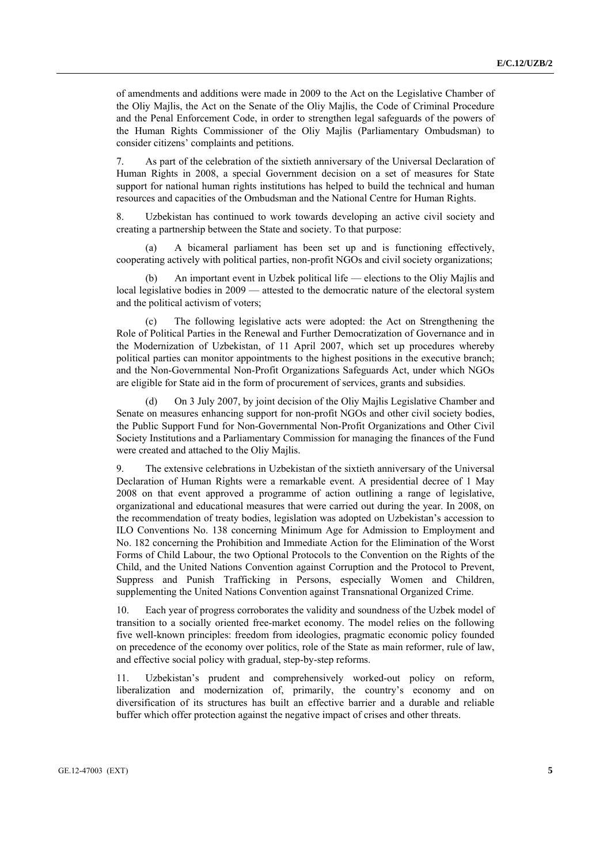of amendments and additions were made in 2009 to the Act on the Legislative Chamber of the Oliy Majlis, the Act on the Senate of the Oliy Majlis, the Code of Criminal Procedure and the Penal Enforcement Code, in order to strengthen legal safeguards of the powers of the Human Rights Commissioner of the Oliy Majlis (Parliamentary Ombudsman) to consider citizens' complaints and petitions.

7. As part of the celebration of the sixtieth anniversary of the Universal Declaration of Human Rights in 2008, a special Government decision on a set of measures for State support for national human rights institutions has helped to build the technical and human resources and capacities of the Ombudsman and the National Centre for Human Rights.

8. Uzbekistan has continued to work towards developing an active civil society and creating a partnership between the State and society. To that purpose:

A bicameral parliament has been set up and is functioning effectively, cooperating actively with political parties, non-profit NGOs and civil society organizations;

An important event in Uzbek political life — elections to the Oliy Majlis and local legislative bodies in 2009 — attested to the democratic nature of the electoral system and the political activism of voters;

The following legislative acts were adopted: the Act on Strengthening the Role of Political Parties in the Renewal and Further Democratization of Governance and in the Modernization of Uzbekistan, of 11 April 2007, which set up procedures whereby political parties can monitor appointments to the highest positions in the executive branch; and the Non-Governmental Non-Profit Organizations Safeguards Act, under which NGOs are eligible for State aid in the form of procurement of services, grants and subsidies.

 (d) On 3 July 2007, by joint decision of the Oliy Majlis Legislative Chamber and Senate on measures enhancing support for non-profit NGOs and other civil society bodies, the Public Support Fund for Non-Governmental Non-Profit Organizations and Other Civil Society Institutions and a Parliamentary Commission for managing the finances of the Fund were created and attached to the Oliy Majlis.

9. The extensive celebrations in Uzbekistan of the sixtieth anniversary of the Universal Declaration of Human Rights were a remarkable event. A presidential decree of 1 May 2008 on that event approved a programme of action outlining a range of legislative, organizational and educational measures that were carried out during the year. In 2008, on the recommendation of treaty bodies, legislation was adopted on Uzbekistan's accession to ILO Conventions No. 138 concerning Minimum Age for Admission to Employment and No. 182 concerning the Prohibition and Immediate Action for the Elimination of the Worst Forms of Child Labour, the two Optional Protocols to the Convention on the Rights of the Child, and the United Nations Convention against Corruption and the Protocol to Prevent, Suppress and Punish Trafficking in Persons, especially Women and Children, supplementing the United Nations Convention against Transnational Organized Crime.

10. Each year of progress corroborates the validity and soundness of the Uzbek model of transition to a socially oriented free-market economy. The model relies on the following five well-known principles: freedom from ideologies, pragmatic economic policy founded on precedence of the economy over politics, role of the State as main reformer, rule of law, and effective social policy with gradual, step-by-step reforms.

11. Uzbekistan's prudent and comprehensively worked-out policy on reform, liberalization and modernization of, primarily, the country's economy and on diversification of its structures has built an effective barrier and a durable and reliable buffer which offer protection against the negative impact of crises and other threats.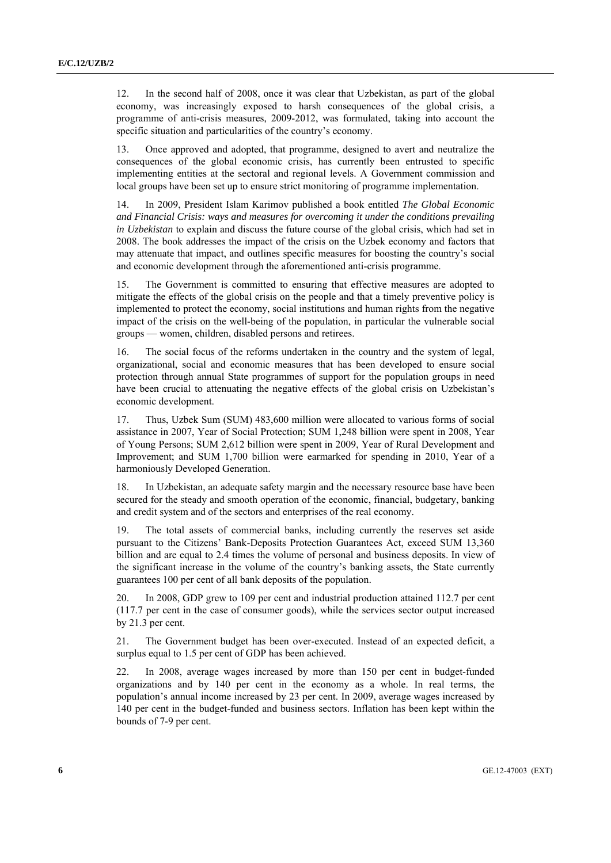12. In the second half of 2008, once it was clear that Uzbekistan, as part of the global economy, was increasingly exposed to harsh consequences of the global crisis, a programme of anti-crisis measures, 2009-2012, was formulated, taking into account the specific situation and particularities of the country's economy.

13. Once approved and adopted, that programme, designed to avert and neutralize the consequences of the global economic crisis, has currently been entrusted to specific implementing entities at the sectoral and regional levels. A Government commission and local groups have been set up to ensure strict monitoring of programme implementation.

14. In 2009, President Islam Karimov published a book entitled *The Global Economic and Financial Crisis: ways and measures for overcoming it under the conditions prevailing in Uzbekistan* to explain and discuss the future course of the global crisis, which had set in 2008. The book addresses the impact of the crisis on the Uzbek economy and factors that may attenuate that impact, and outlines specific measures for boosting the country's social and economic development through the aforementioned anti-crisis programme.

15. The Government is committed to ensuring that effective measures are adopted to mitigate the effects of the global crisis on the people and that a timely preventive policy is implemented to protect the economy, social institutions and human rights from the negative impact of the crisis on the well-being of the population, in particular the vulnerable social groups — women, children, disabled persons and retirees.

16. The social focus of the reforms undertaken in the country and the system of legal, organizational, social and economic measures that has been developed to ensure social protection through annual State programmes of support for the population groups in need have been crucial to attenuating the negative effects of the global crisis on Uzbekistan's economic development.

17. Thus, Uzbek Sum (SUM) 483,600 million were allocated to various forms of social assistance in 2007, Year of Social Protection; SUM 1,248 billion were spent in 2008, Year of Young Persons; SUM 2,612 billion were spent in 2009, Year of Rural Development and Improvement; and SUM 1,700 billion were earmarked for spending in 2010, Year of a harmoniously Developed Generation.

18. In Uzbekistan, an adequate safety margin and the necessary resource base have been secured for the steady and smooth operation of the economic, financial, budgetary, banking and credit system and of the sectors and enterprises of the real economy.

19. The total assets of commercial banks, including currently the reserves set aside pursuant to the Citizens' Bank-Deposits Protection Guarantees Act, exceed SUM 13,360 billion and are equal to 2.4 times the volume of personal and business deposits. In view of the significant increase in the volume of the country's banking assets, the State currently guarantees 100 per cent of all bank deposits of the population.

20. In 2008, GDP grew to 109 per cent and industrial production attained 112.7 per cent (117.7 per cent in the case of consumer goods), while the services sector output increased by 21.3 per cent.

21. The Government budget has been over-executed. Instead of an expected deficit, a surplus equal to 1.5 per cent of GDP has been achieved.

22. In 2008, average wages increased by more than 150 per cent in budget-funded organizations and by 140 per cent in the economy as a whole. In real terms, the population's annual income increased by 23 per cent. In 2009, average wages increased by 140 per cent in the budget-funded and business sectors. Inflation has been kept within the bounds of 7-9 per cent.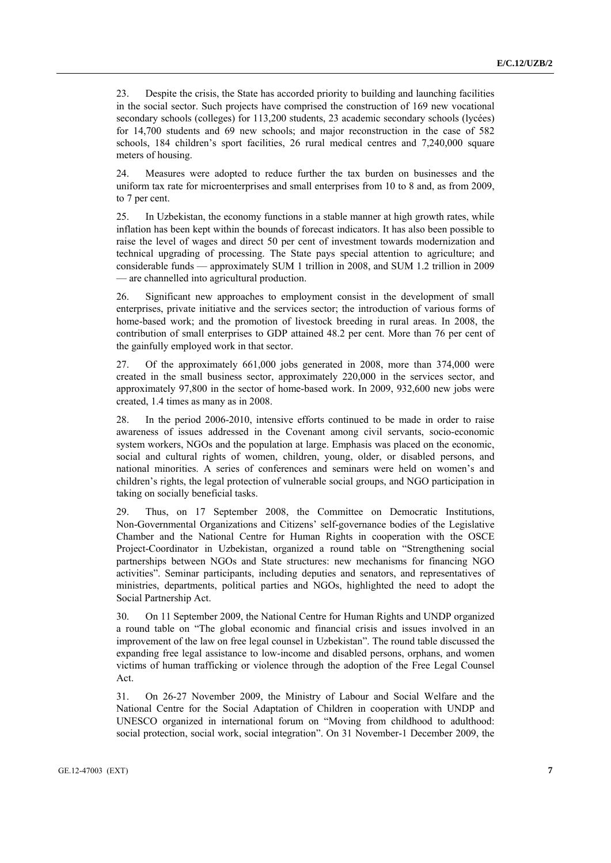23. Despite the crisis, the State has accorded priority to building and launching facilities in the social sector. Such projects have comprised the construction of 169 new vocational secondary schools (colleges) for 113,200 students, 23 academic secondary schools (lycées) for 14,700 students and 69 new schools; and major reconstruction in the case of 582 schools, 184 children's sport facilities, 26 rural medical centres and 7.240,000 square meters of housing.

24. Measures were adopted to reduce further the tax burden on businesses and the uniform tax rate for microenterprises and small enterprises from 10 to 8 and, as from 2009, to 7 per cent.

25. In Uzbekistan, the economy functions in a stable manner at high growth rates, while inflation has been kept within the bounds of forecast indicators. It has also been possible to raise the level of wages and direct 50 per cent of investment towards modernization and technical upgrading of processing. The State pays special attention to agriculture; and considerable funds — approximately SUM 1 trillion in 2008, and SUM 1.2 trillion in 2009 — are channelled into agricultural production.

26. Significant new approaches to employment consist in the development of small enterprises, private initiative and the services sector; the introduction of various forms of home-based work; and the promotion of livestock breeding in rural areas. In 2008, the contribution of small enterprises to GDP attained 48.2 per cent. More than 76 per cent of the gainfully employed work in that sector.

27. Of the approximately 661,000 jobs generated in 2008, more than 374,000 were created in the small business sector, approximately 220,000 in the services sector, and approximately 97,800 in the sector of home-based work. In 2009, 932,600 new jobs were created, 1.4 times as many as in 2008.

28. In the period 2006-2010, intensive efforts continued to be made in order to raise awareness of issues addressed in the Covenant among civil servants, socio-economic system workers, NGOs and the population at large. Emphasis was placed on the economic, social and cultural rights of women, children, young, older, or disabled persons, and national minorities. A series of conferences and seminars were held on women's and children's rights, the legal protection of vulnerable social groups, and NGO participation in taking on socially beneficial tasks.

29. Thus, on 17 September 2008, the Committee on Democratic Institutions, Non-Governmental Organizations and Citizens' self-governance bodies of the Legislative Chamber and the National Centre for Human Rights in cooperation with the OSCE Project-Coordinator in Uzbekistan, organized a round table on "Strengthening social partnerships between NGOs and State structures: new mechanisms for financing NGO activities". Seminar participants, including deputies and senators, and representatives of ministries, departments, political parties and NGOs, highlighted the need to adopt the Social Partnership Act.

30. On 11 September 2009, the National Centre for Human Rights and UNDP organized a round table on "The global economic and financial crisis and issues involved in an improvement of the law on free legal counsel in Uzbekistan". The round table discussed the expanding free legal assistance to low-income and disabled persons, orphans, and women victims of human trafficking or violence through the adoption of the Free Legal Counsel Act.

31. On 26-27 November 2009, the Ministry of Labour and Social Welfare and the National Centre for the Social Adaptation of Children in cooperation with UNDP and UNESCO organized in international forum on "Moving from childhood to adulthood: social protection, social work, social integration". On 31 November-1 December 2009, the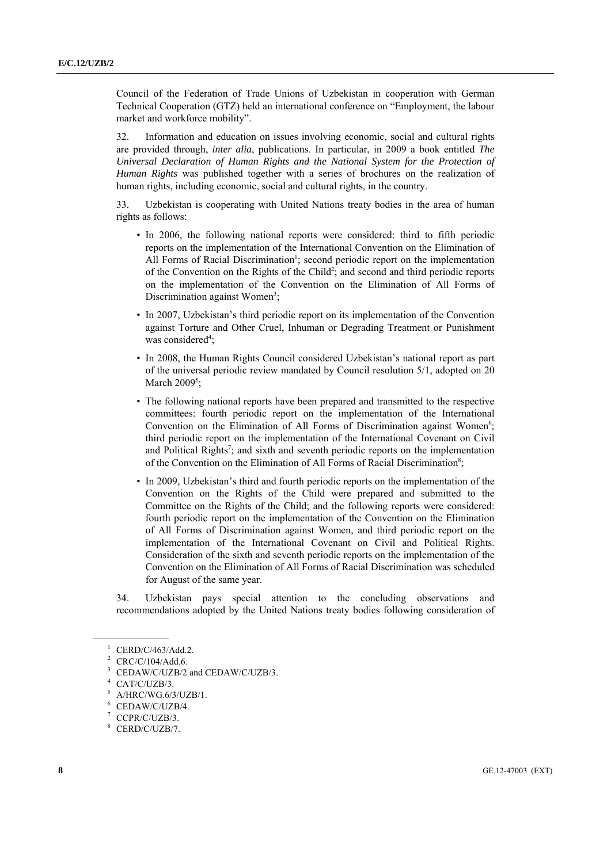Council of the Federation of Trade Unions of Uzbekistan in cooperation with German Technical Cooperation (GTZ) held an international conference on "Employment, the labour market and workforce mobility".

32. Information and education on issues involving economic, social and cultural rights are provided through, *inter alia*, publications. In particular, in 2009 a book entitled *The Universal Declaration of Human Rights and the National System for the Protection of Human Rights* was published together with a series of brochures on the realization of human rights, including economic, social and cultural rights, in the country.

33. Uzbekistan is cooperating with United Nations treaty bodies in the area of human rights as follows:

- In 2006, the following national reports were considered: third to fifth periodic reports on the implementation of the International Convention on the Elimination of All Forms of Racial Discrimination<sup>1</sup>; second periodic report on the implementation of the Convention on the Rights of the Child<sup>2</sup>; and second and third periodic reports on the implementation of the Convention on the Elimination of All Forms of Discrimination against Women<sup>3</sup>;
- In 2007, Uzbekistan's third periodic report on its implementation of the Convention against Torture and Other Cruel, Inhuman or Degrading Treatment or Punishment was considered<sup>4</sup>;
- In 2008, the Human Rights Council considered Uzbekistan's national report as part of the universal periodic review mandated by Council resolution 5/1, adopted on 20 March  $2009^5$ ;
- The following national reports have been prepared and transmitted to the respective committees: fourth periodic report on the implementation of the International Convention on the Elimination of All Forms of Discrimination against Women<sup>6</sup>; third periodic report on the implementation of the International Covenant on Civil and Political Rights<sup>7</sup>; and sixth and seventh periodic reports on the implementation of the Convention on the Elimination of All Forms of Racial Discrimination<sup>8</sup>;
- In 2009, Uzbekistan's third and fourth periodic reports on the implementation of the Convention on the Rights of the Child were prepared and submitted to the Committee on the Rights of the Child; and the following reports were considered: fourth periodic report on the implementation of the Convention on the Elimination of All Forms of Discrimination against Women, and third periodic report on the implementation of the International Covenant on Civil and Political Rights. Consideration of the sixth and seventh periodic reports on the implementation of the Convention on the Elimination of All Forms of Racial Discrimination was scheduled for August of the same year.

34. Uzbekistan pays special attention to the concluding observations and recommendations adopted by the United Nations treaty bodies following consideration of

<sup>1</sup> CERD/C/463/Add.2.

<sup>2</sup> CRC/C/104/Add.6.

<sup>3</sup> CEDAW/C/UZB/2 and CEDAW/C/UZB/3.

<sup>4</sup> CAT/C/UZB/3.

<sup>5</sup> A/HRC/WG.6/3/UZB/1.

<sup>6</sup> CEDAW/C/UZB/4.

<sup>7</sup> CCPR/C/UZB/3.

<sup>8</sup> CERD/C/UZB/7.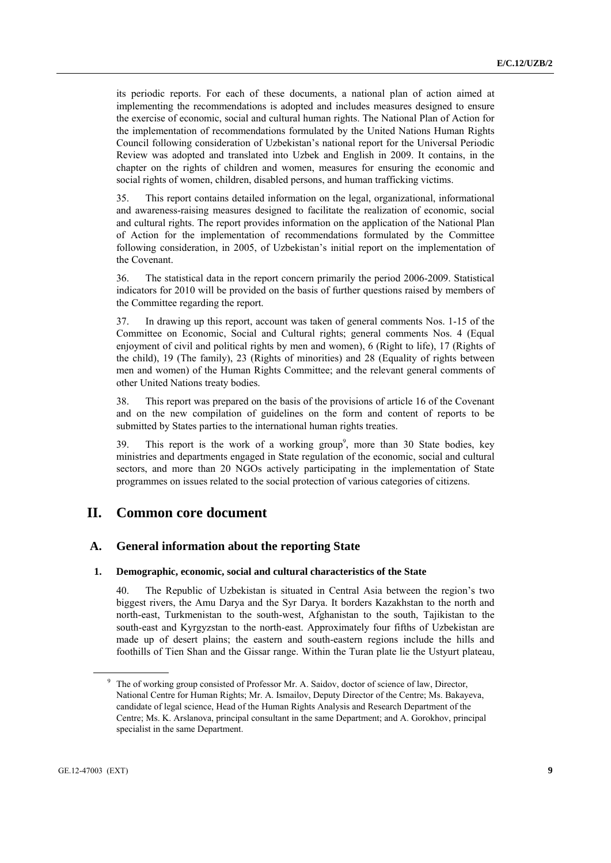its periodic reports. For each of these documents, a national plan of action aimed at implementing the recommendations is adopted and includes measures designed to ensure the exercise of economic, social and cultural human rights. The National Plan of Action for the implementation of recommendations formulated by the United Nations Human Rights Council following consideration of Uzbekistan's national report for the Universal Periodic Review was adopted and translated into Uzbek and English in 2009. It contains, in the chapter on the rights of children and women, measures for ensuring the economic and social rights of women, children, disabled persons, and human trafficking victims.

35. This report contains detailed information on the legal, organizational, informational and awareness-raising measures designed to facilitate the realization of economic, social and cultural rights. The report provides information on the application of the National Plan of Action for the implementation of recommendations formulated by the Committee following consideration, in 2005, of Uzbekistan's initial report on the implementation of the Covenant.

36. The statistical data in the report concern primarily the period 2006-2009. Statistical indicators for 2010 will be provided on the basis of further questions raised by members of the Committee regarding the report.

37. In drawing up this report, account was taken of general comments Nos. 1-15 of the Committee on Economic, Social and Cultural rights; general comments Nos. 4 (Equal enjoyment of civil and political rights by men and women), 6 (Right to life), 17 (Rights of the child), 19 (The family), 23 (Rights of minorities) and 28 (Equality of rights between men and women) of the Human Rights Committee; and the relevant general comments of other United Nations treaty bodies.

38. This report was prepared on the basis of the provisions of article 16 of the Covenant and on the new compilation of guidelines on the form and content of reports to be submitted by States parties to the international human rights treaties.

39. This report is the work of a working group<sup>9</sup>, more than 30 State bodies, key ministries and departments engaged in State regulation of the economic, social and cultural sectors, and more than 20 NGOs actively participating in the implementation of State programmes on issues related to the social protection of various categories of citizens.

## **II. Common core document**

### **A. General information about the reporting State**

### **1. Demographic, economic, social and cultural characteristics of the State**

40. The Republic of Uzbekistan is situated in Central Asia between the region's two biggest rivers, the Amu Darya and the Syr Darya. It borders Kazakhstan to the north and north-east, Turkmenistan to the south-west, Afghanistan to the south, Tajikistan to the south-east and Kyrgyzstan to the north-east. Approximately four fifths of Uzbekistan are made up of desert plains; the eastern and south-eastern regions include the hills and foothills of Tien Shan and the Gissar range. Within the Turan plate lie the Ustyurt plateau,

<sup>&</sup>lt;sup>9</sup> The of working group consisted of Professor Mr. A. Saidov, doctor of science of law, Director, National Centre for Human Rights; Mr. A. Ismailov, Deputy Director of the Centre; Ms. Bakayeva, candidate of legal science, Head of the Human Rights Analysis and Research Department of the Centre; Ms. K. Arslanova, principal consultant in the same Department; and A. Gorokhov, principal specialist in the same Department.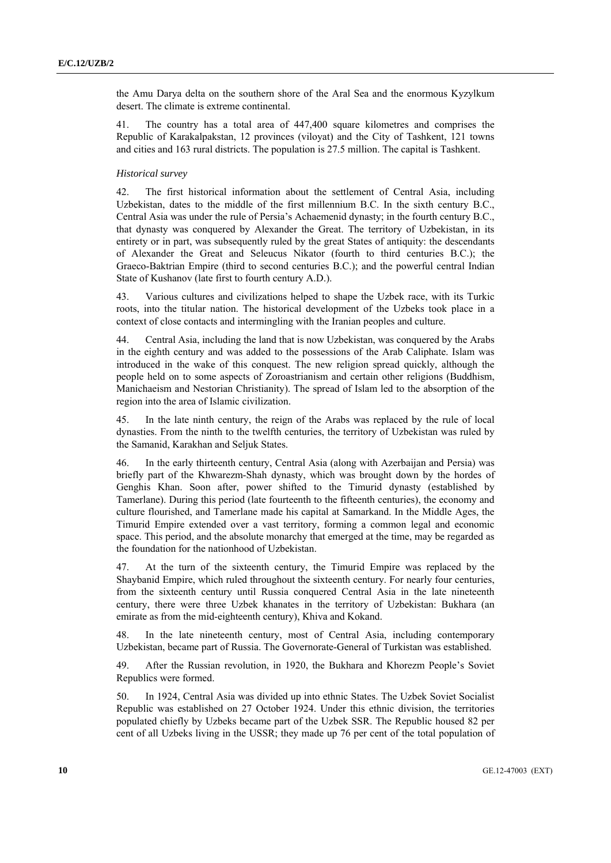the Amu Darya delta on the southern shore of the Aral Sea and the enormous Kyzylkum desert. The climate is extreme continental.

41. The country has a total area of 447,400 square kilometres and comprises the Republic of Karakalpakstan, 12 provinces (viloyat) and the City of Tashkent, 121 towns and cities and 163 rural districts. The population is 27.5 million. The capital is Tashkent.

### *Historical survey*

42. The first historical information about the settlement of Central Asia, including Uzbekistan, dates to the middle of the first millennium B.C. In the sixth century B.C., Central Asia was under the rule of Persia's Achaemenid dynasty; in the fourth century B.C., that dynasty was conquered by Alexander the Great. The territory of Uzbekistan, in its entirety or in part, was subsequently ruled by the great States of antiquity: the descendants of Alexander the Great and Seleucus Nikator (fourth to third centuries B.C.); the Graeco-Baktrian Empire (third to second centuries B.C.); and the powerful central Indian State of Kushanov (late first to fourth century A.D.).

43. Various cultures and civilizations helped to shape the Uzbek race, with its Turkic roots, into the titular nation. The historical development of the Uzbeks took place in a context of close contacts and intermingling with the Iranian peoples and culture.

44. Central Asia, including the land that is now Uzbekistan, was conquered by the Arabs in the eighth century and was added to the possessions of the Arab Caliphate. Islam was introduced in the wake of this conquest. The new religion spread quickly, although the people held on to some aspects of Zoroastrianism and certain other religions (Buddhism, Manichaeism and Nestorian Christianity). The spread of Islam led to the absorption of the region into the area of Islamic civilization.

45. In the late ninth century, the reign of the Arabs was replaced by the rule of local dynasties. From the ninth to the twelfth centuries, the territory of Uzbekistan was ruled by the Samanid, Karakhan and Seljuk States.

46. In the early thirteenth century, Central Asia (along with Azerbaijan and Persia) was briefly part of the Khwarezm-Shah dynasty, which was brought down by the hordes of Genghis Khan. Soon after, power shifted to the Timurid dynasty (established by Tamerlane). During this period (late fourteenth to the fifteenth centuries), the economy and culture flourished, and Tamerlane made his capital at Samarkand. In the Middle Ages, the Timurid Empire extended over a vast territory, forming a common legal and economic space. This period, and the absolute monarchy that emerged at the time, may be regarded as the foundation for the nationhood of Uzbekistan.

47. At the turn of the sixteenth century, the Timurid Empire was replaced by the Shaybanid Empire, which ruled throughout the sixteenth century. For nearly four centuries, from the sixteenth century until Russia conquered Central Asia in the late nineteenth century, there were three Uzbek khanates in the territory of Uzbekistan: Bukhara (an emirate as from the mid-eighteenth century), Khiva and Kokand.

48. In the late nineteenth century, most of Central Asia, including contemporary Uzbekistan, became part of Russia. The Governorate-General of Turkistan was established.

49. After the Russian revolution, in 1920, the Bukhara and Khorezm People's Soviet Republics were formed.

50. In 1924, Central Asia was divided up into ethnic States. The Uzbek Soviet Socialist Republic was established on 27 October 1924. Under this ethnic division, the territories populated chiefly by Uzbeks became part of the Uzbek SSR. The Republic housed 82 per cent of all Uzbeks living in the USSR; they made up 76 per cent of the total population of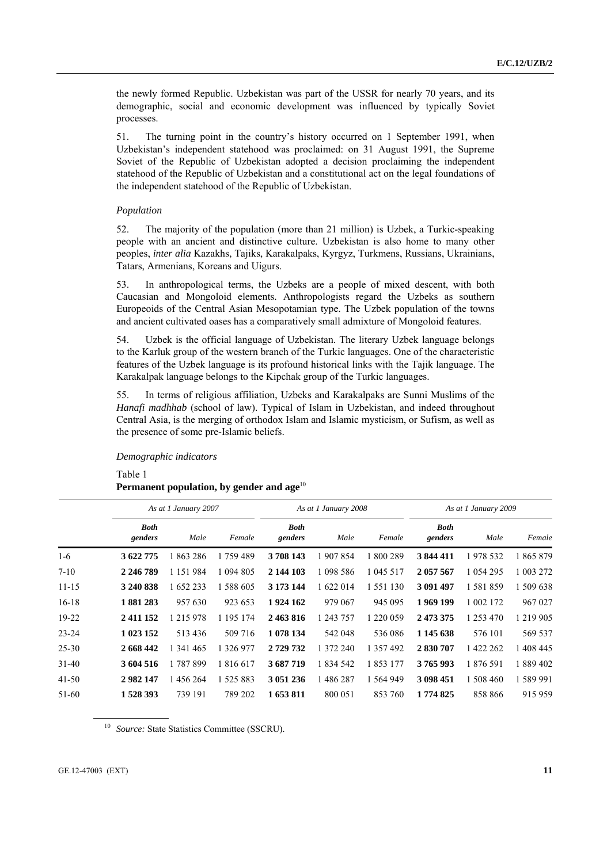the newly formed Republic. Uzbekistan was part of the USSR for nearly 70 years, and its demographic, social and economic development was influenced by typically Soviet processes.

51. The turning point in the country's history occurred on 1 September 1991, when Uzbekistan's independent statehood was proclaimed: on 31 August 1991, the Supreme Soviet of the Republic of Uzbekistan adopted a decision proclaiming the independent statehood of the Republic of Uzbekistan and a constitutional act on the legal foundations of the independent statehood of the Republic of Uzbekistan.

### *Population*

52. The majority of the population (more than 21 million) is Uzbek, a Turkic-speaking people with an ancient and distinctive culture. Uzbekistan is also home to many other peoples, *inter alia* Kazakhs, Tajiks, Karakalpaks, Kyrgyz, Turkmens, Russians, Ukrainians, Tatars, Armenians, Koreans and Uigurs.

53. In anthropological terms, the Uzbeks are a people of mixed descent, with both Caucasian and Mongoloid elements. Anthropologists regard the Uzbeks as southern Europeoids of the Central Asian Mesopotamian type. The Uzbek population of the towns and ancient cultivated oases has a comparatively small admixture of Mongoloid features.

54. Uzbek is the official language of Uzbekistan. The literary Uzbek language belongs to the Karluk group of the western branch of the Turkic languages. One of the characteristic features of the Uzbek language is its profound historical links with the Tajik language. The Karakalpak language belongs to the Kipchak group of the Turkic languages.

55. In terms of religious affiliation, Uzbeks and Karakalpaks are Sunni Muslims of the *Hanafi madhhab* (school of law). Typical of Islam in Uzbekistan, and indeed throughout Central Asia, is the merging of orthodox Islam and Islamic mysticism, or Sufism, as well as the presence of some pre-Islamic beliefs.

 *Demographic indicators* 

Table 1

### Permanent population, by gender and age<sup>10</sup>

|           | As at 1 January 2007   |               |           | As at 1 January 2008   |           |           | As at 1 January 2009   |             |           |
|-----------|------------------------|---------------|-----------|------------------------|-----------|-----------|------------------------|-------------|-----------|
|           | <b>Both</b><br>genders | Male          | Female    | <b>Both</b><br>genders | Male      | Female    | <b>Both</b><br>genders | Male        | Female    |
| $1-6$     | 3 622 775              | 863 286       | 1 759 489 | 3708143                | 1 907 854 | 1 800 289 | 3 844 411              | 1978 532    | 865 879   |
| $7 - 10$  | 2 246 789              | 1 1 5 1 9 8 4 | 1 094 805 | 2 144 103              | 1 098 586 | 1 045 517 | 2 057 567              | 1 0 54 2 95 | 1 003 272 |
| $11 - 15$ | 3 240 838              | 1 652 233     | 1 588 605 | 3 173 144              | 1 622 014 | 1 551 130 | 3 091 497              | 1581859     | 1 509 638 |
| $16 - 18$ | 1881283                | 957 630       | 923 653   | 1924 162               | 979 067   | 945 095   | 1969 199               | 1 002 172   | 967 027   |
| 19-22     | 2411152                | 1 215 978     | 1 195 174 | 2463816                | 1 243 757 | 1 220 059 | 2 473 375              | 1 253 470   | 1 219 905 |
| $23 - 24$ | 1 023 152              | 513436        | 509 716   | 1 078 134              | 542 048   | 536 086   | 1 145 638              | 576 101     | 569 537   |
| $25 - 30$ | 2 668 442              | 1 341 465     | 1 326 977 | 2 7 29 7 32            | 1 372 240 | 1 357 492 | 2 830 707              | 1 422 262   | 1 408 445 |
| $31 - 40$ | 3 604 516              | 1787899       | 1 816 617 | 3 687 719              | 1 834 542 | 1853177   | 3765993                | 1876591     | 1889402   |
| $41 - 50$ | 2982147                | 456 264       | 1 525 883 | 3 051 236              | 1486287   | 1 564 949 | 3 098 451              | 508 460     | 1 589 991 |
| 51-60     | 1528393                | 739 191       | 789 202   | 1 653 811              | 800 051   | 853 760   | 1 774 825              | 858 866     | 915 959   |

<sup>10</sup> Source: State Statistics Committee (SSCRU).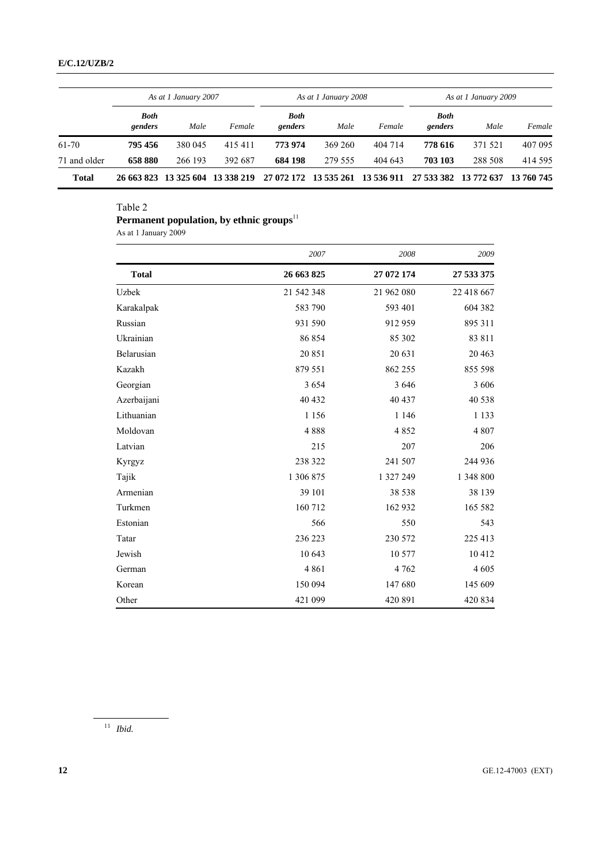|              | As at 1 January 2007   |                       |            | As at 1 January 2008   |         |            | As at 1 January 2009   |            |            |
|--------------|------------------------|-----------------------|------------|------------------------|---------|------------|------------------------|------------|------------|
|              | <b>Both</b><br>genders | Male                  | Female     | <b>Both</b><br>genders | Male    | Female     | <b>Both</b><br>genders | Male       | Female     |
| 61-70        | 795 456                | 380 045               | 415411     | 773 974                | 369 260 | 404 714    | 778 616                | 371 521    | 407 095    |
| 71 and older | 658 880                | 266 193               | 392 687    | 684 198                | 279 555 | 404 643    | 703 103                | 288 508    | 414 595    |
| Total        |                        | 26 663 823 13 325 604 | 13 338 219 | 27 072 172 13 535 261  |         | 13 536 911 | 27 533 382             | 13 772 637 | 13 760 745 |

Table 2

## **Permanent population, by ethnic groups**<sup>11</sup>

As at 1 January 2009

|              | 2007       | 2008       | 2009       |
|--------------|------------|------------|------------|
| <b>Total</b> | 26 663 825 | 27 072 174 | 27 533 375 |
| Uzbek        | 21 542 348 | 21 962 080 | 22 418 667 |
| Karakalpak   | 583 790    | 593 401    | 604 382    |
| Russian      | 931 590    | 912 959    | 895 311    |
| Ukrainian    | 86 854     | 85 302     | 83 811     |
| Belarusian   | 20851      | 20 631     | 20 4 63    |
| Kazakh       | 879 551    | 862 255    | 855 598    |
| Georgian     | 3 6 5 4    | 3 6 4 6    | 3 606      |
| Azerbaijani  | 40 432     | 40 437     | 40 538     |
| Lithuanian   | 1 1 5 6    | 1 1 4 6    | 1 1 3 3    |
| Moldovan     | 4888       | 4852       | 4 807      |
| Latvian      | 215        | 207        | 206        |
| Kyrgyz       | 238 322    | 241 507    | 244 936    |
| Tajik        | 1 306 875  | 1 327 249  | 1 348 800  |
| Armenian     | 39 101     | 38 538     | 38 139     |
| Turkmen      | 160 712    | 162 932    | 165 582    |
| Estonian     | 566        | 550        | 543        |
| Tatar        | 236 223    | 230 572    | 225 413    |
| Jewish       | 10 643     | 10 577     | 10 412     |
| German       | 4 8 6 1    | 4 7 6 2    | 4 6 0 5    |
| Korean       | 150 094    | 147 680    | 145 609    |
| Other        | 421 099    | 420 891    | 420 834    |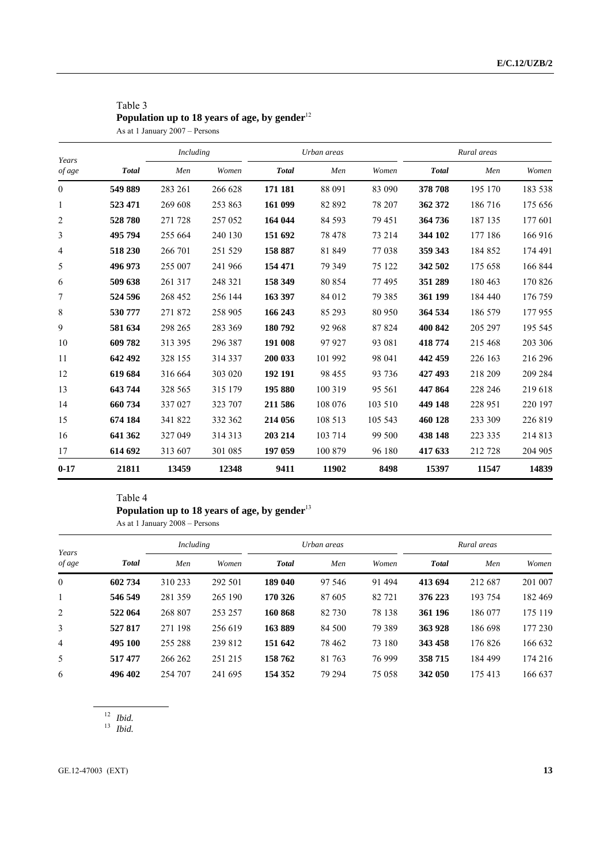## Table 3 Population up to 18 years of age, by gender<sup>12</sup>

As at 1 January 2007 – Persons

| Years          |              | Including |         | Urban areas  |         |          | Rural areas  |         |         |
|----------------|--------------|-----------|---------|--------------|---------|----------|--------------|---------|---------|
| of age         | <b>Total</b> | Men       | Women   | <b>Total</b> | Men     | Women    | <b>Total</b> | Men     | Women   |
| $\overline{0}$ | 549 889      | 283 261   | 266 628 | 171 181      | 88 091  | 83 090   | 378 708      | 195 170 | 183 538 |
| $\mathbf{1}$   | 523 471      | 269 608   | 253 863 | 161 099      | 82 892  | 78 207   | 362 372      | 186 716 | 175 656 |
| $\overline{2}$ | 528780       | 271 728   | 257 052 | 164 044      | 84 5 93 | 79 451   | 364 736      | 187 135 | 177 601 |
| 3              | 495 794      | 255 664   | 240 130 | 151 692      | 78 478  | 73 214   | 344 102      | 177 186 | 166 916 |
| $\overline{4}$ | 518 230      | 266 701   | 251 529 | 158 887      | 81 849  | 77038    | 359 343      | 184 852 | 174 491 |
| 5              | 496 973      | 255 007   | 241 966 | 154 471      | 79 349  | 75 122   | 342 502      | 175 658 | 166 844 |
| 6              | 509 638      | 261 317   | 248 321 | 158 349      | 80 854  | 77495    | 351 289      | 180 463 | 170 826 |
| 7              | 524 596      | 268 452   | 256 144 | 163 397      | 84 012  | 79 3 8 5 | 361 199      | 184 440 | 176 759 |
| 8              | 530 777      | 271 872   | 258 905 | 166 243      | 85 293  | 80 950   | 364 534      | 186 579 | 177955  |
| 9              | 581 634      | 298 265   | 283 369 | 180792       | 92 968  | 87824    | 400 842      | 205 297 | 195 545 |
| 10             | 609782       | 313 395   | 296 387 | 191 008      | 97 927  | 93 081   | 418774       | 215 468 | 203 306 |
| 11             | 642 492      | 328 155   | 314 337 | 200 033      | 101 992 | 98 041   | 442 459      | 226 163 | 216 296 |
| 12             | 619 684      | 316 664   | 303 020 | 192 191      | 98 455  | 93 736   | 427 493      | 218 209 | 209 284 |
| 13             | 643744       | 328 565   | 315 179 | 195 880      | 100 319 | 95 5 61  | 447 864      | 228 246 | 219 618 |
| 14             | 660 734      | 337 027   | 323 707 | 211 586      | 108 076 | 103 510  | 449 148      | 228 951 | 220 197 |
| 15             | 674 184      | 341 822   | 332 362 | 214 056      | 108 513 | 105 543  | 460 128      | 233 309 | 226 819 |
| 16             | 641 362      | 327 049   | 314 313 | 203 214      | 103 714 | 99 500   | 438 148      | 223 335 | 214 813 |
| 17             | 614 692      | 313 607   | 301 085 | 197 059      | 100 879 | 96 180   | 417 633      | 212 728 | 204 905 |
| $0 - 17$       | 21811        | 13459     | 12348   | 9411         | 11902   | 8498     | 15397        | 11547   | 14839   |

### Table 4

## Population up to 18 years of age, by gender<sup>13</sup>

As at 1 January 2008 – Persons

| Years<br>of age |              | Including |         | Urban areas  |         |         | Rural areas  |         |         |
|-----------------|--------------|-----------|---------|--------------|---------|---------|--------------|---------|---------|
|                 | <b>Total</b> | Men       | Women   | <b>Total</b> | Men     | Women   | <b>Total</b> | Men     | Women   |
| $\overline{0}$  | 602 734      | 310 233   | 292 501 | 189 040      | 97 546  | 91 4 94 | 413 694      | 212 687 | 201 007 |
|                 | 546 549      | 281 359   | 265 190 | 170 326      | 87 605  | 82 721  | 376 223      | 193 754 | 182 469 |
| 2               | 522 064      | 268 807   | 253 257 | 160868       | 82 730  | 78 138  | 361 196      | 186 077 | 175 119 |
| 3               | 527817       | 271 198   | 256 619 | 163889       | 84 500  | 79 3 89 | 363 928      | 186 698 | 177 230 |
| $\overline{4}$  | 495 100      | 255 288   | 239 812 | 151 642      | 78 4 62 | 73 180  | 343 458      | 176826  | 166 632 |
| 5               | 517477       | 266 262   | 251 215 | 158762       | 81 763  | 76 999  | 358715       | 184 499 | 174 216 |
| 6               | 496 402      | 254 707   | 241 695 | 154 352      | 79 294  | 75 058  | 342 050      | 175 413 | 166 637 |

*Ibid.*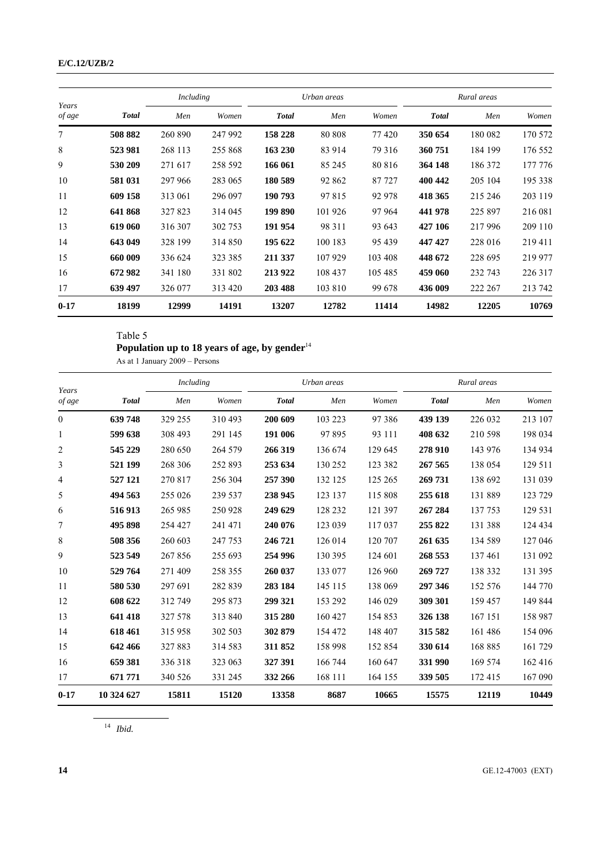|                 |              | Including |         | Urban areas  |         |         | Rural areas  |         |         |
|-----------------|--------------|-----------|---------|--------------|---------|---------|--------------|---------|---------|
| Years<br>of age | <b>Total</b> | Men       | Women   | <b>Total</b> | Men     | Women   | <b>Total</b> | Men     | Women   |
| 7               | 508 882      | 260 890   | 247 992 | 158 228      | 80 80 8 | 77420   | 350 654      | 180 082 | 170 572 |
| 8               | 523 981      | 268 113   | 255 868 | 163 230      | 83 914  | 79 316  | 360751       | 184 199 | 176 552 |
| 9               | 530 209      | 271 617   | 258 592 | 166 061      | 85 245  | 80 816  | 364 148      | 186 372 | 177 776 |
| 10              | 581 031      | 297 966   | 283 065 | 180 589      | 92 862  | 87 727  | 400 442      | 205 104 | 195 338 |
| 11              | 609 158      | 313 061   | 296 097 | 190 793      | 97 815  | 92 978  | 418 365      | 215 246 | 203 119 |
| 12              | 641 868      | 327823    | 314 045 | 199 890      | 101 926 | 97 964  | 441 978      | 225 897 | 216 081 |
| 13              | 619 060      | 316 307   | 302 753 | 191 954      | 98 311  | 93 643  | 427 106      | 217996  | 209 110 |
| 14              | 643 049      | 328 199   | 314 850 | 195 622      | 100 183 | 95 439  | 447 427      | 228 016 | 219411  |
| 15              | 660 009      | 336 624   | 323 385 | 211 337      | 107 929 | 103 408 | 448 672      | 228 695 | 219 977 |
| 16              | 672 982      | 341 180   | 331 802 | 213 922      | 108 437 | 105 485 | 459 060      | 232 743 | 226 317 |
| 17              | 639 497      | 326 077   | 313 420 | 203 488      | 103 810 | 99 678  | 436 009      | 222 267 | 213 742 |
| $0 - 17$        | 18199        | 12999     | 14191   | 13207        | 12782   | 11414   | 14982        | 12205   | 10769   |

Table 5

## **Population up to 18 years of age, by gender**<sup>14</sup>

As at 1 January 2009 – Persons

| Years          |              | Including |         | Urban areas  |         |         | Rural areas  |         |         |
|----------------|--------------|-----------|---------|--------------|---------|---------|--------------|---------|---------|
| of age         | <b>Total</b> | Men       | Women   | <b>Total</b> | Men     | Women   | <b>Total</b> | Men     | Women   |
| $\overline{0}$ | 639748       | 329 255   | 310 493 | 200 609      | 103 223 | 97386   | 439 139      | 226 032 | 213 107 |
| 1              | 599 638      | 308 493   | 291 145 | 191 006      | 97 895  | 93 111  | 408 632      | 210 598 | 198 034 |
| 2              | 545 229      | 280 650   | 264 579 | 266 319      | 136 674 | 129 645 | 278 910      | 143 976 | 134 934 |
| 3              | 521 199      | 268 306   | 252 893 | 253 634      | 130 252 | 123 382 | 267 565      | 138 054 | 129 511 |
| 4              | 527 121      | 270 817   | 256 304 | 257 390      | 132 125 | 125 265 | 269 731      | 138 692 | 131 039 |
| 5              | 494 563      | 255 026   | 239 537 | 238 945      | 123 137 | 115 808 | 255 618      | 131 889 | 123 729 |
| 6              | 516 913      | 265 985   | 250 928 | 249 629      | 128 232 | 121 397 | 267 284      | 137 753 | 129 531 |
| 7              | 495 898      | 254 427   | 241 471 | 240 076      | 123 039 | 117037  | 255 822      | 131 388 | 124 434 |
| 8              | 508 356      | 260 603   | 247 753 | 246 721      | 126 014 | 120 707 | 261 635      | 134 589 | 127 046 |
| 9              | 523 549      | 267856    | 255 693 | 254 996      | 130 395 | 124 601 | 268 553      | 137461  | 131 092 |
| 10             | 529 764      | 271 409   | 258 355 | 260 037      | 133 077 | 126 960 | 269 727      | 138 332 | 131 395 |
| 11             | 580 530      | 297 691   | 282 839 | 283 184      | 145 115 | 138 069 | 297 346      | 152 576 | 144 770 |
| 12             | 608 622      | 312 749   | 295 873 | 299 321      | 153 292 | 146 029 | 309 301      | 159 457 | 149 844 |
| 13             | 641 418      | 327 578   | 313 840 | 315 280      | 160 427 | 154 853 | 326 138      | 167 151 | 158 987 |
| 14             | 618461       | 315 958   | 302 503 | 302 879      | 154 472 | 148 407 | 315 582      | 161486  | 154 096 |
| 15             | 642 466      | 327883    | 314 583 | 311 852      | 158 998 | 152 854 | 330 614      | 168 885 | 161 729 |
| 16             | 659 381      | 336 318   | 323 063 | 327 391      | 166 744 | 160 647 | 331 990      | 169 574 | 162 416 |
| 17             | 671 771      | 340 526   | 331 245 | 332 266      | 168 111 | 164 155 | 339 505      | 172 415 | 167 090 |
| $0 - 17$       | 10 324 627   | 15811     | 15120   | 13358        | 8687    | 10665   | 15575        | 12119   | 10449   |

*Ibid.*

GE.12-47003 (EXT)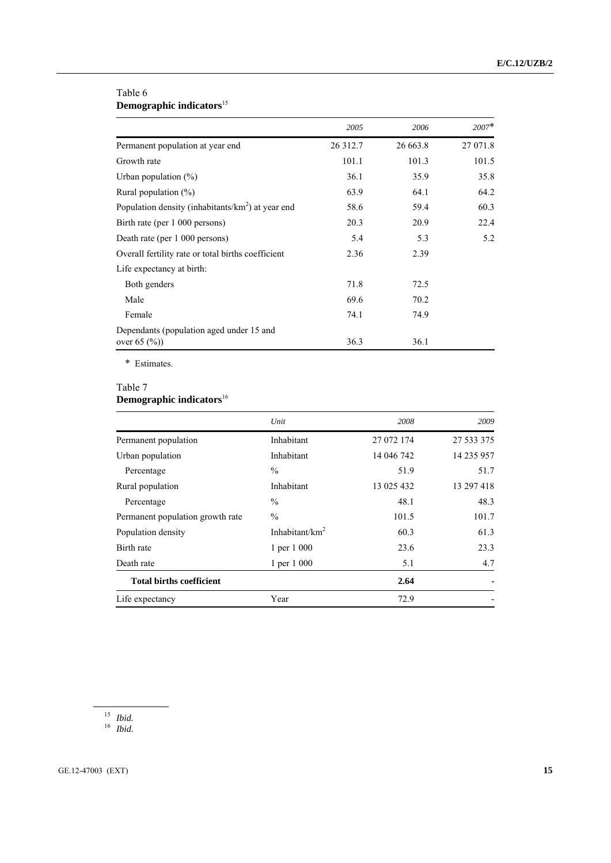## Table 6 **Demographic indicators**<sup>15</sup>

|                                                      | 2005     | 2006     | $2007*$  |
|------------------------------------------------------|----------|----------|----------|
| Permanent population at year end                     | 26 312.7 | 26 663.8 | 27 071.8 |
| Growth rate                                          | 101.1    | 101.3    | 101.5    |
| Urban population $(\%)$                              | 36.1     | 35.9     | 35.8     |
| Rural population $(\%)$                              | 63.9     | 64.1     | 64.2     |
| Population density (inhabitants/ $km2$ ) at year end | 58.6     | 59.4     | 60.3     |
| Birth rate (per 1 000 persons)                       | 20.3     | 20.9     | 22.4     |
| Death rate (per 1 000 persons)                       | 5.4      | 5.3      | 5.2      |
| Overall fertility rate or total births coefficient   | 2.36     | 2.39     |          |
| Life expectancy at birth:                            |          |          |          |
| Both genders                                         | 71.8     | 72.5     |          |
| Male                                                 | 69.6     | 70.2     |          |
| Female                                               | 74.1     | 74.9     |          |
| Dependants (population aged under 15 and             |          |          |          |
| over $65$ $(\%)$                                     | 36.3     | 36.1     |          |

\* Estimates.

## Table 7

## **Demographic indicators**<sup>16</sup>

|                                  | Unit               | 2008       | 2009       |
|----------------------------------|--------------------|------------|------------|
| Permanent population             | Inhabitant         | 27 072 174 | 27 533 375 |
| Urban population                 | Inhabitant         | 14 046 742 | 14 235 957 |
| Percentage                       | $\frac{0}{0}$      | 51.9       | 51.7       |
| Rural population                 | Inhabitant         | 13 025 432 | 13 297 418 |
| Percentage                       | $\frac{0}{0}$      | 48.1       | 48.3       |
| Permanent population growth rate | $\frac{0}{0}$      | 101.5      | 101.7      |
| Population density               | Inhabitant/ $km^2$ | 60.3       | 61.3       |
| Birth rate                       | 1 per 1 000        | 23.6       | 23.3       |
| Death rate                       | 1 per 1 000        | 5.1        | 4.7        |
| <b>Total births coefficient</b>  |                    | 2.64       |            |
| Life expectancy                  | Year               | 72.9       |            |

<sup>15</sup> *Ibid.*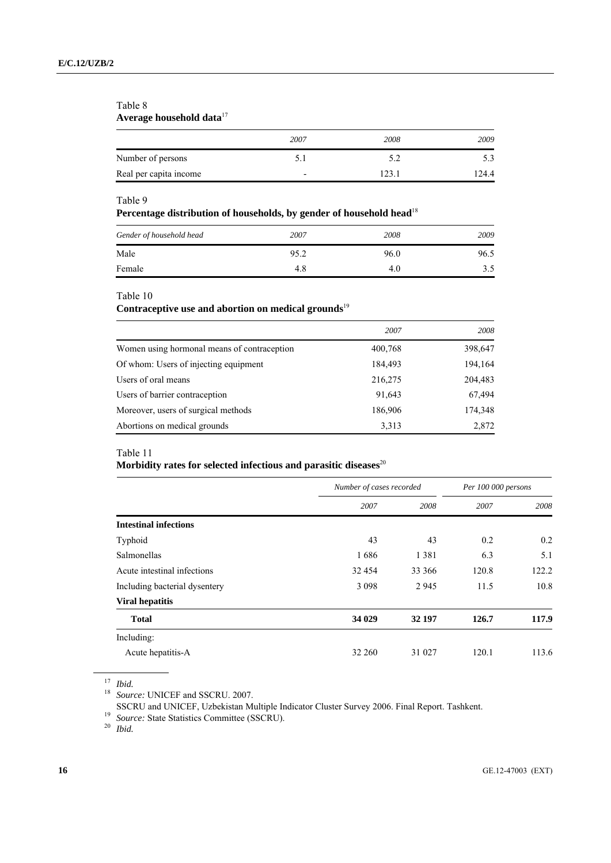### Table 8 **Average household data**<sup>17</sup>

|                        | 2007                     | 2008 | 2009  |
|------------------------|--------------------------|------|-------|
| Number of persons      | $\sim$ .                 |      |       |
| Real per capita income | $\overline{\phantom{0}}$ |      | 124.4 |

### Table 9

### **Percentage distribution of households, by gender of household head**<sup>18</sup>

| Gender of household head | 2007 | 2008 | 2009 |
|--------------------------|------|------|------|
| Male                     | 95.2 | 96.0 | 96.5 |
| Female                   | 4.8  | 4.0  | 3.5  |

Table 10

## Contraceptive use and abortion on medical grounds<sup>19</sup>

|                                             | 2007    | 2008    |
|---------------------------------------------|---------|---------|
| Women using hormonal means of contraception | 400,768 | 398,647 |
| Of whom: Users of injecting equipment       | 184,493 | 194,164 |
| Users of oral means                         | 216,275 | 204,483 |
| Users of barrier contraception              | 91,643  | 67,494  |
| Moreover, users of surgical methods         | 186,906 | 174,348 |
| Abortions on medical grounds                | 3,313   | 2,872   |

### Table 11

## Morbidity rates for selected infectious and parasitic diseases<sup>20</sup>

|                               | Number of cases recorded |         | Per 100 000 persons |       |
|-------------------------------|--------------------------|---------|---------------------|-------|
|                               | 2007                     | 2008    | 2007                | 2008  |
| <b>Intestinal infections</b>  |                          |         |                     |       |
| Typhoid                       | 43                       | 43      | 0.2                 | 0.2   |
| Salmonellas                   | 1686                     | 1 3 8 1 | 6.3                 | 5.1   |
| Acute intestinal infections   | 32 4 54                  | 33 366  | 120.8               | 122.2 |
| Including bacterial dysentery | 3 0 9 8                  | 2 9 4 5 | 11.5                | 10.8  |
| <b>Viral hepatitis</b>        |                          |         |                     |       |
| <b>Total</b>                  | 34 029                   | 32 197  | 126.7               | 117.9 |
| Including:                    |                          |         |                     |       |
| Acute hepatitis-A             | 32 260                   | 31 027  | 120.1               | 113.6 |

<sup>17</sup> *Ibid.*

<sup>18</sup> *Source:* UNICEF and SSCRU. 2007.

SSCRU and UNICEF, Uzbekistan Multiple Indicator Cluster Survey 2006. Final Report. Tashkent. 19 *Source:* State Statistics Committee (SSCRU). 20 *Ibid.*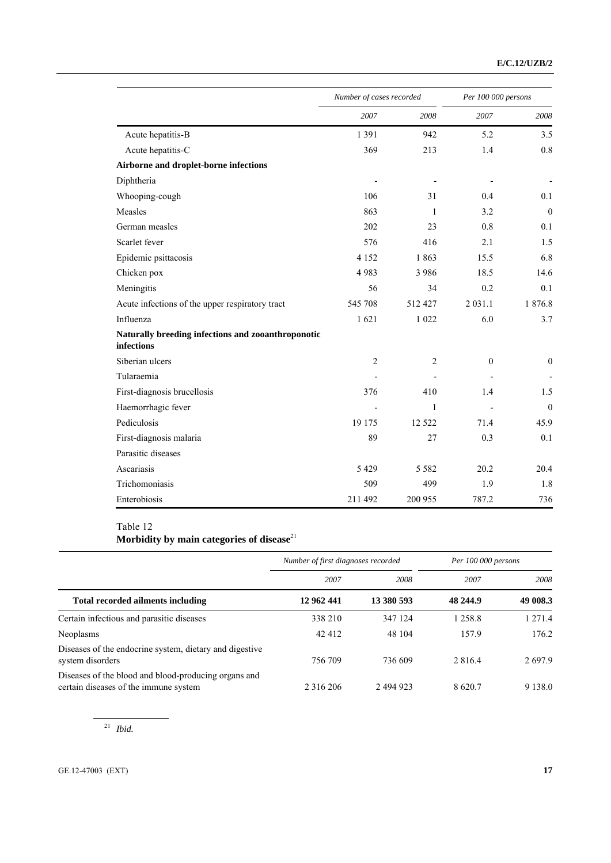|                                                                  | Number of cases recorded |                | Per 100 000 persons |                  |
|------------------------------------------------------------------|--------------------------|----------------|---------------------|------------------|
|                                                                  | 2007                     | 2008           | 2007                | 2008             |
| Acute hepatitis-B                                                | 1 3 9 1                  | 942            | 5.2                 | 3.5              |
| Acute hepatitis-C                                                | 369                      | 213            | 1.4                 | 0.8              |
| Airborne and droplet-borne infections                            |                          |                |                     |                  |
| Diphtheria                                                       | $\overline{a}$           |                |                     |                  |
| Whooping-cough                                                   | 106                      | 31             | 0.4                 | 0.1              |
| Measles                                                          | 863                      | 1              | 3.2                 | $\overline{0}$   |
| German measles                                                   | 202                      | 23             | 0.8                 | 0.1              |
| Scarlet fever                                                    | 576                      | 416            | 2.1                 | 1.5              |
| Epidemic psittacosis                                             | 4 1 5 2                  | 1863           | 15.5                | 6.8              |
| Chicken pox                                                      | 4983                     | 3 9 8 6        | 18.5                | 14.6             |
| Meningitis                                                       | 56                       | 34             | 0.2                 | 0.1              |
| Acute infections of the upper respiratory tract                  | 545 708                  | 512 427        | 2 0 3 1 .1          | 1876.8           |
| Influenza                                                        | 1621                     | 1 0 2 2        | 6.0                 | 3.7              |
| Naturally breeding infections and zooanthroponotic<br>infections |                          |                |                     |                  |
| Siberian ulcers                                                  | $\overline{2}$           | $\overline{2}$ | $\overline{0}$      | $\boldsymbol{0}$ |
| Tularaemia                                                       |                          |                |                     |                  |
| First-diagnosis brucellosis                                      | 376                      | 410            | 1.4                 | 1.5              |
| Haemorrhagic fever                                               |                          | $\mathbf{1}$   |                     | $\mathbf{0}$     |
| Pediculosis                                                      | 19 175                   | 12 5 22        | 71.4                | 45.9             |
| First-diagnosis malaria                                          | 89                       | 27             | 0.3                 | 0.1              |
| Parasitic diseases                                               |                          |                |                     |                  |
| Ascariasis                                                       | 5 4 2 9                  | 5 5 8 2        | 20.2                | 20.4             |
| Trichomoniasis                                                   | 509                      | 499            | 1.9                 | 1.8              |
| Enterobiosis                                                     | 211 492                  | 200 955        | 787.2               | 736              |

## Table 12 **Morbidity by main categories of disease**<sup>21</sup>

|                                                                                               | Number of first diagnoses recorded |            | Per 100 000 persons |            |
|-----------------------------------------------------------------------------------------------|------------------------------------|------------|---------------------|------------|
|                                                                                               | 2007                               | 2008       | 2007                | 2008       |
| Total recorded ailments including                                                             | 12 962 441                         | 13 380 593 | 48 244.9            | 49 008.3   |
| Certain infectious and parasitic diseases                                                     | 338 210                            | 347 124    | 1 258.8             | 1 271.4    |
| Neoplasms                                                                                     | 42 412                             | 48 104     | 157.9               | 176.2      |
| Diseases of the endocrine system, dietary and digestive<br>system disorders                   | 756 709                            | 736 609    | 2 8 1 6 .4          | 2697.9     |
| Diseases of the blood and blood-producing organs and<br>certain diseases of the immune system | 2 3 1 6 2 0 6                      | 2 494 923  | 8620.7              | 9 1 3 8 .0 |

<sup>21</sup> *Ibid.*

GE.12-47003 (EXT) **17**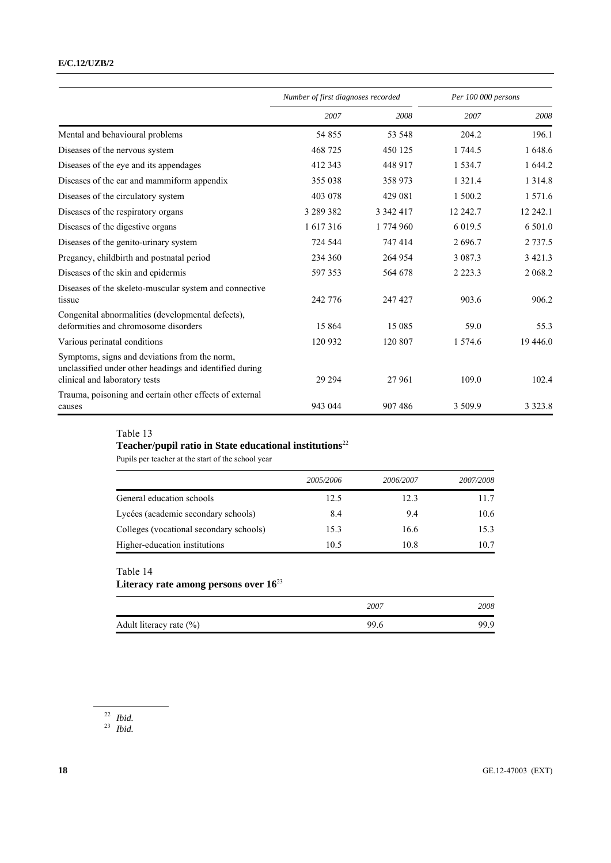### **E/C.12/UZB/2**

|                                                                                                                                           | Number of first diagnoses recorded |           | Per 100 000 persons |            |
|-------------------------------------------------------------------------------------------------------------------------------------------|------------------------------------|-----------|---------------------|------------|
|                                                                                                                                           | 2007                               | 2008      | 2007                | 2008       |
| Mental and behavioural problems                                                                                                           | 54 855                             | 53 548    | 204.2               | 196.1      |
| Diseases of the nervous system                                                                                                            | 468 725                            | 450 125   | 1 744.5             | 1 648.6    |
| Diseases of the eye and its appendages                                                                                                    | 412 343                            | 448 917   | 1 5 3 4 .7          | 1 644.2    |
| Diseases of the ear and mammiform appendix                                                                                                | 355 038                            | 358 973   | 1 3 2 1 .4          | 1 3 1 4 .8 |
| Diseases of the circulatory system                                                                                                        | 403 078                            | 429 081   | 1 500.2             | 1571.6     |
| Diseases of the respiratory organs                                                                                                        | 3 289 382                          | 3 342 417 | 12 242.7            | 12 242.1   |
| Diseases of the digestive organs                                                                                                          | 1 617 316                          | 1 774 960 | 6 0 1 9 .5          | 6.501.0    |
| Diseases of the genito-urinary system                                                                                                     | 724 544                            | 747 414   | 2696.7              | 2 7 3 7 .5 |
| Pregancy, childbirth and postnatal period                                                                                                 | 234 360                            | 264 954   | 3 0 8 7 . 3         | 3 4 2 1 .3 |
| Diseases of the skin and epidermis                                                                                                        | 597 353                            | 564 678   | 2 2 2 3 .3          | 2 068.2    |
| Diseases of the skeleto-muscular system and connective<br>tissue                                                                          | 242 776                            | 247 427   | 903.6               | 906.2      |
| Congenital abnormalities (developmental defects).<br>deformities and chromosome disorders                                                 | 15 864                             | 15 0 8 5  | 59.0                | 55.3       |
| Various perinatal conditions                                                                                                              | 120 932                            | 120 807   | 1 574.6             | 19 4 46.0  |
| Symptoms, signs and deviations from the norm,<br>unclassified under other headings and identified during<br>clinical and laboratory tests | 29 29 4                            | 27961     | 109.0               | 102.4      |
| Trauma, poisoning and certain other effects of external<br>causes                                                                         | 943 044                            | 907 486   | 3 509.9             | 3 3 2 3 .8 |

## Table 13

# **Teacher/pupil ratio in State educational institutions**<sup>22</sup>

Pupils per teacher at the start of the school year

|                                         | 2005/2006 | 2006/2007 | 2007/2008 |
|-----------------------------------------|-----------|-----------|-----------|
| General education schools               | 12.5      | 12.3      | 11.7      |
| Lycées (academic secondary schools)     | 8.4       | 9.4       | 10.6      |
| Colleges (vocational secondary schools) | 15.3      | 16.6      | 15.3      |
| Higher-education institutions           | 10.5      | 10.8      | 10.7      |

## Table 14

## **Literacy rate among persons over 16**<sup>23</sup>

|                             | 2007 | 2008 |
|-----------------------------|------|------|
| Adult literacy rate $(\% )$ | 99.6 | 99.9 |

### <sup>22</sup> *Ibid.*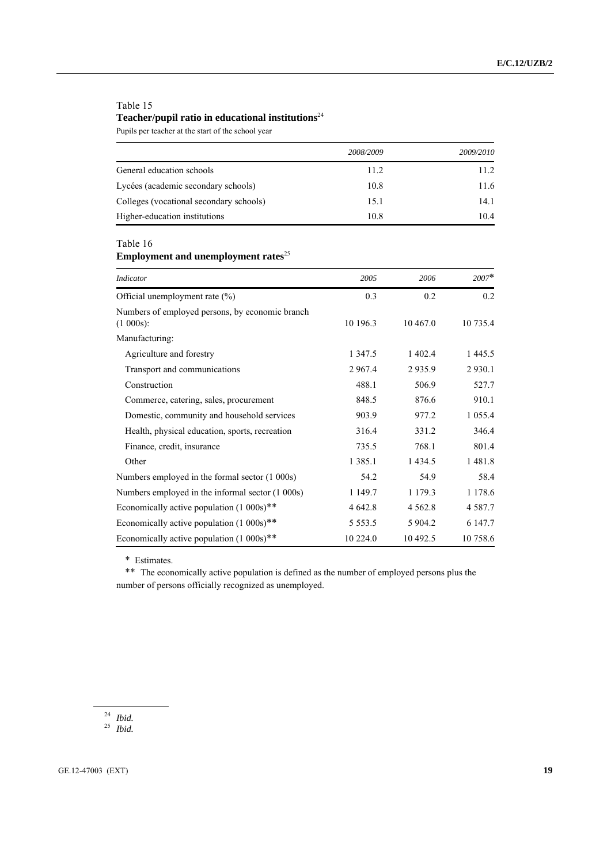## Table 15 **Teacher/pupil ratio in educational institutions**<sup>24</sup>

Pupils per teacher at the start of the school year

|                                         | 2008/2009 | 2009/2010 |
|-----------------------------------------|-----------|-----------|
| General education schools               | 11.2      | 11.2      |
| Lycées (academic secondary schools)     | 10.8      | 11.6      |
| Colleges (vocational secondary schools) | 15.1      | 14.1      |
| Higher-education institutions           | 10.8      | 10.4      |

Table 16

**Employment and unemployment rates**<sup>25</sup>

| <b>Indicator</b>                                             | 2005        | 2006        | $2007*$     |
|--------------------------------------------------------------|-------------|-------------|-------------|
| Official unemployment rate (%)                               | 0.3         | 0.2         | 0.2         |
| Numbers of employed persons, by economic branch<br>(1 000s): | 10 196.3    | 10 467.0    | 10 735.4    |
| Manufacturing:                                               |             |             |             |
| Agriculture and forestry                                     | 1 3 4 7 .5  | 1 402.4     | 1 4 4 5 . 5 |
| Transport and communications                                 | 2 9 6 7 .4  | 2935.9      | 2 9 3 0 .1  |
| Construction                                                 | 488.1       | 506.9       | 527.7       |
| Commerce, catering, sales, procurement                       | 848.5       | 876.6       | 910.1       |
| Domestic, community and household services                   | 903.9       | 977.2       | 1 0 5 5 .4  |
| Health, physical education, sports, recreation               | 316.4       | 331.2       | 346.4       |
| Finance, credit, insurance                                   | 735.5       | 768.1       | 801.4       |
| Other                                                        | 1 3 8 5 .1  | 1 4 3 4 .5  | 1 481.8     |
| Numbers employed in the formal sector (1 000s)               | 54.2        | 54.9        | 58.4        |
| Numbers employed in the informal sector (1 000s)             | 1 149.7     | 1 1 7 9 . 3 | 1 1 7 8 . 6 |
| Economically active population $(1\ 000s)$ **                | 4 642.8     | 4 5 6 2.8   | 4 5 8 7 . 7 |
| Economically active population (1 000s)**                    | 5 5 5 3 . 5 | 5 904.2     | 6 147.7     |
| Economically active population (1 000s)**                    | 10 224.0    | 10 492.5    | 10 758.6    |

\* Estimates.

\*\* The economically active population is defined as the number of employed persons plus the number of persons officially recognized as unemployed.

<sup>24</sup> *Ibid.*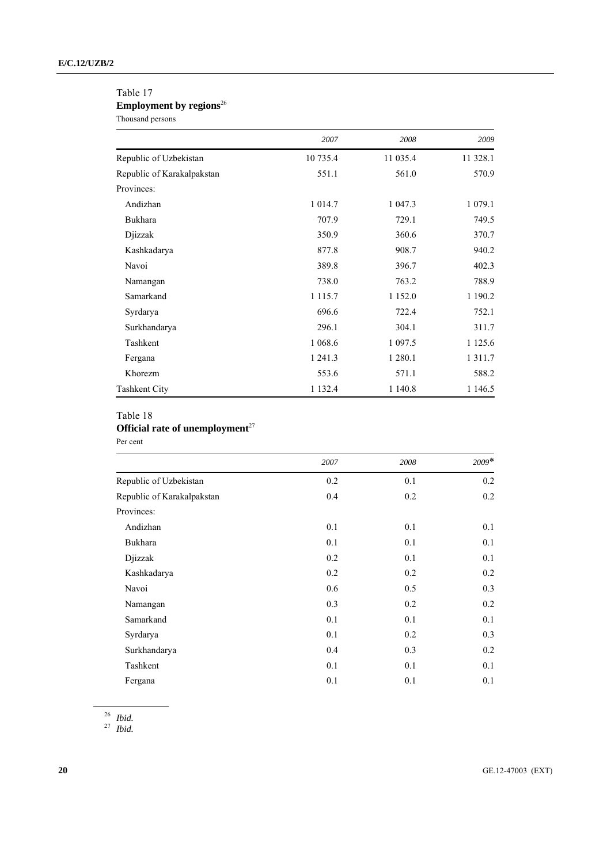### Table 17

## Employment by regions<sup>26</sup>

Thousand persons

|                            | 2007        | 2008        | 2009        |
|----------------------------|-------------|-------------|-------------|
| Republic of Uzbekistan     | 10 735.4    | 11 035.4    | 11 328.1    |
| Republic of Karakalpakstan | 551.1       | 561.0       | 570.9       |
| Provinces:                 |             |             |             |
| Andizhan                   | 1 0 1 4 .7  | 1 047.3     | 1 0 7 9 1   |
| Bukhara                    | 707.9       | 729.1       | 749.5       |
| Djizzak                    | 350.9       | 360.6       | 370.7       |
| Kashkadarya                | 877.8       | 908.7       | 940.2       |
| Navoi                      | 389.8       | 396.7       | 402.3       |
| Namangan                   | 738.0       | 763.2       | 788.9       |
| Samarkand                  | 1 1 1 5 .7  | 1 1 5 2 .0  | 1 190.2     |
| Syrdarya                   | 696.6       | 722.4       | 752.1       |
| Surkhandarya               | 296.1       | 304.1       | 311.7       |
| Tashkent                   | 1 0 68.6    | 1 0 9 7 . 5 | 1 1 2 5 . 6 |
| Fergana                    | 1 241.3     | 1 2 8 0 . 1 | 1 3 1 1 .7  |
| Khorezm                    | 553.6       | 571.1       | 588.2       |
| <b>Tashkent City</b>       | 1 1 3 2 . 4 | 1 140.8     | 1 1 4 6 .5  |

## Table 18 **Official rate of unemployment**<sup>27</sup>

Per cent

|                            | 2007 | 2008 | $2009*$ |
|----------------------------|------|------|---------|
| Republic of Uzbekistan     | 0.2  | 0.1  | 0.2     |
| Republic of Karakalpakstan | 0.4  | 0.2  | 0.2     |
| Provinces:                 |      |      |         |
| Andizhan                   | 0.1  | 0.1  | 0.1     |
| <b>Bukhara</b>             | 0.1  | 0.1  | 0.1     |
| Djizzak                    | 0.2  | 0.1  | 0.1     |
| Kashkadarya                | 0.2  | 0.2  | 0.2     |
| Navoi                      | 0.6  | 0.5  | 0.3     |
| Namangan                   | 0.3  | 0.2  | 0.2     |
| Samarkand                  | 0.1  | 0.1  | 0.1     |
| Syrdarya                   | 0.1  | 0.2  | 0.3     |
| Surkhandarya               | 0.4  | 0.3  | 0.2     |
| Tashkent                   | 0.1  | 0.1  | 0.1     |
| Fergana                    | 0.1  | 0.1  | 0.1     |

<sup>26</sup> *Ibid.*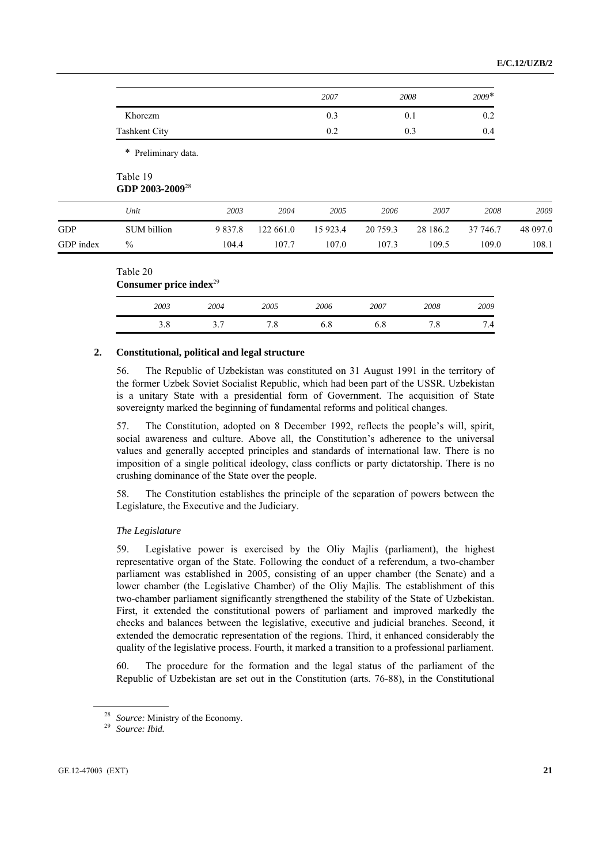|                            |                             |             |           | 2007     |          | 2008     | $2009*$  |          |
|----------------------------|-----------------------------|-------------|-----------|----------|----------|----------|----------|----------|
|                            | Khorezm                     |             |           | 0.3      |          | 0.1      | 0.2      |          |
|                            | <b>Tashkent City</b>        |             |           | 0.2      |          | 0.3      | 0.4      |          |
|                            | * Preliminary data.         |             |           |          |          |          |          |          |
| Table 19                   | GDP 2003-2009 <sup>28</sup> |             |           |          |          |          |          |          |
| Unit                       |                             | 2003        | 2004      | 2005     | 2006     | 2007     | 2008     | 2009     |
| GDP                        | SUM billion                 | 9 8 3 7 . 8 | 122 661.0 | 15 923.4 | 20 759.3 | 28 186.2 | 37 746.7 | 48 097.0 |
| $\frac{0}{0}$<br>GDP index |                             | 104.4       | 107.7     | 107.0    | 107.3    | 109.5    | 109.0    | 108.1    |

| 2003 | 2004   | 2005                 | 2006 | 2007 | 2008                | 2009                             |
|------|--------|----------------------|------|------|---------------------|----------------------------------|
| 5.0  | -<br>، | –<br>$\cdot^{\circ}$ | 6.8  | υ.ο  | $\sim$<br>$\cdot$ 0 | -<br>$\overline{A}$<br>$\cdot$ T |

### **2. Constitutional, political and legal structure**

56. The Republic of Uzbekistan was constituted on 31 August 1991 in the territory of the former Uzbek Soviet Socialist Republic, which had been part of the USSR. Uzbekistan is a unitary State with a presidential form of Government. The acquisition of State sovereignty marked the beginning of fundamental reforms and political changes.

57. The Constitution, adopted on 8 December 1992, reflects the people's will, spirit, social awareness and culture. Above all, the Constitution's adherence to the universal values and generally accepted principles and standards of international law. There is no imposition of a single political ideology, class conflicts or party dictatorship. There is no crushing dominance of the State over the people.

58. The Constitution establishes the principle of the separation of powers between the Legislature, the Executive and the Judiciary.

### *The Legislature*

59. Legislative power is exercised by the Oliy Majlis (parliament), the highest representative organ of the State. Following the conduct of a referendum, a two-chamber parliament was established in 2005, consisting of an upper chamber (the Senate) and a lower chamber (the Legislative Chamber) of the Oliy Majlis. The establishment of this two-chamber parliament significantly strengthened the stability of the State of Uzbekistan. First, it extended the constitutional powers of parliament and improved markedly the checks and balances between the legislative, executive and judicial branches. Second, it extended the democratic representation of the regions. Third, it enhanced considerably the quality of the legislative process. Fourth, it marked a transition to a professional parliament.

60. The procedure for the formation and the legal status of the parliament of the Republic of Uzbekistan are set out in the Constitution (arts. 76-88), in the Constitutional

<sup>28</sup> *Source:* Ministry of the Economy. 29 *Source: Ibid.*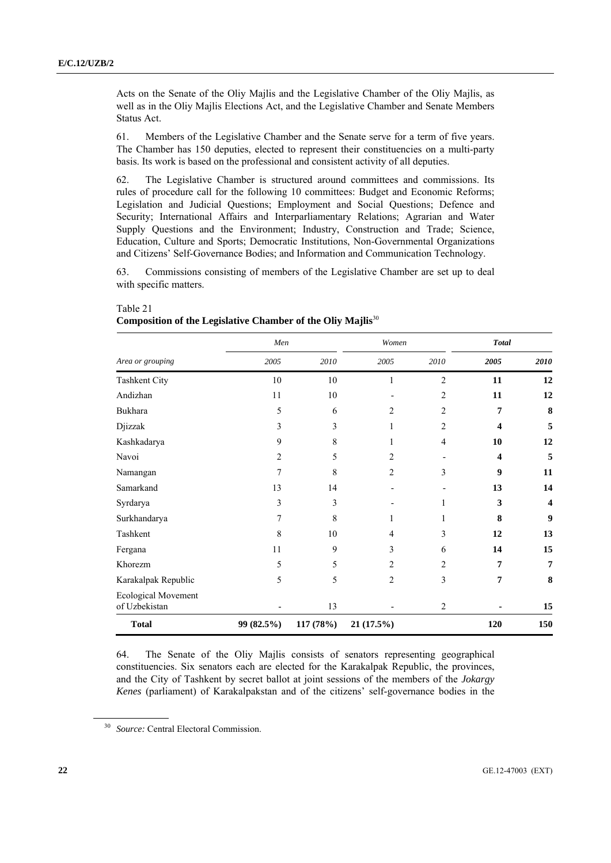Acts on the Senate of the Oliy Majlis and the Legislative Chamber of the Oliy Majlis, as well as in the Oliy Majlis Elections Act, and the Legislative Chamber and Senate Members Status Act.

61. Members of the Legislative Chamber and the Senate serve for a term of five years. The Chamber has 150 deputies, elected to represent their constituencies on a multi-party basis. Its work is based on the professional and consistent activity of all deputies.

62. The Legislative Chamber is structured around committees and commissions. Its rules of procedure call for the following 10 committees: Budget and Economic Reforms; Legislation and Judicial Questions; Employment and Social Questions; Defence and Security; International Affairs and Interparliamentary Relations; Agrarian and Water Supply Questions and the Environment; Industry, Construction and Trade; Science, Education, Culture and Sports; Democratic Institutions, Non-Governmental Organizations and Citizens' Self-Governance Bodies; and Information and Communication Technology.

63. Commissions consisting of members of the Legislative Chamber are set up to deal with specific matters.

|                                      | Men            |           | Women          |                | <b>Total</b>            |                         |
|--------------------------------------|----------------|-----------|----------------|----------------|-------------------------|-------------------------|
| Area or grouping                     | 2005           | 2010      | 2005           | 2010           | 2005                    | 2010                    |
| <b>Tashkent City</b>                 | 10             | 10        | 1              | $\overline{2}$ | 11                      | 12                      |
| Andizhan                             | 11             | 10        |                | $\overline{2}$ | 11                      | 12                      |
| Bukhara                              | 5              | 6         | 2              | 2              | 7                       | 8                       |
| Djizzak                              | 3              | 3         | 1              | 2              | $\overline{\mathbf{4}}$ | 5                       |
| Kashkadarya                          | 9              | 8         |                | $\overline{4}$ | 10                      | 12                      |
| Navoi                                | $\overline{c}$ | 5         | $\overline{c}$ |                | $\overline{\mathbf{4}}$ | 5                       |
| Namangan                             | 7              | 8         | $\overline{c}$ | 3              | $\boldsymbol{9}$        | 11                      |
| Samarkand                            | 13             | 14        | ٠              |                | 13                      | 14                      |
| Syrdarya                             | 3              | 3         |                | 1              | 3                       | $\overline{\mathbf{4}}$ |
| Surkhandarya                         | 7              | 8         | 1              | 1              | 8                       | $\boldsymbol{9}$        |
| Tashkent                             | 8              | 10        | 4              | 3              | 12                      | 13                      |
| Fergana                              | 11             | 9         | 3              | 6              | 14                      | 15                      |
| Khorezm                              | 5              | 5         | 2              | $\overline{2}$ | 7                       | 7                       |
| Karakalpak Republic                  | 5              | 5         | $\overline{c}$ | $\overline{3}$ | 7                       | 8                       |
| Ecological Movement<br>of Uzbekistan |                | 13        |                | 2              |                         | 15                      |
| <b>Total</b>                         | 99 (82.5%)     | 117 (78%) | 21 (17.5%)     |                | 120                     | 150                     |

Table 21 **Composition of the Legislative Chamber of the Oliy Majlis**<sup>30</sup>

64. The Senate of the Oliy Majlis consists of senators representing geographical constituencies. Six senators each are elected for the Karakalpak Republic, the provinces, and the City of Tashkent by secret ballot at joint sessions of the members of the *Jokargy Kenes* (parliament) of Karakalpakstan and of the citizens' self-governance bodies in the

<sup>30</sup> *Source:* Central Electoral Commission.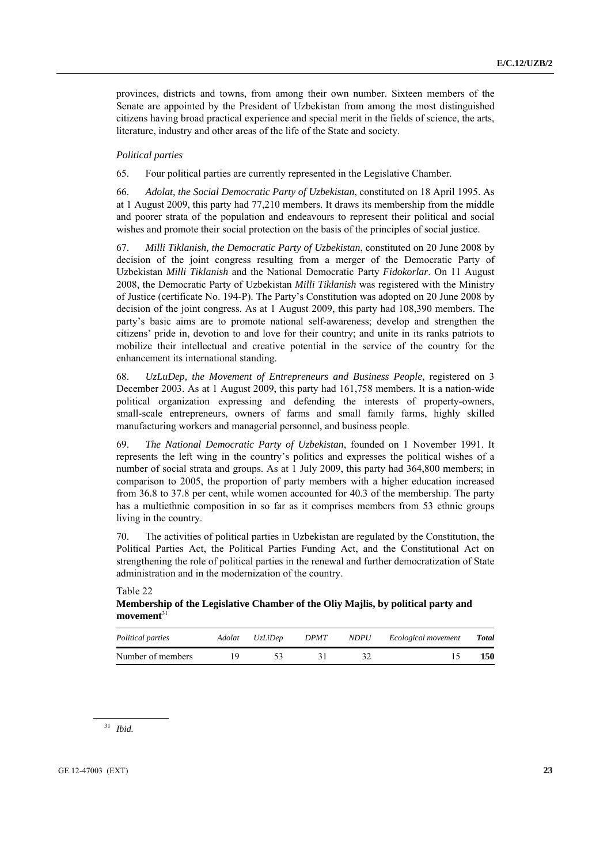provinces, districts and towns, from among their own number. Sixteen members of the Senate are appointed by the President of Uzbekistan from among the most distinguished citizens having broad practical experience and special merit in the fields of science, the arts, literature, industry and other areas of the life of the State and society.

### *Political parties*

65. Four political parties are currently represented in the Legislative Chamber.

66. *Adolat, the Social Democratic Party of Uzbekistan*, constituted on 18 April 1995. As at 1 August 2009, this party had 77,210 members. It draws its membership from the middle and poorer strata of the population and endeavours to represent their political and social wishes and promote their social protection on the basis of the principles of social justice.

67. *Milli Tiklanish, the Democratic Party of Uzbekistan*, constituted on 20 June 2008 by decision of the joint congress resulting from a merger of the Democratic Party of Uzbekistan *Milli Tiklanish* and the National Democratic Party *Fidokorlar*. On 11 August 2008, the Democratic Party of Uzbekistan *Milli Tiklanish* was registered with the Ministry of Justice (certificate No. 194-P). The Party's Constitution was adopted on 20 June 2008 by decision of the joint congress. As at 1 August 2009, this party had 108,390 members. The party's basic aims are to promote national self-awareness; develop and strengthen the citizens' pride in, devotion to and love for their country; and unite in its ranks patriots to mobilize their intellectual and creative potential in the service of the country for the enhancement its international standing.

68. *UzLuDep, the Movement of Entrepreneurs and Business People*, registered on 3 December 2003. As at 1 August 2009, this party had 161,758 members. It is a nation-wide political organization expressing and defending the interests of property-owners, small-scale entrepreneurs, owners of farms and small family farms, highly skilled manufacturing workers and managerial personnel, and business people.

69. *The National Democratic Party of Uzbekistan*, founded on 1 November 1991. It represents the left wing in the country's politics and expresses the political wishes of a number of social strata and groups. As at 1 July 2009, this party had 364,800 members; in comparison to 2005, the proportion of party members with a higher education increased from 36.8 to 37.8 per cent, while women accounted for 40.3 of the membership. The party has a multiethnic composition in so far as it comprises members from 53 ethnic groups living in the country.

70. The activities of political parties in Uzbekistan are regulated by the Constitution, the Political Parties Act, the Political Parties Funding Act, and the Constitutional Act on strengthening the role of political parties in the renewal and further democratization of State administration and in the modernization of the country.

*Political parties Adolat UzLiDep DPMT NDPU Ecological movement Total* Number of members 19 53 31 32 15 150

Table 22 **Membership of the Legislative Chamber of the Oliy Majlis, by political party and movement**<sup>31</sup>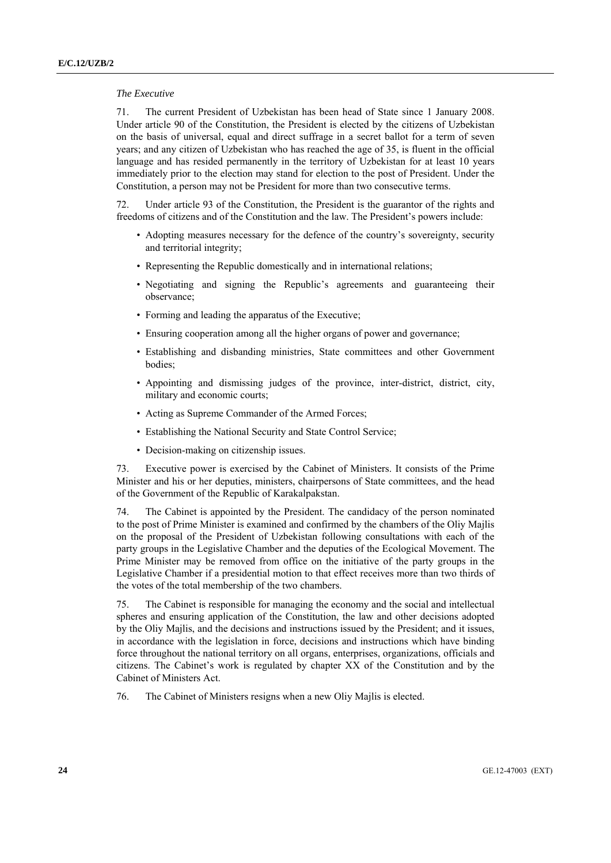### *The Executive*

71. The current President of Uzbekistan has been head of State since 1 January 2008. Under article 90 of the Constitution, the President is elected by the citizens of Uzbekistan on the basis of universal, equal and direct suffrage in a secret ballot for a term of seven years; and any citizen of Uzbekistan who has reached the age of 35, is fluent in the official language and has resided permanently in the territory of Uzbekistan for at least 10 years immediately prior to the election may stand for election to the post of President. Under the Constitution, a person may not be President for more than two consecutive terms.

72. Under article 93 of the Constitution, the President is the guarantor of the rights and freedoms of citizens and of the Constitution and the law. The President's powers include:

- Adopting measures necessary for the defence of the country's sovereignty, security and territorial integrity;
- Representing the Republic domestically and in international relations;
- Negotiating and signing the Republic's agreements and guaranteeing their observance;
- Forming and leading the apparatus of the Executive;
- Ensuring cooperation among all the higher organs of power and governance;
- Establishing and disbanding ministries, State committees and other Government bodies;
- Appointing and dismissing judges of the province, inter-district, district, city, military and economic courts;
- Acting as Supreme Commander of the Armed Forces;
- Establishing the National Security and State Control Service;
- Decision-making on citizenship issues.

73. Executive power is exercised by the Cabinet of Ministers. It consists of the Prime Minister and his or her deputies, ministers, chairpersons of State committees, and the head of the Government of the Republic of Karakalpakstan.

74. The Cabinet is appointed by the President. The candidacy of the person nominated to the post of Prime Minister is examined and confirmed by the chambers of the Oliy Majlis on the proposal of the President of Uzbekistan following consultations with each of the party groups in the Legislative Chamber and the deputies of the Ecological Movement. The Prime Minister may be removed from office on the initiative of the party groups in the Legislative Chamber if a presidential motion to that effect receives more than two thirds of the votes of the total membership of the two chambers.

75. The Cabinet is responsible for managing the economy and the social and intellectual spheres and ensuring application of the Constitution, the law and other decisions adopted by the Oliy Majlis, and the decisions and instructions issued by the President; and it issues, in accordance with the legislation in force, decisions and instructions which have binding force throughout the national territory on all organs, enterprises, organizations, officials and citizens. The Cabinet's work is regulated by chapter XX of the Constitution and by the Cabinet of Ministers Act.

76. The Cabinet of Ministers resigns when a new Oliy Majlis is elected.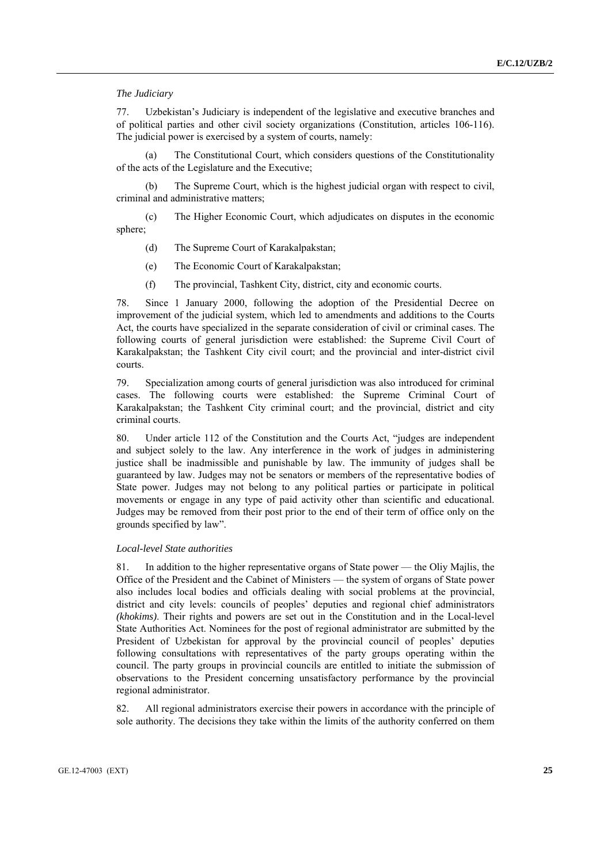### *The Judiciary*

77. Uzbekistan's Judiciary is independent of the legislative and executive branches and of political parties and other civil society organizations (Constitution, articles 106-116). The judicial power is exercised by a system of courts, namely:

The Constitutional Court, which considers questions of the Constitutionality of the acts of the Legislature and the Executive;

 (b) The Supreme Court, which is the highest judicial organ with respect to civil, criminal and administrative matters;

 (c) The Higher Economic Court, which adjudicates on disputes in the economic sphere;

- (d) The Supreme Court of Karakalpakstan;
- (e) The Economic Court of Karakalpakstan;
- (f) The provincial, Tashkent City, district, city and economic courts.

78. Since 1 January 2000, following the adoption of the Presidential Decree on improvement of the judicial system, which led to amendments and additions to the Courts Act, the courts have specialized in the separate consideration of civil or criminal cases. The following courts of general jurisdiction were established: the Supreme Civil Court of Karakalpakstan; the Tashkent City civil court; and the provincial and inter-district civil courts.

79. Specialization among courts of general jurisdiction was also introduced for criminal cases. The following courts were established: the Supreme Criminal Court of Karakalpakstan; the Tashkent City criminal court; and the provincial, district and city criminal courts.

80. Under article 112 of the Constitution and the Courts Act, "judges are independent and subject solely to the law. Any interference in the work of judges in administering justice shall be inadmissible and punishable by law. The immunity of judges shall be guaranteed by law. Judges may not be senators or members of the representative bodies of State power. Judges may not belong to any political parties or participate in political movements or engage in any type of paid activity other than scientific and educational. Judges may be removed from their post prior to the end of their term of office only on the grounds specified by law".

#### *Local-level State authorities*

81. In addition to the higher representative organs of State power — the Oliy Majlis, the Office of the President and the Cabinet of Ministers — the system of organs of State power also includes local bodies and officials dealing with social problems at the provincial, district and city levels: councils of peoples' deputies and regional chief administrators *(khokims)*. Their rights and powers are set out in the Constitution and in the Local-level State Authorities Act. Nominees for the post of regional administrator are submitted by the President of Uzbekistan for approval by the provincial council of peoples' deputies following consultations with representatives of the party groups operating within the council. The party groups in provincial councils are entitled to initiate the submission of observations to the President concerning unsatisfactory performance by the provincial regional administrator.

82. All regional administrators exercise their powers in accordance with the principle of sole authority. The decisions they take within the limits of the authority conferred on them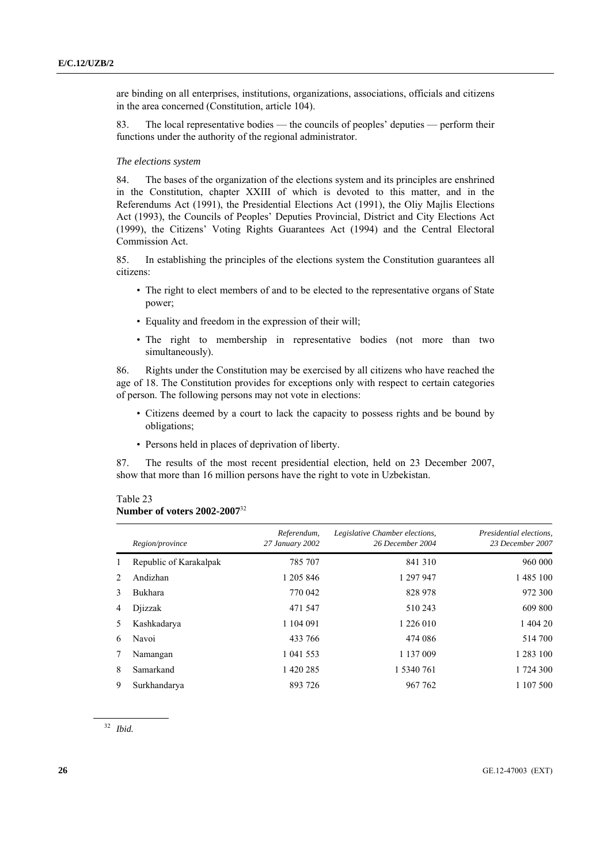are binding on all enterprises, institutions, organizations, associations, officials and citizens in the area concerned (Constitution, article 104).

83. The local representative bodies — the councils of peoples' deputies — perform their functions under the authority of the regional administrator.

#### *The elections system*

84. The bases of the organization of the elections system and its principles are enshrined in the Constitution, chapter XXIII of which is devoted to this matter, and in the Referendums Act (1991), the Presidential Elections Act (1991), the Oliy Majlis Elections Act (1993), the Councils of Peoples' Deputies Provincial, District and City Elections Act (1999), the Citizens' Voting Rights Guarantees Act (1994) and the Central Electoral Commission Act.

85. In establishing the principles of the elections system the Constitution guarantees all citizens:

- The right to elect members of and to be elected to the representative organs of State power;
- Equality and freedom in the expression of their will;
- The right to membership in representative bodies (not more than two simultaneously).

86. Rights under the Constitution may be exercised by all citizens who have reached the age of 18. The Constitution provides for exceptions only with respect to certain categories of person. The following persons may not vote in elections:

- Citizens deemed by a court to lack the capacity to possess rights and be bound by obligations;
- Persons held in places of deprivation of liberty.

87. The results of the most recent presidential election, held on 23 December 2007, show that more than 16 million persons have the right to vote in Uzbekistan.

#### Table 23

#### **Number of voters 2002-2007**<sup>32</sup>

|               | Region/province        | Referendum,<br>27 January 2002 | Legislative Chamber elections,<br>26 December 2004 | Presidential elections,<br>23 December 2007 |
|---------------|------------------------|--------------------------------|----------------------------------------------------|---------------------------------------------|
| 1             | Republic of Karakalpak | 785 707                        | 841 310                                            | 960 000                                     |
| $2^{1}$       | Andizhan               | 1 205 846                      | 1 297 947                                          | 1 485 100                                   |
| $\mathcal{E}$ | <b>Bukhara</b>         | 770 042                        | 828 978                                            | 972 300                                     |
| 4             | Diizzak                | 471 547                        | 510 243                                            | 609 800                                     |
| 5             | Kashkadarya            | 1 104 091                      | 1 226 010                                          | 1 404 20                                    |
| 6             | Navoi                  | 433 766                        | 474 086                                            | 514 700                                     |
| 7             | Namangan               | 1 041 553                      | 1 137 009                                          | 1 283 100                                   |
| 8             | Samarkand              | 1 420 285                      | 1 5340 761                                         | 1 724 300                                   |
| 9             | Surkhandarya           | 893 726                        | 967 762                                            | 1 107 500                                   |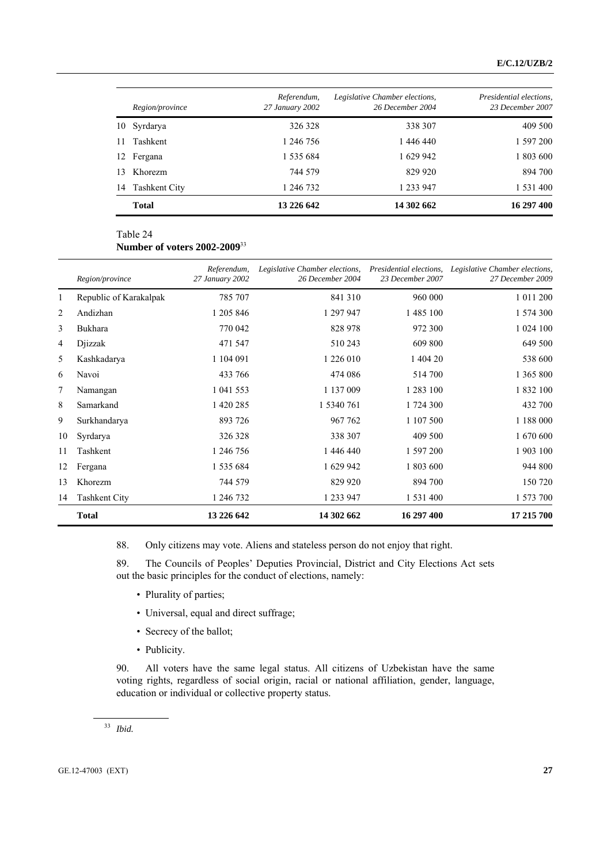|     | <i>Region/province</i> | Referendum,<br>27 January 2002 | Legislative Chamber elections,<br>26 December 2004 | Presidential elections,<br>23 December 2007 |
|-----|------------------------|--------------------------------|----------------------------------------------------|---------------------------------------------|
| 10  | Syrdarya               | 326 328                        | 338 307                                            | 409 500                                     |
| 11  | Tashkent               | 1 246 756                      | 1 446 440                                          | 1 597 200                                   |
| 12  | Fergana                | 1 535 684                      | 1 629 942                                          | 1 803 600                                   |
| 13. | Khorezm                | 744 579                        | 829 920                                            | 894 700                                     |
| 14  | Tashkent City          | 1 246 732                      | 1 233 947                                          | 1 531 400                                   |
|     | <b>Total</b>           | 13 226 642                     | 14 302 662                                         | 16 297 400                                  |

### Table 24

**Number of voters 2002-2009**<sup>33</sup>

|              | Region/province        | Referendum,<br>27 January 2002 | Legislative Chamber elections,<br>26 December 2004 | Presidential elections,<br>23 December 2007 | Legislative Chamber elections,<br>27 December 2009 |
|--------------|------------------------|--------------------------------|----------------------------------------------------|---------------------------------------------|----------------------------------------------------|
| $\mathbf{1}$ | Republic of Karakalpak | 785 707                        | 841 310                                            | 960 000                                     | 1 011 200                                          |
| 2            | Andizhan               | 1 205 846                      | 1 297 947                                          | 1 485 100                                   | 1 574 300                                          |
| 3            | Bukhara                | 770 042                        | 828 978                                            | 972 300                                     | 1 024 100                                          |
| 4            | Djizzak                | 471 547                        | 510 243                                            | 609 800                                     | 649 500                                            |
| 5            | Kashkadarya            | 1 104 091                      | 1 226 010                                          | 1 404 20                                    | 538 600                                            |
| 6            | Navoi                  | 433 766                        | 474 086                                            | 514 700                                     | 1 365 800                                          |
| 7            | Namangan               | 1 041 553                      | 1 137 009                                          | 1 283 100                                   | 1 832 100                                          |
| 8            | Samarkand              | 1 420 285                      | 1 5340 761                                         | 1 724 300                                   | 432 700                                            |
| 9            | Surkhandarya           | 893 726                        | 967 762                                            | 1 107 500                                   | 1 188 000                                          |
| 10           | Syrdarya               | 326 328                        | 338 307                                            | 409 500                                     | 1 670 600                                          |
| 11           | Tashkent               | 1 246 756                      | 1 446 440                                          | 1 597 200                                   | 1903 100                                           |
| 12           | Fergana                | 1 535 684                      | 1 629 942                                          | 1 803 600                                   | 944 800                                            |
| 13           | Khorezm                | 744 579                        | 829 920                                            | 894 700                                     | 150 720                                            |
| 14           | <b>Tashkent City</b>   | 1 246 732                      | 1 233 947                                          | 1 531 400                                   | 1 573 700                                          |
|              | <b>Total</b>           | 13 226 642                     | 14 302 662                                         | 16 297 400                                  | 17 215 700                                         |

88. Only citizens may vote. Aliens and stateless person do not enjoy that right.

89. The Councils of Peoples' Deputies Provincial, District and City Elections Act sets out the basic principles for the conduct of elections, namely:

- Plurality of parties;
- Universal, equal and direct suffrage;
- Secrecy of the ballot;
- Publicity.

90. All voters have the same legal status. All citizens of Uzbekistan have the same voting rights, regardless of social origin, racial or national affiliation, gender, language, education or individual or collective property status.

<sup>33</sup> *Ibid.*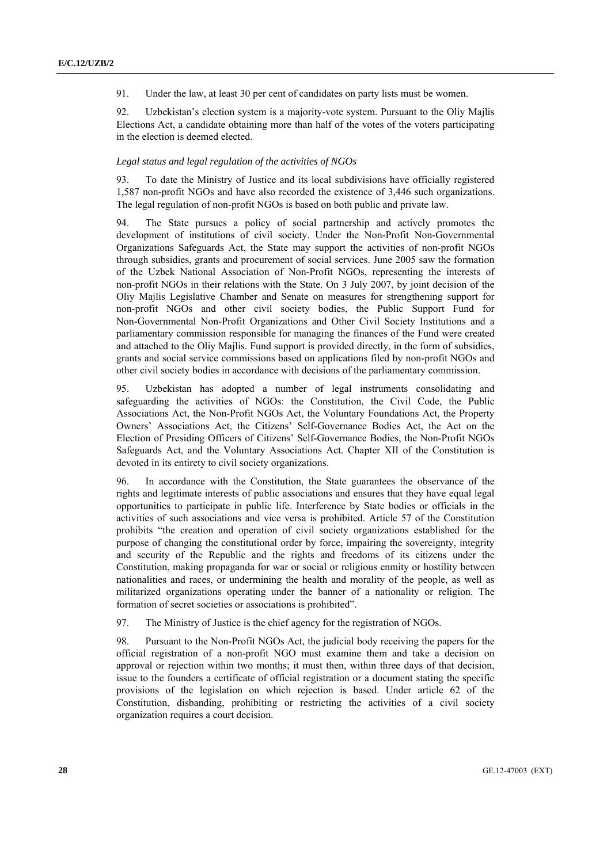91. Under the law, at least 30 per cent of candidates on party lists must be women.

92. Uzbekistan's election system is a majority-vote system. Pursuant to the Oliy Majlis Elections Act, a candidate obtaining more than half of the votes of the voters participating in the election is deemed elected.

### *Legal status and legal regulation of the activities of NGOs*

93. To date the Ministry of Justice and its local subdivisions have officially registered 1,587 non-profit NGOs and have also recorded the existence of 3,446 such organizations. The legal regulation of non-profit NGOs is based on both public and private law.

94. The State pursues a policy of social partnership and actively promotes the development of institutions of civil society. Under the Non-Profit Non-Governmental Organizations Safeguards Act, the State may support the activities of non-profit NGOs through subsidies, grants and procurement of social services. June 2005 saw the formation of the Uzbek National Association of Non-Profit NGOs, representing the interests of non-profit NGOs in their relations with the State. On 3 July 2007, by joint decision of the Oliy Majlis Legislative Chamber and Senate on measures for strengthening support for non-profit NGOs and other civil society bodies, the Public Support Fund for Non-Governmental Non-Profit Organizations and Other Civil Society Institutions and a parliamentary commission responsible for managing the finances of the Fund were created and attached to the Oliy Majlis. Fund support is provided directly, in the form of subsidies, grants and social service commissions based on applications filed by non-profit NGOs and other civil society bodies in accordance with decisions of the parliamentary commission.

95. Uzbekistan has adopted a number of legal instruments consolidating and safeguarding the activities of NGOs: the Constitution, the Civil Code, the Public Associations Act, the Non-Profit NGOs Act, the Voluntary Foundations Act, the Property Owners' Associations Act, the Citizens' Self-Governance Bodies Act, the Act on the Election of Presiding Officers of Citizens' Self-Governance Bodies, the Non-Profit NGOs Safeguards Act, and the Voluntary Associations Act. Chapter XII of the Constitution is devoted in its entirety to civil society organizations.

96. In accordance with the Constitution, the State guarantees the observance of the rights and legitimate interests of public associations and ensures that they have equal legal opportunities to participate in public life. Interference by State bodies or officials in the activities of such associations and vice versa is prohibited. Article 57 of the Constitution prohibits "the creation and operation of civil society organizations established for the purpose of changing the constitutional order by force, impairing the sovereignty, integrity and security of the Republic and the rights and freedoms of its citizens under the Constitution, making propaganda for war or social or religious enmity or hostility between nationalities and races, or undermining the health and morality of the people, as well as militarized organizations operating under the banner of a nationality or religion. The formation of secret societies or associations is prohibited".

97. The Ministry of Justice is the chief agency for the registration of NGOs.

98. Pursuant to the Non-Profit NGOs Act, the judicial body receiving the papers for the official registration of a non-profit NGO must examine them and take a decision on approval or rejection within two months; it must then, within three days of that decision, issue to the founders a certificate of official registration or a document stating the specific provisions of the legislation on which rejection is based. Under article 62 of the Constitution, disbanding, prohibiting or restricting the activities of a civil society organization requires a court decision.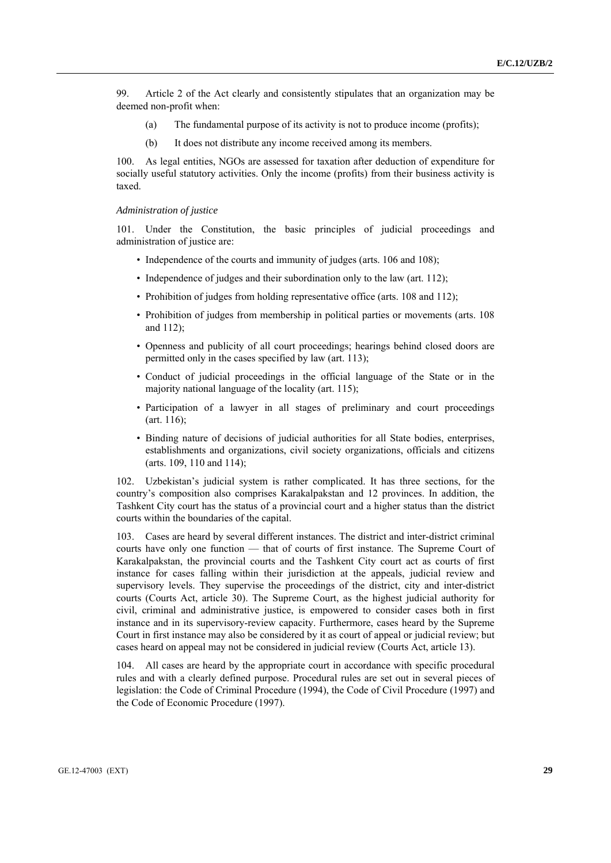99. Article 2 of the Act clearly and consistently stipulates that an organization may be deemed non-profit when:

- (a) The fundamental purpose of its activity is not to produce income (profits);
- (b) It does not distribute any income received among its members.

100. As legal entities, NGOs are assessed for taxation after deduction of expenditure for socially useful statutory activities. Only the income (profits) from their business activity is taxed.

#### *Administration of justice*

101. Under the Constitution, the basic principles of judicial proceedings and administration of justice are:

- Independence of the courts and immunity of judges (arts. 106 and 108);
- Independence of judges and their subordination only to the law (art. 112);
- Prohibition of judges from holding representative office (arts. 108 and 112);
- Prohibition of judges from membership in political parties or movements (arts. 108 and 112);
- Openness and publicity of all court proceedings; hearings behind closed doors are permitted only in the cases specified by law (art. 113);
- Conduct of judicial proceedings in the official language of the State or in the majority national language of the locality (art. 115);
- Participation of a lawyer in all stages of preliminary and court proceedings (art. 116);
- Binding nature of decisions of judicial authorities for all State bodies, enterprises, establishments and organizations, civil society organizations, officials and citizens (arts. 109, 110 and 114);

102. Uzbekistan's judicial system is rather complicated. It has three sections, for the country's composition also comprises Karakalpakstan and 12 provinces. In addition, the Tashkent City court has the status of a provincial court and a higher status than the district courts within the boundaries of the capital.

103. Cases are heard by several different instances. The district and inter-district criminal courts have only one function — that of courts of first instance. The Supreme Court of Karakalpakstan, the provincial courts and the Tashkent City court act as courts of first instance for cases falling within their jurisdiction at the appeals, judicial review and supervisory levels. They supervise the proceedings of the district, city and inter-district courts (Courts Act, article 30). The Supreme Court, as the highest judicial authority for civil, criminal and administrative justice, is empowered to consider cases both in first instance and in its supervisory-review capacity. Furthermore, cases heard by the Supreme Court in first instance may also be considered by it as court of appeal or judicial review; but cases heard on appeal may not be considered in judicial review (Courts Act, article 13).

104. All cases are heard by the appropriate court in accordance with specific procedural rules and with a clearly defined purpose. Procedural rules are set out in several pieces of legislation: the Code of Criminal Procedure (1994), the Code of Civil Procedure (1997) and the Code of Economic Procedure (1997).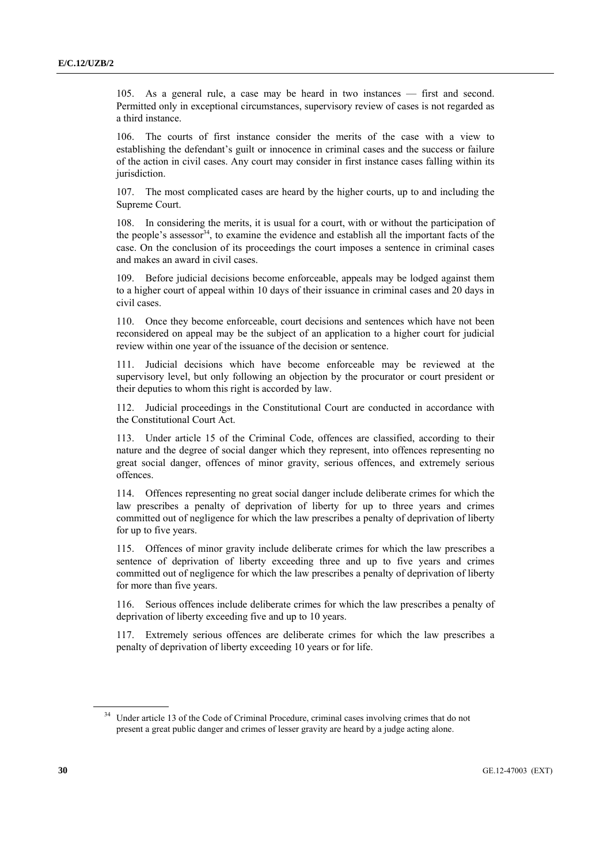105. As a general rule, a case may be heard in two instances — first and second. Permitted only in exceptional circumstances, supervisory review of cases is not regarded as a third instance.

106. The courts of first instance consider the merits of the case with a view to establishing the defendant's guilt or innocence in criminal cases and the success or failure of the action in civil cases. Any court may consider in first instance cases falling within its jurisdiction.

107. The most complicated cases are heard by the higher courts, up to and including the Supreme Court.

108. In considering the merits, it is usual for a court, with or without the participation of the people's assessor<sup>34</sup>, to examine the evidence and establish all the important facts of the case. On the conclusion of its proceedings the court imposes a sentence in criminal cases and makes an award in civil cases.

109. Before judicial decisions become enforceable, appeals may be lodged against them to a higher court of appeal within 10 days of their issuance in criminal cases and 20 days in civil cases.

110. Once they become enforceable, court decisions and sentences which have not been reconsidered on appeal may be the subject of an application to a higher court for judicial review within one year of the issuance of the decision or sentence.

111. Judicial decisions which have become enforceable may be reviewed at the supervisory level, but only following an objection by the procurator or court president or their deputies to whom this right is accorded by law.

112. Judicial proceedings in the Constitutional Court are conducted in accordance with the Constitutional Court Act.

113. Under article 15 of the Criminal Code, offences are classified, according to their nature and the degree of social danger which they represent, into offences representing no great social danger, offences of minor gravity, serious offences, and extremely serious offences.

114. Offences representing no great social danger include deliberate crimes for which the law prescribes a penalty of deprivation of liberty for up to three years and crimes committed out of negligence for which the law prescribes a penalty of deprivation of liberty for up to five years.

115. Offences of minor gravity include deliberate crimes for which the law prescribes a sentence of deprivation of liberty exceeding three and up to five years and crimes committed out of negligence for which the law prescribes a penalty of deprivation of liberty for more than five years.

116. Serious offences include deliberate crimes for which the law prescribes a penalty of deprivation of liberty exceeding five and up to 10 years.

117. Extremely serious offences are deliberate crimes for which the law prescribes a penalty of deprivation of liberty exceeding 10 years or for life.

<sup>&</sup>lt;sup>34</sup> Under article 13 of the Code of Criminal Procedure, criminal cases involving crimes that do not present a great public danger and crimes of lesser gravity are heard by a judge acting alone.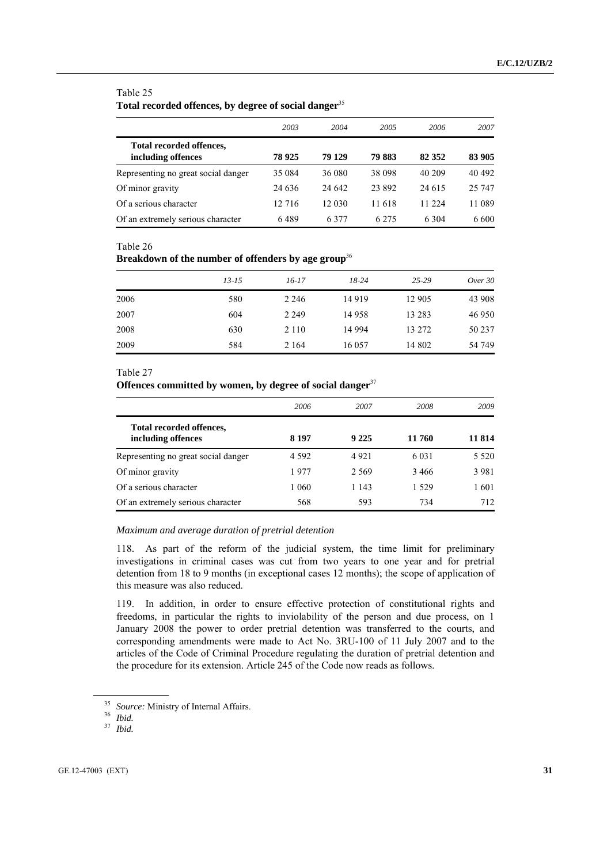#### Table 25

### **Total recorded offences, by degree of social danger**<sup>35</sup>

|                                                | 2003    | 2004   | 2005    | 2006    | 2007   |
|------------------------------------------------|---------|--------|---------|---------|--------|
| Total recorded offences,<br>including offences | 78 925  | 79 129 | 79 883  | 82 352  | 83 905 |
| Representing no great social danger            | 35 084  | 36 080 | 38 098  | 40 209  | 40 492 |
| Of minor gravity                               | 24 6 36 | 24 642 | 23 892  | 24 615  | 25 747 |
| Of a serious character                         | 12 716  | 12 030 | 11 618  | 11 224  | 11 089 |
| Of an extremely serious character              | 6489    | 6377   | 6 2 7 5 | 6 3 0 4 | 6 600  |

#### Table 26

### **Breakdown of the number of offenders by age group**<sup>36</sup>

|      | $13 - 15$ | $16 - 17$ | $18-24$ | $25 - 29$ | Over 30 |
|------|-----------|-----------|---------|-----------|---------|
| 2006 | 580       | 2 2 4 6   | 14 9 19 | 12 905    | 43 908  |
| 2007 | 604       | 2 2 4 9   | 14 9 58 | 13 28 3   | 46 950  |
| 2008 | 630       | 2 1 1 0   | 14 994  | 13 272    | 50 237  |
| 2009 | 584       | 2 1 6 4   | 16 057  | 14 802    | 54 749  |

#### Table 27

### **Offences committed by women, by degree of social danger**<sup>37</sup>

|                                                | 2006    | 2007    | 2008    | 2009    |
|------------------------------------------------|---------|---------|---------|---------|
| Total recorded offences,<br>including offences | 8 1 9 7 | 9 2 2 5 | 11 760  | 11 814  |
| Representing no great social danger            | 4 5 9 2 | 4921    | 6 0 3 1 | 5 5 2 0 |
| Of minor gravity                               | 1977    | 2.569   | 3466    | 3 9 8 1 |
| Of a serious character                         | 1 0 6 0 | 1 1 4 3 | 1.529   | 1 601   |
| Of an extremely serious character              | 568     | 593     | 734     | 712     |

### *Maximum and average duration of pretrial detention*

118. As part of the reform of the judicial system, the time limit for preliminary investigations in criminal cases was cut from two years to one year and for pretrial detention from 18 to 9 months (in exceptional cases 12 months); the scope of application of this measure was also reduced.

119. In addition, in order to ensure effective protection of constitutional rights and freedoms, in particular the rights to inviolability of the person and due process, on 1 January 2008 the power to order pretrial detention was transferred to the courts, and corresponding amendments were made to Act No. 3RU-100 of 11 July 2007 and to the articles of the Code of Criminal Procedure regulating the duration of pretrial detention and the procedure for its extension. Article 245 of the Code now reads as follows.

<sup>35</sup> *Source:* Ministry of Internal Affairs. 36 *Ibid.*

<sup>37</sup> *Ibid.*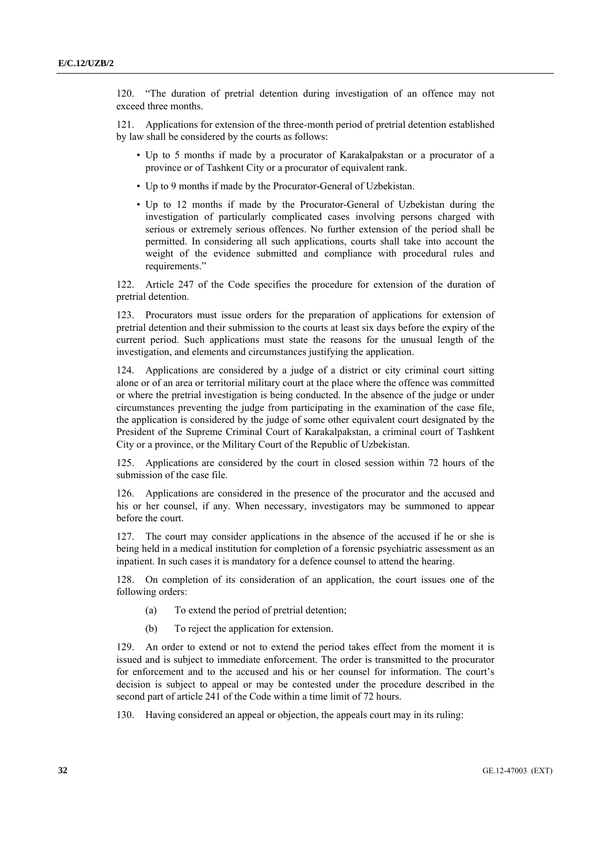120. "The duration of pretrial detention during investigation of an offence may not exceed three months.

121. Applications for extension of the three-month period of pretrial detention established by law shall be considered by the courts as follows:

- Up to 5 months if made by a procurator of Karakalpakstan or a procurator of a province or of Tashkent City or a procurator of equivalent rank.
- Up to 9 months if made by the Procurator-General of Uzbekistan.
- Up to 12 months if made by the Procurator-General of Uzbekistan during the investigation of particularly complicated cases involving persons charged with serious or extremely serious offences. No further extension of the period shall be permitted. In considering all such applications, courts shall take into account the weight of the evidence submitted and compliance with procedural rules and requirements."

122. Article 247 of the Code specifies the procedure for extension of the duration of pretrial detention.

123. Procurators must issue orders for the preparation of applications for extension of pretrial detention and their submission to the courts at least six days before the expiry of the current period. Such applications must state the reasons for the unusual length of the investigation, and elements and circumstances justifying the application.

124. Applications are considered by a judge of a district or city criminal court sitting alone or of an area or territorial military court at the place where the offence was committed or where the pretrial investigation is being conducted. In the absence of the judge or under circumstances preventing the judge from participating in the examination of the case file, the application is considered by the judge of some other equivalent court designated by the President of the Supreme Criminal Court of Karakalpakstan, a criminal court of Tashkent City or a province, or the Military Court of the Republic of Uzbekistan.

125. Applications are considered by the court in closed session within 72 hours of the submission of the case file.

126. Applications are considered in the presence of the procurator and the accused and his or her counsel, if any. When necessary, investigators may be summoned to appear before the court.

127. The court may consider applications in the absence of the accused if he or she is being held in a medical institution for completion of a forensic psychiatric assessment as an inpatient. In such cases it is mandatory for a defence counsel to attend the hearing.

128. On completion of its consideration of an application, the court issues one of the following orders:

- (a) To extend the period of pretrial detention;
- (b) To reject the application for extension.

129. An order to extend or not to extend the period takes effect from the moment it is issued and is subject to immediate enforcement. The order is transmitted to the procurator for enforcement and to the accused and his or her counsel for information. The court's decision is subject to appeal or may be contested under the procedure described in the second part of article 241 of the Code within a time limit of 72 hours.

130. Having considered an appeal or objection, the appeals court may in its ruling: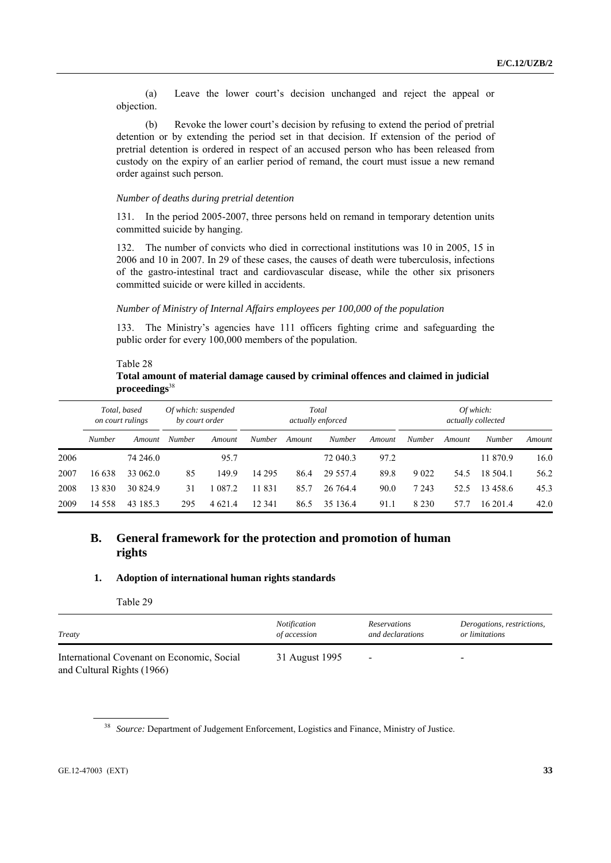(a) Leave the lower court's decision unchanged and reject the appeal or objection.

 (b) Revoke the lower court's decision by refusing to extend the period of pretrial detention or by extending the period set in that decision. If extension of the period of pretrial detention is ordered in respect of an accused person who has been released from custody on the expiry of an earlier period of remand, the court must issue a new remand order against such person.

### *Number of deaths during pretrial detention*

131. In the period 2005-2007, three persons held on remand in temporary detention units committed suicide by hanging.

132. The number of convicts who died in correctional institutions was 10 in 2005, 15 in 2006 and 10 in 2007. In 29 of these cases, the causes of death were tuberculosis, infections of the gastro-intestinal tract and cardiovascular disease, while the other six prisoners committed suicide or were killed in accidents.

### *Number of Ministry of Internal Affairs employees per 100,000 of the population*

133. The Ministry's agencies have 111 officers fighting crime and safeguarding the public order for every 100,000 members of the population.

### Table 28 **Total amount of material damage caused by criminal offences and claimed in judicial proceedings**<sup>38</sup>

|      | Total, based<br>on court rulings |          | Of which: suspended<br>by court order |            | Total<br>actually enforced |        |               | Of which:<br>actually collected |               |        |          |        |
|------|----------------------------------|----------|---------------------------------------|------------|----------------------------|--------|---------------|---------------------------------|---------------|--------|----------|--------|
|      | <b>Number</b>                    | Amount   | <b>Number</b>                         | Amount     | <b>Number</b>              | Amount | <b>Number</b> | Amount                          | <b>Number</b> | Amount | Number   | Amount |
| 2006 |                                  | 74 246.0 |                                       | 95.7       |                            |        | 72 040.3      | 97.2                            |               |        | 11 870.9 | 16.0   |
| 2007 | 16 638                           | 33 062.0 | 85                                    | 149.9      | 14 29 5                    | 86.4   | 29 5 5 7 4    | 89.8                            | 9 0 2 2       | 54.5   | 18 504.1 | 56.2   |
| 2008 | 13830                            | 30 824.9 | 31                                    | 087.2      | 11 831                     | 85.7   | 26 764.4      | 90.0                            | 7 2 4 3       | 52.5   | 13458.6  | 45.3   |
| 2009 | 14 5 5 8                         | 43 185 3 | 295                                   | 4 6 2 1 .4 | 12 341                     | 86.5   | 35 136.4      | 91.1                            | 8 2 3 0       | 57.7   | 16 201.4 | 42.0   |

## **B. General framework for the protection and promotion of human rights**

### **1. Adoption of international human rights standards**

Table 29

| Treaty                                                                   | <i>Notification</i> | <i>Reservations</i>      | Derogations, restrictions, |
|--------------------------------------------------------------------------|---------------------|--------------------------|----------------------------|
|                                                                          | of accession        | and declarations         | or limitations             |
| International Covenant on Economic, Social<br>and Cultural Rights (1966) | 31 August 1995      | $\overline{\phantom{0}}$ |                            |

<sup>38</sup> *Source:* Department of Judgement Enforcement, Logistics and Finance, Ministry of Justice.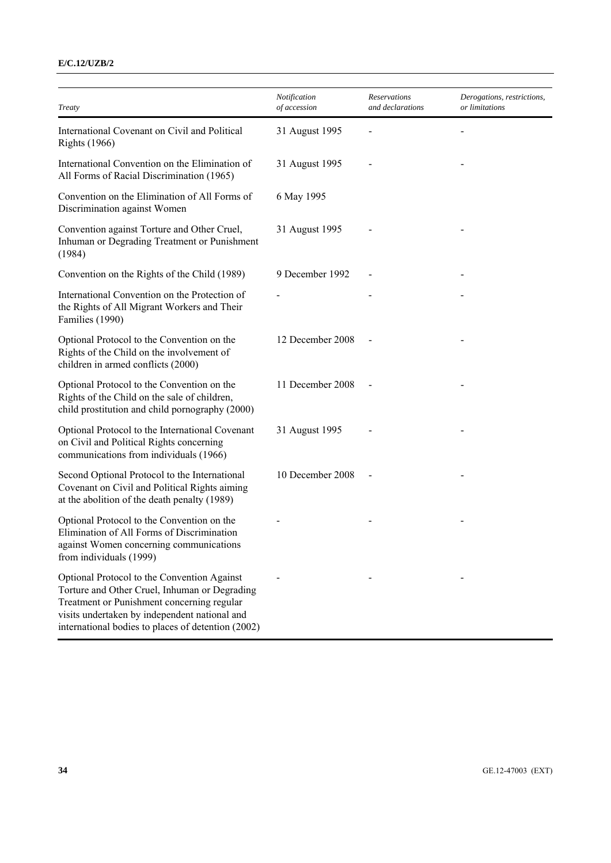### **E/C.12/UZB/2**

| Treaty                                                                                                                                                                                                                                            | Notification<br>of accession | Reservations<br>and declarations | Derogations, restrictions,<br>or limitations |
|---------------------------------------------------------------------------------------------------------------------------------------------------------------------------------------------------------------------------------------------------|------------------------------|----------------------------------|----------------------------------------------|
| International Covenant on Civil and Political<br><b>Rights</b> (1966)                                                                                                                                                                             | 31 August 1995               |                                  |                                              |
| International Convention on the Elimination of<br>All Forms of Racial Discrimination (1965)                                                                                                                                                       | 31 August 1995               |                                  |                                              |
| Convention on the Elimination of All Forms of<br>Discrimination against Women                                                                                                                                                                     | 6 May 1995                   |                                  |                                              |
| Convention against Torture and Other Cruel,<br>Inhuman or Degrading Treatment or Punishment<br>(1984)                                                                                                                                             | 31 August 1995               |                                  |                                              |
| Convention on the Rights of the Child (1989)                                                                                                                                                                                                      | 9 December 1992              |                                  |                                              |
| International Convention on the Protection of<br>the Rights of All Migrant Workers and Their<br>Families (1990)                                                                                                                                   |                              |                                  |                                              |
| Optional Protocol to the Convention on the<br>Rights of the Child on the involvement of<br>children in armed conflicts (2000)                                                                                                                     | 12 December 2008             |                                  |                                              |
| Optional Protocol to the Convention on the<br>Rights of the Child on the sale of children,<br>child prostitution and child pornography (2000)                                                                                                     | 11 December 2008             |                                  |                                              |
| Optional Protocol to the International Covenant<br>on Civil and Political Rights concerning<br>communications from individuals (1966)                                                                                                             | 31 August 1995               |                                  |                                              |
| Second Optional Protocol to the International<br>Covenant on Civil and Political Rights aiming<br>at the abolition of the death penalty (1989)                                                                                                    | 10 December 2008             |                                  |                                              |
| Optional Protocol to the Convention on the<br>Elimination of All Forms of Discrimination<br>against Women concerning communications<br>from individuals (1999)                                                                                    |                              |                                  |                                              |
| Optional Protocol to the Convention Against<br>Torture and Other Cruel, Inhuman or Degrading<br>Treatment or Punishment concerning regular<br>visits undertaken by independent national and<br>international bodies to places of detention (2002) |                              |                                  |                                              |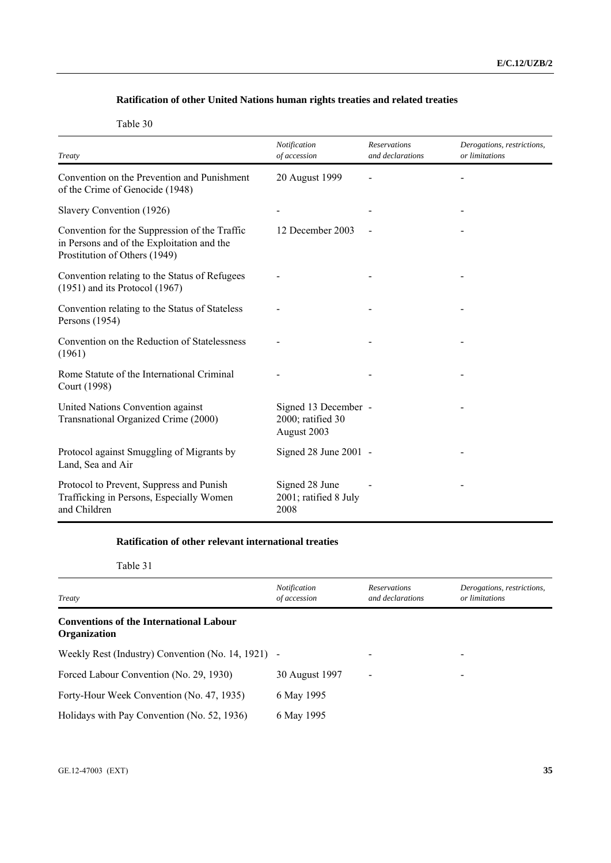## **Ratification of other United Nations human rights treaties and related treaties**

Table 30

| Treaty                                                                                                                       | Notification<br>of accession                             | <b>Reservations</b><br>and declarations | Derogations, restrictions,<br>or limitations |
|------------------------------------------------------------------------------------------------------------------------------|----------------------------------------------------------|-----------------------------------------|----------------------------------------------|
| Convention on the Prevention and Punishment<br>of the Crime of Genocide (1948)                                               | 20 August 1999                                           |                                         |                                              |
| Slavery Convention (1926)                                                                                                    |                                                          |                                         |                                              |
| Convention for the Suppression of the Traffic<br>in Persons and of the Exploitation and the<br>Prostitution of Others (1949) | 12 December 2003                                         |                                         |                                              |
| Convention relating to the Status of Refugees<br>$(1951)$ and its Protocol $(1967)$                                          |                                                          |                                         |                                              |
| Convention relating to the Status of Stateless<br>Persons (1954)                                                             |                                                          |                                         |                                              |
| Convention on the Reduction of Statelessness<br>(1961)                                                                       |                                                          |                                         |                                              |
| Rome Statute of the International Criminal<br>Court (1998)                                                                   |                                                          |                                         |                                              |
| United Nations Convention against<br>Transnational Organized Crime (2000)                                                    | Signed 13 December -<br>2000; ratified 30<br>August 2003 |                                         |                                              |
| Protocol against Smuggling of Migrants by<br>Land, Sea and Air                                                               | Signed $28$ June $2001$ -                                |                                         |                                              |
| Protocol to Prevent, Suppress and Punish<br>Trafficking in Persons, Especially Women<br>and Children                         | Signed 28 June<br>2001; ratified 8 July<br>2008          |                                         |                                              |

### **Ratification of other relevant international treaties**

Table 31

| Treaty                                                                | <b>Notification</b><br>of accession | <b>Reservations</b><br>and declarations | Derogations, restrictions,<br>or limitations |
|-----------------------------------------------------------------------|-------------------------------------|-----------------------------------------|----------------------------------------------|
| <b>Conventions of the International Labour</b><br><b>Organization</b> |                                     |                                         |                                              |
| Weekly Rest (Industry) Convention (No. 14, 1921) -                    |                                     | $\qquad \qquad \blacksquare$            |                                              |
| Forced Labour Convention (No. 29, 1930)                               | 30 August 1997                      | $\overline{\phantom{0}}$                | $\overline{\phantom{a}}$                     |
| Forty-Hour Week Convention (No. 47, 1935)                             | 6 May 1995                          |                                         |                                              |
| Holidays with Pay Convention (No. 52, 1936)                           | 6 May 1995                          |                                         |                                              |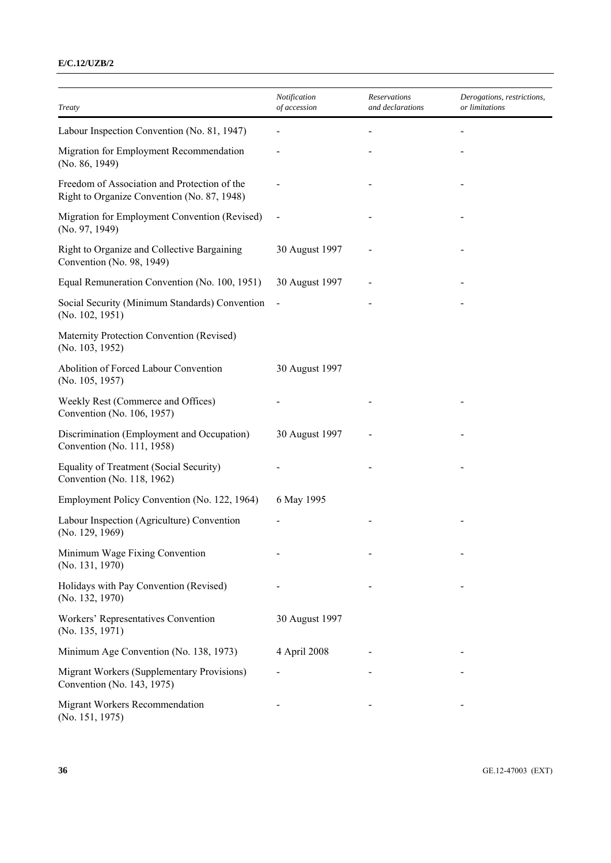### **E/C.12/UZB/2**

| Treaty                                                                                      | Notification<br>of accession | <b>Reservations</b><br>and declarations | Derogations, restrictions,<br>or limitations |
|---------------------------------------------------------------------------------------------|------------------------------|-----------------------------------------|----------------------------------------------|
| Labour Inspection Convention (No. 81, 1947)                                                 |                              |                                         |                                              |
| Migration for Employment Recommendation<br>(No. 86, 1949)                                   |                              |                                         |                                              |
| Freedom of Association and Protection of the<br>Right to Organize Convention (No. 87, 1948) |                              |                                         |                                              |
| Migration for Employment Convention (Revised)<br>(No. 97, 1949)                             |                              |                                         |                                              |
| Right to Organize and Collective Bargaining<br>Convention (No. 98, 1949)                    | 30 August 1997               |                                         |                                              |
| Equal Remuneration Convention (No. 100, 1951)                                               | 30 August 1997               |                                         |                                              |
| Social Security (Minimum Standards) Convention<br>(No. 102, 1951)                           |                              |                                         |                                              |
| Maternity Protection Convention (Revised)<br>(No. 103, 1952)                                |                              |                                         |                                              |
| Abolition of Forced Labour Convention<br>(No. 105, 1957)                                    | 30 August 1997               |                                         |                                              |
| Weekly Rest (Commerce and Offices)<br>Convention (No. 106, 1957)                            |                              |                                         |                                              |
| Discrimination (Employment and Occupation)<br>Convention (No. 111, 1958)                    | 30 August 1997               |                                         |                                              |
| Equality of Treatment (Social Security)<br>Convention (No. 118, 1962)                       |                              |                                         |                                              |
| Employment Policy Convention (No. 122, 1964)                                                | 6 May 1995                   |                                         |                                              |
| Labour Inspection (Agriculture) Convention<br>(No. 129, 1969)                               |                              |                                         |                                              |
| Minimum Wage Fixing Convention<br>(No. 131, 1970)                                           |                              |                                         |                                              |
| Holidays with Pay Convention (Revised)<br>(No. 132, 1970)                                   |                              |                                         |                                              |
| Workers' Representatives Convention<br>(No. 135, 1971)                                      | 30 August 1997               |                                         |                                              |
| Minimum Age Convention (No. 138, 1973)                                                      | 4 April 2008                 |                                         |                                              |
| Migrant Workers (Supplementary Provisions)<br>Convention (No. 143, 1975)                    |                              |                                         |                                              |
| Migrant Workers Recommendation<br>(No. 151, 1975)                                           |                              |                                         |                                              |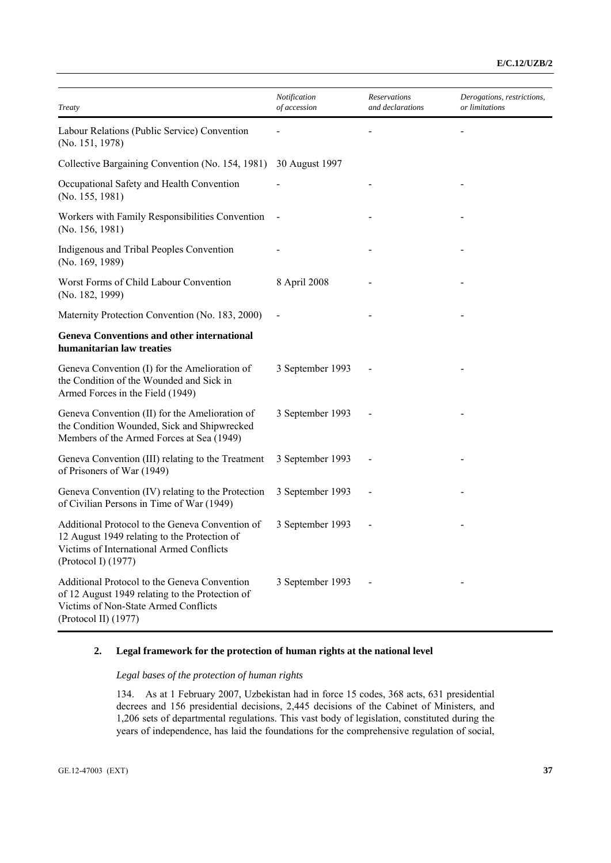## **E/C.12/UZB/2**

| Treaty                                                                                                                                                             | Notification<br>of accession | Reservations<br>and declarations | Derogations, restrictions,<br>or limitations |
|--------------------------------------------------------------------------------------------------------------------------------------------------------------------|------------------------------|----------------------------------|----------------------------------------------|
| Labour Relations (Public Service) Convention<br>(No. 151, 1978)                                                                                                    |                              |                                  |                                              |
| Collective Bargaining Convention (No. 154, 1981)                                                                                                                   | 30 August 1997               |                                  |                                              |
| Occupational Safety and Health Convention<br>(No. 155, 1981)                                                                                                       |                              |                                  |                                              |
| Workers with Family Responsibilities Convention<br>(No. 156, 1981)                                                                                                 |                              |                                  |                                              |
| Indigenous and Tribal Peoples Convention<br>(No. 169, 1989)                                                                                                        |                              |                                  |                                              |
| Worst Forms of Child Labour Convention<br>(No. 182, 1999)                                                                                                          | 8 April 2008                 |                                  |                                              |
| Maternity Protection Convention (No. 183, 2000)                                                                                                                    |                              |                                  |                                              |
| <b>Geneva Conventions and other international</b><br>humanitarian law treaties                                                                                     |                              |                                  |                                              |
| Geneva Convention (I) for the Amelioration of<br>the Condition of the Wounded and Sick in<br>Armed Forces in the Field (1949)                                      | 3 September 1993             |                                  |                                              |
| Geneva Convention (II) for the Amelioration of<br>the Condition Wounded, Sick and Shipwrecked<br>Members of the Armed Forces at Sea (1949)                         | 3 September 1993             |                                  |                                              |
| Geneva Convention (III) relating to the Treatment<br>of Prisoners of War (1949)                                                                                    | 3 September 1993             |                                  |                                              |
| Geneva Convention (IV) relating to the Protection<br>of Civilian Persons in Time of War (1949)                                                                     | 3 September 1993             |                                  |                                              |
| Additional Protocol to the Geneva Convention of<br>12 August 1949 relating to the Protection of<br>Victims of International Armed Conflicts<br>(Protocol I) (1977) | 3 September 1993             |                                  |                                              |
| Additional Protocol to the Geneva Convention<br>of 12 August 1949 relating to the Protection of<br>Victims of Non-State Armed Conflicts<br>(Protocol II) (1977)    | 3 September 1993             |                                  |                                              |

## **2. Legal framework for the protection of human rights at the national level**

## *Legal bases of the protection of human rights*

134. As at 1 February 2007, Uzbekistan had in force 15 codes, 368 acts, 631 presidential decrees and 156 presidential decisions, 2,445 decisions of the Cabinet of Ministers, and 1,206 sets of departmental regulations. This vast body of legislation, constituted during the years of independence, has laid the foundations for the comprehensive regulation of social,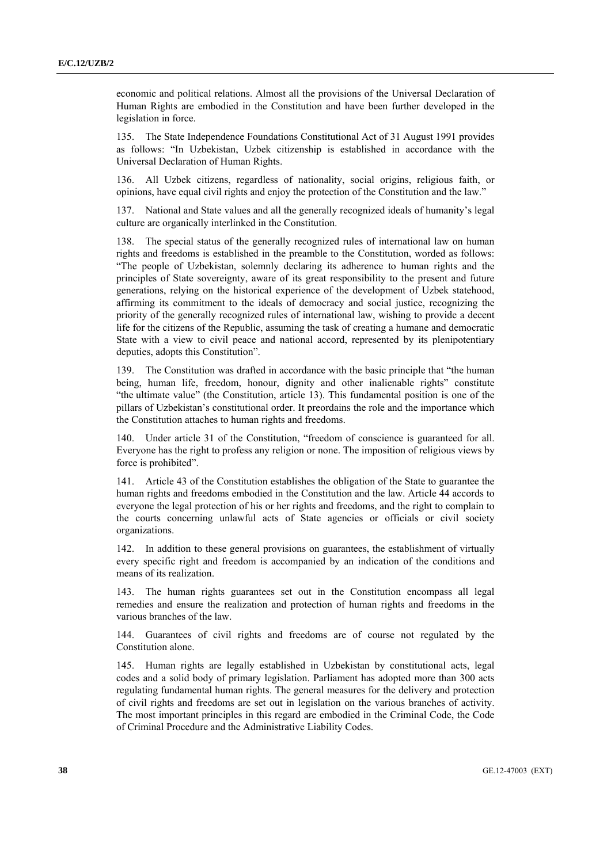economic and political relations. Almost all the provisions of the Universal Declaration of Human Rights are embodied in the Constitution and have been further developed in the legislation in force.

135. The State Independence Foundations Constitutional Act of 31 August 1991 provides as follows: "In Uzbekistan, Uzbek citizenship is established in accordance with the Universal Declaration of Human Rights.

136. All Uzbek citizens, regardless of nationality, social origins, religious faith, or opinions, have equal civil rights and enjoy the protection of the Constitution and the law."

137. National and State values and all the generally recognized ideals of humanity's legal culture are organically interlinked in the Constitution.

138. The special status of the generally recognized rules of international law on human rights and freedoms is established in the preamble to the Constitution, worded as follows: "The people of Uzbekistan, solemnly declaring its adherence to human rights and the principles of State sovereignty, aware of its great responsibility to the present and future generations, relying on the historical experience of the development of Uzbek statehood, affirming its commitment to the ideals of democracy and social justice, recognizing the priority of the generally recognized rules of international law, wishing to provide a decent life for the citizens of the Republic, assuming the task of creating a humane and democratic State with a view to civil peace and national accord, represented by its plenipotentiary deputies, adopts this Constitution".

139. The Constitution was drafted in accordance with the basic principle that "the human being, human life, freedom, honour, dignity and other inalienable rights" constitute "the ultimate value" (the Constitution, article 13). This fundamental position is one of the pillars of Uzbekistan's constitutional order. It preordains the role and the importance which the Constitution attaches to human rights and freedoms.

140. Under article 31 of the Constitution, "freedom of conscience is guaranteed for all. Everyone has the right to profess any religion or none. The imposition of religious views by force is prohibited".

141. Article 43 of the Constitution establishes the obligation of the State to guarantee the human rights and freedoms embodied in the Constitution and the law. Article 44 accords to everyone the legal protection of his or her rights and freedoms, and the right to complain to the courts concerning unlawful acts of State agencies or officials or civil society organizations.

142. In addition to these general provisions on guarantees, the establishment of virtually every specific right and freedom is accompanied by an indication of the conditions and means of its realization.

143. The human rights guarantees set out in the Constitution encompass all legal remedies and ensure the realization and protection of human rights and freedoms in the various branches of the law.

144. Guarantees of civil rights and freedoms are of course not regulated by the Constitution alone.

145. Human rights are legally established in Uzbekistan by constitutional acts, legal codes and a solid body of primary legislation. Parliament has adopted more than 300 acts regulating fundamental human rights. The general measures for the delivery and protection of civil rights and freedoms are set out in legislation on the various branches of activity. The most important principles in this regard are embodied in the Criminal Code, the Code of Criminal Procedure and the Administrative Liability Codes.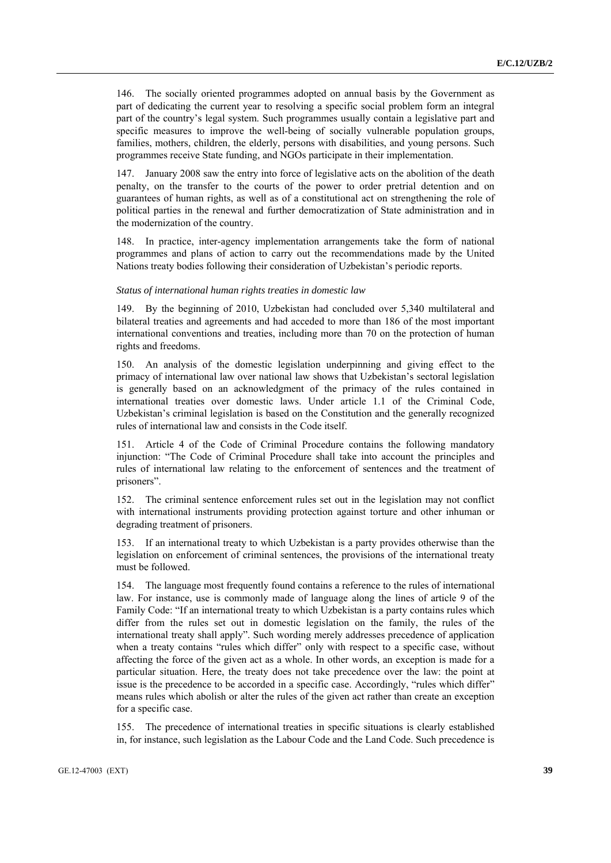146. The socially oriented programmes adopted on annual basis by the Government as part of dedicating the current year to resolving a specific social problem form an integral part of the country's legal system. Such programmes usually contain a legislative part and specific measures to improve the well-being of socially vulnerable population groups, families, mothers, children, the elderly, persons with disabilities, and young persons. Such programmes receive State funding, and NGOs participate in their implementation.

147. January 2008 saw the entry into force of legislative acts on the abolition of the death penalty, on the transfer to the courts of the power to order pretrial detention and on guarantees of human rights, as well as of a constitutional act on strengthening the role of political parties in the renewal and further democratization of State administration and in the modernization of the country.

In practice, inter-agency implementation arrangements take the form of national programmes and plans of action to carry out the recommendations made by the United Nations treaty bodies following their consideration of Uzbekistan's periodic reports.

#### *Status of international human rights treaties in domestic law*

149. By the beginning of 2010, Uzbekistan had concluded over 5,340 multilateral and bilateral treaties and agreements and had acceded to more than 186 of the most important international conventions and treaties, including more than 70 on the protection of human rights and freedoms.

150. An analysis of the domestic legislation underpinning and giving effect to the primacy of international law over national law shows that Uzbekistan's sectoral legislation is generally based on an acknowledgment of the primacy of the rules contained in international treaties over domestic laws. Under article 1.1 of the Criminal Code, Uzbekistan's criminal legislation is based on the Constitution and the generally recognized rules of international law and consists in the Code itself.

151. Article 4 of the Code of Criminal Procedure contains the following mandatory injunction: "The Code of Criminal Procedure shall take into account the principles and rules of international law relating to the enforcement of sentences and the treatment of prisoners".

152. The criminal sentence enforcement rules set out in the legislation may not conflict with international instruments providing protection against torture and other inhuman or degrading treatment of prisoners.

153. If an international treaty to which Uzbekistan is a party provides otherwise than the legislation on enforcement of criminal sentences, the provisions of the international treaty must be followed.

154. The language most frequently found contains a reference to the rules of international law. For instance, use is commonly made of language along the lines of article 9 of the Family Code: "If an international treaty to which Uzbekistan is a party contains rules which differ from the rules set out in domestic legislation on the family, the rules of the international treaty shall apply". Such wording merely addresses precedence of application when a treaty contains "rules which differ" only with respect to a specific case, without affecting the force of the given act as a whole. In other words, an exception is made for a particular situation. Here, the treaty does not take precedence over the law: the point at issue is the precedence to be accorded in a specific case. Accordingly, "rules which differ" means rules which abolish or alter the rules of the given act rather than create an exception for a specific case.

155. The precedence of international treaties in specific situations is clearly established in, for instance, such legislation as the Labour Code and the Land Code. Such precedence is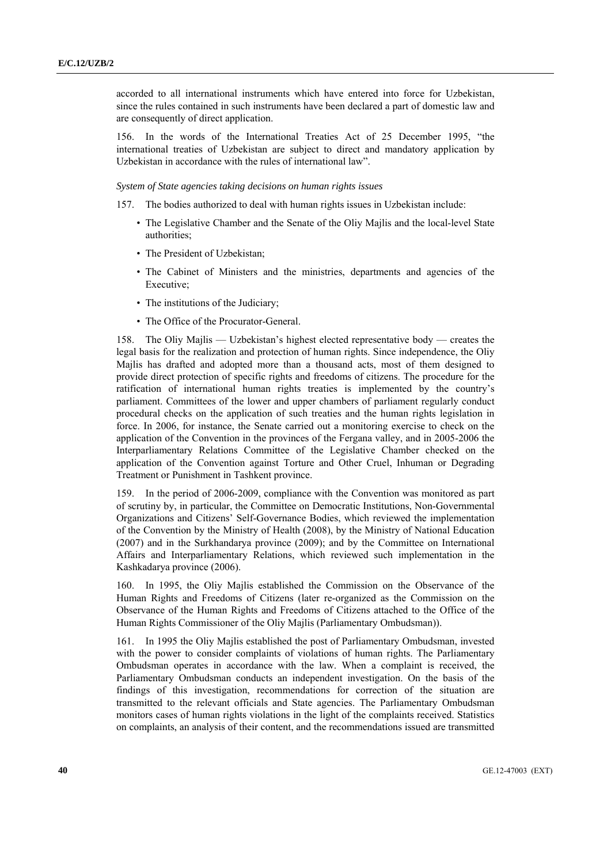accorded to all international instruments which have entered into force for Uzbekistan, since the rules contained in such instruments have been declared a part of domestic law and are consequently of direct application.

156. In the words of the International Treaties Act of 25 December 1995, "the international treaties of Uzbekistan are subject to direct and mandatory application by Uzbekistan in accordance with the rules of international law".

 *System of State agencies taking decisions on human rights issues* 

- 157. The bodies authorized to deal with human rights issues in Uzbekistan include:
	- The Legislative Chamber and the Senate of the Oliy Majlis and the local-level State authorities;
	- The President of Uzbekistan;
	- The Cabinet of Ministers and the ministries, departments and agencies of the Executive;
	- The institutions of the Judiciary;
	- The Office of the Procurator-General.

158. The Oliy Majlis — Uzbekistan's highest elected representative body — creates the legal basis for the realization and protection of human rights. Since independence, the Oliy Majlis has drafted and adopted more than a thousand acts, most of them designed to provide direct protection of specific rights and freedoms of citizens. The procedure for the ratification of international human rights treaties is implemented by the country's parliament. Committees of the lower and upper chambers of parliament regularly conduct procedural checks on the application of such treaties and the human rights legislation in force. In 2006, for instance, the Senate carried out a monitoring exercise to check on the application of the Convention in the provinces of the Fergana valley, and in 2005-2006 the Interparliamentary Relations Committee of the Legislative Chamber checked on the application of the Convention against Torture and Other Cruel, Inhuman or Degrading Treatment or Punishment in Tashkent province.

159. In the period of 2006-2009, compliance with the Convention was monitored as part of scrutiny by, in particular, the Committee on Democratic Institutions, Non-Governmental Organizations and Citizens' Self-Governance Bodies, which reviewed the implementation of the Convention by the Ministry of Health (2008), by the Ministry of National Education (2007) and in the Surkhandarya province (2009); and by the Committee on International Affairs and Interparliamentary Relations, which reviewed such implementation in the Kashkadarya province (2006).

160. In 1995, the Oliy Majlis established the Commission on the Observance of the Human Rights and Freedoms of Citizens (later re-organized as the Commission on the Observance of the Human Rights and Freedoms of Citizens attached to the Office of the Human Rights Commissioner of the Oliy Majlis (Parliamentary Ombudsman)).

161. In 1995 the Oliy Majlis established the post of Parliamentary Ombudsman, invested with the power to consider complaints of violations of human rights. The Parliamentary Ombudsman operates in accordance with the law. When a complaint is received, the Parliamentary Ombudsman conducts an independent investigation. On the basis of the findings of this investigation, recommendations for correction of the situation are transmitted to the relevant officials and State agencies. The Parliamentary Ombudsman monitors cases of human rights violations in the light of the complaints received. Statistics on complaints, an analysis of their content, and the recommendations issued are transmitted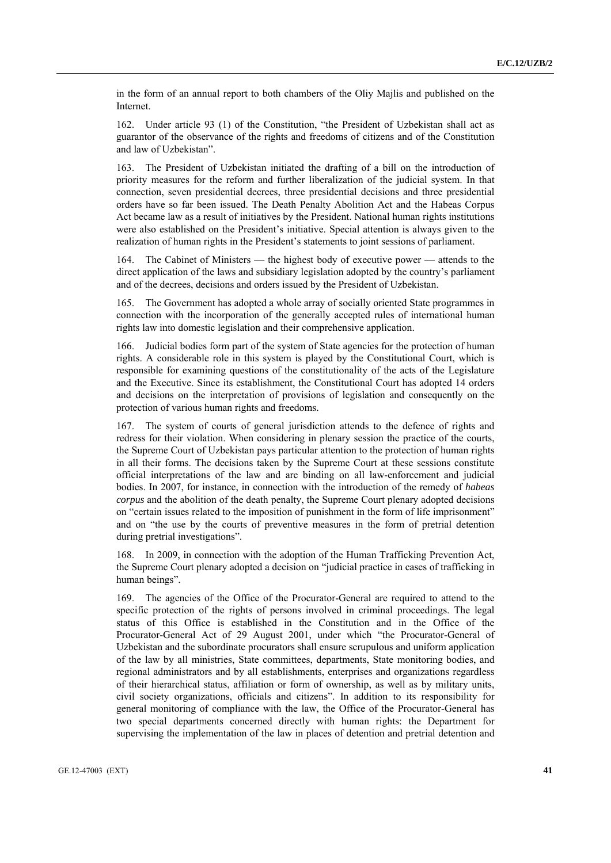in the form of an annual report to both chambers of the Oliy Majlis and published on the Internet.

162. Under article 93 (1) of the Constitution, "the President of Uzbekistan shall act as guarantor of the observance of the rights and freedoms of citizens and of the Constitution and law of Uzbekistan".

163. The President of Uzbekistan initiated the drafting of a bill on the introduction of priority measures for the reform and further liberalization of the judicial system. In that connection, seven presidential decrees, three presidential decisions and three presidential orders have so far been issued. The Death Penalty Abolition Act and the Habeas Corpus Act became law as a result of initiatives by the President. National human rights institutions were also established on the President's initiative. Special attention is always given to the realization of human rights in the President's statements to joint sessions of parliament.

164. The Cabinet of Ministers — the highest body of executive power — attends to the direct application of the laws and subsidiary legislation adopted by the country's parliament and of the decrees, decisions and orders issued by the President of Uzbekistan.

165. The Government has adopted a whole array of socially oriented State programmes in connection with the incorporation of the generally accepted rules of international human rights law into domestic legislation and their comprehensive application.

166. Judicial bodies form part of the system of State agencies for the protection of human rights. A considerable role in this system is played by the Constitutional Court, which is responsible for examining questions of the constitutionality of the acts of the Legislature and the Executive. Since its establishment, the Constitutional Court has adopted 14 orders and decisions on the interpretation of provisions of legislation and consequently on the protection of various human rights and freedoms.

167. The system of courts of general jurisdiction attends to the defence of rights and redress for their violation. When considering in plenary session the practice of the courts, the Supreme Court of Uzbekistan pays particular attention to the protection of human rights in all their forms. The decisions taken by the Supreme Court at these sessions constitute official interpretations of the law and are binding on all law-enforcement and judicial bodies. In 2007, for instance, in connection with the introduction of the remedy of *habeas corpus* and the abolition of the death penalty, the Supreme Court plenary adopted decisions on "certain issues related to the imposition of punishment in the form of life imprisonment" and on "the use by the courts of preventive measures in the form of pretrial detention during pretrial investigations".

168. In 2009, in connection with the adoption of the Human Trafficking Prevention Act, the Supreme Court plenary adopted a decision on "judicial practice in cases of trafficking in human beings".

The agencies of the Office of the Procurator-General are required to attend to the specific protection of the rights of persons involved in criminal proceedings. The legal status of this Office is established in the Constitution and in the Office of the Procurator-General Act of 29 August 2001, under which "the Procurator-General of Uzbekistan and the subordinate procurators shall ensure scrupulous and uniform application of the law by all ministries, State committees, departments, State monitoring bodies, and regional administrators and by all establishments, enterprises and organizations regardless of their hierarchical status, affiliation or form of ownership, as well as by military units, civil society organizations, officials and citizens". In addition to its responsibility for general monitoring of compliance with the law, the Office of the Procurator-General has two special departments concerned directly with human rights: the Department for supervising the implementation of the law in places of detention and pretrial detention and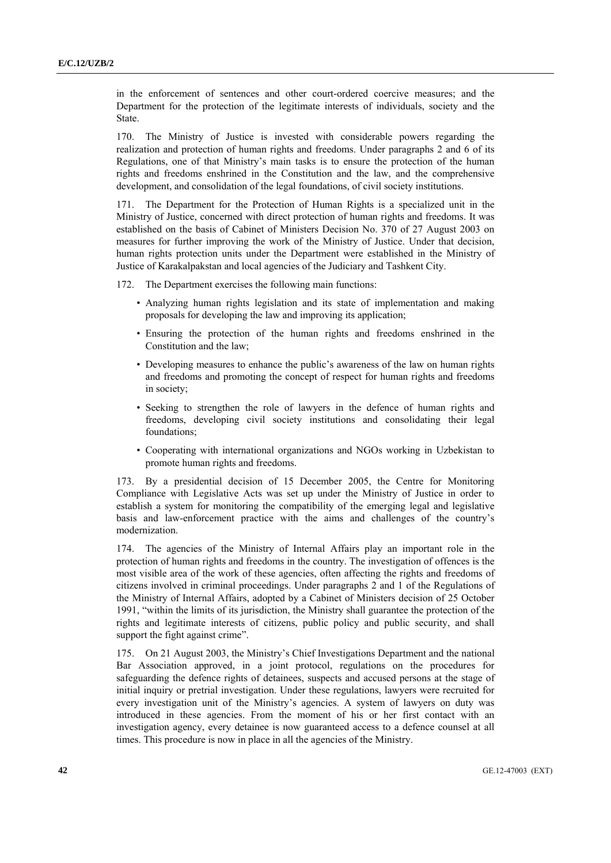in the enforcement of sentences and other court-ordered coercive measures; and the Department for the protection of the legitimate interests of individuals, society and the State.

170. The Ministry of Justice is invested with considerable powers regarding the realization and protection of human rights and freedoms. Under paragraphs 2 and 6 of its Regulations, one of that Ministry's main tasks is to ensure the protection of the human rights and freedoms enshrined in the Constitution and the law, and the comprehensive development, and consolidation of the legal foundations, of civil society institutions.

171. The Department for the Protection of Human Rights is a specialized unit in the Ministry of Justice, concerned with direct protection of human rights and freedoms. It was established on the basis of Cabinet of Ministers Decision No. 370 of 27 August 2003 on measures for further improving the work of the Ministry of Justice. Under that decision, human rights protection units under the Department were established in the Ministry of Justice of Karakalpakstan and local agencies of the Judiciary and Tashkent City.

172. The Department exercises the following main functions:

- Analyzing human rights legislation and its state of implementation and making proposals for developing the law and improving its application;
- Ensuring the protection of the human rights and freedoms enshrined in the Constitution and the law;
- Developing measures to enhance the public's awareness of the law on human rights and freedoms and promoting the concept of respect for human rights and freedoms in society;
- Seeking to strengthen the role of lawyers in the defence of human rights and freedoms, developing civil society institutions and consolidating their legal foundations;
- Cooperating with international organizations and NGOs working in Uzbekistan to promote human rights and freedoms.

173. By a presidential decision of 15 December 2005, the Centre for Monitoring Compliance with Legislative Acts was set up under the Ministry of Justice in order to establish a system for monitoring the compatibility of the emerging legal and legislative basis and law-enforcement practice with the aims and challenges of the country's modernization.

174. The agencies of the Ministry of Internal Affairs play an important role in the protection of human rights and freedoms in the country. The investigation of offences is the most visible area of the work of these agencies, often affecting the rights and freedoms of citizens involved in criminal proceedings. Under paragraphs 2 and 1 of the Regulations of the Ministry of Internal Affairs, adopted by a Cabinet of Ministers decision of 25 October 1991, "within the limits of its jurisdiction, the Ministry shall guarantee the protection of the rights and legitimate interests of citizens, public policy and public security, and shall support the fight against crime".

175. On 21 August 2003, the Ministry's Chief Investigations Department and the national Bar Association approved, in a joint protocol, regulations on the procedures for safeguarding the defence rights of detainees, suspects and accused persons at the stage of initial inquiry or pretrial investigation. Under these regulations, lawyers were recruited for every investigation unit of the Ministry's agencies. A system of lawyers on duty was introduced in these agencies. From the moment of his or her first contact with an investigation agency, every detainee is now guaranteed access to a defence counsel at all times. This procedure is now in place in all the agencies of the Ministry.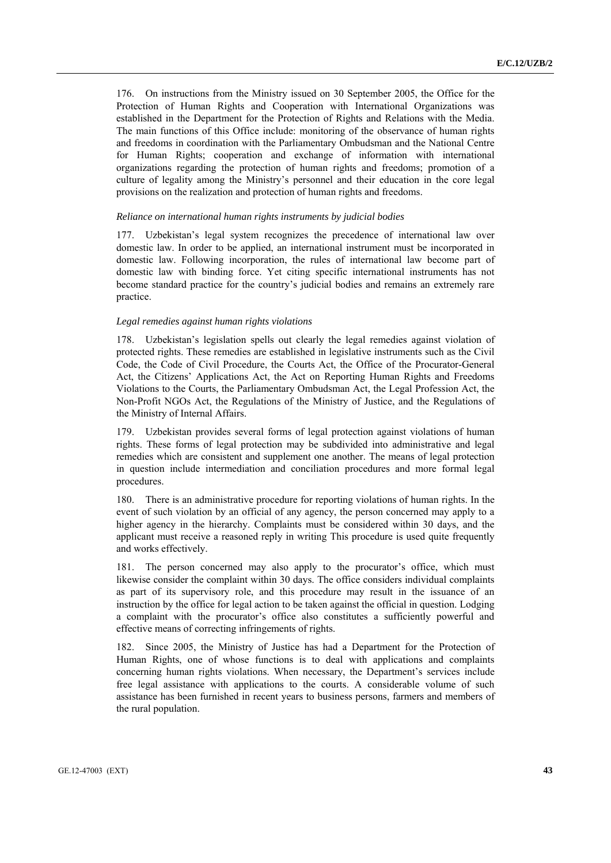176. On instructions from the Ministry issued on 30 September 2005, the Office for the Protection of Human Rights and Cooperation with International Organizations was established in the Department for the Protection of Rights and Relations with the Media. The main functions of this Office include: monitoring of the observance of human rights and freedoms in coordination with the Parliamentary Ombudsman and the National Centre for Human Rights; cooperation and exchange of information with international organizations regarding the protection of human rights and freedoms; promotion of a culture of legality among the Ministry's personnel and their education in the core legal provisions on the realization and protection of human rights and freedoms.

#### *Reliance on international human rights instruments by judicial bodies*

177. Uzbekistan's legal system recognizes the precedence of international law over domestic law. In order to be applied, an international instrument must be incorporated in domestic law. Following incorporation, the rules of international law become part of domestic law with binding force. Yet citing specific international instruments has not become standard practice for the country's judicial bodies and remains an extremely rare practice.

### *Legal remedies against human rights violations*

178. Uzbekistan's legislation spells out clearly the legal remedies against violation of protected rights. These remedies are established in legislative instruments such as the Civil Code, the Code of Civil Procedure, the Courts Act, the Office of the Procurator-General Act, the Citizens' Applications Act, the Act on Reporting Human Rights and Freedoms Violations to the Courts, the Parliamentary Ombudsman Act, the Legal Profession Act, the Non-Profit NGOs Act, the Regulations of the Ministry of Justice, and the Regulations of the Ministry of Internal Affairs.

179. Uzbekistan provides several forms of legal protection against violations of human rights. These forms of legal protection may be subdivided into administrative and legal remedies which are consistent and supplement one another. The means of legal protection in question include intermediation and conciliation procedures and more formal legal procedures.

180. There is an administrative procedure for reporting violations of human rights. In the event of such violation by an official of any agency, the person concerned may apply to a higher agency in the hierarchy. Complaints must be considered within 30 days, and the applicant must receive a reasoned reply in writing This procedure is used quite frequently and works effectively.

181. The person concerned may also apply to the procurator's office, which must likewise consider the complaint within 30 days. The office considers individual complaints as part of its supervisory role, and this procedure may result in the issuance of an instruction by the office for legal action to be taken against the official in question. Lodging a complaint with the procurator's office also constitutes a sufficiently powerful and effective means of correcting infringements of rights.

182. Since 2005, the Ministry of Justice has had a Department for the Protection of Human Rights, one of whose functions is to deal with applications and complaints concerning human rights violations. When necessary, the Department's services include free legal assistance with applications to the courts. A considerable volume of such assistance has been furnished in recent years to business persons, farmers and members of the rural population.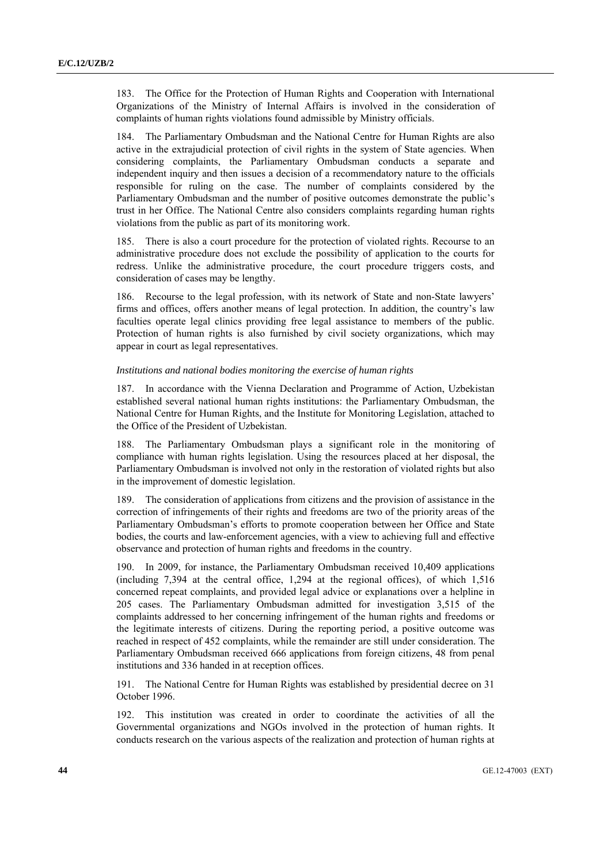183. The Office for the Protection of Human Rights and Cooperation with International Organizations of the Ministry of Internal Affairs is involved in the consideration of complaints of human rights violations found admissible by Ministry officials.

184. The Parliamentary Ombudsman and the National Centre for Human Rights are also active in the extrajudicial protection of civil rights in the system of State agencies. When considering complaints, the Parliamentary Ombudsman conducts a separate and independent inquiry and then issues a decision of a recommendatory nature to the officials responsible for ruling on the case. The number of complaints considered by the Parliamentary Ombudsman and the number of positive outcomes demonstrate the public's trust in her Office. The National Centre also considers complaints regarding human rights violations from the public as part of its monitoring work.

There is also a court procedure for the protection of violated rights. Recourse to an administrative procedure does not exclude the possibility of application to the courts for redress. Unlike the administrative procedure, the court procedure triggers costs, and consideration of cases may be lengthy.

186. Recourse to the legal profession, with its network of State and non-State lawyers' firms and offices, offers another means of legal protection. In addition, the country's law faculties operate legal clinics providing free legal assistance to members of the public. Protection of human rights is also furnished by civil society organizations, which may appear in court as legal representatives.

### *Institutions and national bodies monitoring the exercise of human rights*

187. In accordance with the Vienna Declaration and Programme of Action, Uzbekistan established several national human rights institutions: the Parliamentary Ombudsman, the National Centre for Human Rights, and the Institute for Monitoring Legislation, attached to the Office of the President of Uzbekistan.

188. The Parliamentary Ombudsman plays a significant role in the monitoring of compliance with human rights legislation. Using the resources placed at her disposal, the Parliamentary Ombudsman is involved not only in the restoration of violated rights but also in the improvement of domestic legislation.

189. The consideration of applications from citizens and the provision of assistance in the correction of infringements of their rights and freedoms are two of the priority areas of the Parliamentary Ombudsman's efforts to promote cooperation between her Office and State bodies, the courts and law-enforcement agencies, with a view to achieving full and effective observance and protection of human rights and freedoms in the country.

190. In 2009, for instance, the Parliamentary Ombudsman received 10,409 applications (including 7,394 at the central office, 1,294 at the regional offices), of which 1,516 concerned repeat complaints, and provided legal advice or explanations over a helpline in 205 cases. The Parliamentary Ombudsman admitted for investigation 3,515 of the complaints addressed to her concerning infringement of the human rights and freedoms or the legitimate interests of citizens. During the reporting period, a positive outcome was reached in respect of 452 complaints, while the remainder are still under consideration. The Parliamentary Ombudsman received 666 applications from foreign citizens, 48 from penal institutions and 336 handed in at reception offices.

191. The National Centre for Human Rights was established by presidential decree on 31 October 1996.

192. This institution was created in order to coordinate the activities of all the Governmental organizations and NGOs involved in the protection of human rights. It conducts research on the various aspects of the realization and protection of human rights at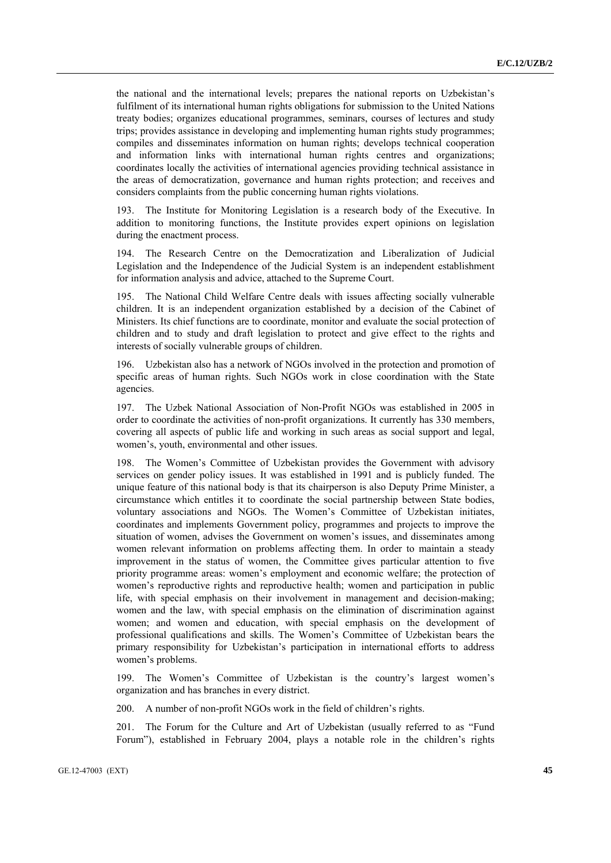the national and the international levels; prepares the national reports on Uzbekistan's fulfilment of its international human rights obligations for submission to the United Nations treaty bodies; organizes educational programmes, seminars, courses of lectures and study trips; provides assistance in developing and implementing human rights study programmes; compiles and disseminates information on human rights; develops technical cooperation and information links with international human rights centres and organizations; coordinates locally the activities of international agencies providing technical assistance in the areas of democratization, governance and human rights protection; and receives and considers complaints from the public concerning human rights violations.

193. The Institute for Monitoring Legislation is a research body of the Executive. In addition to monitoring functions, the Institute provides expert opinions on legislation during the enactment process.

194. The Research Centre on the Democratization and Liberalization of Judicial Legislation and the Independence of the Judicial System is an independent establishment for information analysis and advice, attached to the Supreme Court.

195. The National Child Welfare Centre deals with issues affecting socially vulnerable children. It is an independent organization established by a decision of the Cabinet of Ministers. Its chief functions are to coordinate, monitor and evaluate the social protection of children and to study and draft legislation to protect and give effect to the rights and interests of socially vulnerable groups of children.

196. Uzbekistan also has a network of NGOs involved in the protection and promotion of specific areas of human rights. Such NGOs work in close coordination with the State agencies.

197. The Uzbek National Association of Non-Profit NGOs was established in 2005 in order to coordinate the activities of non-profit organizations. It currently has 330 members, covering all aspects of public life and working in such areas as social support and legal, women's, youth, environmental and other issues.

198. The Women's Committee of Uzbekistan provides the Government with advisory services on gender policy issues. It was established in 1991 and is publicly funded. The unique feature of this national body is that its chairperson is also Deputy Prime Minister, a circumstance which entitles it to coordinate the social partnership between State bodies, voluntary associations and NGOs. The Women's Committee of Uzbekistan initiates, coordinates and implements Government policy, programmes and projects to improve the situation of women, advises the Government on women's issues, and disseminates among women relevant information on problems affecting them. In order to maintain a steady improvement in the status of women, the Committee gives particular attention to five priority programme areas: women's employment and economic welfare; the protection of women's reproductive rights and reproductive health; women and participation in public life, with special emphasis on their involvement in management and decision-making; women and the law, with special emphasis on the elimination of discrimination against women; and women and education, with special emphasis on the development of professional qualifications and skills. The Women's Committee of Uzbekistan bears the primary responsibility for Uzbekistan's participation in international efforts to address women's problems.

199. The Women's Committee of Uzbekistan is the country's largest women's organization and has branches in every district.

200. A number of non-profit NGOs work in the field of children's rights.

201. The Forum for the Culture and Art of Uzbekistan (usually referred to as "Fund Forum"), established in February 2004, plays a notable role in the children's rights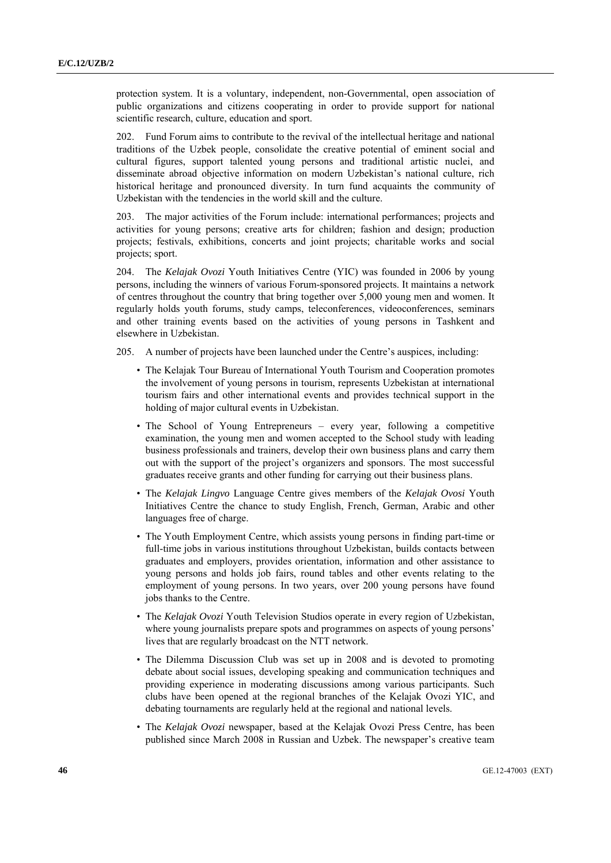protection system. It is a voluntary, independent, non-Governmental, open association of public organizations and citizens cooperating in order to provide support for national scientific research, culture, education and sport.

202. Fund Forum aims to contribute to the revival of the intellectual heritage and national traditions of the Uzbek people, consolidate the creative potential of eminent social and cultural figures, support talented young persons and traditional artistic nuclei, and disseminate abroad objective information on modern Uzbekistan's national culture, rich historical heritage and pronounced diversity. In turn fund acquaints the community of Uzbekistan with the tendencies in the world skill and the culture.

203. The major activities of the Forum include: international performances; projects and activities for young persons; creative arts for children; fashion and design; production projects; festivals, exhibitions, concerts and joint projects; charitable works and social projects; sport.

204. The *Kelajak Ovozi* Youth Initiatives Centre (YIC) was founded in 2006 by young persons, including the winners of various Forum-sponsored projects. It maintains a network of centres throughout the country that bring together over 5,000 young men and women. It regularly holds youth forums, study camps, teleconferences, videoconferences, seminars and other training events based on the activities of young persons in Tashkent and elsewhere in Uzbekistan.

205. A number of projects have been launched under the Centre's auspices, including:

- The Kelajak Tour Bureau of International Youth Tourism and Cooperation promotes the involvement of young persons in tourism, represents Uzbekistan at international tourism fairs and other international events and provides technical support in the holding of major cultural events in Uzbekistan.
- The School of Young Entrepreneurs every year, following a competitive examination, the young men and women accepted to the School study with leading business professionals and trainers, develop their own business plans and carry them out with the support of the project's organizers and sponsors. The most successful graduates receive grants and other funding for carrying out their business plans.
- The *Kelajak Lingvo* Language Centre gives members of the *Kelajak Ovosi* Youth Initiatives Centre the chance to study English, French, German, Arabic and other languages free of charge.
- The Youth Employment Centre, which assists young persons in finding part-time or full-time jobs in various institutions throughout Uzbekistan, builds contacts between graduates and employers, provides orientation, information and other assistance to young persons and holds job fairs, round tables and other events relating to the employment of young persons. In two years, over 200 young persons have found jobs thanks to the Centre.
- The *Kelajak Ovozi* Youth Television Studios operate in every region of Uzbekistan, where young journalists prepare spots and programmes on aspects of young persons' lives that are regularly broadcast on the NTT network.
- The Dilemma Discussion Club was set up in 2008 and is devoted to promoting debate about social issues, developing speaking and communication techniques and providing experience in moderating discussions among various participants. Such clubs have been opened at the regional branches of the Kelajak Ovozi YIC, and debating tournaments are regularly held at the regional and national levels.
- The *Kelajak Ovozi* newspaper, based at the Kelajak Ovozi Press Centre, has been published since March 2008 in Russian and Uzbek. The newspaper's creative team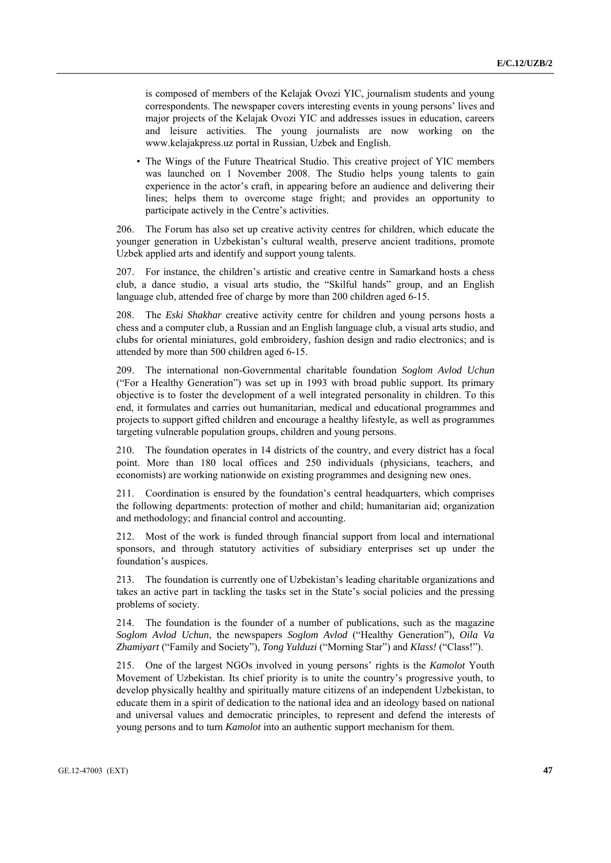is composed of members of the Kelajak Ovozi YIC, journalism students and young correspondents. The newspaper covers interesting events in young persons' lives and major projects of the Kelajak Ovozi YIC and addresses issues in education, careers and leisure activities. The young journalists are now working on the www.kelajakpress.uz portal in Russian, Uzbek and English.

• The Wings of the Future Theatrical Studio. This creative project of YIC members was launched on 1 November 2008. The Studio helps young talents to gain experience in the actor's craft, in appearing before an audience and delivering their lines; helps them to overcome stage fright; and provides an opportunity to participate actively in the Centre's activities.

206. The Forum has also set up creative activity centres for children, which educate the younger generation in Uzbekistan's cultural wealth, preserve ancient traditions, promote Uzbek applied arts and identify and support young talents.

207. For instance, the children's artistic and creative centre in Samarkand hosts a chess club, a dance studio, a visual arts studio, the "Skilful hands" group, and an English language club, attended free of charge by more than 200 children aged 6-15.

208. The *Eski Shakhar* creative activity centre for children and young persons hosts a chess and a computer club, a Russian and an English language club, a visual arts studio, and clubs for oriental miniatures, gold embroidery, fashion design and radio electronics; and is attended by more than 500 children aged 6-15.

209. The international non-Governmental charitable foundation *Soglom Avlod Uchun* ("For a Healthy Generation") was set up in 1993 with broad public support. Its primary objective is to foster the development of a well integrated personality in children. To this end, it formulates and carries out humanitarian, medical and educational programmes and projects to support gifted children and encourage a healthy lifestyle, as well as programmes targeting vulnerable population groups, children and young persons.

210. The foundation operates in 14 districts of the country, and every district has a focal point. More than 180 local offices and 250 individuals (physicians, teachers, and economists) are working nationwide on existing programmes and designing new ones.

211. Coordination is ensured by the foundation's central headquarters, which comprises the following departments: protection of mother and child; humanitarian aid; organization and methodology; and financial control and accounting.

212. Most of the work is funded through financial support from local and international sponsors, and through statutory activities of subsidiary enterprises set up under the foundation's auspices.

213. The foundation is currently one of Uzbekistan's leading charitable organizations and takes an active part in tackling the tasks set in the State's social policies and the pressing problems of society.

214. The foundation is the founder of a number of publications, such as the magazine *Soglom Avlod Uchun*, the newspapers *Soglom Avlod* ("Healthy Generation"), *Oila Va Zhamiyart* ("Family and Society"), *Tong Yulduzi* ("Morning Star") and *Klass!* ("Class!").

215. One of the largest NGOs involved in young persons' rights is the *Kamolot* Youth Movement of Uzbekistan. Its chief priority is to unite the country's progressive youth, to develop physically healthy and spiritually mature citizens of an independent Uzbekistan, to educate them in a spirit of dedication to the national idea and an ideology based on national and universal values and democratic principles, to represent and defend the interests of young persons and to turn *Kamolot* into an authentic support mechanism for them.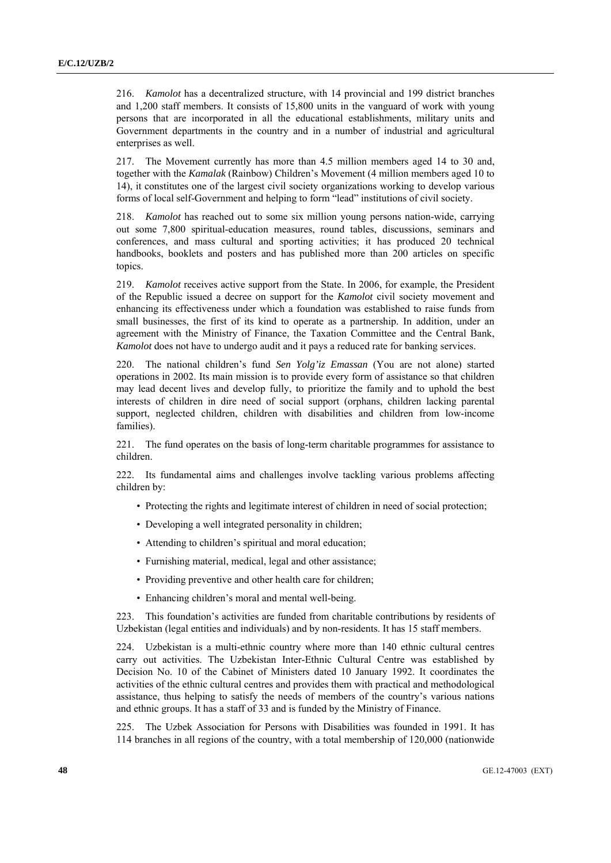216. *Kamolot* has a decentralized structure, with 14 provincial and 199 district branches and 1,200 staff members. It consists of 15,800 units in the vanguard of work with young persons that are incorporated in all the educational establishments, military units and Government departments in the country and in a number of industrial and agricultural enterprises as well.

217. The Movement currently has more than 4.5 million members aged 14 to 30 and, together with the *Kamalak* (Rainbow) Children's Movement (4 million members aged 10 to 14), it constitutes one of the largest civil society organizations working to develop various forms of local self-Government and helping to form "lead" institutions of civil society.

218. *Kamolot* has reached out to some six million young persons nation-wide, carrying out some 7,800 spiritual-education measures, round tables, discussions, seminars and conferences, and mass cultural and sporting activities; it has produced 20 technical handbooks, booklets and posters and has published more than 200 articles on specific topics.

219. *Kamolot* receives active support from the State. In 2006, for example, the President of the Republic issued a decree on support for the *Kamolot* civil society movement and enhancing its effectiveness under which a foundation was established to raise funds from small businesses, the first of its kind to operate as a partnership. In addition, under an agreement with the Ministry of Finance, the Taxation Committee and the Central Bank, *Kamolot* does not have to undergo audit and it pays a reduced rate for banking services.

220. The national children's fund *Sen Yolg'iz Emassan* (You are not alone) started operations in 2002. Its main mission is to provide every form of assistance so that children may lead decent lives and develop fully, to prioritize the family and to uphold the best interests of children in dire need of social support (orphans, children lacking parental support, neglected children, children with disabilities and children from low-income families).

221. The fund operates on the basis of long-term charitable programmes for assistance to children.

222. Its fundamental aims and challenges involve tackling various problems affecting children by:

- Protecting the rights and legitimate interest of children in need of social protection;
- Developing a well integrated personality in children;
- Attending to children's spiritual and moral education;
- Furnishing material, medical, legal and other assistance;
- Providing preventive and other health care for children;
- Enhancing children's moral and mental well-being.

223. This foundation's activities are funded from charitable contributions by residents of Uzbekistan (legal entities and individuals) and by non-residents. It has 15 staff members.

224. Uzbekistan is a multi-ethnic country where more than 140 ethnic cultural centres carry out activities. The Uzbekistan Inter-Ethnic Cultural Centre was established by Decision No. 10 of the Cabinet of Ministers dated 10 January 1992. It coordinates the activities of the ethnic cultural centres and provides them with practical and methodological assistance, thus helping to satisfy the needs of members of the country's various nations and ethnic groups. It has a staff of 33 and is funded by the Ministry of Finance.

225. The Uzbek Association for Persons with Disabilities was founded in 1991. It has 114 branches in all regions of the country, with a total membership of 120,000 (nationwide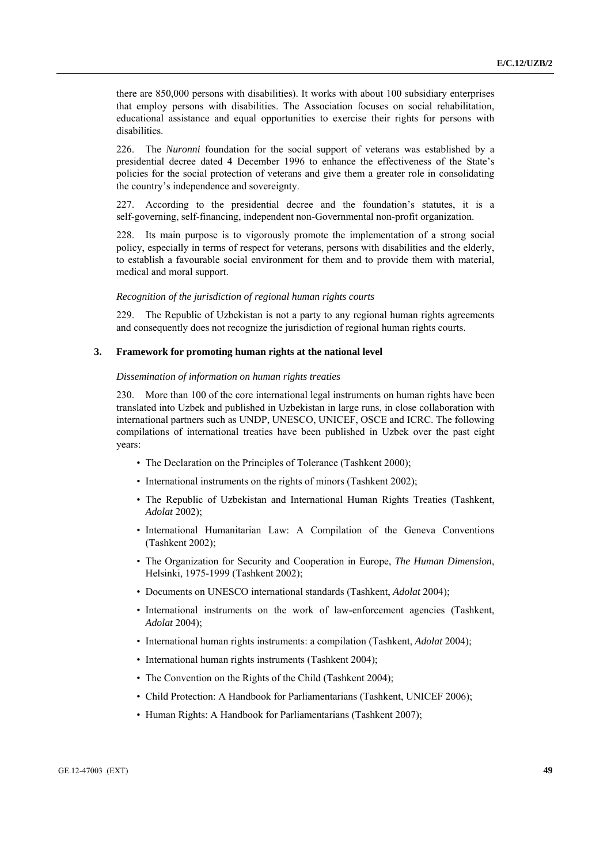there are 850,000 persons with disabilities). It works with about 100 subsidiary enterprises that employ persons with disabilities. The Association focuses on social rehabilitation, educational assistance and equal opportunities to exercise their rights for persons with disabilities.

226. The *Nuronni* foundation for the social support of veterans was established by a presidential decree dated 4 December 1996 to enhance the effectiveness of the State's policies for the social protection of veterans and give them a greater role in consolidating the country's independence and sovereignty.

227. According to the presidential decree and the foundation's statutes, it is a self-governing, self-financing, independent non-Governmental non-profit organization.

228. Its main purpose is to vigorously promote the implementation of a strong social policy, especially in terms of respect for veterans, persons with disabilities and the elderly, to establish a favourable social environment for them and to provide them with material, medical and moral support.

## *Recognition of the jurisdiction of regional human rights courts*

229. The Republic of Uzbekistan is not a party to any regional human rights agreements and consequently does not recognize the jurisdiction of regional human rights courts.

## **3. Framework for promoting human rights at the national level**

### *Dissemination of information on human rights treaties*

230. More than 100 of the core international legal instruments on human rights have been translated into Uzbek and published in Uzbekistan in large runs, in close collaboration with international partners such as UNDP, UNESCO, UNICEF, OSCE and ICRC. The following compilations of international treaties have been published in Uzbek over the past eight years:

- The Declaration on the Principles of Tolerance (Tashkent 2000);
- International instruments on the rights of minors (Tashkent 2002);
- The Republic of Uzbekistan and International Human Rights Treaties (Tashkent, *Adolat* 2002);
- International Humanitarian Law: A Compilation of the Geneva Conventions (Tashkent 2002);
- The Organization for Security and Cooperation in Europe, *The Human Dimension*, Helsinki, 1975-1999 (Tashkent 2002);
- Documents on UNESCO international standards (Tashkent, *Adolat* 2004);
- International instruments on the work of law-enforcement agencies (Tashkent, *Adolat* 2004);
- International human rights instruments: a compilation (Tashkent, *Adolat* 2004);
- International human rights instruments (Tashkent 2004);
- The Convention on the Rights of the Child (Tashkent 2004);
- Child Protection: A Handbook for Parliamentarians (Tashkent, UNICEF 2006);
- Human Rights: A Handbook for Parliamentarians (Tashkent 2007);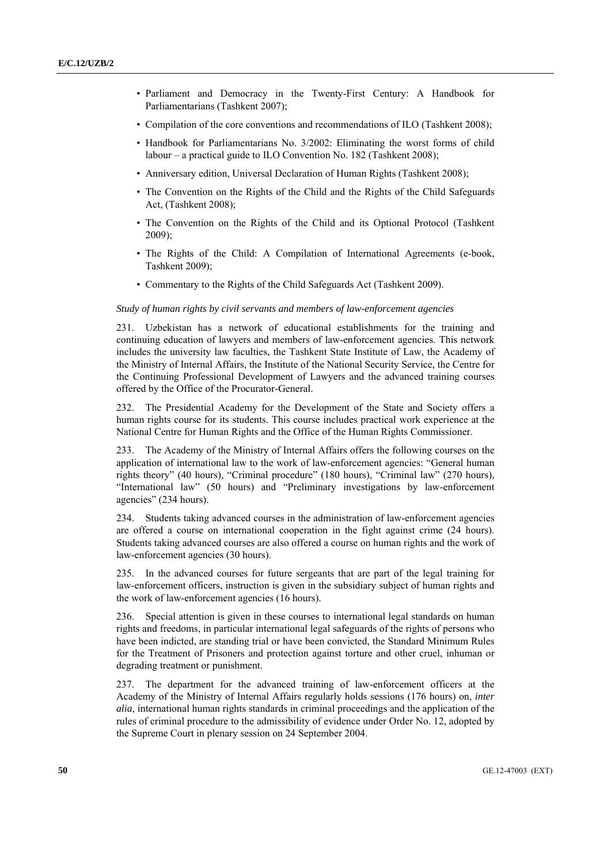- Parliament and Democracy in the Twenty-First Century: A Handbook for Parliamentarians (Tashkent 2007);
- Compilation of the core conventions and recommendations of ILO (Tashkent 2008);
- Handbook for Parliamentarians No. 3/2002: Eliminating the worst forms of child labour – a practical guide to ILO Convention No. 182 (Tashkent 2008);
- Anniversary edition, Universal Declaration of Human Rights (Tashkent 2008);
- The Convention on the Rights of the Child and the Rights of the Child Safeguards Act, (Tashkent 2008);
- The Convention on the Rights of the Child and its Optional Protocol (Tashkent 2009);
- The Rights of the Child: A Compilation of International Agreements (e-book, Tashkent 2009);
- Commentary to the Rights of the Child Safeguards Act (Tashkent 2009).

## *Study of human rights by civil servants and members of law-enforcement agencies*

231. Uzbekistan has a network of educational establishments for the training and continuing education of lawyers and members of law-enforcement agencies. This network includes the university law faculties, the Tashkent State Institute of Law, the Academy of the Ministry of Internal Affairs, the Institute of the National Security Service, the Centre for the Continuing Professional Development of Lawyers and the advanced training courses offered by the Office of the Procurator-General.

232. The Presidential Academy for the Development of the State and Society offers a human rights course for its students. This course includes practical work experience at the National Centre for Human Rights and the Office of the Human Rights Commissioner.

233. The Academy of the Ministry of Internal Affairs offers the following courses on the application of international law to the work of law-enforcement agencies: "General human rights theory" (40 hours), "Criminal procedure" (180 hours), "Criminal law" (270 hours), "International law" (50 hours) and "Preliminary investigations by law-enforcement agencies" (234 hours).

234. Students taking advanced courses in the administration of law-enforcement agencies are offered a course on international cooperation in the fight against crime (24 hours). Students taking advanced courses are also offered a course on human rights and the work of law-enforcement agencies (30 hours).

235. In the advanced courses for future sergeants that are part of the legal training for law-enforcement officers, instruction is given in the subsidiary subject of human rights and the work of law-enforcement agencies (16 hours).

236. Special attention is given in these courses to international legal standards on human rights and freedoms, in particular international legal safeguards of the rights of persons who have been indicted, are standing trial or have been convicted, the Standard Minimum Rules for the Treatment of Prisoners and protection against torture and other cruel, inhuman or degrading treatment or punishment.

237. The department for the advanced training of law-enforcement officers at the Academy of the Ministry of Internal Affairs regularly holds sessions (176 hours) on, *inter alia*, international human rights standards in criminal proceedings and the application of the rules of criminal procedure to the admissibility of evidence under Order No. 12, adopted by the Supreme Court in plenary session on 24 September 2004.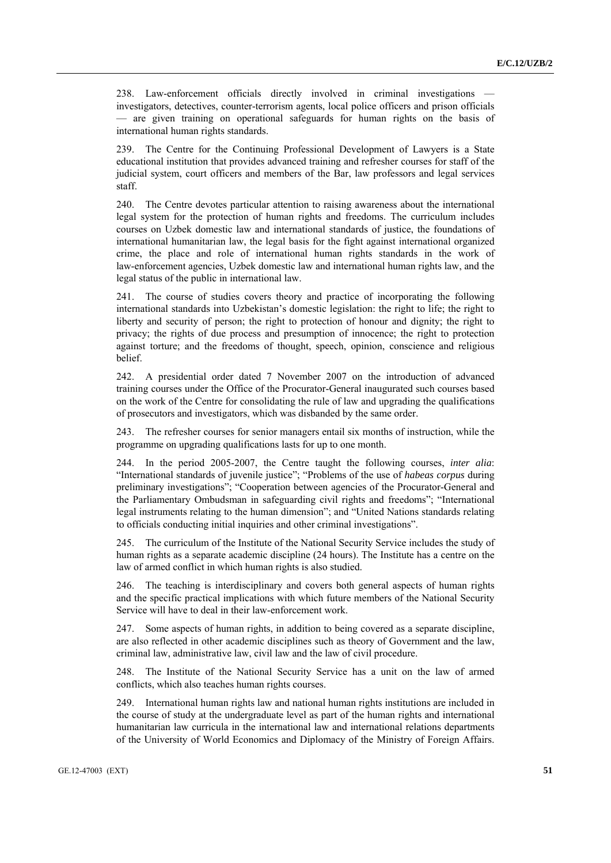238. Law-enforcement officials directly involved in criminal investigations investigators, detectives, counter-terrorism agents, local police officers and prison officials — are given training on operational safeguards for human rights on the basis of international human rights standards.

239. The Centre for the Continuing Professional Development of Lawyers is a State educational institution that provides advanced training and refresher courses for staff of the judicial system, court officers and members of the Bar, law professors and legal services staff.

240. The Centre devotes particular attention to raising awareness about the international legal system for the protection of human rights and freedoms. The curriculum includes courses on Uzbek domestic law and international standards of justice, the foundations of international humanitarian law, the legal basis for the fight against international organized crime, the place and role of international human rights standards in the work of law-enforcement agencies, Uzbek domestic law and international human rights law, and the legal status of the public in international law.

241. The course of studies covers theory and practice of incorporating the following international standards into Uzbekistan's domestic legislation: the right to life; the right to liberty and security of person; the right to protection of honour and dignity; the right to privacy; the rights of due process and presumption of innocence; the right to protection against torture; and the freedoms of thought, speech, opinion, conscience and religious belief.

242. A presidential order dated 7 November 2007 on the introduction of advanced training courses under the Office of the Procurator-General inaugurated such courses based on the work of the Centre for consolidating the rule of law and upgrading the qualifications of prosecutors and investigators, which was disbanded by the same order.

243. The refresher courses for senior managers entail six months of instruction, while the programme on upgrading qualifications lasts for up to one month.

244. In the period 2005-2007, the Centre taught the following courses, *inter alia*: "International standards of juvenile justice"; "Problems of the use of *habeas corpus* during preliminary investigations"; "Cooperation between agencies of the Procurator-General and the Parliamentary Ombudsman in safeguarding civil rights and freedoms"; "International legal instruments relating to the human dimension"; and "United Nations standards relating to officials conducting initial inquiries and other criminal investigations".

245. The curriculum of the Institute of the National Security Service includes the study of human rights as a separate academic discipline (24 hours). The Institute has a centre on the law of armed conflict in which human rights is also studied.

246. The teaching is interdisciplinary and covers both general aspects of human rights and the specific practical implications with which future members of the National Security Service will have to deal in their law-enforcement work.

247. Some aspects of human rights, in addition to being covered as a separate discipline, are also reflected in other academic disciplines such as theory of Government and the law, criminal law, administrative law, civil law and the law of civil procedure.

248. The Institute of the National Security Service has a unit on the law of armed conflicts, which also teaches human rights courses.

249. International human rights law and national human rights institutions are included in the course of study at the undergraduate level as part of the human rights and international humanitarian law curricula in the international law and international relations departments of the University of World Economics and Diplomacy of the Ministry of Foreign Affairs.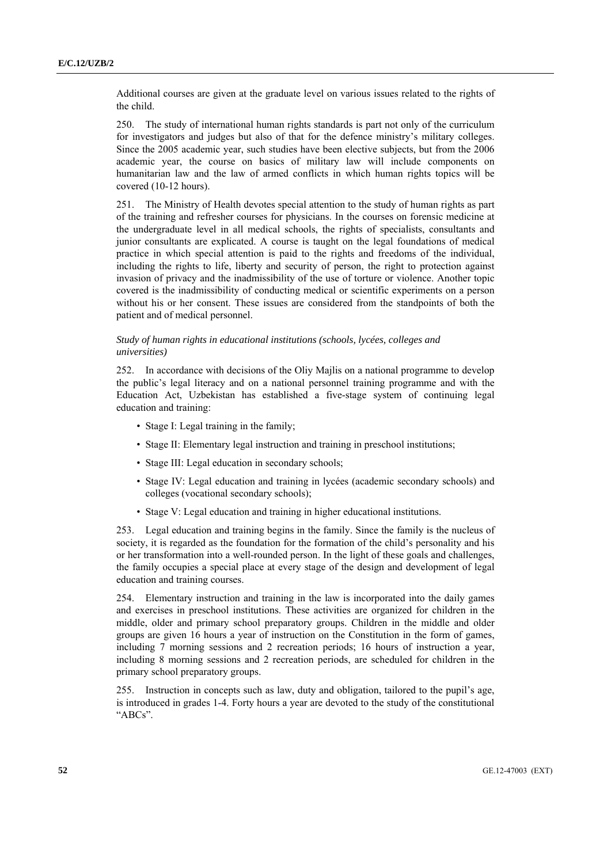Additional courses are given at the graduate level on various issues related to the rights of the child.

250. The study of international human rights standards is part not only of the curriculum for investigators and judges but also of that for the defence ministry's military colleges. Since the 2005 academic year, such studies have been elective subjects, but from the 2006 academic year, the course on basics of military law will include components on humanitarian law and the law of armed conflicts in which human rights topics will be covered (10-12 hours).

251. The Ministry of Health devotes special attention to the study of human rights as part of the training and refresher courses for physicians. In the courses on forensic medicine at the undergraduate level in all medical schools, the rights of specialists, consultants and junior consultants are explicated. A course is taught on the legal foundations of medical practice in which special attention is paid to the rights and freedoms of the individual, including the rights to life, liberty and security of person, the right to protection against invasion of privacy and the inadmissibility of the use of torture or violence. Another topic covered is the inadmissibility of conducting medical or scientific experiments on a person without his or her consent. These issues are considered from the standpoints of both the patient and of medical personnel.

## *Study of human rights in educational institutions (schools, lycées, colleges and universities)*

252. In accordance with decisions of the Oliy Majlis on a national programme to develop the public's legal literacy and on a national personnel training programme and with the Education Act, Uzbekistan has established a five-stage system of continuing legal education and training:

- Stage I: Legal training in the family;
- Stage II: Elementary legal instruction and training in preschool institutions;
- Stage III: Legal education in secondary schools;
- Stage IV: Legal education and training in lycées (academic secondary schools) and colleges (vocational secondary schools);
- Stage V: Legal education and training in higher educational institutions.

253. Legal education and training begins in the family. Since the family is the nucleus of society, it is regarded as the foundation for the formation of the child's personality and his or her transformation into a well-rounded person. In the light of these goals and challenges, the family occupies a special place at every stage of the design and development of legal education and training courses.

254. Elementary instruction and training in the law is incorporated into the daily games and exercises in preschool institutions. These activities are organized for children in the middle, older and primary school preparatory groups. Children in the middle and older groups are given 16 hours a year of instruction on the Constitution in the form of games, including 7 morning sessions and 2 recreation periods; 16 hours of instruction a year, including 8 morning sessions and 2 recreation periods, are scheduled for children in the primary school preparatory groups.

255. Instruction in concepts such as law, duty and obligation, tailored to the pupil's age, is introduced in grades 1-4. Forty hours a year are devoted to the study of the constitutional "ABCs".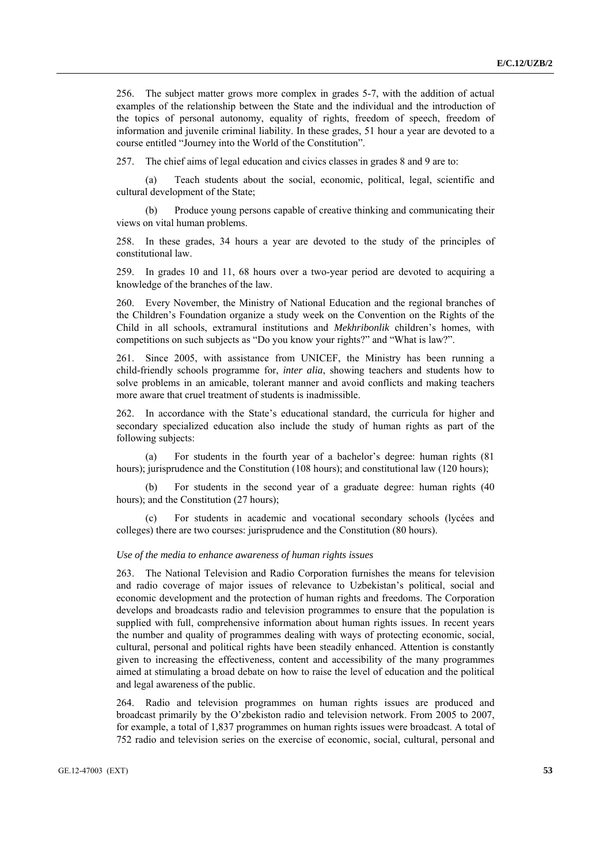256. The subject matter grows more complex in grades 5-7, with the addition of actual examples of the relationship between the State and the individual and the introduction of the topics of personal autonomy, equality of rights, freedom of speech, freedom of information and juvenile criminal liability. In these grades, 51 hour a year are devoted to a course entitled "Journey into the World of the Constitution".

257. The chief aims of legal education and civics classes in grades 8 and 9 are to:

 (a) Teach students about the social, economic, political, legal, scientific and cultural development of the State;

 (b) Produce young persons capable of creative thinking and communicating their views on vital human problems.

258. In these grades, 34 hours a year are devoted to the study of the principles of constitutional law.

259. In grades 10 and 11, 68 hours over a two-year period are devoted to acquiring a knowledge of the branches of the law.

260. Every November, the Ministry of National Education and the regional branches of the Children's Foundation organize a study week on the Convention on the Rights of the Child in all schools, extramural institutions and *Mekhribonlik* children's homes, with competitions on such subjects as "Do you know your rights?" and "What is law?".

261. Since 2005, with assistance from UNICEF, the Ministry has been running a child-friendly schools programme for, *inter alia*, showing teachers and students how to solve problems in an amicable, tolerant manner and avoid conflicts and making teachers more aware that cruel treatment of students is inadmissible.

262. In accordance with the State's educational standard, the curricula for higher and secondary specialized education also include the study of human rights as part of the following subjects:

For students in the fourth year of a bachelor's degree: human rights (81) hours); jurisprudence and the Constitution (108 hours); and constitutional law (120 hours);

 (b) For students in the second year of a graduate degree: human rights (40 hours); and the Constitution (27 hours);

 (c) For students in academic and vocational secondary schools (lycées and colleges) there are two courses: jurisprudence and the Constitution (80 hours).

### *Use of the media to enhance awareness of human rights issues*

263. The National Television and Radio Corporation furnishes the means for television and radio coverage of major issues of relevance to Uzbekistan's political, social and economic development and the protection of human rights and freedoms. The Corporation develops and broadcasts radio and television programmes to ensure that the population is supplied with full, comprehensive information about human rights issues. In recent years the number and quality of programmes dealing with ways of protecting economic, social, cultural, personal and political rights have been steadily enhanced. Attention is constantly given to increasing the effectiveness, content and accessibility of the many programmes aimed at stimulating a broad debate on how to raise the level of education and the political and legal awareness of the public.

264. Radio and television programmes on human rights issues are produced and broadcast primarily by the O'zbekiston radio and television network. From 2005 to 2007, for example, a total of 1,837 programmes on human rights issues were broadcast. A total of 752 radio and television series on the exercise of economic, social, cultural, personal and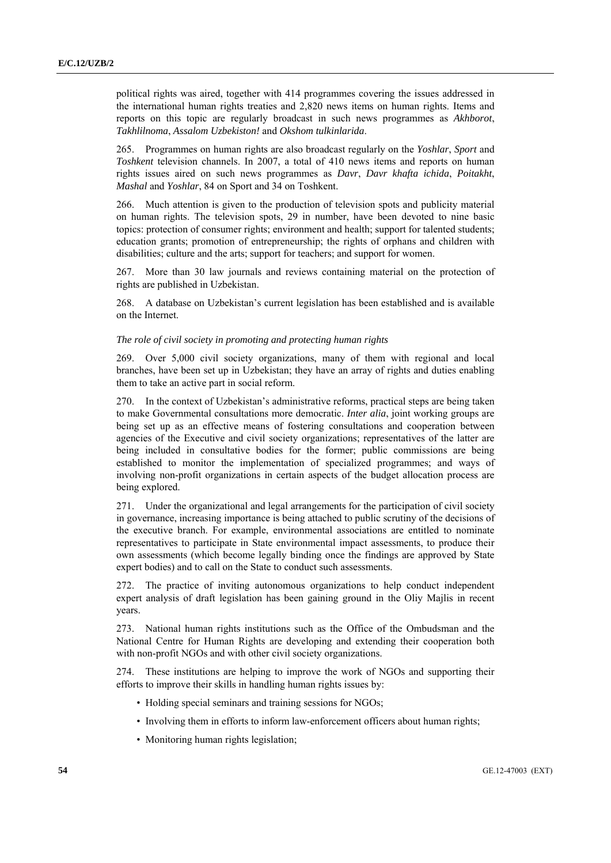political rights was aired, together with 414 programmes covering the issues addressed in the international human rights treaties and 2,820 news items on human rights. Items and reports on this topic are regularly broadcast in such news programmes as *Akhborot*, *Takhlilnoma*, *Assalom Uzbekiston!* and *Okshom tulkinlarida*.

265. Programmes on human rights are also broadcast regularly on the *Yoshlar*, *Sport* and *Toshkent* television channels. In 2007, a total of 410 news items and reports on human rights issues aired on such news programmes as *Davr*, *Davr khafta ichida*, *Poitakht*, *Mashal* and *Yoshlar*, 84 on Sport and 34 on Toshkent.

266. Much attention is given to the production of television spots and publicity material on human rights. The television spots, 29 in number, have been devoted to nine basic topics: protection of consumer rights; environment and health; support for talented students; education grants; promotion of entrepreneurship; the rights of orphans and children with disabilities; culture and the arts; support for teachers; and support for women.

267. More than 30 law journals and reviews containing material on the protection of rights are published in Uzbekistan.

268. A database on Uzbekistan's current legislation has been established and is available on the Internet.

### *The role of civil society in promoting and protecting human rights*

269. Over 5,000 civil society organizations, many of them with regional and local branches, have been set up in Uzbekistan; they have an array of rights and duties enabling them to take an active part in social reform.

270. In the context of Uzbekistan's administrative reforms, practical steps are being taken to make Governmental consultations more democratic. *Inter alia*, joint working groups are being set up as an effective means of fostering consultations and cooperation between agencies of the Executive and civil society organizations; representatives of the latter are being included in consultative bodies for the former; public commissions are being established to monitor the implementation of specialized programmes; and ways of involving non-profit organizations in certain aspects of the budget allocation process are being explored.

271. Under the organizational and legal arrangements for the participation of civil society in governance, increasing importance is being attached to public scrutiny of the decisions of the executive branch. For example, environmental associations are entitled to nominate representatives to participate in State environmental impact assessments, to produce their own assessments (which become legally binding once the findings are approved by State expert bodies) and to call on the State to conduct such assessments.

272. The practice of inviting autonomous organizations to help conduct independent expert analysis of draft legislation has been gaining ground in the Oliy Majlis in recent years.

273. National human rights institutions such as the Office of the Ombudsman and the National Centre for Human Rights are developing and extending their cooperation both with non-profit NGOs and with other civil society organizations.

274. These institutions are helping to improve the work of NGOs and supporting their efforts to improve their skills in handling human rights issues by:

- Holding special seminars and training sessions for NGOs;
- Involving them in efforts to inform law-enforcement officers about human rights;
- Monitoring human rights legislation;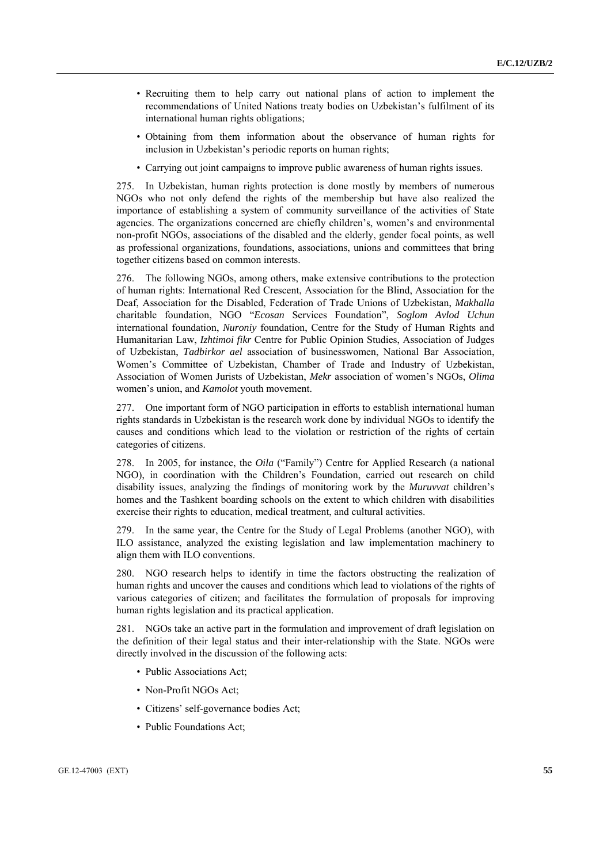- Recruiting them to help carry out national plans of action to implement the recommendations of United Nations treaty bodies on Uzbekistan's fulfilment of its international human rights obligations;
- Obtaining from them information about the observance of human rights for inclusion in Uzbekistan's periodic reports on human rights;
- Carrying out joint campaigns to improve public awareness of human rights issues.

275. In Uzbekistan, human rights protection is done mostly by members of numerous NGOs who not only defend the rights of the membership but have also realized the importance of establishing a system of community surveillance of the activities of State agencies. The organizations concerned are chiefly children's, women's and environmental non-profit NGOs, associations of the disabled and the elderly, gender focal points, as well as professional organizations, foundations, associations, unions and committees that bring together citizens based on common interests.

276. The following NGOs, among others, make extensive contributions to the protection of human rights: International Red Crescent, Association for the Blind, Association for the Deaf, Association for the Disabled, Federation of Trade Unions of Uzbekistan, *Makhalla* charitable foundation, NGO "*Ecosan* Services Foundation", *Soglom Avlod Uchun* international foundation, *Nuroniy* foundation, Centre for the Study of Human Rights and Humanitarian Law, *Izhtimoi fikr* Centre for Public Opinion Studies, Association of Judges of Uzbekistan, *Tadbirkor ael* association of businesswomen, National Bar Association, Women's Committee of Uzbekistan, Chamber of Trade and Industry of Uzbekistan, Association of Women Jurists of Uzbekistan, *Mekr* association of women's NGOs, *Olima* women's union, and *Kamolot* youth movement.

277. One important form of NGO participation in efforts to establish international human rights standards in Uzbekistan is the research work done by individual NGOs to identify the causes and conditions which lead to the violation or restriction of the rights of certain categories of citizens.

278. In 2005, for instance, the *Oila* ("Family") Centre for Applied Research (a national NGO), in coordination with the Children's Foundation, carried out research on child disability issues, analyzing the findings of monitoring work by the *Muruvvat* children's homes and the Tashkent boarding schools on the extent to which children with disabilities exercise their rights to education, medical treatment, and cultural activities.

279. In the same year, the Centre for the Study of Legal Problems (another NGO), with ILO assistance, analyzed the existing legislation and law implementation machinery to align them with ILO conventions.

280. NGO research helps to identify in time the factors obstructing the realization of human rights and uncover the causes and conditions which lead to violations of the rights of various categories of citizen; and facilitates the formulation of proposals for improving human rights legislation and its practical application.

281. NGOs take an active part in the formulation and improvement of draft legislation on the definition of their legal status and their inter-relationship with the State. NGOs were directly involved in the discussion of the following acts:

- Public Associations Act;
- Non-Profit NGOs Act;
- Citizens' self-governance bodies Act;
- Public Foundations Act;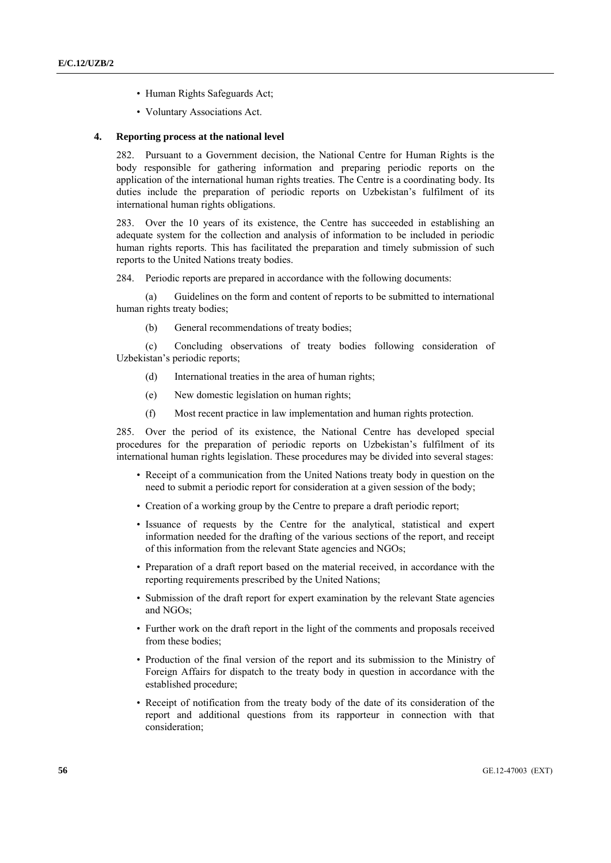- Human Rights Safeguards Act;
- Voluntary Associations Act.

## **4. Reporting process at the national level**

282. Pursuant to a Government decision, the National Centre for Human Rights is the body responsible for gathering information and preparing periodic reports on the application of the international human rights treaties. The Centre is a coordinating body. Its duties include the preparation of periodic reports on Uzbekistan's fulfilment of its international human rights obligations.

283. Over the 10 years of its existence, the Centre has succeeded in establishing an adequate system for the collection and analysis of information to be included in periodic human rights reports. This has facilitated the preparation and timely submission of such reports to the United Nations treaty bodies.

284. Periodic reports are prepared in accordance with the following documents:

 (a) Guidelines on the form and content of reports to be submitted to international human rights treaty bodies;

(b) General recommendations of treaty bodies;

 (c) Concluding observations of treaty bodies following consideration of Uzbekistan's periodic reports;

- (d) International treaties in the area of human rights;
- (e) New domestic legislation on human rights;
- (f) Most recent practice in law implementation and human rights protection.

285. Over the period of its existence, the National Centre has developed special procedures for the preparation of periodic reports on Uzbekistan's fulfilment of its international human rights legislation. These procedures may be divided into several stages:

- Receipt of a communication from the United Nations treaty body in question on the need to submit a periodic report for consideration at a given session of the body;
- Creation of a working group by the Centre to prepare a draft periodic report;
- Issuance of requests by the Centre for the analytical, statistical and expert information needed for the drafting of the various sections of the report, and receipt of this information from the relevant State agencies and NGOs;
- Preparation of a draft report based on the material received, in accordance with the reporting requirements prescribed by the United Nations;
- Submission of the draft report for expert examination by the relevant State agencies and NGOs;
- Further work on the draft report in the light of the comments and proposals received from these bodies;
- Production of the final version of the report and its submission to the Ministry of Foreign Affairs for dispatch to the treaty body in question in accordance with the established procedure;
- Receipt of notification from the treaty body of the date of its consideration of the report and additional questions from its rapporteur in connection with that consideration;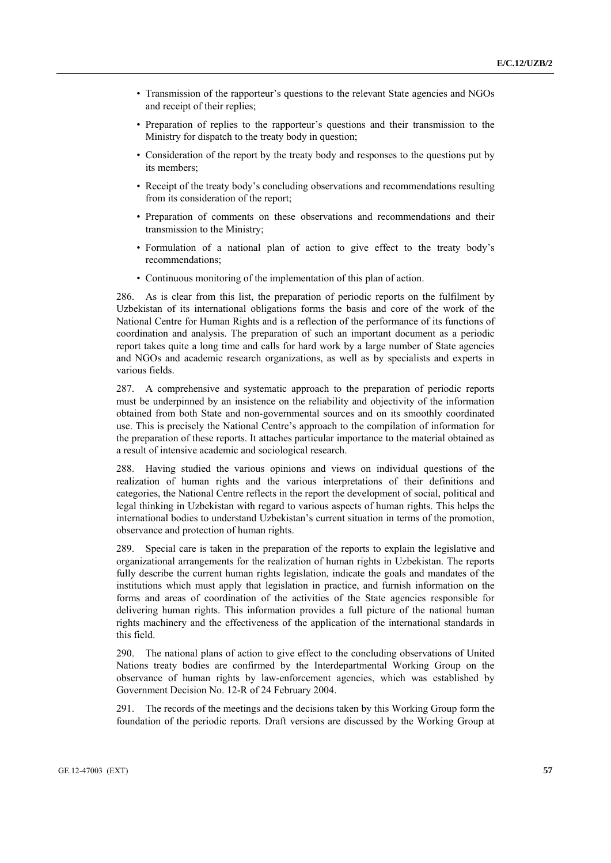- Transmission of the rapporteur's questions to the relevant State agencies and NGOs and receipt of their replies;
- Preparation of replies to the rapporteur's questions and their transmission to the Ministry for dispatch to the treaty body in question;
- Consideration of the report by the treaty body and responses to the questions put by its members;
- Receipt of the treaty body's concluding observations and recommendations resulting from its consideration of the report;
- Preparation of comments on these observations and recommendations and their transmission to the Ministry;
- Formulation of a national plan of action to give effect to the treaty body's recommendations;
- Continuous monitoring of the implementation of this plan of action.

286. As is clear from this list, the preparation of periodic reports on the fulfilment by Uzbekistan of its international obligations forms the basis and core of the work of the National Centre for Human Rights and is a reflection of the performance of its functions of coordination and analysis. The preparation of such an important document as a periodic report takes quite a long time and calls for hard work by a large number of State agencies and NGOs and academic research organizations, as well as by specialists and experts in various fields.

287. A comprehensive and systematic approach to the preparation of periodic reports must be underpinned by an insistence on the reliability and objectivity of the information obtained from both State and non-governmental sources and on its smoothly coordinated use. This is precisely the National Centre's approach to the compilation of information for the preparation of these reports. It attaches particular importance to the material obtained as a result of intensive academic and sociological research.

288. Having studied the various opinions and views on individual questions of the realization of human rights and the various interpretations of their definitions and categories, the National Centre reflects in the report the development of social, political and legal thinking in Uzbekistan with regard to various aspects of human rights. This helps the international bodies to understand Uzbekistan's current situation in terms of the promotion, observance and protection of human rights.

289. Special care is taken in the preparation of the reports to explain the legislative and organizational arrangements for the realization of human rights in Uzbekistan. The reports fully describe the current human rights legislation, indicate the goals and mandates of the institutions which must apply that legislation in practice, and furnish information on the forms and areas of coordination of the activities of the State agencies responsible for delivering human rights. This information provides a full picture of the national human rights machinery and the effectiveness of the application of the international standards in this field.

290. The national plans of action to give effect to the concluding observations of United Nations treaty bodies are confirmed by the Interdepartmental Working Group on the observance of human rights by law-enforcement agencies, which was established by Government Decision No. 12-R of 24 February 2004.

291. The records of the meetings and the decisions taken by this Working Group form the foundation of the periodic reports. Draft versions are discussed by the Working Group at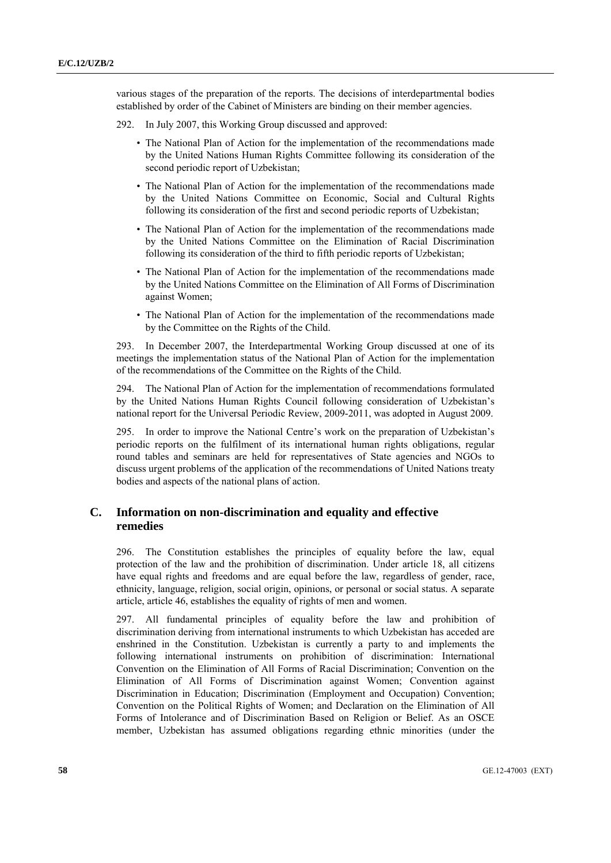various stages of the preparation of the reports. The decisions of interdepartmental bodies established by order of the Cabinet of Ministers are binding on their member agencies.

- 292. In July 2007, this Working Group discussed and approved:
	- The National Plan of Action for the implementation of the recommendations made by the United Nations Human Rights Committee following its consideration of the second periodic report of Uzbekistan;
	- The National Plan of Action for the implementation of the recommendations made by the United Nations Committee on Economic, Social and Cultural Rights following its consideration of the first and second periodic reports of Uzbekistan;
	- The National Plan of Action for the implementation of the recommendations made by the United Nations Committee on the Elimination of Racial Discrimination following its consideration of the third to fifth periodic reports of Uzbekistan;
	- The National Plan of Action for the implementation of the recommendations made by the United Nations Committee on the Elimination of All Forms of Discrimination against Women;
	- The National Plan of Action for the implementation of the recommendations made by the Committee on the Rights of the Child.

293. In December 2007, the Interdepartmental Working Group discussed at one of its meetings the implementation status of the National Plan of Action for the implementation of the recommendations of the Committee on the Rights of the Child.

294. The National Plan of Action for the implementation of recommendations formulated by the United Nations Human Rights Council following consideration of Uzbekistan's national report for the Universal Periodic Review, 2009-2011, was adopted in August 2009.

295. In order to improve the National Centre's work on the preparation of Uzbekistan's periodic reports on the fulfilment of its international human rights obligations, regular round tables and seminars are held for representatives of State agencies and NGOs to discuss urgent problems of the application of the recommendations of United Nations treaty bodies and aspects of the national plans of action.

## **C. Information on non-discrimination and equality and effective remedies**

296. The Constitution establishes the principles of equality before the law, equal protection of the law and the prohibition of discrimination. Under article 18, all citizens have equal rights and freedoms and are equal before the law, regardless of gender, race, ethnicity, language, religion, social origin, opinions, or personal or social status. A separate article, article 46, establishes the equality of rights of men and women.

297. All fundamental principles of equality before the law and prohibition of discrimination deriving from international instruments to which Uzbekistan has acceded are enshrined in the Constitution. Uzbekistan is currently a party to and implements the following international instruments on prohibition of discrimination: International Convention on the Elimination of All Forms of Racial Discrimination; Convention on the Elimination of All Forms of Discrimination against Women; Convention against Discrimination in Education; Discrimination (Employment and Occupation) Convention; Convention on the Political Rights of Women; and Declaration on the Elimination of All Forms of Intolerance and of Discrimination Based on Religion or Belief. As an OSCE member, Uzbekistan has assumed obligations regarding ethnic minorities (under the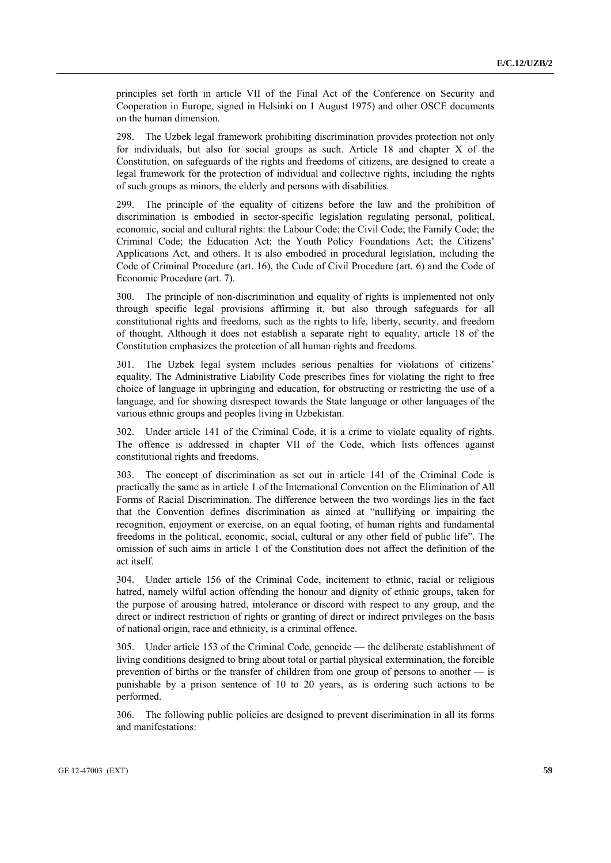principles set forth in article VII of the Final Act of the Conference on Security and Cooperation in Europe, signed in Helsinki on 1 August 1975) and other OSCE documents on the human dimension.

298. The Uzbek legal framework prohibiting discrimination provides protection not only for individuals, but also for social groups as such. Article 18 and chapter X of the Constitution, on safeguards of the rights and freedoms of citizens, are designed to create a legal framework for the protection of individual and collective rights, including the rights of such groups as minors, the elderly and persons with disabilities.

299. The principle of the equality of citizens before the law and the prohibition of discrimination is embodied in sector-specific legislation regulating personal, political, economic, social and cultural rights: the Labour Code; the Civil Code; the Family Code; the Criminal Code; the Education Act; the Youth Policy Foundations Act; the Citizens' Applications Act, and others. It is also embodied in procedural legislation, including the Code of Criminal Procedure (art. 16), the Code of Civil Procedure (art. 6) and the Code of Economic Procedure (art. 7).

300. The principle of non-discrimination and equality of rights is implemented not only through specific legal provisions affirming it, but also through safeguards for all constitutional rights and freedoms, such as the rights to life, liberty, security, and freedom of thought. Although it does not establish a separate right to equality, article 18 of the Constitution emphasizes the protection of all human rights and freedoms.

301. The Uzbek legal system includes serious penalties for violations of citizens' equality. The Administrative Liability Code prescribes fines for violating the right to free choice of language in upbringing and education, for obstructing or restricting the use of a language, and for showing disrespect towards the State language or other languages of the various ethnic groups and peoples living in Uzbekistan.

302. Under article 141 of the Criminal Code, it is a crime to violate equality of rights. The offence is addressed in chapter VII of the Code, which lists offences against constitutional rights and freedoms.

303. The concept of discrimination as set out in article 141 of the Criminal Code is practically the same as in article 1 of the International Convention on the Elimination of All Forms of Racial Discrimination. The difference between the two wordings lies in the fact that the Convention defines discrimination as aimed at "nullifying or impairing the recognition, enjoyment or exercise, on an equal footing, of human rights and fundamental freedoms in the political, economic, social, cultural or any other field of public life". The omission of such aims in article 1 of the Constitution does not affect the definition of the act itself.

304. Under article 156 of the Criminal Code, incitement to ethnic, racial or religious hatred, namely wilful action offending the honour and dignity of ethnic groups, taken for the purpose of arousing hatred, intolerance or discord with respect to any group, and the direct or indirect restriction of rights or granting of direct or indirect privileges on the basis of national origin, race and ethnicity, is a criminal offence.

305. Under article 153 of the Criminal Code, genocide — the deliberate establishment of living conditions designed to bring about total or partial physical extermination, the forcible prevention of births or the transfer of children from one group of persons to another — is punishable by a prison sentence of 10 to 20 years, as is ordering such actions to be performed.

306. The following public policies are designed to prevent discrimination in all its forms and manifestations: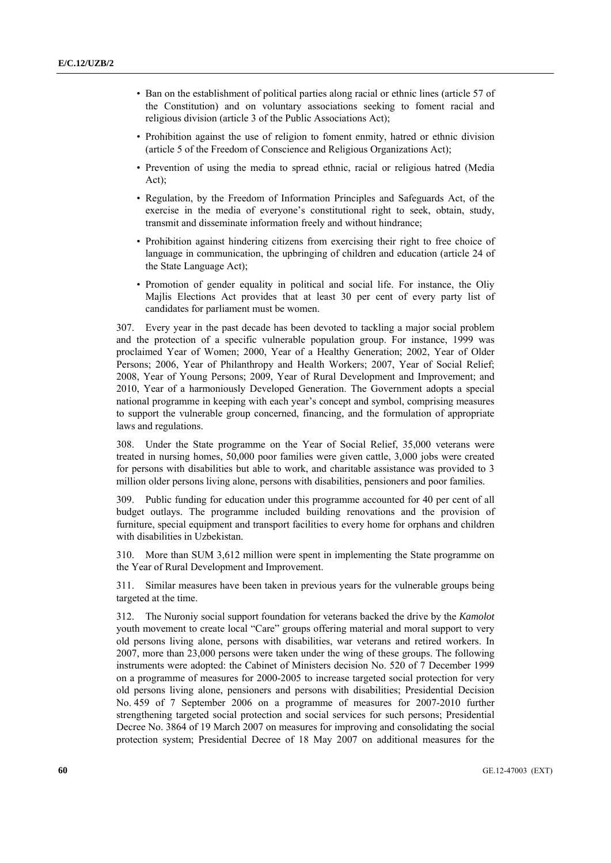- Ban on the establishment of political parties along racial or ethnic lines (article 57 of the Constitution) and on voluntary associations seeking to foment racial and religious division (article 3 of the Public Associations Act);
- Prohibition against the use of religion to foment enmity, hatred or ethnic division (article 5 of the Freedom of Conscience and Religious Organizations Act);
- Prevention of using the media to spread ethnic, racial or religious hatred (Media Act);
- Regulation, by the Freedom of Information Principles and Safeguards Act, of the exercise in the media of everyone's constitutional right to seek, obtain, study, transmit and disseminate information freely and without hindrance;
- Prohibition against hindering citizens from exercising their right to free choice of language in communication, the upbringing of children and education (article 24 of the State Language Act);
- Promotion of gender equality in political and social life. For instance, the Oliy Majlis Elections Act provides that at least 30 per cent of every party list of candidates for parliament must be women.

307. Every year in the past decade has been devoted to tackling a major social problem and the protection of a specific vulnerable population group. For instance, 1999 was proclaimed Year of Women; 2000, Year of a Healthy Generation; 2002, Year of Older Persons; 2006, Year of Philanthropy and Health Workers; 2007, Year of Social Relief; 2008, Year of Young Persons; 2009, Year of Rural Development and Improvement; and 2010, Year of a harmoniously Developed Generation. The Government adopts a special national programme in keeping with each year's concept and symbol, comprising measures to support the vulnerable group concerned, financing, and the formulation of appropriate laws and regulations.

308. Under the State programme on the Year of Social Relief, 35,000 veterans were treated in nursing homes, 50,000 poor families were given cattle, 3,000 jobs were created for persons with disabilities but able to work, and charitable assistance was provided to 3 million older persons living alone, persons with disabilities, pensioners and poor families.

309. Public funding for education under this programme accounted for 40 per cent of all budget outlays. The programme included building renovations and the provision of furniture, special equipment and transport facilities to every home for orphans and children with disabilities in Uzbekistan.

310. More than SUM 3,612 million were spent in implementing the State programme on the Year of Rural Development and Improvement.

311. Similar measures have been taken in previous years for the vulnerable groups being targeted at the time.

312. The Nuroniy social support foundation for veterans backed the drive by the *Kamolot* youth movement to create local "Care" groups offering material and moral support to very old persons living alone, persons with disabilities, war veterans and retired workers. In 2007, more than 23,000 persons were taken under the wing of these groups. The following instruments were adopted: the Cabinet of Ministers decision No. 520 of 7 December 1999 on a programme of measures for 2000-2005 to increase targeted social protection for very old persons living alone, pensioners and persons with disabilities; Presidential Decision No. 459 of 7 September 2006 on a programme of measures for 2007-2010 further strengthening targeted social protection and social services for such persons; Presidential Decree No. 3864 of 19 March 2007 on measures for improving and consolidating the social protection system; Presidential Decree of 18 May 2007 on additional measures for the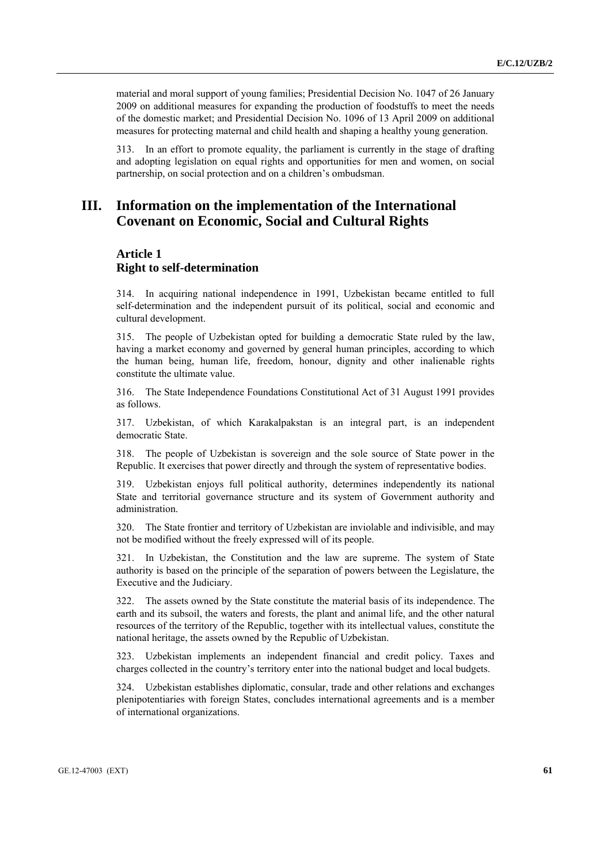material and moral support of young families; Presidential Decision No. 1047 of 26 January 2009 on additional measures for expanding the production of foodstuffs to meet the needs of the domestic market; and Presidential Decision No. 1096 of 13 April 2009 on additional measures for protecting maternal and child health and shaping a healthy young generation.

313. In an effort to promote equality, the parliament is currently in the stage of drafting and adopting legislation on equal rights and opportunities for men and women, on social partnership, on social protection and on a children's ombudsman.

# **III. Information on the implementation of the International Covenant on Economic, Social and Cultural Rights**

# **Article 1 Right to self-determination**

314. In acquiring national independence in 1991, Uzbekistan became entitled to full self-determination and the independent pursuit of its political, social and economic and cultural development.

315. The people of Uzbekistan opted for building a democratic State ruled by the law, having a market economy and governed by general human principles, according to which the human being, human life, freedom, honour, dignity and other inalienable rights constitute the ultimate value.

316. The State Independence Foundations Constitutional Act of 31 August 1991 provides as follows.

317. Uzbekistan, of which Karakalpakstan is an integral part, is an independent democratic State.

318. The people of Uzbekistan is sovereign and the sole source of State power in the Republic. It exercises that power directly and through the system of representative bodies.

319. Uzbekistan enjoys full political authority, determines independently its national State and territorial governance structure and its system of Government authority and administration.

320. The State frontier and territory of Uzbekistan are inviolable and indivisible, and may not be modified without the freely expressed will of its people.

321. In Uzbekistan, the Constitution and the law are supreme. The system of State authority is based on the principle of the separation of powers between the Legislature, the Executive and the Judiciary.

322. The assets owned by the State constitute the material basis of its independence. The earth and its subsoil, the waters and forests, the plant and animal life, and the other natural resources of the territory of the Republic, together with its intellectual values, constitute the national heritage, the assets owned by the Republic of Uzbekistan.

323. Uzbekistan implements an independent financial and credit policy. Taxes and charges collected in the country's territory enter into the national budget and local budgets.

324. Uzbekistan establishes diplomatic, consular, trade and other relations and exchanges plenipotentiaries with foreign States, concludes international agreements and is a member of international organizations.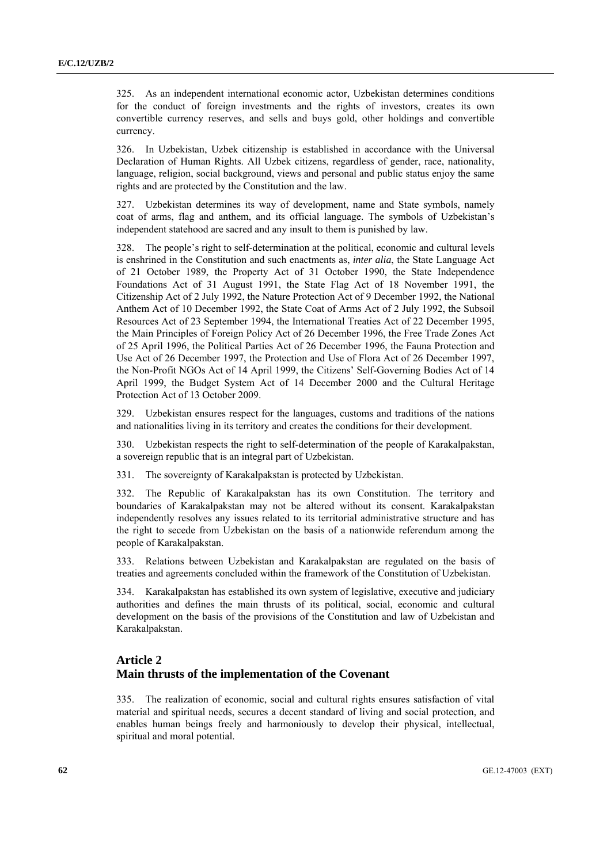325. As an independent international economic actor, Uzbekistan determines conditions for the conduct of foreign investments and the rights of investors, creates its own convertible currency reserves, and sells and buys gold, other holdings and convertible currency.

326. In Uzbekistan, Uzbek citizenship is established in accordance with the Universal Declaration of Human Rights. All Uzbek citizens, regardless of gender, race, nationality, language, religion, social background, views and personal and public status enjoy the same rights and are protected by the Constitution and the law.

327. Uzbekistan determines its way of development, name and State symbols, namely coat of arms, flag and anthem, and its official language. The symbols of Uzbekistan's independent statehood are sacred and any insult to them is punished by law.

328. The people's right to self-determination at the political, economic and cultural levels is enshrined in the Constitution and such enactments as, *inter alia*, the State Language Act of 21 October 1989, the Property Act of 31 October 1990, the State Independence Foundations Act of 31 August 1991, the State Flag Act of 18 November 1991, the Citizenship Act of 2 July 1992, the Nature Protection Act of 9 December 1992, the National Anthem Act of 10 December 1992, the State Coat of Arms Act of 2 July 1992, the Subsoil Resources Act of 23 September 1994, the International Treaties Act of 22 December 1995, the Main Principles of Foreign Policy Act of 26 December 1996, the Free Trade Zones Act of 25 April 1996, the Political Parties Act of 26 December 1996, the Fauna Protection and Use Act of 26 December 1997, the Protection and Use of Flora Act of 26 December 1997, the Non-Profit NGOs Act of 14 April 1999, the Citizens' Self-Governing Bodies Act of 14 April 1999, the Budget System Act of 14 December 2000 and the Cultural Heritage Protection Act of 13 October 2009.

329. Uzbekistan ensures respect for the languages, customs and traditions of the nations and nationalities living in its territory and creates the conditions for their development.

330. Uzbekistan respects the right to self-determination of the people of Karakalpakstan, a sovereign republic that is an integral part of Uzbekistan.

331. The sovereignty of Karakalpakstan is protected by Uzbekistan.

332. The Republic of Karakalpakstan has its own Constitution. The territory and boundaries of Karakalpakstan may not be altered without its consent. Karakalpakstan independently resolves any issues related to its territorial administrative structure and has the right to secede from Uzbekistan on the basis of a nationwide referendum among the people of Karakalpakstan.

333. Relations between Uzbekistan and Karakalpakstan are regulated on the basis of treaties and agreements concluded within the framework of the Constitution of Uzbekistan.

334. Karakalpakstan has established its own system of legislative, executive and judiciary authorities and defines the main thrusts of its political, social, economic and cultural development on the basis of the provisions of the Constitution and law of Uzbekistan and Karakalpakstan.

# **Article 2 Main thrusts of the implementation of the Covenant**

335. The realization of economic, social and cultural rights ensures satisfaction of vital material and spiritual needs, secures a decent standard of living and social protection, and enables human beings freely and harmoniously to develop their physical, intellectual, spiritual and moral potential.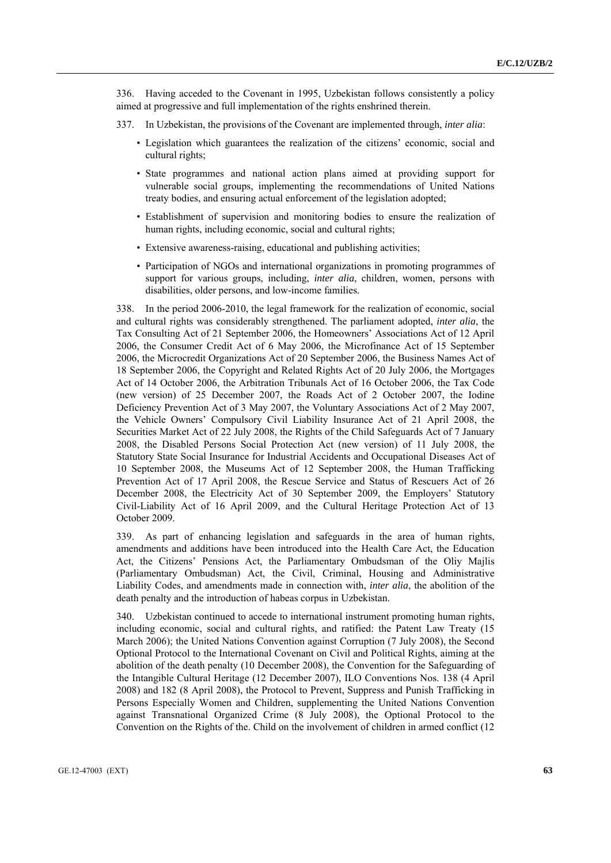336. Having acceded to the Covenant in 1995, Uzbekistan follows consistently a policy aimed at progressive and full implementation of the rights enshrined therein.

- 337. In Uzbekistan, the provisions of the Covenant are implemented through, *inter alia*:
	- Legislation which guarantees the realization of the citizens' economic, social and cultural rights;
	- State programmes and national action plans aimed at providing support for vulnerable social groups, implementing the recommendations of United Nations treaty bodies, and ensuring actual enforcement of the legislation adopted;
	- Establishment of supervision and monitoring bodies to ensure the realization of human rights, including economic, social and cultural rights;
	- Extensive awareness-raising, educational and publishing activities;
	- Participation of NGOs and international organizations in promoting programmes of support for various groups, including, *inter alia*, children, women, persons with disabilities, older persons, and low-income families.

338. In the period 2006-2010, the legal framework for the realization of economic, social and cultural rights was considerably strengthened. The parliament adopted, *inter alia*, the Tax Consulting Act of 21 September 2006, the Homeowners' Associations Act of 12 April 2006, the Consumer Credit Act of 6 May 2006, the Microfinance Act of 15 September 2006, the Microcredit Organizations Act of 20 September 2006, the Business Names Act of 18 September 2006, the Copyright and Related Rights Act of 20 July 2006, the Mortgages Act of 14 October 2006, the Arbitration Tribunals Act of 16 October 2006, the Tax Code (new version) of 25 December 2007, the Roads Act of 2 October 2007, the Iodine Deficiency Prevention Act of 3 May 2007, the Voluntary Associations Act of 2 May 2007, the Vehicle Owners' Compulsory Civil Liability Insurance Act of 21 April 2008, the Securities Market Act of 22 July 2008, the Rights of the Child Safeguards Act of 7 January 2008, the Disabled Persons Social Protection Act (new version) of 11 July 2008, the Statutory State Social Insurance for Industrial Accidents and Occupational Diseases Act of 10 September 2008, the Museums Act of 12 September 2008, the Human Trafficking Prevention Act of 17 April 2008, the Rescue Service and Status of Rescuers Act of 26 December 2008, the Electricity Act of 30 September 2009, the Employers' Statutory Civil-Liability Act of 16 April 2009, and the Cultural Heritage Protection Act of 13 October 2009.

339. As part of enhancing legislation and safeguards in the area of human rights, amendments and additions have been introduced into the Health Care Act, the Education Act, the Citizens' Pensions Act, the Parliamentary Ombudsman of the Oliy Majlis (Parliamentary Ombudsman) Act, the Civil, Criminal, Housing and Administrative Liability Codes, and amendments made in connection with, *inter alia*, the abolition of the death penalty and the introduction of habeas corpus in Uzbekistan.

340. Uzbekistan continued to accede to international instrument promoting human rights, including economic, social and cultural rights, and ratified: the Patent Law Treaty (15 March 2006); the United Nations Convention against Corruption (7 July 2008), the Second Optional Protocol to the International Covenant on Civil and Political Rights, aiming at the abolition of the death penalty (10 December 2008), the Convention for the Safeguarding of the Intangible Cultural Heritage (12 December 2007), ILO Conventions Nos. 138 (4 April 2008) and 182 (8 April 2008), the Protocol to Prevent, Suppress and Punish Trafficking in Persons Especially Women and Children, supplementing the United Nations Convention against Transnational Organized Crime (8 July 2008), the Optional Protocol to the Convention on the Rights of the. Child on the involvement of children in armed conflict (12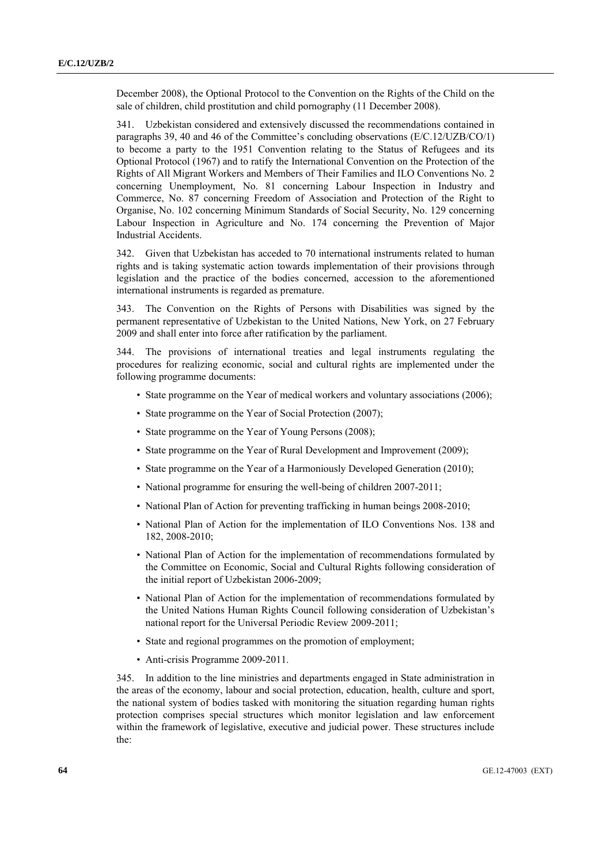December 2008), the Optional Protocol to the Convention on the Rights of the Child on the sale of children, child prostitution and child pornography (11 December 2008).

341. Uzbekistan considered and extensively discussed the recommendations contained in paragraphs 39, 40 and 46 of the Committee's concluding observations (E/C.12/UZB/CO/1) to become a party to the 1951 Convention relating to the Status of Refugees and its Optional Protocol (1967) and to ratify the International Convention on the Protection of the Rights of All Migrant Workers and Members of Their Families and ILO Conventions No. 2 concerning Unemployment, No. 81 concerning Labour Inspection in Industry and Commerce, No. 87 concerning Freedom of Association and Protection of the Right to Organise, No. 102 concerning Minimum Standards of Social Security, No. 129 concerning Labour Inspection in Agriculture and No. 174 concerning the Prevention of Major Industrial Accidents.

342. Given that Uzbekistan has acceded to 70 international instruments related to human rights and is taking systematic action towards implementation of their provisions through legislation and the practice of the bodies concerned, accession to the aforementioned international instruments is regarded as premature.

343. The Convention on the Rights of Persons with Disabilities was signed by the permanent representative of Uzbekistan to the United Nations, New York, on 27 February 2009 and shall enter into force after ratification by the parliament.

344. The provisions of international treaties and legal instruments regulating the procedures for realizing economic, social and cultural rights are implemented under the following programme documents:

- State programme on the Year of medical workers and voluntary associations (2006);
- State programme on the Year of Social Protection (2007);
- State programme on the Year of Young Persons (2008);
- State programme on the Year of Rural Development and Improvement (2009);
- State programme on the Year of a Harmoniously Developed Generation (2010);
- National programme for ensuring the well-being of children 2007-2011;
- National Plan of Action for preventing trafficking in human beings 2008-2010;
- National Plan of Action for the implementation of ILO Conventions Nos. 138 and 182, 2008-2010;
- National Plan of Action for the implementation of recommendations formulated by the Committee on Economic, Social and Cultural Rights following consideration of the initial report of Uzbekistan 2006-2009;
- National Plan of Action for the implementation of recommendations formulated by the United Nations Human Rights Council following consideration of Uzbekistan's national report for the Universal Periodic Review 2009-2011;
- State and regional programmes on the promotion of employment;
- Anti-crisis Programme 2009-2011.

345. In addition to the line ministries and departments engaged in State administration in the areas of the economy, labour and social protection, education, health, culture and sport, the national system of bodies tasked with monitoring the situation regarding human rights protection comprises special structures which monitor legislation and law enforcement within the framework of legislative, executive and judicial power. These structures include the: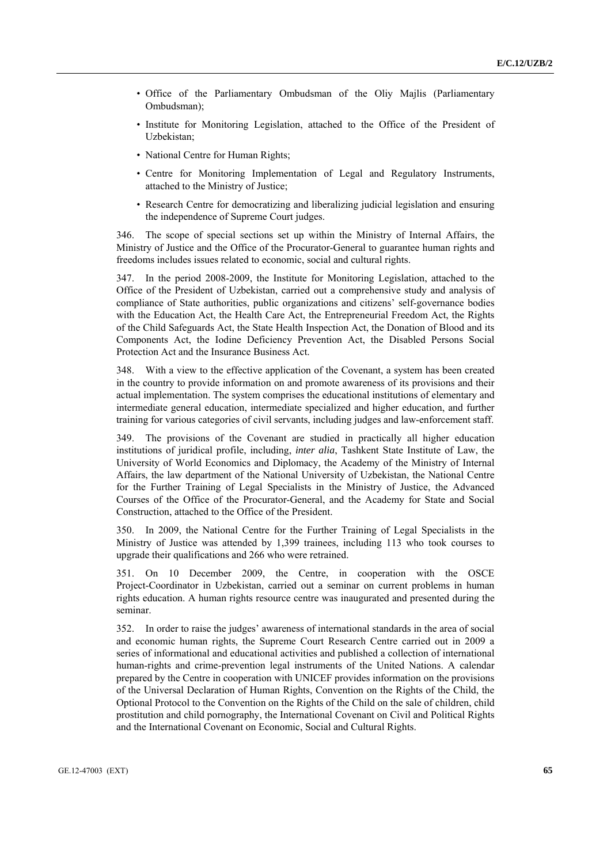- Office of the Parliamentary Ombudsman of the Oliy Majlis (Parliamentary Ombudsman);
- Institute for Monitoring Legislation, attached to the Office of the President of Uzbekistan;
- National Centre for Human Rights:
- Centre for Monitoring Implementation of Legal and Regulatory Instruments, attached to the Ministry of Justice;
- Research Centre for democratizing and liberalizing judicial legislation and ensuring the independence of Supreme Court judges.

346. The scope of special sections set up within the Ministry of Internal Affairs, the Ministry of Justice and the Office of the Procurator-General to guarantee human rights and freedoms includes issues related to economic, social and cultural rights.

347. In the period 2008-2009, the Institute for Monitoring Legislation, attached to the Office of the President of Uzbekistan, carried out a comprehensive study and analysis of compliance of State authorities, public organizations and citizens' self-governance bodies with the Education Act, the Health Care Act, the Entrepreneurial Freedom Act, the Rights of the Child Safeguards Act, the State Health Inspection Act, the Donation of Blood and its Components Act, the Iodine Deficiency Prevention Act, the Disabled Persons Social Protection Act and the Insurance Business Act.

348. With a view to the effective application of the Covenant, a system has been created in the country to provide information on and promote awareness of its provisions and their actual implementation. The system comprises the educational institutions of elementary and intermediate general education, intermediate specialized and higher education, and further training for various categories of civil servants, including judges and law-enforcement staff.

349. The provisions of the Covenant are studied in practically all higher education institutions of juridical profile, including, *inter alia*, Tashkent State Institute of Law, the University of World Economics and Diplomacy, the Academy of the Ministry of Internal Affairs, the law department of the National University of Uzbekistan, the National Centre for the Further Training of Legal Specialists in the Ministry of Justice, the Advanced Courses of the Office of the Procurator-General, and the Academy for State and Social Construction, attached to the Office of the President.

350. In 2009, the National Centre for the Further Training of Legal Specialists in the Ministry of Justice was attended by 1,399 trainees, including 113 who took courses to upgrade their qualifications and 266 who were retrained.

351. On 10 December 2009, the Centre, in cooperation with the OSCE Project-Coordinator in Uzbekistan, carried out a seminar on current problems in human rights education. A human rights resource centre was inaugurated and presented during the seminar.

352. In order to raise the judges' awareness of international standards in the area of social and economic human rights, the Supreme Court Research Centre carried out in 2009 a series of informational and educational activities and published a collection of international human-rights and crime-prevention legal instruments of the United Nations. A calendar prepared by the Centre in cooperation with UNICEF provides information on the provisions of the Universal Declaration of Human Rights, Convention on the Rights of the Child, the Optional Protocol to the Convention on the Rights of the Child on the sale of children, child prostitution and child pornography, the International Covenant on Civil and Political Rights and the International Covenant on Economic, Social and Cultural Rights.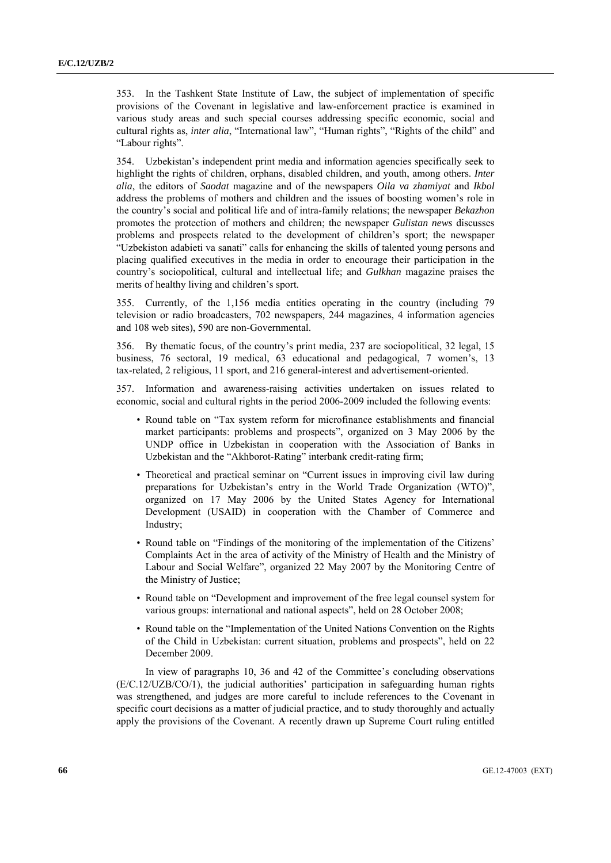353. In the Tashkent State Institute of Law, the subject of implementation of specific provisions of the Covenant in legislative and law-enforcement practice is examined in various study areas and such special courses addressing specific economic, social and cultural rights as, *inter alia*, "International law", "Human rights", "Rights of the child" and "Labour rights".

354. Uzbekistan's independent print media and information agencies specifically seek to highlight the rights of children, orphans, disabled children, and youth, among others. *Inter alia*, the editors of *Saodat* magazine and of the newspapers *Oila va zhamiyat* and *Ikbol* address the problems of mothers and children and the issues of boosting women's role in the country's social and political life and of intra-family relations; the newspaper *Bekazhon* promotes the protection of mothers and children; the newspaper *Gulistan news* discusses problems and prospects related to the development of children's sport; the newspaper "Uzbekiston adabieti va sanati" calls for enhancing the skills of talented young persons and placing qualified executives in the media in order to encourage their participation in the country's sociopolitical, cultural and intellectual life; and *Gulkhan* magazine praises the merits of healthy living and children's sport.

355. Currently, of the 1,156 media entities operating in the country (including 79 television or radio broadcasters, 702 newspapers, 244 magazines, 4 information agencies and 108 web sites), 590 are non-Governmental.

356. By thematic focus, of the country's print media, 237 are sociopolitical, 32 legal, 15 business, 76 sectoral, 19 medical, 63 educational and pedagogical, 7 women's, 13 tax-related, 2 religious, 11 sport, and 216 general-interest and advertisement-oriented.

357. Information and awareness-raising activities undertaken on issues related to economic, social and cultural rights in the period 2006-2009 included the following events:

- Round table on "Tax system reform for microfinance establishments and financial market participants: problems and prospects", organized on 3 May 2006 by the UNDP office in Uzbekistan in cooperation with the Association of Banks in Uzbekistan and the "Akhborot-Rating" interbank credit-rating firm;
- Theoretical and practical seminar on "Current issues in improving civil law during preparations for Uzbekistan's entry in the World Trade Organization (WTO)", organized on 17 May 2006 by the United States Agency for International Development (USAID) in cooperation with the Chamber of Commerce and Industry;
- Round table on "Findings of the monitoring of the implementation of the Citizens' Complaints Act in the area of activity of the Ministry of Health and the Ministry of Labour and Social Welfare", organized 22 May 2007 by the Monitoring Centre of the Ministry of Justice;
- Round table on "Development and improvement of the free legal counsel system for various groups: international and national aspects", held on 28 October 2008;
- Round table on the "Implementation of the United Nations Convention on the Rights of the Child in Uzbekistan: current situation, problems and prospects", held on 22 December 2009.

 In view of paragraphs 10, 36 and 42 of the Committee's concluding observations (E/C.12/UZB/CO/1), the judicial authorities' participation in safeguarding human rights was strengthened, and judges are more careful to include references to the Covenant in specific court decisions as a matter of judicial practice, and to study thoroughly and actually apply the provisions of the Covenant. A recently drawn up Supreme Court ruling entitled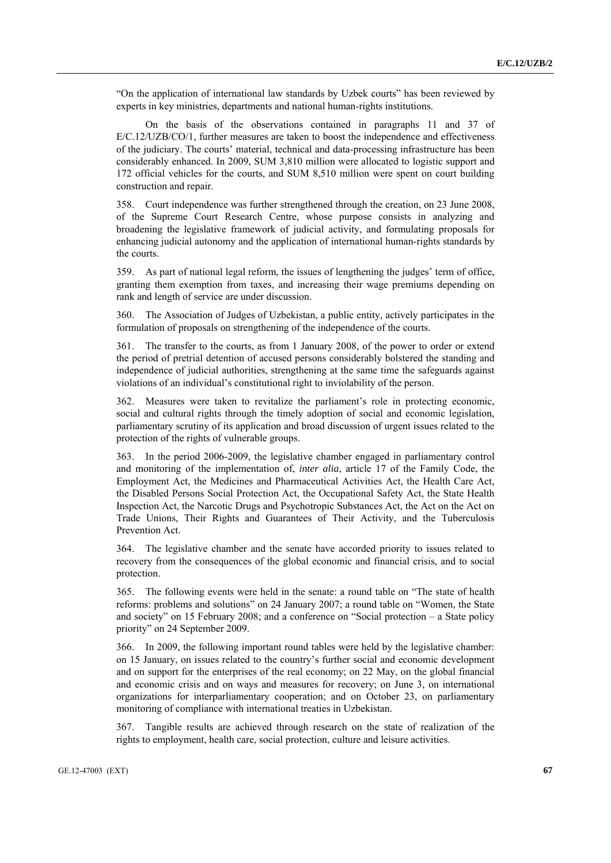"On the application of international law standards by Uzbek courts" has been reviewed by experts in key ministries, departments and national human-rights institutions.

 On the basis of the observations contained in paragraphs 11 and 37 of E/C.12/UZB/CO/1, further measures are taken to boost the independence and effectiveness of the judiciary. The courts' material, technical and data-processing infrastructure has been considerably enhanced. In 2009, SUM 3,810 million were allocated to logistic support and 172 official vehicles for the courts, and SUM 8,510 million were spent on court building construction and repair.

358. Court independence was further strengthened through the creation, on 23 June 2008, of the Supreme Court Research Centre, whose purpose consists in analyzing and broadening the legislative framework of judicial activity, and formulating proposals for enhancing judicial autonomy and the application of international human-rights standards by the courts.

359. As part of national legal reform, the issues of lengthening the judges' term of office, granting them exemption from taxes, and increasing their wage premiums depending on rank and length of service are under discussion.

360. The Association of Judges of Uzbekistan, a public entity, actively participates in the formulation of proposals on strengthening of the independence of the courts.

361. The transfer to the courts, as from 1 January 2008, of the power to order or extend the period of pretrial detention of accused persons considerably bolstered the standing and independence of judicial authorities, strengthening at the same time the safeguards against violations of an individual's constitutional right to inviolability of the person.

362. Measures were taken to revitalize the parliament's role in protecting economic, social and cultural rights through the timely adoption of social and economic legislation, parliamentary scrutiny of its application and broad discussion of urgent issues related to the protection of the rights of vulnerable groups.

363. In the period 2006-2009, the legislative chamber engaged in parliamentary control and monitoring of the implementation of, *inter alia*, article 17 of the Family Code, the Employment Act, the Medicines and Pharmaceutical Activities Act, the Health Care Act, the Disabled Persons Social Protection Act, the Occupational Safety Act, the State Health Inspection Act, the Narcotic Drugs and Psychotropic Substances Act, the Act on the Act on Trade Unions, Their Rights and Guarantees of Their Activity, and the Tuberculosis Prevention Act.

364. The legislative chamber and the senate have accorded priority to issues related to recovery from the consequences of the global economic and financial crisis, and to social protection.

365. The following events were held in the senate: a round table on "The state of health reforms: problems and solutions" on 24 January 2007; a round table on "Women, the State and society" on 15 February 2008; and a conference on "Social protection – a State policy priority" on 24 September 2009.

366. In 2009, the following important round tables were held by the legislative chamber: on 15 January, on issues related to the country's further social and economic development and on support for the enterprises of the real economy; on 22 May, on the global financial and economic crisis and on ways and measures for recovery; on June 3, on international organizations for interparliamentary cooperation; and on October 23, on parliamentary monitoring of compliance with international treaties in Uzbekistan.

367. Tangible results are achieved through research on the state of realization of the rights to employment, health care, social protection, culture and leisure activities.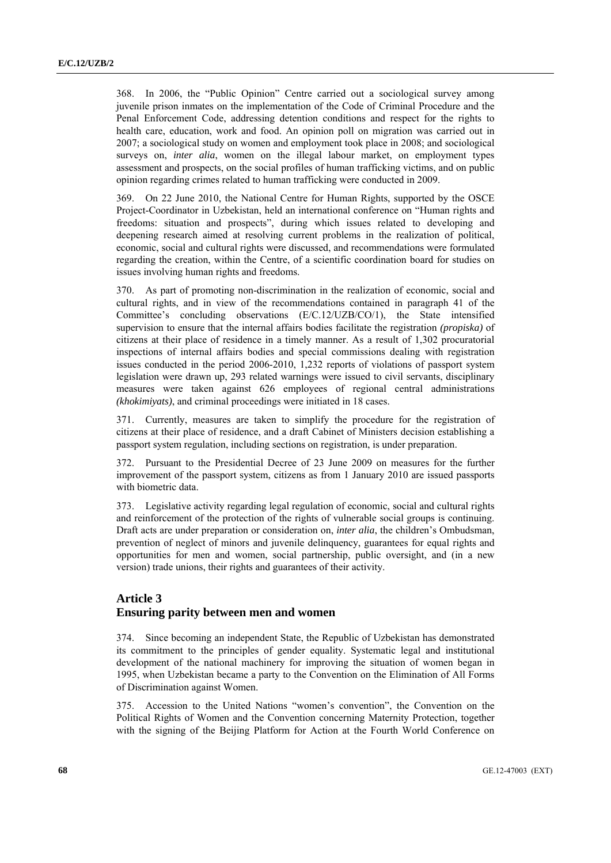368. In 2006, the "Public Opinion" Centre carried out a sociological survey among juvenile prison inmates on the implementation of the Code of Criminal Procedure and the Penal Enforcement Code, addressing detention conditions and respect for the rights to health care, education, work and food. An opinion poll on migration was carried out in 2007; a sociological study on women and employment took place in 2008; and sociological surveys on, *inter alia*, women on the illegal labour market, on employment types assessment and prospects, on the social profiles of human trafficking victims, and on public opinion regarding crimes related to human trafficking were conducted in 2009.

369. On 22 June 2010, the National Centre for Human Rights, supported by the OSCE Project-Coordinator in Uzbekistan, held an international conference on "Human rights and freedoms: situation and prospects", during which issues related to developing and deepening research aimed at resolving current problems in the realization of political, economic, social and cultural rights were discussed, and recommendations were formulated regarding the creation, within the Centre, of a scientific coordination board for studies on issues involving human rights and freedoms.

370. As part of promoting non-discrimination in the realization of economic, social and cultural rights, and in view of the recommendations contained in paragraph 41 of the Committee's concluding observations (E/C.12/UZB/CO/1), the State intensified supervision to ensure that the internal affairs bodies facilitate the registration *(propiska)* of citizens at their place of residence in a timely manner. As a result of 1,302 procuratorial inspections of internal affairs bodies and special commissions dealing with registration issues conducted in the period 2006-2010, 1,232 reports of violations of passport system legislation were drawn up, 293 related warnings were issued to civil servants, disciplinary measures were taken against 626 employees of regional central administrations *(khokimiyats)*, and criminal proceedings were initiated in 18 cases.

371. Currently, measures are taken to simplify the procedure for the registration of citizens at their place of residence, and a draft Cabinet of Ministers decision establishing a passport system regulation, including sections on registration, is under preparation.

372. Pursuant to the Presidential Decree of 23 June 2009 on measures for the further improvement of the passport system, citizens as from 1 January 2010 are issued passports with biometric data.

373. Legislative activity regarding legal regulation of economic, social and cultural rights and reinforcement of the protection of the rights of vulnerable social groups is continuing. Draft acts are under preparation or consideration on, *inter alia*, the children's Ombudsman, prevention of neglect of minors and juvenile delinquency, guarantees for equal rights and opportunities for men and women, social partnership, public oversight, and (in a new version) trade unions, their rights and guarantees of their activity.

# **Article 3 Ensuring parity between men and women**

374. Since becoming an independent State, the Republic of Uzbekistan has demonstrated its commitment to the principles of gender equality. Systematic legal and institutional development of the national machinery for improving the situation of women began in 1995, when Uzbekistan became a party to the Convention on the Elimination of All Forms of Discrimination against Women.

375. Accession to the United Nations "women's convention", the Convention on the Political Rights of Women and the Convention concerning Maternity Protection, together with the signing of the Beijing Platform for Action at the Fourth World Conference on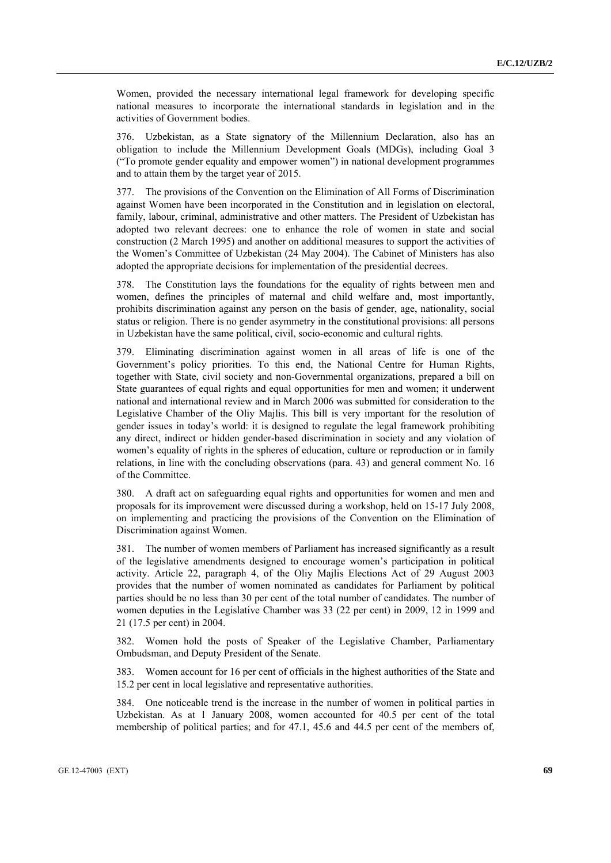Women, provided the necessary international legal framework for developing specific national measures to incorporate the international standards in legislation and in the activities of Government bodies.

376. Uzbekistan, as a State signatory of the Millennium Declaration, also has an obligation to include the Millennium Development Goals (MDGs), including Goal 3 ("To promote gender equality and empower women") in national development programmes and to attain them by the target year of 2015.

377. The provisions of the Convention on the Elimination of All Forms of Discrimination against Women have been incorporated in the Constitution and in legislation on electoral, family, labour, criminal, administrative and other matters. The President of Uzbekistan has adopted two relevant decrees: one to enhance the role of women in state and social construction (2 March 1995) and another on additional measures to support the activities of the Women's Committee of Uzbekistan (24 May 2004). The Cabinet of Ministers has also adopted the appropriate decisions for implementation of the presidential decrees.

378. The Constitution lays the foundations for the equality of rights between men and women, defines the principles of maternal and child welfare and, most importantly, prohibits discrimination against any person on the basis of gender, age, nationality, social status or religion. There is no gender asymmetry in the constitutional provisions: all persons in Uzbekistan have the same political, civil, socio-economic and cultural rights.

379. Eliminating discrimination against women in all areas of life is one of the Government's policy priorities. To this end, the National Centre for Human Rights, together with State, civil society and non-Governmental organizations, prepared a bill on State guarantees of equal rights and equal opportunities for men and women; it underwent national and international review and in March 2006 was submitted for consideration to the Legislative Chamber of the Oliy Majlis. This bill is very important for the resolution of gender issues in today's world: it is designed to regulate the legal framework prohibiting any direct, indirect or hidden gender-based discrimination in society and any violation of women's equality of rights in the spheres of education, culture or reproduction or in family relations, in line with the concluding observations (para. 43) and general comment No. 16 of the Committee.

380. A draft act on safeguarding equal rights and opportunities for women and men and proposals for its improvement were discussed during a workshop, held on 15-17 July 2008, on implementing and practicing the provisions of the Convention on the Elimination of Discrimination against Women.

381. The number of women members of Parliament has increased significantly as a result of the legislative amendments designed to encourage women's participation in political activity. Article 22, paragraph 4, of the Oliy Majlis Elections Act of 29 August 2003 provides that the number of women nominated as candidates for Parliament by political parties should be no less than 30 per cent of the total number of candidates. The number of women deputies in the Legislative Chamber was 33 (22 per cent) in 2009, 12 in 1999 and 21 (17.5 per cent) in 2004.

382. Women hold the posts of Speaker of the Legislative Chamber, Parliamentary Ombudsman, and Deputy President of the Senate.

383. Women account for 16 per cent of officials in the highest authorities of the State and 15.2 per cent in local legislative and representative authorities.

384. One noticeable trend is the increase in the number of women in political parties in Uzbekistan. As at 1 January 2008, women accounted for 40.5 per cent of the total membership of political parties; and for 47.1, 45.6 and 44.5 per cent of the members of,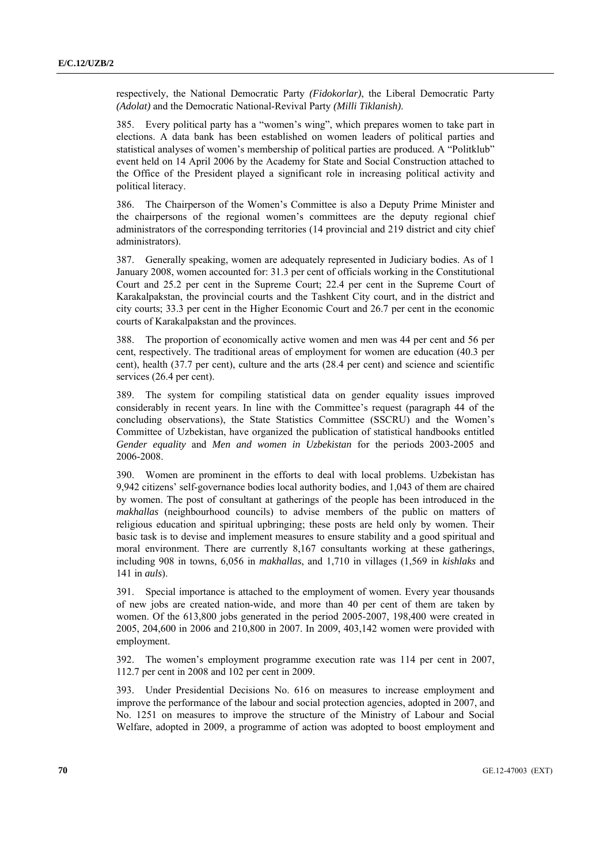respectively, the National Democratic Party *(Fidokorlar)*, the Liberal Democratic Party *(Adolat)* and the Democratic National-Revival Party *(Milli Tiklanish)*.

385. Every political party has a "women's wing", which prepares women to take part in elections. A data bank has been established on women leaders of political parties and statistical analyses of women's membership of political parties are produced. A "Politklub" event held on 14 April 2006 by the Academy for State and Social Construction attached to the Office of the President played a significant role in increasing political activity and political literacy.

386. The Chairperson of the Women's Committee is also a Deputy Prime Minister and the chairpersons of the regional women's committees are the deputy regional chief administrators of the corresponding territories (14 provincial and 219 district and city chief administrators).

387. Generally speaking, women are adequately represented in Judiciary bodies. As of 1 January 2008, women accounted for: 31.3 per cent of officials working in the Constitutional Court and 25.2 per cent in the Supreme Court; 22.4 per cent in the Supreme Court of Karakalpakstan, the provincial courts and the Tashkent City court, and in the district and city courts; 33.3 per cent in the Higher Economic Court and 26.7 per cent in the economic courts of Karakalpakstan and the provinces.

388. The proportion of economically active women and men was 44 per cent and 56 per cent, respectively. The traditional areas of employment for women are education (40.3 per cent), health (37.7 per cent), culture and the arts (28.4 per cent) and science and scientific services (26.4 per cent).

389. The system for compiling statistical data on gender equality issues improved considerably in recent years. In line with the Committee's request (paragraph 44 of the concluding observations), the State Statistics Committee (SSCRU) and the Women's Committee of Uzbekistan, have organized the publication of statistical handbooks entitled *Gender equality* and *Men and women in Uzbekistan* for the periods 2003-2005 and 2006-2008.

390. Women are prominent in the efforts to deal with local problems. Uzbekistan has 9,942 citizens' self-governance bodies local authority bodies, and 1,043 of them are chaired by women. The post of consultant at gatherings of the people has been introduced in the *makhallas* (neighbourhood councils) to advise members of the public on matters of religious education and spiritual upbringing; these posts are held only by women. Their basic task is to devise and implement measures to ensure stability and a good spiritual and moral environment. There are currently 8,167 consultants working at these gatherings, including 908 in towns, 6,056 in *makhallas*, and 1,710 in villages (1,569 in *kishlaks* and 141 in *auls*).

391. Special importance is attached to the employment of women. Every year thousands of new jobs are created nation-wide, and more than 40 per cent of them are taken by women. Of the 613,800 jobs generated in the period 2005-2007, 198,400 were created in 2005, 204,600 in 2006 and 210,800 in 2007. In 2009, 403,142 women were provided with employment.

392. The women's employment programme execution rate was 114 per cent in 2007, 112.7 per cent in 2008 and 102 per cent in 2009.

393. Under Presidential Decisions No. 616 on measures to increase employment and improve the performance of the labour and social protection agencies, adopted in 2007, and No. 1251 on measures to improve the structure of the Ministry of Labour and Social Welfare, adopted in 2009, a programme of action was adopted to boost employment and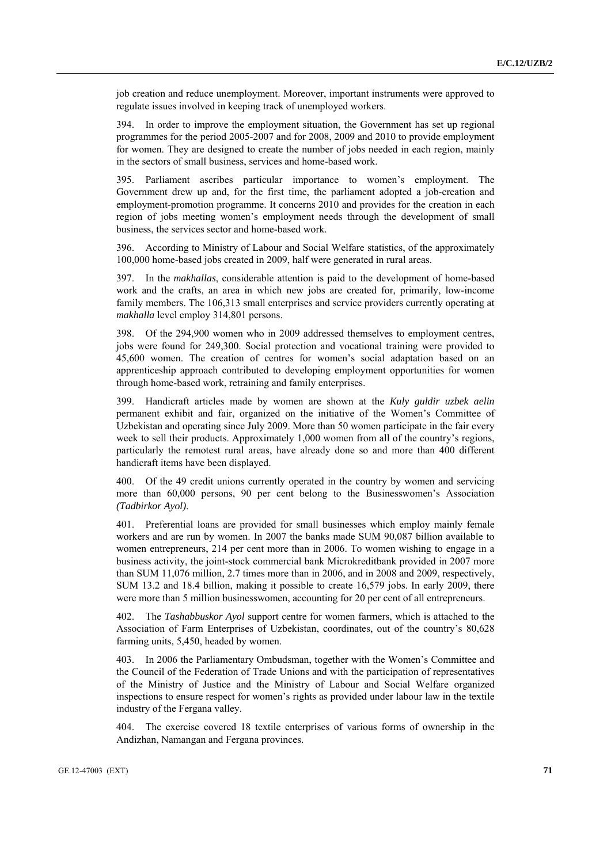job creation and reduce unemployment. Moreover, important instruments were approved to regulate issues involved in keeping track of unemployed workers.

394. In order to improve the employment situation, the Government has set up regional programmes for the period 2005-2007 and for 2008, 2009 and 2010 to provide employment for women. They are designed to create the number of jobs needed in each region, mainly in the sectors of small business, services and home-based work.

395. Parliament ascribes particular importance to women's employment. The Government drew up and, for the first time, the parliament adopted a job-creation and employment-promotion programme. It concerns 2010 and provides for the creation in each region of jobs meeting women's employment needs through the development of small business, the services sector and home-based work.

396. According to Ministry of Labour and Social Welfare statistics, of the approximately 100,000 home-based jobs created in 2009, half were generated in rural areas.

397. In the *makhallas*, considerable attention is paid to the development of home-based work and the crafts, an area in which new jobs are created for, primarily, low-income family members. The 106,313 small enterprises and service providers currently operating at *makhalla* level employ 314,801 persons.

398. Of the 294,900 women who in 2009 addressed themselves to employment centres, jobs were found for 249,300. Social protection and vocational training were provided to 45,600 women. The creation of centres for women's social adaptation based on an apprenticeship approach contributed to developing employment opportunities for women through home-based work, retraining and family enterprises.

399. Handicraft articles made by women are shown at the *Kuly guldir uzbek aelin* permanent exhibit and fair, organized on the initiative of the Women's Committee of Uzbekistan and operating since July 2009. More than 50 women participate in the fair every week to sell their products. Approximately 1,000 women from all of the country's regions, particularly the remotest rural areas, have already done so and more than 400 different handicraft items have been displayed.

400. Of the 49 credit unions currently operated in the country by women and servicing more than 60,000 persons, 90 per cent belong to the Businesswomen's Association *(Tadbirkor Ayol)*.

401. Preferential loans are provided for small businesses which employ mainly female workers and are run by women. In 2007 the banks made SUM 90,087 billion available to women entrepreneurs, 214 per cent more than in 2006. To women wishing to engage in a business activity, the joint-stock commercial bank Microkreditbank provided in 2007 more than SUM 11,076 million, 2.7 times more than in 2006, and in 2008 and 2009, respectively, SUM 13.2 and 18.4 billion, making it possible to create 16,579 jobs. In early 2009, there were more than 5 million businesswomen, accounting for 20 per cent of all entrepreneurs.

402. The *Tashabbuskor Ayol* support centre for women farmers, which is attached to the Association of Farm Enterprises of Uzbekistan, coordinates, out of the country's 80,628 farming units, 5,450, headed by women.

403. In 2006 the Parliamentary Ombudsman, together with the Women's Committee and the Council of the Federation of Trade Unions and with the participation of representatives of the Ministry of Justice and the Ministry of Labour and Social Welfare organized inspections to ensure respect for women's rights as provided under labour law in the textile industry of the Fergana valley.

404. The exercise covered 18 textile enterprises of various forms of ownership in the Andizhan, Namangan and Fergana provinces.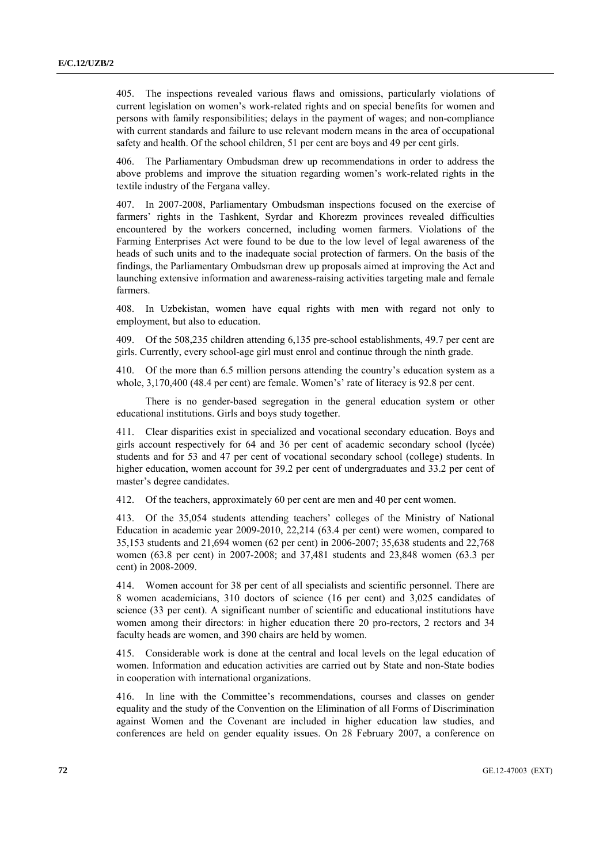405. The inspections revealed various flaws and omissions, particularly violations of current legislation on women's work-related rights and on special benefits for women and persons with family responsibilities; delays in the payment of wages; and non-compliance with current standards and failure to use relevant modern means in the area of occupational safety and health. Of the school children, 51 per cent are boys and 49 per cent girls.

406. The Parliamentary Ombudsman drew up recommendations in order to address the above problems and improve the situation regarding women's work-related rights in the textile industry of the Fergana valley.

407. In 2007-2008, Parliamentary Ombudsman inspections focused on the exercise of farmers' rights in the Tashkent, Syrdar and Khorezm provinces revealed difficulties encountered by the workers concerned, including women farmers. Violations of the Farming Enterprises Act were found to be due to the low level of legal awareness of the heads of such units and to the inadequate social protection of farmers. On the basis of the findings, the Parliamentary Ombudsman drew up proposals aimed at improving the Act and launching extensive information and awareness-raising activities targeting male and female farmers.

408. In Uzbekistan, women have equal rights with men with regard not only to employment, but also to education.

409. Of the 508,235 children attending 6,135 pre-school establishments, 49.7 per cent are girls. Currently, every school-age girl must enrol and continue through the ninth grade.

410. Of the more than 6.5 million persons attending the country's education system as a whole, 3,170,400 (48.4 per cent) are female. Women's' rate of literacy is 92.8 per cent.

 There is no gender-based segregation in the general education system or other educational institutions. Girls and boys study together.

411. Clear disparities exist in specialized and vocational secondary education. Boys and girls account respectively for 64 and 36 per cent of academic secondary school (lycée) students and for 53 and 47 per cent of vocational secondary school (college) students. In higher education, women account for 39.2 per cent of undergraduates and 33.2 per cent of master's degree candidates.

412. Of the teachers, approximately 60 per cent are men and 40 per cent women.

413. Of the 35,054 students attending teachers' colleges of the Ministry of National Education in academic year 2009-2010, 22,214 (63.4 per cent) were women, compared to 35,153 students and 21,694 women (62 per cent) in 2006-2007; 35,638 students and 22,768 women (63.8 per cent) in 2007-2008; and 37,481 students and 23,848 women (63.3 per cent) in 2008-2009.

414. Women account for 38 per cent of all specialists and scientific personnel. There are 8 women academicians, 310 doctors of science (16 per cent) and 3,025 candidates of science (33 per cent). A significant number of scientific and educational institutions have women among their directors: in higher education there 20 pro-rectors, 2 rectors and 34 faculty heads are women, and 390 chairs are held by women.

415. Considerable work is done at the central and local levels on the legal education of women. Information and education activities are carried out by State and non-State bodies in cooperation with international organizations.

416. In line with the Committee's recommendations, courses and classes on gender equality and the study of the Convention on the Elimination of all Forms of Discrimination against Women and the Covenant are included in higher education law studies, and conferences are held on gender equality issues. On 28 February 2007, a conference on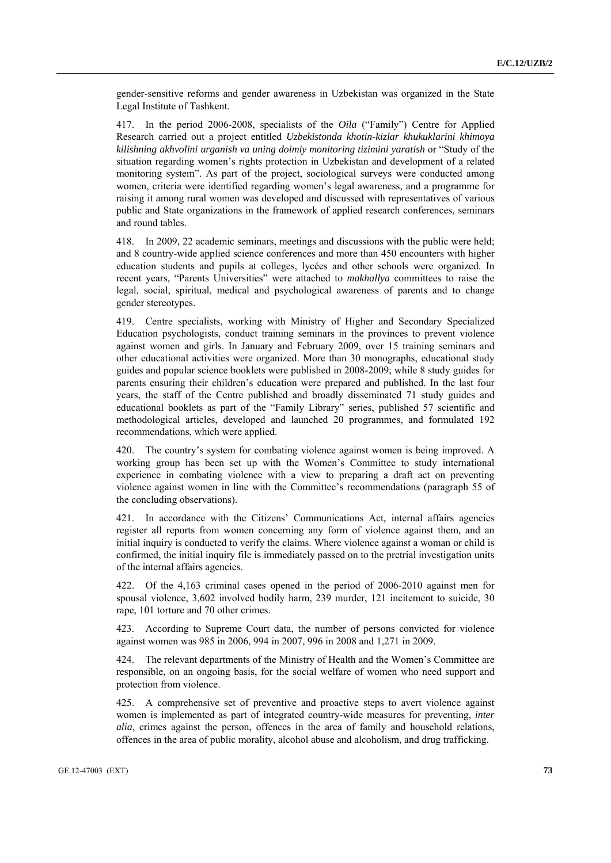gender-sensitive reforms and gender awareness in Uzbekistan was organized in the State Legal Institute of Tashkent.

417. In the period 2006-2008, specialists of the *Oila* ("Family") Centre for Applied Research carried out a project entitled *Uzbekistonda khotin-kizlar khukuklarini khimoya kilishning akhvolini urganish va uning doimiy monitoring tizimini yaratish* or "Study of the situation regarding women's rights protection in Uzbekistan and development of a related monitoring system". As part of the project, sociological surveys were conducted among women, criteria were identified regarding women's legal awareness, and a programme for raising it among rural women was developed and discussed with representatives of various public and State organizations in the framework of applied research conferences, seminars and round tables.

418. In 2009, 22 academic seminars, meetings and discussions with the public were held; and 8 country-wide applied science conferences and more than 450 encounters with higher education students and pupils at colleges, lycées and other schools were organized. In recent years, "Parents Universities" were attached to *makhallya* committees to raise the legal, social, spiritual, medical and psychological awareness of parents and to change gender stereotypes.

419. Centre specialists, working with Ministry of Higher and Secondary Specialized Education psychologists, conduct training seminars in the provinces to prevent violence against women and girls. In January and February 2009, over 15 training seminars and other educational activities were organized. More than 30 monographs, educational study guides and popular science booklets were published in 2008-2009; while 8 study guides for parents ensuring their children's education were prepared and published. In the last four years, the staff of the Centre published and broadly disseminated 71 study guides and educational booklets as part of the "Family Library" series, published 57 scientific and methodological articles, developed and launched 20 programmes, and formulated 192 recommendations, which were applied.

420. The country's system for combating violence against women is being improved. A working group has been set up with the Women's Committee to study international experience in combating violence with a view to preparing a draft act on preventing violence against women in line with the Committee's recommendations (paragraph 55 of the concluding observations).

421. In accordance with the Citizens' Communications Act, internal affairs agencies register all reports from women concerning any form of violence against them, and an initial inquiry is conducted to verify the claims. Where violence against a woman or child is confirmed, the initial inquiry file is immediately passed on to the pretrial investigation units of the internal affairs agencies.

422. Of the 4,163 criminal cases opened in the period of 2006-2010 against men for spousal violence, 3,602 involved bodily harm, 239 murder, 121 incitement to suicide, 30 rape, 101 torture and 70 other crimes.

423. According to Supreme Court data, the number of persons convicted for violence against women was 985 in 2006, 994 in 2007, 996 in 2008 and 1,271 in 2009.

424. The relevant departments of the Ministry of Health and the Women's Committee are responsible, on an ongoing basis, for the social welfare of women who need support and protection from violence.

425. A comprehensive set of preventive and proactive steps to avert violence against women is implemented as part of integrated country-wide measures for preventing, *inter alia*, crimes against the person, offences in the area of family and household relations, offences in the area of public morality, alcohol abuse and alcoholism, and drug trafficking.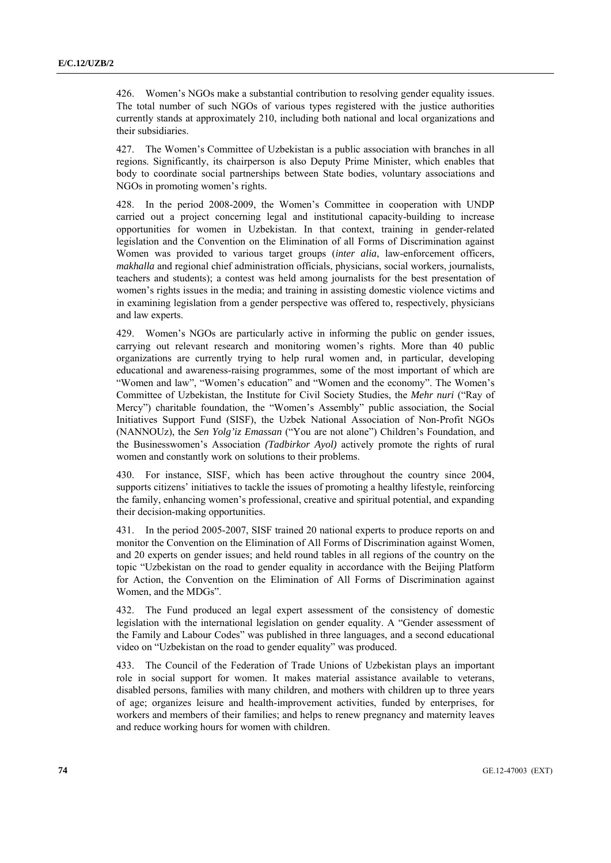426. Women's NGOs make a substantial contribution to resolving gender equality issues. The total number of such NGOs of various types registered with the justice authorities currently stands at approximately 210, including both national and local organizations and their subsidiaries.

427. The Women's Committee of Uzbekistan is a public association with branches in all regions. Significantly, its chairperson is also Deputy Prime Minister, which enables that body to coordinate social partnerships between State bodies, voluntary associations and NGOs in promoting women's rights.

428. In the period 2008-2009, the Women's Committee in cooperation with UNDP carried out a project concerning legal and institutional capacity-building to increase opportunities for women in Uzbekistan. In that context, training in gender-related legislation and the Convention on the Elimination of all Forms of Discrimination against Women was provided to various target groups (*inter alia*, law-enforcement officers, *makhalla* and regional chief administration officials, physicians, social workers, journalists, teachers and students); a contest was held among journalists for the best presentation of women's rights issues in the media; and training in assisting domestic violence victims and in examining legislation from a gender perspective was offered to, respectively, physicians and law experts.

429. Women's NGOs are particularly active in informing the public on gender issues, carrying out relevant research and monitoring women's rights. More than 40 public organizations are currently trying to help rural women and, in particular, developing educational and awareness-raising programmes, some of the most important of which are "Women and law", "Women's education" and "Women and the economy". The Women's Committee of Uzbekistan, the Institute for Civil Society Studies, the *Mehr nuri* ("Ray of Mercy") charitable foundation, the "Women's Assembly" public association, the Social Initiatives Support Fund (SISF), the Uzbek National Association of Non-Profit NGOs (NANNOUz), the *Sen Yolg'iz Emassan* ("You are not alone") Children's Foundation, and the Businesswomen's Association *(Tadbirkor Ayol)* actively promote the rights of rural women and constantly work on solutions to their problems.

430. For instance, SISF, which has been active throughout the country since 2004, supports citizens' initiatives to tackle the issues of promoting a healthy lifestyle, reinforcing the family, enhancing women's professional, creative and spiritual potential, and expanding their decision-making opportunities.

431. In the period 2005-2007, SISF trained 20 national experts to produce reports on and monitor the Convention on the Elimination of All Forms of Discrimination against Women, and 20 experts on gender issues; and held round tables in all regions of the country on the topic "Uzbekistan on the road to gender equality in accordance with the Beijing Platform for Action, the Convention on the Elimination of All Forms of Discrimination against Women, and the MDGs".

432. The Fund produced an legal expert assessment of the consistency of domestic legislation with the international legislation on gender equality. A "Gender assessment of the Family and Labour Codes" was published in three languages, and a second educational video on "Uzbekistan on the road to gender equality" was produced.

433. The Council of the Federation of Trade Unions of Uzbekistan plays an important role in social support for women. It makes material assistance available to veterans, disabled persons, families with many children, and mothers with children up to three years of age; organizes leisure and health-improvement activities, funded by enterprises, for workers and members of their families; and helps to renew pregnancy and maternity leaves and reduce working hours for women with children.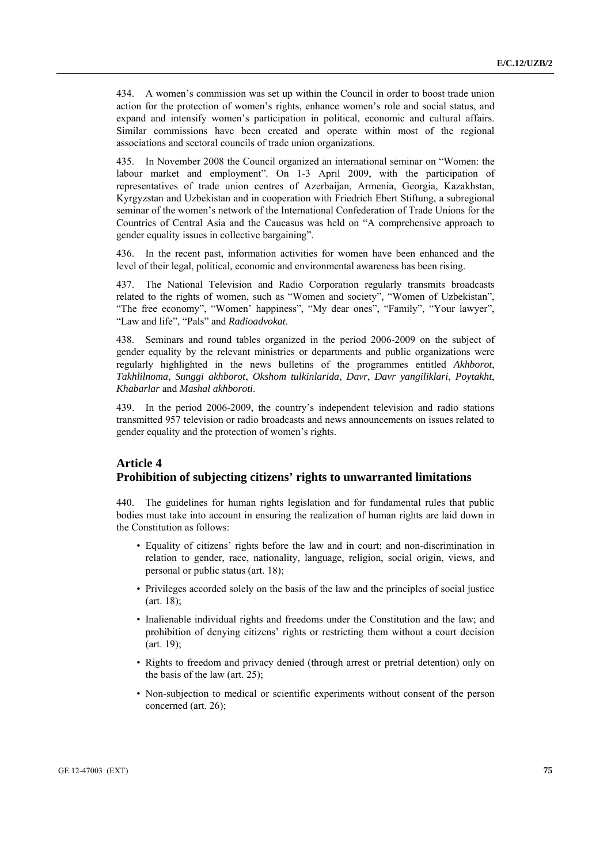434. A women's commission was set up within the Council in order to boost trade union action for the protection of women's rights, enhance women's role and social status, and expand and intensify women's participation in political, economic and cultural affairs. Similar commissions have been created and operate within most of the regional associations and sectoral councils of trade union organizations.

435. In November 2008 the Council organized an international seminar on "Women: the labour market and employment". On 1-3 April 2009, with the participation of representatives of trade union centres of Azerbaijan, Armenia, Georgia, Kazakhstan, Kyrgyzstan and Uzbekistan and in cooperation with Friedrich Ebert Stiftung, a subregional seminar of the women's network of the International Confederation of Trade Unions for the Countries of Central Asia and the Caucasus was held on "A comprehensive approach to gender equality issues in collective bargaining".

436. In the recent past, information activities for women have been enhanced and the level of their legal, political, economic and environmental awareness has been rising.

437. The National Television and Radio Corporation regularly transmits broadcasts related to the rights of women, such as "Women and society", "Women of Uzbekistan", "The free economy", "Women' happiness", "My dear ones", "Family", "Your lawyer", "Law and life", "Pals" and *Radioadvokat*.

438. Seminars and round tables organized in the period 2006-2009 on the subject of gender equality by the relevant ministries or departments and public organizations were regularly highlighted in the news bulletins of the programmes entitled *Akhborot*, *Takhlilnoma*, *Sunggi akhborot*, *Okshom tulkinlarida*, *Davr*, *Davr yangiliklari*, *Poytakht*, *Khabarlar* and *Mashal akhboroti*.

439. In the period 2006-2009, the country's independent television and radio stations transmitted 957 television or radio broadcasts and news announcements on issues related to gender equality and the protection of women's rights.

# **Article 4 Prohibition of subjecting citizens' rights to unwarranted limitations**

440. The guidelines for human rights legislation and for fundamental rules that public bodies must take into account in ensuring the realization of human rights are laid down in the Constitution as follows:

- Equality of citizens' rights before the law and in court; and non-discrimination in relation to gender, race, nationality, language, religion, social origin, views, and personal or public status (art. 18);
- Privileges accorded solely on the basis of the law and the principles of social justice (art. 18);
- Inalienable individual rights and freedoms under the Constitution and the law; and prohibition of denying citizens' rights or restricting them without a court decision (art. 19);
- Rights to freedom and privacy denied (through arrest or pretrial detention) only on the basis of the law (art. 25);
- Non-subjection to medical or scientific experiments without consent of the person concerned (art. 26);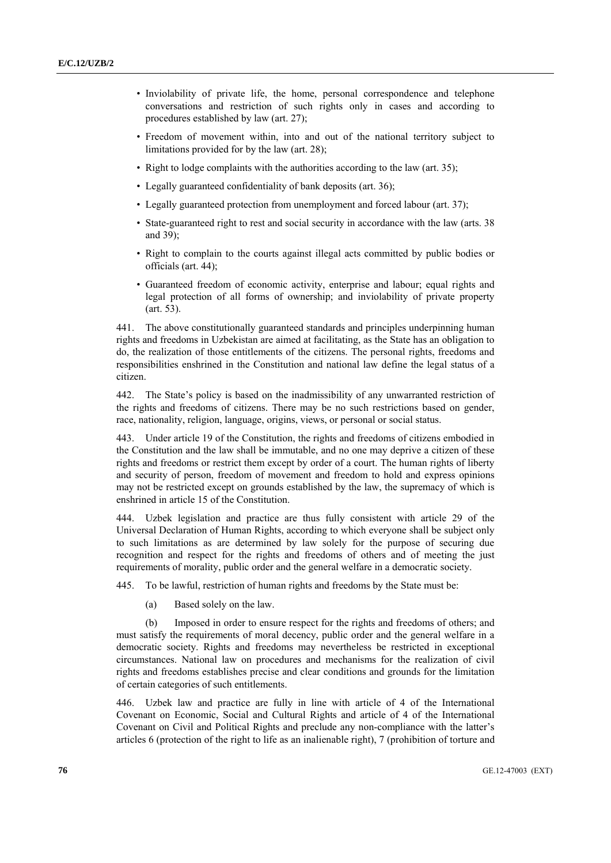- Inviolability of private life, the home, personal correspondence and telephone conversations and restriction of such rights only in cases and according to procedures established by law (art. 27);
- Freedom of movement within, into and out of the national territory subject to limitations provided for by the law (art. 28);
- Right to lodge complaints with the authorities according to the law (art. 35):
- Legally guaranteed confidentiality of bank deposits (art. 36);
- Legally guaranteed protection from unemployment and forced labour (art. 37);
- State-guaranteed right to rest and social security in accordance with the law (arts. 38 and 39);
- Right to complain to the courts against illegal acts committed by public bodies or officials (art. 44);
- Guaranteed freedom of economic activity, enterprise and labour; equal rights and legal protection of all forms of ownership; and inviolability of private property (art. 53).

441. The above constitutionally guaranteed standards and principles underpinning human rights and freedoms in Uzbekistan are aimed at facilitating, as the State has an obligation to do, the realization of those entitlements of the citizens. The personal rights, freedoms and responsibilities enshrined in the Constitution and national law define the legal status of a citizen.

442. The State's policy is based on the inadmissibility of any unwarranted restriction of the rights and freedoms of citizens. There may be no such restrictions based on gender, race, nationality, religion, language, origins, views, or personal or social status.

443. Under article 19 of the Constitution, the rights and freedoms of citizens embodied in the Constitution and the law shall be immutable, and no one may deprive a citizen of these rights and freedoms or restrict them except by order of a court. The human rights of liberty and security of person, freedom of movement and freedom to hold and express opinions may not be restricted except on grounds established by the law, the supremacy of which is enshrined in article 15 of the Constitution.

444. Uzbek legislation and practice are thus fully consistent with article 29 of the Universal Declaration of Human Rights, according to which everyone shall be subject only to such limitations as are determined by law solely for the purpose of securing due recognition and respect for the rights and freedoms of others and of meeting the just requirements of morality, public order and the general welfare in a democratic society.

445. To be lawful, restriction of human rights and freedoms by the State must be:

(a) Based solely on the law.

 (b) Imposed in order to ensure respect for the rights and freedoms of others; and must satisfy the requirements of moral decency, public order and the general welfare in a democratic society. Rights and freedoms may nevertheless be restricted in exceptional circumstances. National law on procedures and mechanisms for the realization of civil rights and freedoms establishes precise and clear conditions and grounds for the limitation of certain categories of such entitlements.

446. Uzbek law and practice are fully in line with article of 4 of the International Covenant on Economic, Social and Cultural Rights and article of 4 of the International Covenant on Civil and Political Rights and preclude any non-compliance with the latter's articles 6 (protection of the right to life as an inalienable right), 7 (prohibition of torture and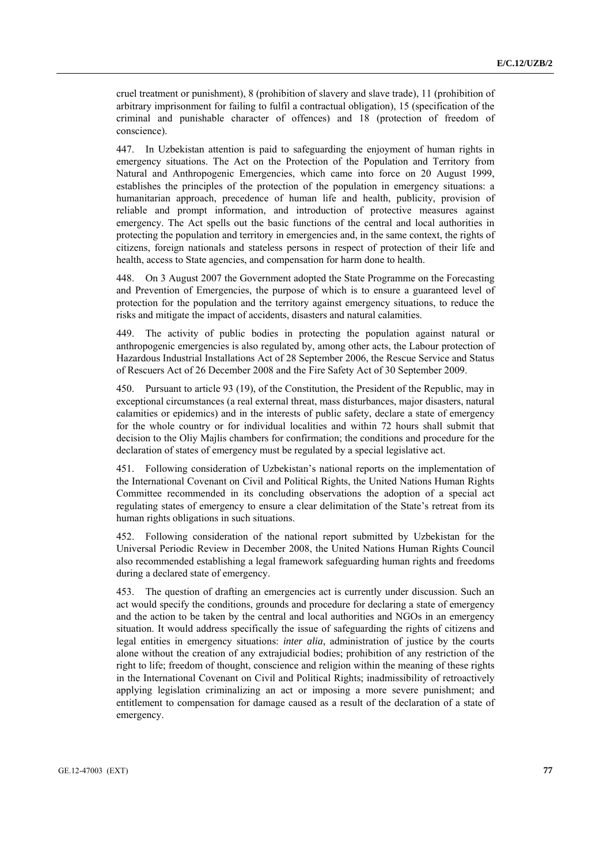cruel treatment or punishment), 8 (prohibition of slavery and slave trade), 11 (prohibition of arbitrary imprisonment for failing to fulfil a contractual obligation), 15 (specification of the criminal and punishable character of offences) and 18 (protection of freedom of conscience).

447. In Uzbekistan attention is paid to safeguarding the enjoyment of human rights in emergency situations. The Act on the Protection of the Population and Territory from Natural and Anthropogenic Emergencies, which came into force on 20 August 1999, establishes the principles of the protection of the population in emergency situations: a humanitarian approach, precedence of human life and health, publicity, provision of reliable and prompt information, and introduction of protective measures against emergency. The Act spells out the basic functions of the central and local authorities in protecting the population and territory in emergencies and, in the same context, the rights of citizens, foreign nationals and stateless persons in respect of protection of their life and health, access to State agencies, and compensation for harm done to health.

448. On 3 August 2007 the Government adopted the State Programme on the Forecasting and Prevention of Emergencies, the purpose of which is to ensure a guaranteed level of protection for the population and the territory against emergency situations, to reduce the risks and mitigate the impact of accidents, disasters and natural calamities.

449. The activity of public bodies in protecting the population against natural or anthropogenic emergencies is also regulated by, among other acts, the Labour protection of Hazardous Industrial Installations Act of 28 September 2006, the Rescue Service and Status of Rescuers Act of 26 December 2008 and the Fire Safety Act of 30 September 2009.

450. Pursuant to article 93 (19), of the Constitution, the President of the Republic, may in exceptional circumstances (a real external threat, mass disturbances, major disasters, natural calamities or epidemics) and in the interests of public safety, declare a state of emergency for the whole country or for individual localities and within 72 hours shall submit that decision to the Oliy Majlis chambers for confirmation; the conditions and procedure for the declaration of states of emergency must be regulated by a special legislative act.

451. Following consideration of Uzbekistan's national reports on the implementation of the International Covenant on Civil and Political Rights, the United Nations Human Rights Committee recommended in its concluding observations the adoption of a special act regulating states of emergency to ensure a clear delimitation of the State's retreat from its human rights obligations in such situations.

452. Following consideration of the national report submitted by Uzbekistan for the Universal Periodic Review in December 2008, the United Nations Human Rights Council also recommended establishing a legal framework safeguarding human rights and freedoms during a declared state of emergency.

453. The question of drafting an emergencies act is currently under discussion. Such an act would specify the conditions, grounds and procedure for declaring a state of emergency and the action to be taken by the central and local authorities and NGOs in an emergency situation. It would address specifically the issue of safeguarding the rights of citizens and legal entities in emergency situations: *inter alia*, administration of justice by the courts alone without the creation of any extrajudicial bodies; prohibition of any restriction of the right to life; freedom of thought, conscience and religion within the meaning of these rights in the International Covenant on Civil and Political Rights; inadmissibility of retroactively applying legislation criminalizing an act or imposing a more severe punishment; and entitlement to compensation for damage caused as a result of the declaration of a state of emergency.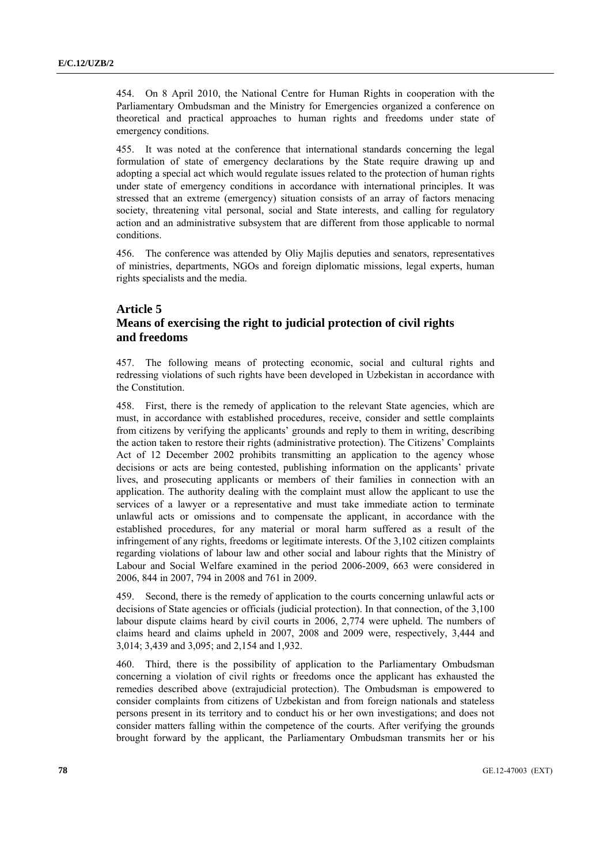454. On 8 April 2010, the National Centre for Human Rights in cooperation with the Parliamentary Ombudsman and the Ministry for Emergencies organized a conference on theoretical and practical approaches to human rights and freedoms under state of emergency conditions.

455. It was noted at the conference that international standards concerning the legal formulation of state of emergency declarations by the State require drawing up and adopting a special act which would regulate issues related to the protection of human rights under state of emergency conditions in accordance with international principles. It was stressed that an extreme (emergency) situation consists of an array of factors menacing society, threatening vital personal, social and State interests, and calling for regulatory action and an administrative subsystem that are different from those applicable to normal conditions.

456. The conference was attended by Oliy Majlis deputies and senators, representatives of ministries, departments, NGOs and foreign diplomatic missions, legal experts, human rights specialists and the media.

# **Article 5 Means of exercising the right to judicial protection of civil rights and freedoms**

457. The following means of protecting economic, social and cultural rights and redressing violations of such rights have been developed in Uzbekistan in accordance with the Constitution.

458. First, there is the remedy of application to the relevant State agencies, which are must, in accordance with established procedures, receive, consider and settle complaints from citizens by verifying the applicants' grounds and reply to them in writing, describing the action taken to restore their rights (administrative protection). The Citizens' Complaints Act of 12 December 2002 prohibits transmitting an application to the agency whose decisions or acts are being contested, publishing information on the applicants' private lives, and prosecuting applicants or members of their families in connection with an application. The authority dealing with the complaint must allow the applicant to use the services of a lawyer or a representative and must take immediate action to terminate unlawful acts or omissions and to compensate the applicant, in accordance with the established procedures, for any material or moral harm suffered as a result of the infringement of any rights, freedoms or legitimate interests. Of the 3,102 citizen complaints regarding violations of labour law and other social and labour rights that the Ministry of Labour and Social Welfare examined in the period 2006-2009, 663 were considered in 2006, 844 in 2007, 794 in 2008 and 761 in 2009.

459. Second, there is the remedy of application to the courts concerning unlawful acts or decisions of State agencies or officials (judicial protection). In that connection, of the 3,100 labour dispute claims heard by civil courts in 2006, 2,774 were upheld. The numbers of claims heard and claims upheld in 2007, 2008 and 2009 were, respectively, 3,444 and 3,014; 3,439 and 3,095; and 2,154 and 1,932.

460. Third, there is the possibility of application to the Parliamentary Ombudsman concerning a violation of civil rights or freedoms once the applicant has exhausted the remedies described above (extrajudicial protection). The Ombudsman is empowered to consider complaints from citizens of Uzbekistan and from foreign nationals and stateless persons present in its territory and to conduct his or her own investigations; and does not consider matters falling within the competence of the courts. After verifying the grounds brought forward by the applicant, the Parliamentary Ombudsman transmits her or his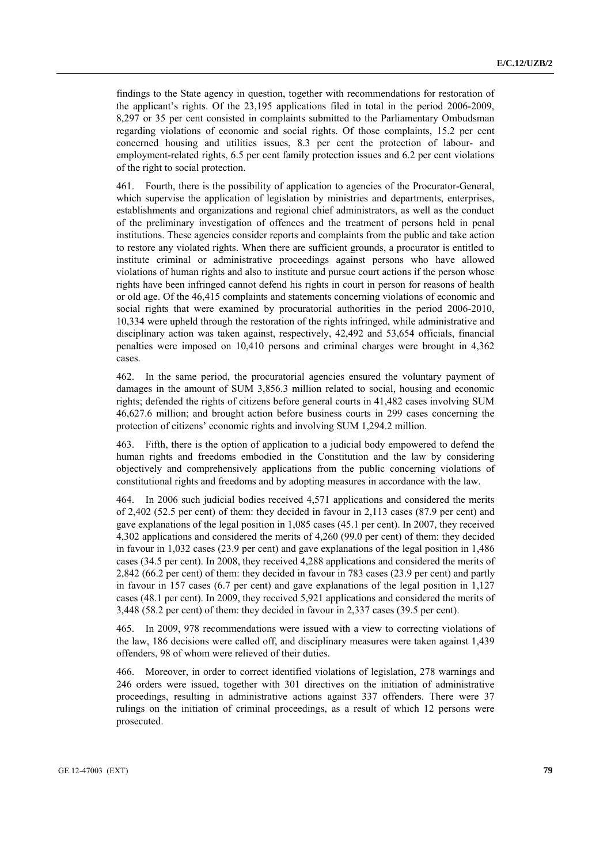findings to the State agency in question, together with recommendations for restoration of the applicant's rights. Of the 23,195 applications filed in total in the period 2006-2009, 8,297 or 35 per cent consisted in complaints submitted to the Parliamentary Ombudsman regarding violations of economic and social rights. Of those complaints, 15.2 per cent concerned housing and utilities issues, 8.3 per cent the protection of labour- and employment-related rights, 6.5 per cent family protection issues and 6.2 per cent violations of the right to social protection.

461. Fourth, there is the possibility of application to agencies of the Procurator-General, which supervise the application of legislation by ministries and departments, enterprises, establishments and organizations and regional chief administrators, as well as the conduct of the preliminary investigation of offences and the treatment of persons held in penal institutions. These agencies consider reports and complaints from the public and take action to restore any violated rights. When there are sufficient grounds, a procurator is entitled to institute criminal or administrative proceedings against persons who have allowed violations of human rights and also to institute and pursue court actions if the person whose rights have been infringed cannot defend his rights in court in person for reasons of health or old age. Of the 46,415 complaints and statements concerning violations of economic and social rights that were examined by procuratorial authorities in the period 2006-2010, 10,334 were upheld through the restoration of the rights infringed, while administrative and disciplinary action was taken against, respectively, 42,492 and 53,654 officials, financial penalties were imposed on 10,410 persons and criminal charges were brought in 4,362 cases.

462. In the same period, the procuratorial agencies ensured the voluntary payment of damages in the amount of SUM 3,856.3 million related to social, housing and economic rights; defended the rights of citizens before general courts in 41,482 cases involving SUM 46,627.6 million; and brought action before business courts in 299 cases concerning the protection of citizens' economic rights and involving SUM 1,294.2 million.

463. Fifth, there is the option of application to a judicial body empowered to defend the human rights and freedoms embodied in the Constitution and the law by considering objectively and comprehensively applications from the public concerning violations of constitutional rights and freedoms and by adopting measures in accordance with the law.

464. In 2006 such judicial bodies received 4,571 applications and considered the merits of 2,402 (52.5 per cent) of them: they decided in favour in 2,113 cases (87.9 per cent) and gave explanations of the legal position in 1,085 cases (45.1 per cent). In 2007, they received 4,302 applications and considered the merits of 4,260 (99.0 per cent) of them: they decided in favour in 1,032 cases (23.9 per cent) and gave explanations of the legal position in 1,486 cases (34.5 per cent). In 2008, they received 4,288 applications and considered the merits of 2,842 (66.2 per cent) of them: they decided in favour in 783 cases (23.9 per cent) and partly in favour in 157 cases (6.7 per cent) and gave explanations of the legal position in 1,127 cases (48.1 per cent). In 2009, they received 5,921 applications and considered the merits of 3,448 (58.2 per cent) of them: they decided in favour in 2,337 cases (39.5 per cent).

465. In 2009, 978 recommendations were issued with a view to correcting violations of the law, 186 decisions were called off, and disciplinary measures were taken against 1,439 offenders, 98 of whom were relieved of their duties.

466. Moreover, in order to correct identified violations of legislation, 278 warnings and 246 orders were issued, together with 301 directives on the initiation of administrative proceedings, resulting in administrative actions against 337 offenders. There were 37 rulings on the initiation of criminal proceedings, as a result of which 12 persons were prosecuted.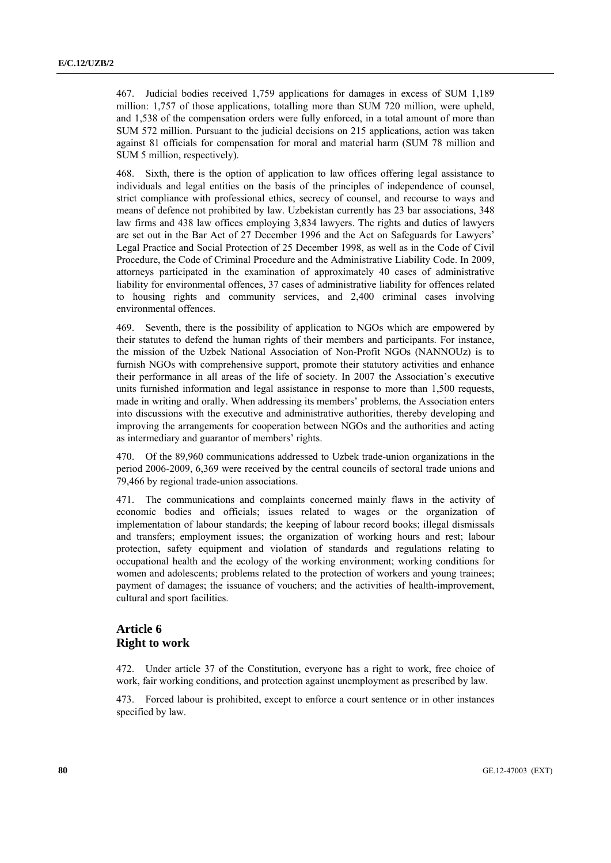467. Judicial bodies received 1,759 applications for damages in excess of SUM 1,189 million: 1,757 of those applications, totalling more than SUM 720 million, were upheld, and 1,538 of the compensation orders were fully enforced, in a total amount of more than SUM 572 million. Pursuant to the judicial decisions on 215 applications, action was taken against 81 officials for compensation for moral and material harm (SUM 78 million and SUM 5 million, respectively).

468. Sixth, there is the option of application to law offices offering legal assistance to individuals and legal entities on the basis of the principles of independence of counsel, strict compliance with professional ethics, secrecy of counsel, and recourse to ways and means of defence not prohibited by law. Uzbekistan currently has 23 bar associations, 348 law firms and 438 law offices employing 3,834 lawyers. The rights and duties of lawyers are set out in the Bar Act of 27 December 1996 and the Act on Safeguards for Lawyers' Legal Practice and Social Protection of 25 December 1998, as well as in the Code of Civil Procedure, the Code of Criminal Procedure and the Administrative Liability Code. In 2009, attorneys participated in the examination of approximately 40 cases of administrative liability for environmental offences, 37 cases of administrative liability for offences related to housing rights and community services, and 2,400 criminal cases involving environmental offences.

469. Seventh, there is the possibility of application to NGOs which are empowered by their statutes to defend the human rights of their members and participants. For instance, the mission of the Uzbek National Association of Non-Profit NGOs (NANNOUz) is to furnish NGOs with comprehensive support, promote their statutory activities and enhance their performance in all areas of the life of society. In 2007 the Association's executive units furnished information and legal assistance in response to more than 1,500 requests, made in writing and orally. When addressing its members' problems, the Association enters into discussions with the executive and administrative authorities, thereby developing and improving the arrangements for cooperation between NGOs and the authorities and acting as intermediary and guarantor of members' rights.

470. Of the 89,960 communications addressed to Uzbek trade-union organizations in the period 2006-2009, 6,369 were received by the central councils of sectoral trade unions and 79,466 by regional trade-union associations.

471. The communications and complaints concerned mainly flaws in the activity of economic bodies and officials; issues related to wages or the organization of implementation of labour standards; the keeping of labour record books; illegal dismissals and transfers; employment issues; the organization of working hours and rest; labour protection, safety equipment and violation of standards and regulations relating to occupational health and the ecology of the working environment; working conditions for women and adolescents; problems related to the protection of workers and young trainees; payment of damages; the issuance of vouchers; and the activities of health-improvement, cultural and sport facilities.

## **Article 6 Right to work**

472. Under article 37 of the Constitution, everyone has a right to work, free choice of work, fair working conditions, and protection against unemployment as prescribed by law.

473. Forced labour is prohibited, except to enforce a court sentence or in other instances specified by law.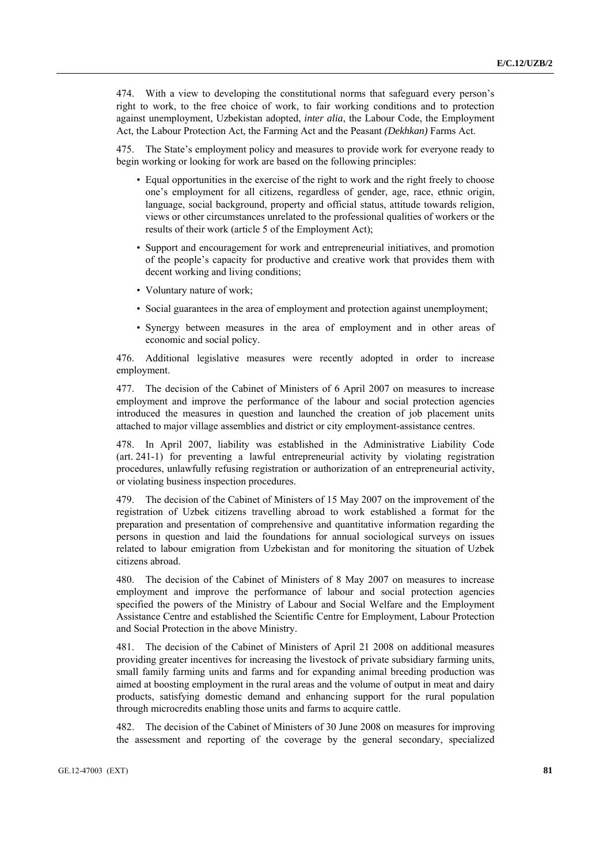474. With a view to developing the constitutional norms that safeguard every person's right to work, to the free choice of work, to fair working conditions and to protection against unemployment, Uzbekistan adopted, *inter alia*, the Labour Code, the Employment Act, the Labour Protection Act, the Farming Act and the Peasant *(Dekhkan)* Farms Act.

475. The State's employment policy and measures to provide work for everyone ready to begin working or looking for work are based on the following principles:

- Equal opportunities in the exercise of the right to work and the right freely to choose one's employment for all citizens, regardless of gender, age, race, ethnic origin, language, social background, property and official status, attitude towards religion, views or other circumstances unrelated to the professional qualities of workers or the results of their work (article 5 of the Employment Act);
- Support and encouragement for work and entrepreneurial initiatives, and promotion of the people's capacity for productive and creative work that provides them with decent working and living conditions;
- Voluntary nature of work;
- Social guarantees in the area of employment and protection against unemployment;
- Synergy between measures in the area of employment and in other areas of economic and social policy.

476. Additional legislative measures were recently adopted in order to increase employment.

477. The decision of the Cabinet of Ministers of 6 April 2007 on measures to increase employment and improve the performance of the labour and social protection agencies introduced the measures in question and launched the creation of job placement units attached to major village assemblies and district or city employment-assistance centres.

478. In April 2007, liability was established in the Administrative Liability Code (art. 241-1) for preventing a lawful entrepreneurial activity by violating registration procedures, unlawfully refusing registration or authorization of an entrepreneurial activity, or violating business inspection procedures.

479. The decision of the Cabinet of Ministers of 15 May 2007 on the improvement of the registration of Uzbek citizens travelling abroad to work established a format for the preparation and presentation of comprehensive and quantitative information regarding the persons in question and laid the foundations for annual sociological surveys on issues related to labour emigration from Uzbekistan and for monitoring the situation of Uzbek citizens abroad.

480. The decision of the Cabinet of Ministers of 8 May 2007 on measures to increase employment and improve the performance of labour and social protection agencies specified the powers of the Ministry of Labour and Social Welfare and the Employment Assistance Centre and established the Scientific Centre for Employment, Labour Protection and Social Protection in the above Ministry.

481. The decision of the Cabinet of Ministers of April 21 2008 on additional measures providing greater incentives for increasing the livestock of private subsidiary farming units, small family farming units and farms and for expanding animal breeding production was aimed at boosting employment in the rural areas and the volume of output in meat and dairy products, satisfying domestic demand and enhancing support for the rural population through microcredits enabling those units and farms to acquire cattle.

482. The decision of the Cabinet of Ministers of 30 June 2008 on measures for improving the assessment and reporting of the coverage by the general secondary, specialized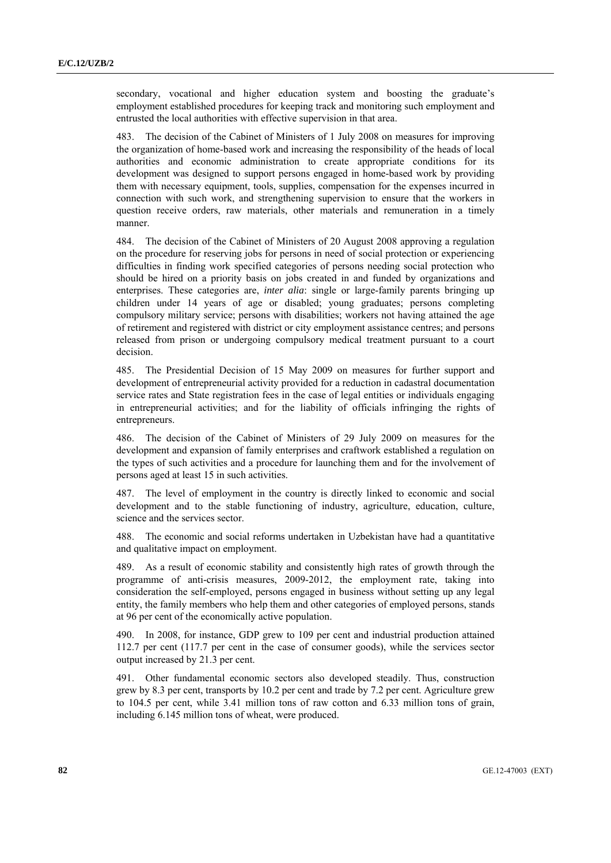secondary, vocational and higher education system and boosting the graduate's employment established procedures for keeping track and monitoring such employment and entrusted the local authorities with effective supervision in that area.

483. The decision of the Cabinet of Ministers of 1 July 2008 on measures for improving the organization of home-based work and increasing the responsibility of the heads of local authorities and economic administration to create appropriate conditions for its development was designed to support persons engaged in home-based work by providing them with necessary equipment, tools, supplies, compensation for the expenses incurred in connection with such work, and strengthening supervision to ensure that the workers in question receive orders, raw materials, other materials and remuneration in a timely manner.

484. The decision of the Cabinet of Ministers of 20 August 2008 approving a regulation on the procedure for reserving jobs for persons in need of social protection or experiencing difficulties in finding work specified categories of persons needing social protection who should be hired on a priority basis on jobs created in and funded by organizations and enterprises. These categories are, *inter alia*: single or large-family parents bringing up children under 14 years of age or disabled; young graduates; persons completing compulsory military service; persons with disabilities; workers not having attained the age of retirement and registered with district or city employment assistance centres; and persons released from prison or undergoing compulsory medical treatment pursuant to a court decision.

485. The Presidential Decision of 15 May 2009 on measures for further support and development of entrepreneurial activity provided for a reduction in cadastral documentation service rates and State registration fees in the case of legal entities or individuals engaging in entrepreneurial activities; and for the liability of officials infringing the rights of entrepreneurs.

486. The decision of the Cabinet of Ministers of 29 July 2009 on measures for the development and expansion of family enterprises and craftwork established a regulation on the types of such activities and a procedure for launching them and for the involvement of persons aged at least 15 in such activities.

487. The level of employment in the country is directly linked to economic and social development and to the stable functioning of industry, agriculture, education, culture, science and the services sector.

488. The economic and social reforms undertaken in Uzbekistan have had a quantitative and qualitative impact on employment.

489. As a result of economic stability and consistently high rates of growth through the programme of anti-crisis measures, 2009-2012, the employment rate, taking into consideration the self-employed, persons engaged in business without setting up any legal entity, the family members who help them and other categories of employed persons, stands at 96 per cent of the economically active population.

490. In 2008, for instance, GDP grew to 109 per cent and industrial production attained 112.7 per cent (117.7 per cent in the case of consumer goods), while the services sector output increased by 21.3 per cent.

491. Other fundamental economic sectors also developed steadily. Thus, construction grew by 8.3 per cent, transports by 10.2 per cent and trade by 7.2 per cent. Agriculture grew to 104.5 per cent, while 3.41 million tons of raw cotton and 6.33 million tons of grain, including 6.145 million tons of wheat, were produced.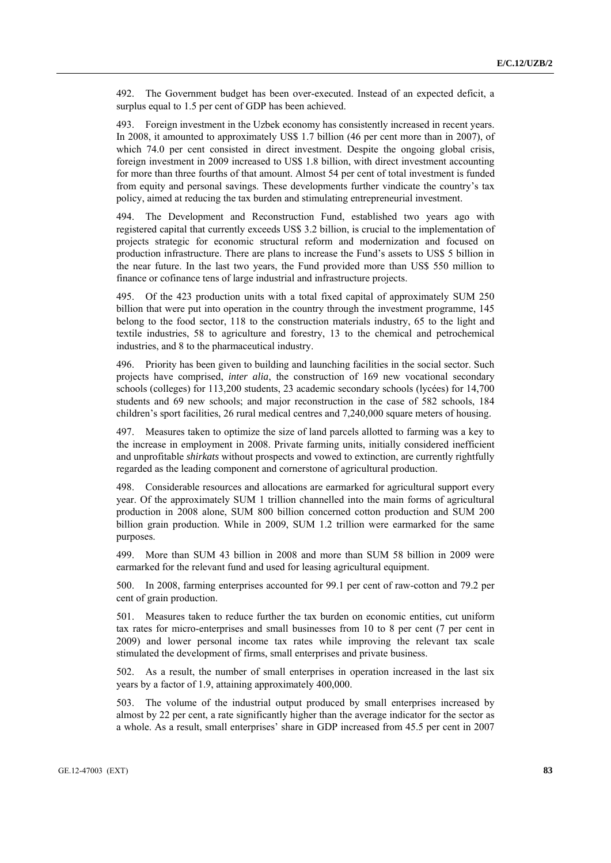492. The Government budget has been over-executed. Instead of an expected deficit, a surplus equal to 1.5 per cent of GDP has been achieved.

493. Foreign investment in the Uzbek economy has consistently increased in recent years. In 2008, it amounted to approximately US\$ 1.7 billion (46 per cent more than in 2007), of which 74.0 per cent consisted in direct investment. Despite the ongoing global crisis, foreign investment in 2009 increased to US\$ 1.8 billion, with direct investment accounting for more than three fourths of that amount. Almost 54 per cent of total investment is funded from equity and personal savings. These developments further vindicate the country's tax policy, aimed at reducing the tax burden and stimulating entrepreneurial investment.

494. The Development and Reconstruction Fund, established two years ago with registered capital that currently exceeds US\$ 3.2 billion, is crucial to the implementation of projects strategic for economic structural reform and modernization and focused on production infrastructure. There are plans to increase the Fund's assets to US\$ 5 billion in the near future. In the last two years, the Fund provided more than US\$ 550 million to finance or cofinance tens of large industrial and infrastructure projects.

495. Of the 423 production units with a total fixed capital of approximately SUM 250 billion that were put into operation in the country through the investment programme, 145 belong to the food sector, 118 to the construction materials industry, 65 to the light and textile industries, 58 to agriculture and forestry, 13 to the chemical and petrochemical industries, and 8 to the pharmaceutical industry.

496. Priority has been given to building and launching facilities in the social sector. Such projects have comprised, *inter alia*, the construction of 169 new vocational secondary schools (colleges) for 113,200 students, 23 academic secondary schools (lycées) for 14,700 students and 69 new schools; and major reconstruction in the case of 582 schools, 184 children's sport facilities, 26 rural medical centres and 7,240,000 square meters of housing.

497. Measures taken to optimize the size of land parcels allotted to farming was a key to the increase in employment in 2008. Private farming units, initially considered inefficient and unprofitable *shirkats* without prospects and vowed to extinction, are currently rightfully regarded as the leading component and cornerstone of agricultural production.

498. Considerable resources and allocations are earmarked for agricultural support every year. Of the approximately SUM 1 trillion channelled into the main forms of agricultural production in 2008 alone, SUM 800 billion concerned cotton production and SUM 200 billion grain production. While in 2009, SUM 1.2 trillion were earmarked for the same purposes.

499. More than SUM 43 billion in 2008 and more than SUM 58 billion in 2009 were earmarked for the relevant fund and used for leasing agricultural equipment.

500. In 2008, farming enterprises accounted for 99.1 per cent of raw-cotton and 79.2 per cent of grain production.

501. Measures taken to reduce further the tax burden on economic entities, cut uniform tax rates for micro-enterprises and small businesses from 10 to 8 per cent (7 per cent in 2009) and lower personal income tax rates while improving the relevant tax scale stimulated the development of firms, small enterprises and private business.

502. As a result, the number of small enterprises in operation increased in the last six years by a factor of 1.9, attaining approximately 400,000.

503. The volume of the industrial output produced by small enterprises increased by almost by 22 per cent, a rate significantly higher than the average indicator for the sector as a whole. As a result, small enterprises' share in GDP increased from 45.5 per cent in 2007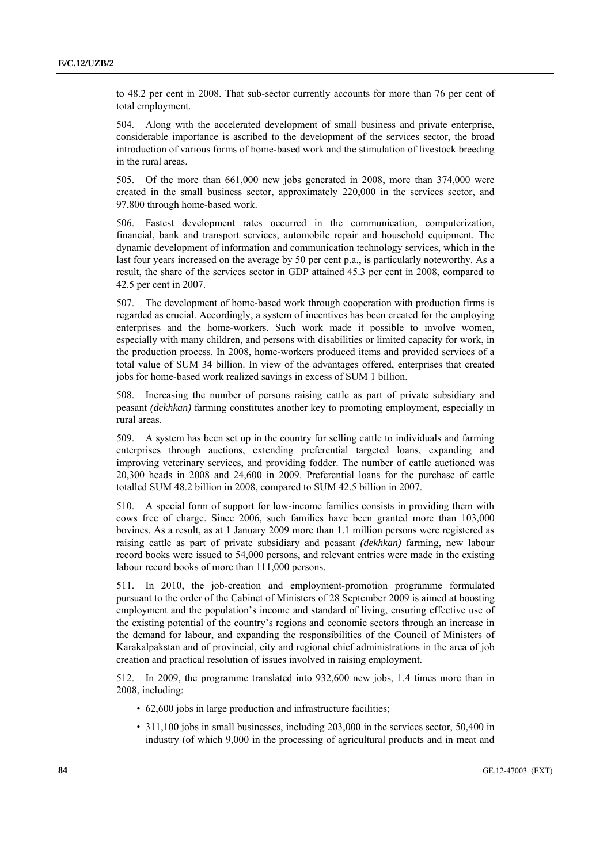to 48.2 per cent in 2008. That sub-sector currently accounts for more than 76 per cent of total employment.

504. Along with the accelerated development of small business and private enterprise, considerable importance is ascribed to the development of the services sector, the broad introduction of various forms of home-based work and the stimulation of livestock breeding in the rural areas.

505. Of the more than 661,000 new jobs generated in 2008, more than 374,000 were created in the small business sector, approximately 220,000 in the services sector, and 97,800 through home-based work.

506. Fastest development rates occurred in the communication, computerization, financial, bank and transport services, automobile repair and household equipment. The dynamic development of information and communication technology services, which in the last four years increased on the average by 50 per cent p.a., is particularly noteworthy. As a result, the share of the services sector in GDP attained 45.3 per cent in 2008, compared to 42.5 per cent in 2007.

507. The development of home-based work through cooperation with production firms is regarded as crucial. Accordingly, a system of incentives has been created for the employing enterprises and the home-workers. Such work made it possible to involve women, especially with many children, and persons with disabilities or limited capacity for work, in the production process. In 2008, home-workers produced items and provided services of a total value of SUM 34 billion. In view of the advantages offered, enterprises that created jobs for home-based work realized savings in excess of SUM 1 billion.

508. Increasing the number of persons raising cattle as part of private subsidiary and peasant *(dekhkan)* farming constitutes another key to promoting employment, especially in rural areas.

509. A system has been set up in the country for selling cattle to individuals and farming enterprises through auctions, extending preferential targeted loans, expanding and improving veterinary services, and providing fodder. The number of cattle auctioned was 20,300 heads in 2008 and 24,600 in 2009. Preferential loans for the purchase of cattle totalled SUM 48.2 billion in 2008, compared to SUM 42.5 billion in 2007.

510. A special form of support for low-income families consists in providing them with cows free of charge. Since 2006, such families have been granted more than 103,000 bovines. As a result, as at 1 January 2009 more than 1.1 million persons were registered as raising cattle as part of private subsidiary and peasant *(dekhkan)* farming, new labour record books were issued to 54,000 persons, and relevant entries were made in the existing labour record books of more than 111,000 persons.

511. In 2010, the job-creation and employment-promotion programme formulated pursuant to the order of the Cabinet of Ministers of 28 September 2009 is aimed at boosting employment and the population's income and standard of living, ensuring effective use of the existing potential of the country's regions and economic sectors through an increase in the demand for labour, and expanding the responsibilities of the Council of Ministers of Karakalpakstan and of provincial, city and regional chief administrations in the area of job creation and practical resolution of issues involved in raising employment.

512. In 2009, the programme translated into 932,600 new jobs, 1.4 times more than in 2008, including:

- 62,600 jobs in large production and infrastructure facilities;
- 311,100 jobs in small businesses, including 203,000 in the services sector, 50,400 in industry (of which 9,000 in the processing of agricultural products and in meat and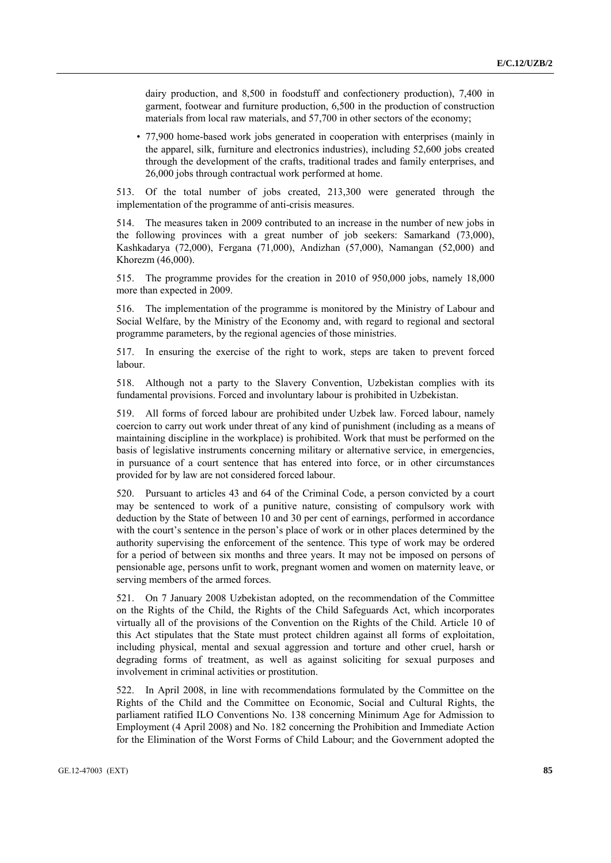dairy production, and 8,500 in foodstuff and confectionery production), 7,400 in garment, footwear and furniture production, 6,500 in the production of construction materials from local raw materials, and 57,700 in other sectors of the economy;

• 77,900 home-based work jobs generated in cooperation with enterprises (mainly in the apparel, silk, furniture and electronics industries), including 52,600 jobs created through the development of the crafts, traditional trades and family enterprises, and 26,000 jobs through contractual work performed at home.

513. Of the total number of jobs created, 213,300 were generated through the implementation of the programme of anti-crisis measures.

514. The measures taken in 2009 contributed to an increase in the number of new jobs in the following provinces with a great number of job seekers: Samarkand (73,000), Kashkadarya (72,000), Fergana (71,000), Andizhan (57,000), Namangan (52,000) and Khorezm (46,000).

515. The programme provides for the creation in 2010 of 950,000 jobs, namely 18,000 more than expected in 2009.

516. The implementation of the programme is monitored by the Ministry of Labour and Social Welfare, by the Ministry of the Economy and, with regard to regional and sectoral programme parameters, by the regional agencies of those ministries.

517. In ensuring the exercise of the right to work, steps are taken to prevent forced labour.

518. Although not a party to the Slavery Convention, Uzbekistan complies with its fundamental provisions. Forced and involuntary labour is prohibited in Uzbekistan.

519. All forms of forced labour are prohibited under Uzbek law. Forced labour, namely coercion to carry out work under threat of any kind of punishment (including as a means of maintaining discipline in the workplace) is prohibited. Work that must be performed on the basis of legislative instruments concerning military or alternative service, in emergencies, in pursuance of a court sentence that has entered into force, or in other circumstances provided for by law are not considered forced labour.

520. Pursuant to articles 43 and 64 of the Criminal Code, a person convicted by a court may be sentenced to work of a punitive nature, consisting of compulsory work with deduction by the State of between 10 and 30 per cent of earnings, performed in accordance with the court's sentence in the person's place of work or in other places determined by the authority supervising the enforcement of the sentence. This type of work may be ordered for a period of between six months and three years. It may not be imposed on persons of pensionable age, persons unfit to work, pregnant women and women on maternity leave, or serving members of the armed forces.

521. On 7 January 2008 Uzbekistan adopted, on the recommendation of the Committee on the Rights of the Child, the Rights of the Child Safeguards Act, which incorporates virtually all of the provisions of the Convention on the Rights of the Child. Article 10 of this Act stipulates that the State must protect children against all forms of exploitation, including physical, mental and sexual aggression and torture and other cruel, harsh or degrading forms of treatment, as well as against soliciting for sexual purposes and involvement in criminal activities or prostitution.

522. In April 2008, in line with recommendations formulated by the Committee on the Rights of the Child and the Committee on Economic, Social and Cultural Rights, the parliament ratified ILO Conventions No. 138 concerning Minimum Age for Admission to Employment (4 April 2008) and No. 182 concerning the Prohibition and Immediate Action for the Elimination of the Worst Forms of Child Labour; and the Government adopted the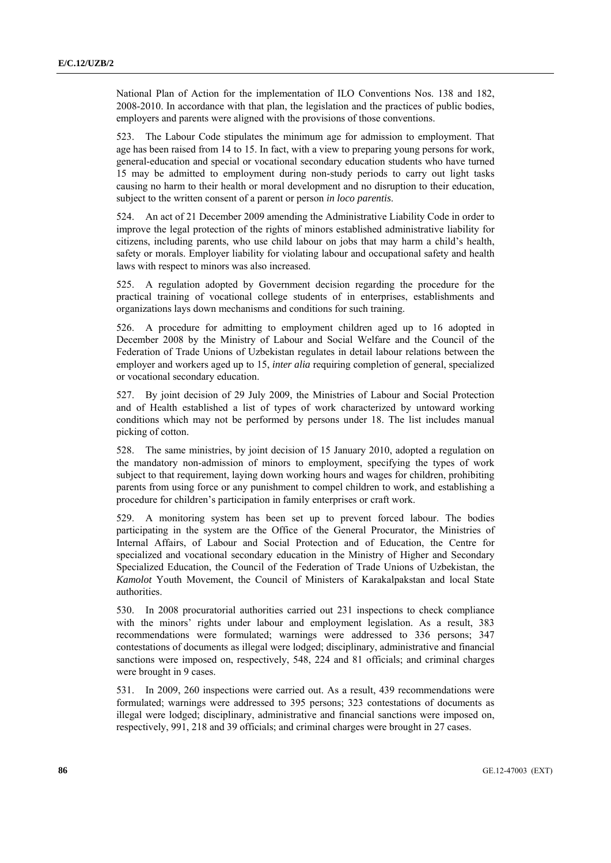National Plan of Action for the implementation of ILO Conventions Nos. 138 and 182, 2008-2010. In accordance with that plan, the legislation and the practices of public bodies, employers and parents were aligned with the provisions of those conventions.

523. The Labour Code stipulates the minimum age for admission to employment. That age has been raised from 14 to 15. In fact, with a view to preparing young persons for work, general-education and special or vocational secondary education students who have turned 15 may be admitted to employment during non-study periods to carry out light tasks causing no harm to their health or moral development and no disruption to their education, subject to the written consent of a parent or person *in loco parentis*.

524. An act of 21 December 2009 amending the Administrative Liability Code in order to improve the legal protection of the rights of minors established administrative liability for citizens, including parents, who use child labour on jobs that may harm a child's health, safety or morals. Employer liability for violating labour and occupational safety and health laws with respect to minors was also increased.

525. A regulation adopted by Government decision regarding the procedure for the practical training of vocational college students of in enterprises, establishments and organizations lays down mechanisms and conditions for such training.

526. A procedure for admitting to employment children aged up to 16 adopted in December 2008 by the Ministry of Labour and Social Welfare and the Council of the Federation of Trade Unions of Uzbekistan regulates in detail labour relations between the employer and workers aged up to 15, *inter alia* requiring completion of general, specialized or vocational secondary education.

527. By joint decision of 29 July 2009, the Ministries of Labour and Social Protection and of Health established a list of types of work characterized by untoward working conditions which may not be performed by persons under 18. The list includes manual picking of cotton.

528. The same ministries, by joint decision of 15 January 2010, adopted a regulation on the mandatory non-admission of minors to employment, specifying the types of work subject to that requirement, laying down working hours and wages for children, prohibiting parents from using force or any punishment to compel children to work, and establishing a procedure for children's participation in family enterprises or craft work.

529. A monitoring system has been set up to prevent forced labour. The bodies participating in the system are the Office of the General Procurator, the Ministries of Internal Affairs, of Labour and Social Protection and of Education, the Centre for specialized and vocational secondary education in the Ministry of Higher and Secondary Specialized Education, the Council of the Federation of Trade Unions of Uzbekistan, the *Kamolot* Youth Movement, the Council of Ministers of Karakalpakstan and local State authorities.

530. In 2008 procuratorial authorities carried out 231 inspections to check compliance with the minors' rights under labour and employment legislation. As a result, 383 recommendations were formulated; warnings were addressed to 336 persons; 347 contestations of documents as illegal were lodged; disciplinary, administrative and financial sanctions were imposed on, respectively, 548, 224 and 81 officials; and criminal charges were brought in 9 cases.

531. In 2009, 260 inspections were carried out. As a result, 439 recommendations were formulated; warnings were addressed to 395 persons; 323 contestations of documents as illegal were lodged; disciplinary, administrative and financial sanctions were imposed on, respectively, 991, 218 and 39 officials; and criminal charges were brought in 27 cases.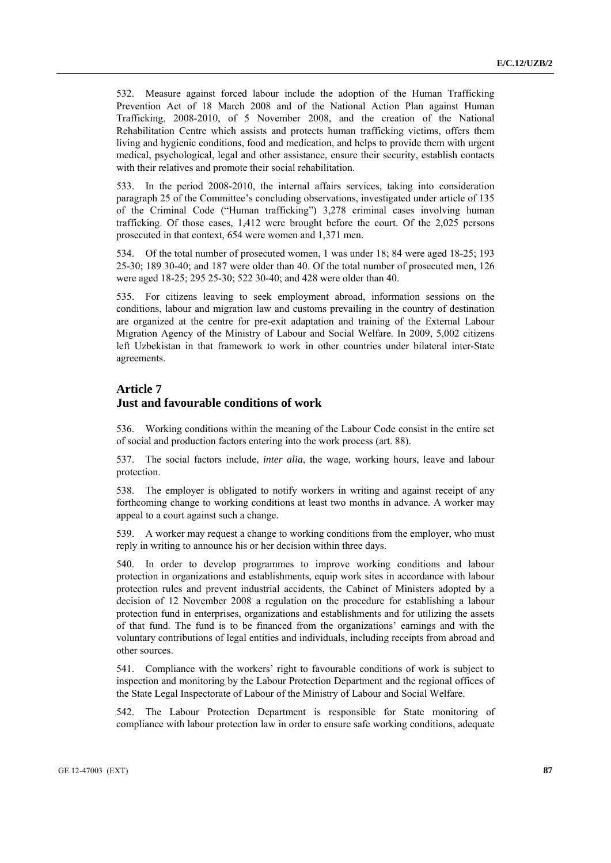532. Measure against forced labour include the adoption of the Human Trafficking Prevention Act of 18 March 2008 and of the National Action Plan against Human Trafficking, 2008-2010, of 5 November 2008, and the creation of the National Rehabilitation Centre which assists and protects human trafficking victims, offers them living and hygienic conditions, food and medication, and helps to provide them with urgent medical, psychological, legal and other assistance, ensure their security, establish contacts with their relatives and promote their social rehabilitation.

533. In the period 2008-2010, the internal affairs services, taking into consideration paragraph 25 of the Committee's concluding observations, investigated under article of 135 of the Criminal Code ("Human trafficking") 3,278 criminal cases involving human trafficking. Of those cases, 1,412 were brought before the court. Of the 2,025 persons prosecuted in that context, 654 were women and 1,371 men.

534. Of the total number of prosecuted women, 1 was under 18; 84 were aged 18-25; 193 25-30; 189 30-40; and 187 were older than 40. Of the total number of prosecuted men, 126 were aged 18-25; 295 25-30; 522 30-40; and 428 were older than 40.

535. For citizens leaving to seek employment abroad, information sessions on the conditions, labour and migration law and customs prevailing in the country of destination are organized at the centre for pre-exit adaptation and training of the External Labour Migration Agency of the Ministry of Labour and Social Welfare. In 2009, 5,002 citizens left Uzbekistan in that framework to work in other countries under bilateral inter-State agreements.

#### **Article 7**

#### **Just and favourable conditions of work**

536. Working conditions within the meaning of the Labour Code consist in the entire set of social and production factors entering into the work process (art. 88).

537. The social factors include, *inter alia*, the wage, working hours, leave and labour protection.

538. The employer is obligated to notify workers in writing and against receipt of any forthcoming change to working conditions at least two months in advance. A worker may appeal to a court against such a change.

539. A worker may request a change to working conditions from the employer, who must reply in writing to announce his or her decision within three days.

540. In order to develop programmes to improve working conditions and labour protection in organizations and establishments, equip work sites in accordance with labour protection rules and prevent industrial accidents, the Cabinet of Ministers adopted by a decision of 12 November 2008 a regulation on the procedure for establishing a labour protection fund in enterprises, organizations and establishments and for utilizing the assets of that fund. The fund is to be financed from the organizations' earnings and with the voluntary contributions of legal entities and individuals, including receipts from abroad and other sources.

541. Compliance with the workers' right to favourable conditions of work is subject to inspection and monitoring by the Labour Protection Department and the regional offices of the State Legal Inspectorate of Labour of the Ministry of Labour and Social Welfare.

542. The Labour Protection Department is responsible for State monitoring of compliance with labour protection law in order to ensure safe working conditions, adequate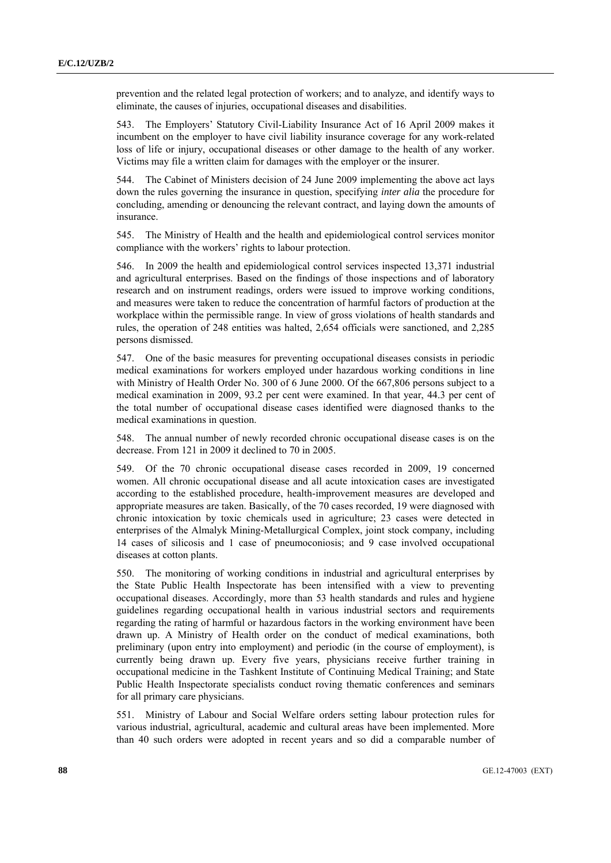prevention and the related legal protection of workers; and to analyze, and identify ways to eliminate, the causes of injuries, occupational diseases and disabilities.

543. The Employers' Statutory Civil-Liability Insurance Act of 16 April 2009 makes it incumbent on the employer to have civil liability insurance coverage for any work-related loss of life or injury, occupational diseases or other damage to the health of any worker. Victims may file a written claim for damages with the employer or the insurer.

544. The Cabinet of Ministers decision of 24 June 2009 implementing the above act lays down the rules governing the insurance in question, specifying *inter alia* the procedure for concluding, amending or denouncing the relevant contract, and laying down the amounts of insurance.

545. The Ministry of Health and the health and epidemiological control services monitor compliance with the workers' rights to labour protection.

546. In 2009 the health and epidemiological control services inspected 13,371 industrial and agricultural enterprises. Based on the findings of those inspections and of laboratory research and on instrument readings, orders were issued to improve working conditions, and measures were taken to reduce the concentration of harmful factors of production at the workplace within the permissible range. In view of gross violations of health standards and rules, the operation of 248 entities was halted, 2,654 officials were sanctioned, and 2,285 persons dismissed.

547. One of the basic measures for preventing occupational diseases consists in periodic medical examinations for workers employed under hazardous working conditions in line with Ministry of Health Order No. 300 of 6 June 2000. Of the 667,806 persons subject to a medical examination in 2009, 93.2 per cent were examined. In that year, 44.3 per cent of the total number of occupational disease cases identified were diagnosed thanks to the medical examinations in question.

548. The annual number of newly recorded chronic occupational disease cases is on the decrease. From 121 in 2009 it declined to 70 in 2005.

549. Of the 70 chronic occupational disease cases recorded in 2009, 19 concerned women. All chronic occupational disease and all acute intoxication cases are investigated according to the established procedure, health-improvement measures are developed and appropriate measures are taken. Basically, of the 70 cases recorded, 19 were diagnosed with chronic intoxication by toxic chemicals used in agriculture; 23 cases were detected in enterprises of the Almalyk Mining-Metallurgical Complex, joint stock company, including 14 cases of silicosis and 1 case of pneumoconiosis; and 9 case involved occupational diseases at cotton plants.

550. The monitoring of working conditions in industrial and agricultural enterprises by the State Public Health Inspectorate has been intensified with a view to preventing occupational diseases. Accordingly, more than 53 health standards and rules and hygiene guidelines regarding occupational health in various industrial sectors and requirements regarding the rating of harmful or hazardous factors in the working environment have been drawn up. A Ministry of Health order on the conduct of medical examinations, both preliminary (upon entry into employment) and periodic (in the course of employment), is currently being drawn up. Every five years, physicians receive further training in occupational medicine in the Tashkent Institute of Continuing Medical Training; and State Public Health Inspectorate specialists conduct roving thematic conferences and seminars for all primary care physicians.

551. Ministry of Labour and Social Welfare orders setting labour protection rules for various industrial, agricultural, academic and cultural areas have been implemented. More than 40 such orders were adopted in recent years and so did a comparable number of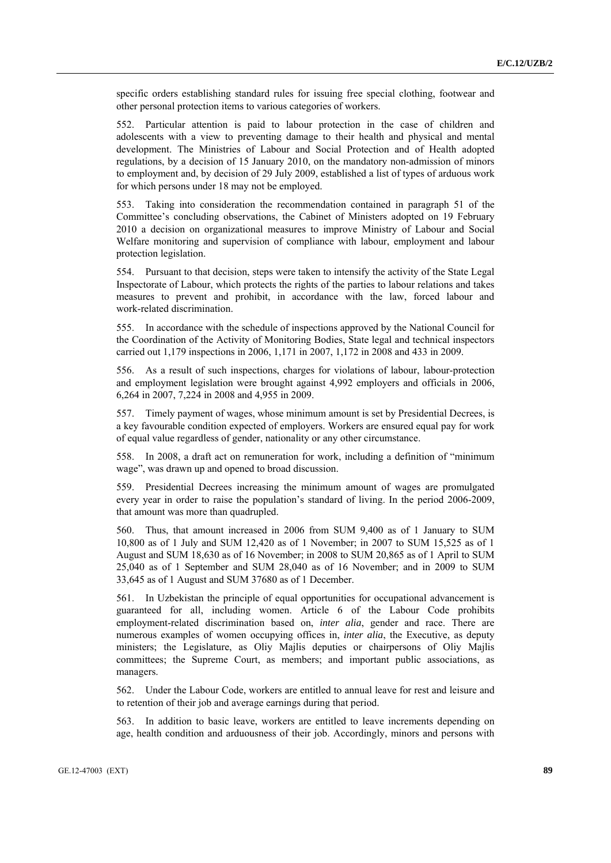specific orders establishing standard rules for issuing free special clothing, footwear and other personal protection items to various categories of workers.

552. Particular attention is paid to labour protection in the case of children and adolescents with a view to preventing damage to their health and physical and mental development. The Ministries of Labour and Social Protection and of Health adopted regulations, by a decision of 15 January 2010, on the mandatory non-admission of minors to employment and, by decision of 29 July 2009, established a list of types of arduous work for which persons under 18 may not be employed.

553. Taking into consideration the recommendation contained in paragraph 51 of the Committee's concluding observations, the Cabinet of Ministers adopted on 19 February 2010 a decision on organizational measures to improve Ministry of Labour and Social Welfare monitoring and supervision of compliance with labour, employment and labour protection legislation.

554. Pursuant to that decision, steps were taken to intensify the activity of the State Legal Inspectorate of Labour, which protects the rights of the parties to labour relations and takes measures to prevent and prohibit, in accordance with the law, forced labour and work-related discrimination.

555. In accordance with the schedule of inspections approved by the National Council for the Coordination of the Activity of Monitoring Bodies, State legal and technical inspectors carried out 1,179 inspections in 2006, 1,171 in 2007, 1,172 in 2008 and 433 in 2009.

556. As a result of such inspections, charges for violations of labour, labour-protection and employment legislation were brought against 4,992 employers and officials in 2006, 6,264 in 2007, 7,224 in 2008 and 4,955 in 2009.

557. Timely payment of wages, whose minimum amount is set by Presidential Decrees, is a key favourable condition expected of employers. Workers are ensured equal pay for work of equal value regardless of gender, nationality or any other circumstance.

558. In 2008, a draft act on remuneration for work, including a definition of "minimum wage", was drawn up and opened to broad discussion.

559. Presidential Decrees increasing the minimum amount of wages are promulgated every year in order to raise the population's standard of living. In the period 2006-2009, that amount was more than quadrupled.

560. Thus, that amount increased in 2006 from SUM 9,400 as of 1 January to SUM 10,800 as of 1 July and SUM 12,420 as of 1 November; in 2007 to SUM 15,525 as of 1 August and SUM 18,630 as of 16 November; in 2008 to SUM 20,865 as of 1 April to SUM 25,040 as of 1 September and SUM 28,040 as of 16 November; and in 2009 to SUM 33,645 as of 1 August and SUM 37680 as of 1 December.

561. In Uzbekistan the principle of equal opportunities for occupational advancement is guaranteed for all, including women. Article 6 of the Labour Code prohibits employment-related discrimination based on, *inter alia*, gender and race. There are numerous examples of women occupying offices in, *inter alia*, the Executive, as deputy ministers; the Legislature, as Oliy Majlis deputies or chairpersons of Oliy Majlis committees; the Supreme Court, as members; and important public associations, as managers.

562. Under the Labour Code, workers are entitled to annual leave for rest and leisure and to retention of their job and average earnings during that period.

563. In addition to basic leave, workers are entitled to leave increments depending on age, health condition and arduousness of their job. Accordingly, minors and persons with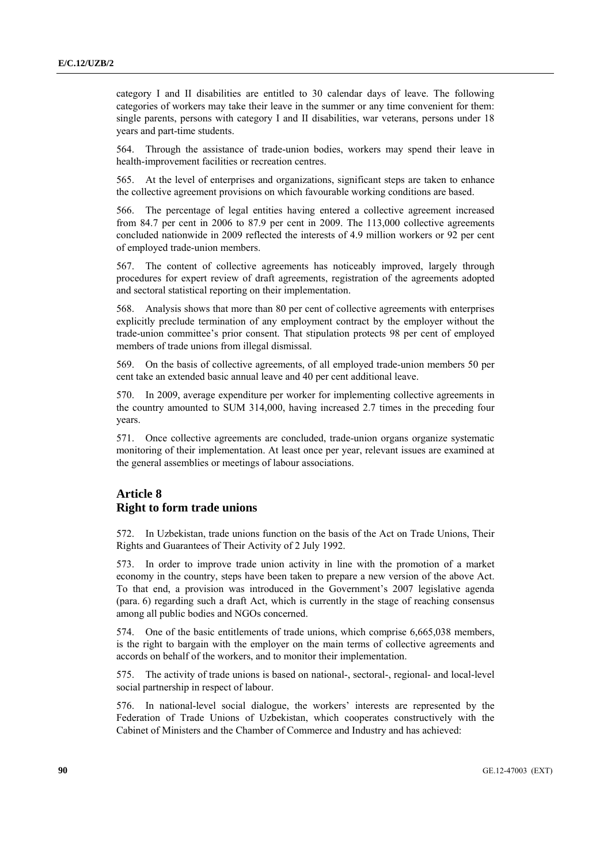category I and II disabilities are entitled to 30 calendar days of leave. The following categories of workers may take their leave in the summer or any time convenient for them: single parents, persons with category I and II disabilities, war veterans, persons under 18 years and part-time students.

564. Through the assistance of trade-union bodies, workers may spend their leave in health-improvement facilities or recreation centres.

565. At the level of enterprises and organizations, significant steps are taken to enhance the collective agreement provisions on which favourable working conditions are based.

566. The percentage of legal entities having entered a collective agreement increased from 84.7 per cent in 2006 to 87.9 per cent in 2009. The 113,000 collective agreements concluded nationwide in 2009 reflected the interests of 4.9 million workers or 92 per cent of employed trade-union members.

567. The content of collective agreements has noticeably improved, largely through procedures for expert review of draft agreements, registration of the agreements adopted and sectoral statistical reporting on their implementation.

568. Analysis shows that more than 80 per cent of collective agreements with enterprises explicitly preclude termination of any employment contract by the employer without the trade-union committee's prior consent. That stipulation protects 98 per cent of employed members of trade unions from illegal dismissal.

569. On the basis of collective agreements, of all employed trade-union members 50 per cent take an extended basic annual leave and 40 per cent additional leave.

570. In 2009, average expenditure per worker for implementing collective agreements in the country amounted to SUM 314,000, having increased 2.7 times in the preceding four years.

571. Once collective agreements are concluded, trade-union organs organize systematic monitoring of their implementation. At least once per year, relevant issues are examined at the general assemblies or meetings of labour associations.

## **Article 8 Right to form trade unions**

572. In Uzbekistan, trade unions function on the basis of the Act on Trade Unions, Their Rights and Guarantees of Their Activity of 2 July 1992.

573. In order to improve trade union activity in line with the promotion of a market economy in the country, steps have been taken to prepare a new version of the above Act. To that end, a provision was introduced in the Government's 2007 legislative agenda (para. 6) regarding such a draft Act, which is currently in the stage of reaching consensus among all public bodies and NGOs concerned.

574. One of the basic entitlements of trade unions, which comprise 6,665,038 members, is the right to bargain with the employer on the main terms of collective agreements and accords on behalf of the workers, and to monitor their implementation.

575. The activity of trade unions is based on national-, sectoral-, regional- and local-level social partnership in respect of labour.

576. In national-level social dialogue, the workers' interests are represented by the Federation of Trade Unions of Uzbekistan, which cooperates constructively with the Cabinet of Ministers and the Chamber of Commerce and Industry and has achieved: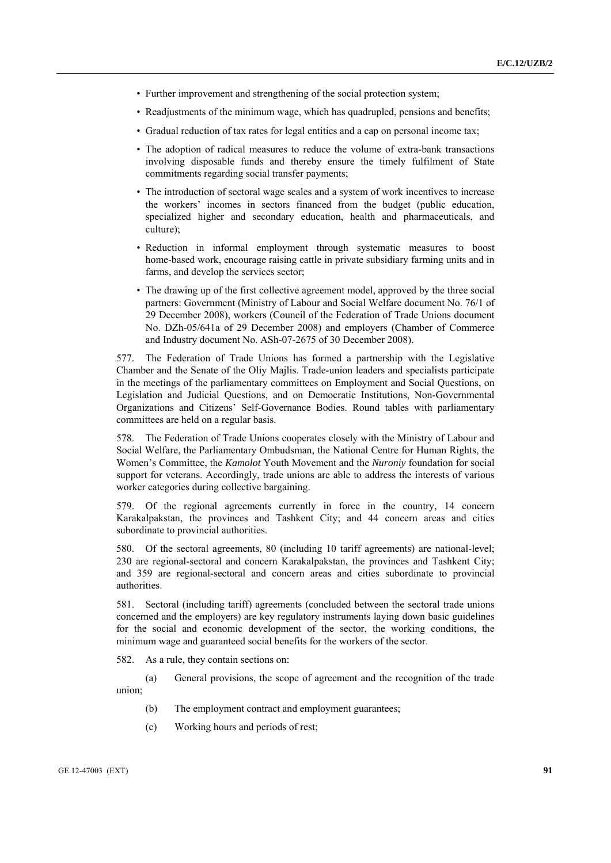- Further improvement and strengthening of the social protection system;
- Readjustments of the minimum wage, which has quadrupled, pensions and benefits;
- Gradual reduction of tax rates for legal entities and a cap on personal income tax;
- The adoption of radical measures to reduce the volume of extra-bank transactions involving disposable funds and thereby ensure the timely fulfilment of State commitments regarding social transfer payments;
- The introduction of sectoral wage scales and a system of work incentives to increase the workers' incomes in sectors financed from the budget (public education, specialized higher and secondary education, health and pharmaceuticals, and culture);
- Reduction in informal employment through systematic measures to boost home-based work, encourage raising cattle in private subsidiary farming units and in farms, and develop the services sector;
- The drawing up of the first collective agreement model, approved by the three social partners: Government (Ministry of Labour and Social Welfare document No. 76/1 of 29 December 2008), workers (Council of the Federation of Trade Unions document No. DZh-05/641a of 29 December 2008) and employers (Chamber of Commerce and Industry document No. ASh-07-2675 of 30 December 2008).

577. The Federation of Trade Unions has formed a partnership with the Legislative Chamber and the Senate of the Oliy Majlis. Trade-union leaders and specialists participate in the meetings of the parliamentary committees on Employment and Social Questions, on Legislation and Judicial Questions, and on Democratic Institutions, Non-Governmental Organizations and Citizens' Self-Governance Bodies. Round tables with parliamentary committees are held on a regular basis.

578. The Federation of Trade Unions cooperates closely with the Ministry of Labour and Social Welfare, the Parliamentary Ombudsman, the National Centre for Human Rights, the Women's Committee, the *Kamolot* Youth Movement and the *Nuroniy* foundation for social support for veterans. Accordingly, trade unions are able to address the interests of various worker categories during collective bargaining.

579. Of the regional agreements currently in force in the country, 14 concern Karakalpakstan, the provinces and Tashkent City; and 44 concern areas and cities subordinate to provincial authorities.

580. Of the sectoral agreements, 80 (including 10 tariff agreements) are national-level; 230 are regional-sectoral and concern Karakalpakstan, the provinces and Tashkent City; and 359 are regional-sectoral and concern areas and cities subordinate to provincial authorities.

581. Sectoral (including tariff) agreements (concluded between the sectoral trade unions concerned and the employers) are key regulatory instruments laying down basic guidelines for the social and economic development of the sector, the working conditions, the minimum wage and guaranteed social benefits for the workers of the sector.

582. As a rule, they contain sections on:

 (a) General provisions, the scope of agreement and the recognition of the trade union;

- (b) The employment contract and employment guarantees;
- (c) Working hours and periods of rest;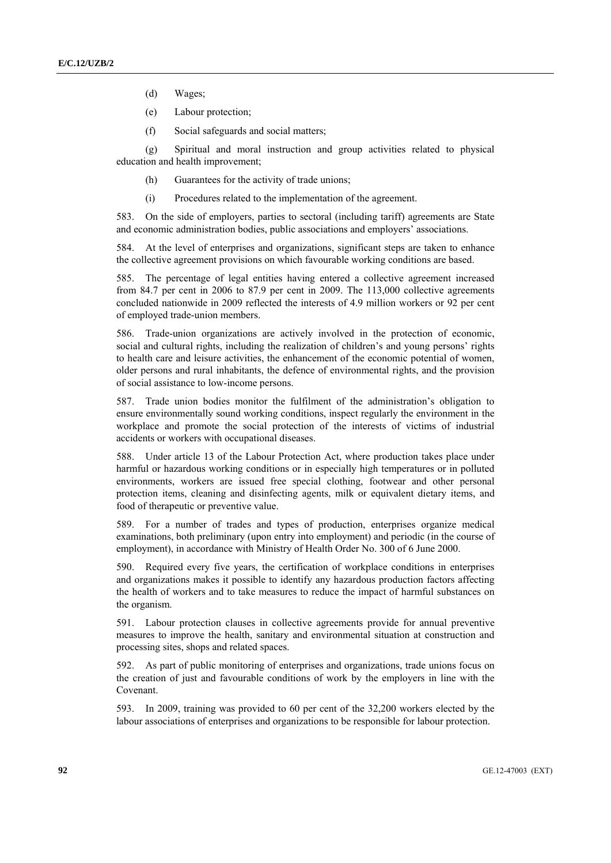- (d) Wages;
- (e) Labour protection;
- (f) Social safeguards and social matters;

 (g) Spiritual and moral instruction and group activities related to physical education and health improvement;

- (h) Guarantees for the activity of trade unions;
- (i) Procedures related to the implementation of the agreement.

583. On the side of employers, parties to sectoral (including tariff) agreements are State and economic administration bodies, public associations and employers' associations.

584. At the level of enterprises and organizations, significant steps are taken to enhance the collective agreement provisions on which favourable working conditions are based.

585. The percentage of legal entities having entered a collective agreement increased from 84.7 per cent in 2006 to 87.9 per cent in 2009. The 113,000 collective agreements concluded nationwide in 2009 reflected the interests of 4.9 million workers or 92 per cent of employed trade-union members.

586. Trade-union organizations are actively involved in the protection of economic, social and cultural rights, including the realization of children's and young persons' rights to health care and leisure activities, the enhancement of the economic potential of women, older persons and rural inhabitants, the defence of environmental rights, and the provision of social assistance to low-income persons.

587. Trade union bodies monitor the fulfilment of the administration's obligation to ensure environmentally sound working conditions, inspect regularly the environment in the workplace and promote the social protection of the interests of victims of industrial accidents or workers with occupational diseases.

588. Under article 13 of the Labour Protection Act, where production takes place under harmful or hazardous working conditions or in especially high temperatures or in polluted environments, workers are issued free special clothing, footwear and other personal protection items, cleaning and disinfecting agents, milk or equivalent dietary items, and food of therapeutic or preventive value.

589. For a number of trades and types of production, enterprises organize medical examinations, both preliminary (upon entry into employment) and periodic (in the course of employment), in accordance with Ministry of Health Order No. 300 of 6 June 2000.

590. Required every five years, the certification of workplace conditions in enterprises and organizations makes it possible to identify any hazardous production factors affecting the health of workers and to take measures to reduce the impact of harmful substances on the organism.

591. Labour protection clauses in collective agreements provide for annual preventive measures to improve the health, sanitary and environmental situation at construction and processing sites, shops and related spaces.

592. As part of public monitoring of enterprises and organizations, trade unions focus on the creation of just and favourable conditions of work by the employers in line with the Covenant.

593. In 2009, training was provided to 60 per cent of the 32,200 workers elected by the labour associations of enterprises and organizations to be responsible for labour protection.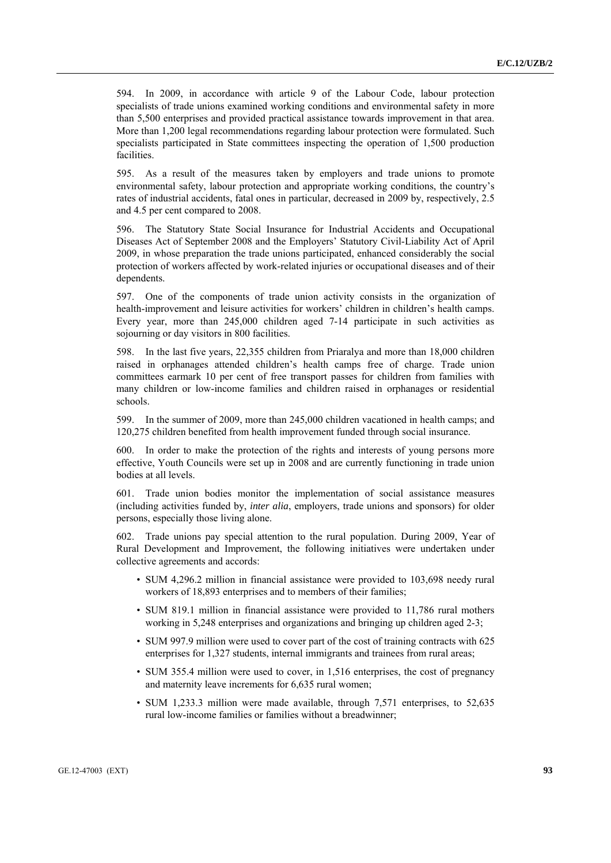594. In 2009, in accordance with article 9 of the Labour Code, labour protection specialists of trade unions examined working conditions and environmental safety in more than 5,500 enterprises and provided practical assistance towards improvement in that area. More than 1,200 legal recommendations regarding labour protection were formulated. Such specialists participated in State committees inspecting the operation of 1,500 production **facilities** 

595. As a result of the measures taken by employers and trade unions to promote environmental safety, labour protection and appropriate working conditions, the country's rates of industrial accidents, fatal ones in particular, decreased in 2009 by, respectively, 2.5 and 4.5 per cent compared to 2008.

596. The Statutory State Social Insurance for Industrial Accidents and Occupational Diseases Act of September 2008 and the Employers' Statutory Civil-Liability Act of April 2009, in whose preparation the trade unions participated, enhanced considerably the social protection of workers affected by work-related injuries or occupational diseases and of their dependents.

597. One of the components of trade union activity consists in the organization of health-improvement and leisure activities for workers' children in children's health camps. Every year, more than 245,000 children aged 7-14 participate in such activities as sojourning or day visitors in 800 facilities.

598. In the last five years, 22,355 children from Priaralya and more than 18,000 children raised in orphanages attended children's health camps free of charge. Trade union committees earmark 10 per cent of free transport passes for children from families with many children or low-income families and children raised in orphanages or residential schools.

599. In the summer of 2009, more than 245,000 children vacationed in health camps; and 120,275 children benefited from health improvement funded through social insurance.

600. In order to make the protection of the rights and interests of young persons more effective, Youth Councils were set up in 2008 and are currently functioning in trade union bodies at all levels.

601. Trade union bodies monitor the implementation of social assistance measures (including activities funded by, *inter alia*, employers, trade unions and sponsors) for older persons, especially those living alone.

602. Trade unions pay special attention to the rural population. During 2009, Year of Rural Development and Improvement, the following initiatives were undertaken under collective agreements and accords:

- SUM 4,296.2 million in financial assistance were provided to 103,698 needy rural workers of 18,893 enterprises and to members of their families;
- SUM 819.1 million in financial assistance were provided to 11,786 rural mothers working in 5,248 enterprises and organizations and bringing up children aged 2-3;
- SUM 997.9 million were used to cover part of the cost of training contracts with 625 enterprises for 1,327 students, internal immigrants and trainees from rural areas;
- SUM 355.4 million were used to cover, in 1,516 enterprises, the cost of pregnancy and maternity leave increments for 6,635 rural women;
- SUM 1,233.3 million were made available, through 7,571 enterprises, to 52,635 rural low-income families or families without a breadwinner;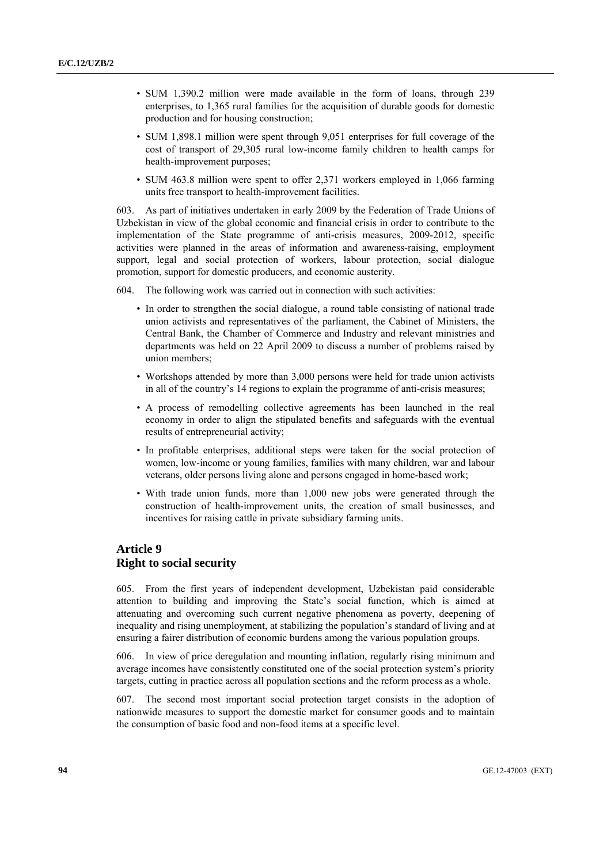- SUM 1,390.2 million were made available in the form of loans, through 239 enterprises, to 1,365 rural families for the acquisition of durable goods for domestic production and for housing construction;
- SUM 1,898.1 million were spent through 9,051 enterprises for full coverage of the cost of transport of 29,305 rural low-income family children to health camps for health-improvement purposes;
- SUM 463.8 million were spent to offer 2,371 workers employed in 1,066 farming units free transport to health-improvement facilities.

603. As part of initiatives undertaken in early 2009 by the Federation of Trade Unions of Uzbekistan in view of the global economic and financial crisis in order to contribute to the implementation of the State programme of anti-crisis measures, 2009-2012, specific activities were planned in the areas of information and awareness-raising, employment support, legal and social protection of workers, labour protection, social dialogue promotion, support for domestic producers, and economic austerity.

604. The following work was carried out in connection with such activities:

- In order to strengthen the social dialogue, a round table consisting of national trade union activists and representatives of the parliament, the Cabinet of Ministers, the Central Bank, the Chamber of Commerce and Industry and relevant ministries and departments was held on 22 April 2009 to discuss a number of problems raised by union members;
- Workshops attended by more than 3,000 persons were held for trade union activists in all of the country's 14 regions to explain the programme of anti-crisis measures;
- A process of remodelling collective agreements has been launched in the real economy in order to align the stipulated benefits and safeguards with the eventual results of entrepreneurial activity;
- In profitable enterprises, additional steps were taken for the social protection of women, low-income or young families, families with many children, war and labour veterans, older persons living alone and persons engaged in home-based work;
- With trade union funds, more than 1,000 new jobs were generated through the construction of health-improvement units, the creation of small businesses, and incentives for raising cattle in private subsidiary farming units.

## **Article 9 Right to social security**

605. From the first years of independent development, Uzbekistan paid considerable attention to building and improving the State's social function, which is aimed at attenuating and overcoming such current negative phenomena as poverty, deepening of inequality and rising unemployment, at stabilizing the population's standard of living and at ensuring a fairer distribution of economic burdens among the various population groups.

606. In view of price deregulation and mounting inflation, regularly rising minimum and average incomes have consistently constituted one of the social protection system's priority targets, cutting in practice across all population sections and the reform process as a whole.

607. The second most important social protection target consists in the adoption of nationwide measures to support the domestic market for consumer goods and to maintain the consumption of basic food and non-food items at a specific level.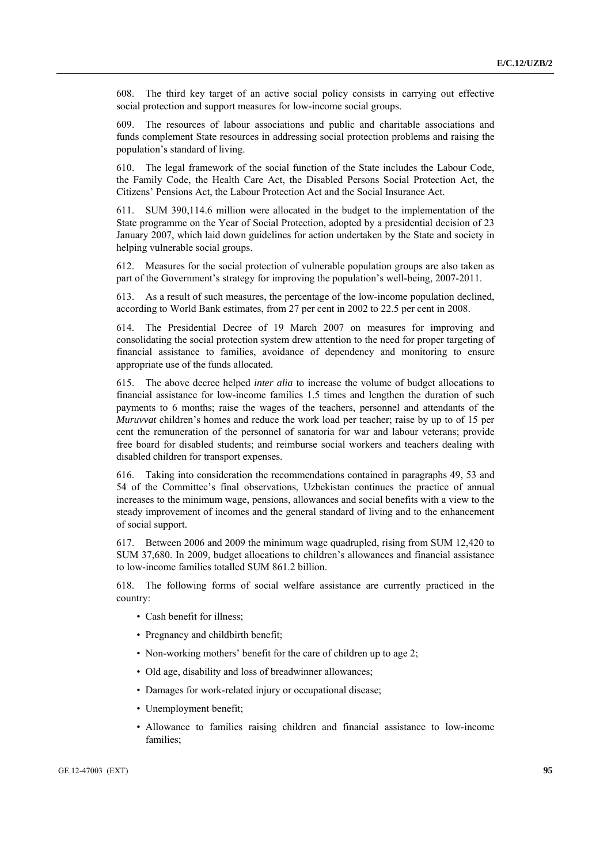608. The third key target of an active social policy consists in carrying out effective social protection and support measures for low-income social groups.

609. The resources of labour associations and public and charitable associations and funds complement State resources in addressing social protection problems and raising the population's standard of living.

610. The legal framework of the social function of the State includes the Labour Code, the Family Code, the Health Care Act, the Disabled Persons Social Protection Act, the Citizens' Pensions Act, the Labour Protection Act and the Social Insurance Act.

611. SUM 390,114.6 million were allocated in the budget to the implementation of the State programme on the Year of Social Protection, adopted by a presidential decision of 23 January 2007, which laid down guidelines for action undertaken by the State and society in helping vulnerable social groups.

612. Measures for the social protection of vulnerable population groups are also taken as part of the Government's strategy for improving the population's well-being, 2007-2011.

613. As a result of such measures, the percentage of the low-income population declined, according to World Bank estimates, from 27 per cent in 2002 to 22.5 per cent in 2008.

614. The Presidential Decree of 19 March 2007 on measures for improving and consolidating the social protection system drew attention to the need for proper targeting of financial assistance to families, avoidance of dependency and monitoring to ensure appropriate use of the funds allocated.

615. The above decree helped *inter alia* to increase the volume of budget allocations to financial assistance for low-income families 1.5 times and lengthen the duration of such payments to 6 months; raise the wages of the teachers, personnel and attendants of the *Muruvvat* children's homes and reduce the work load per teacher; raise by up to of 15 per cent the remuneration of the personnel of sanatoria for war and labour veterans; provide free board for disabled students; and reimburse social workers and teachers dealing with disabled children for transport expenses.

616. Taking into consideration the recommendations contained in paragraphs 49, 53 and 54 of the Committee's final observations, Uzbekistan continues the practice of annual increases to the minimum wage, pensions, allowances and social benefits with a view to the steady improvement of incomes and the general standard of living and to the enhancement of social support.

617. Between 2006 and 2009 the minimum wage quadrupled, rising from SUM 12,420 to SUM 37,680. In 2009, budget allocations to children's allowances and financial assistance to low-income families totalled SUM 861.2 billion.

618. The following forms of social welfare assistance are currently practiced in the country:

- Cash benefit for illness;
- Pregnancy and childbirth benefit;
- Non-working mothers' benefit for the care of children up to age 2;
- Old age, disability and loss of breadwinner allowances;
- Damages for work-related injury or occupational disease;
- Unemployment benefit;
- Allowance to families raising children and financial assistance to low-income families;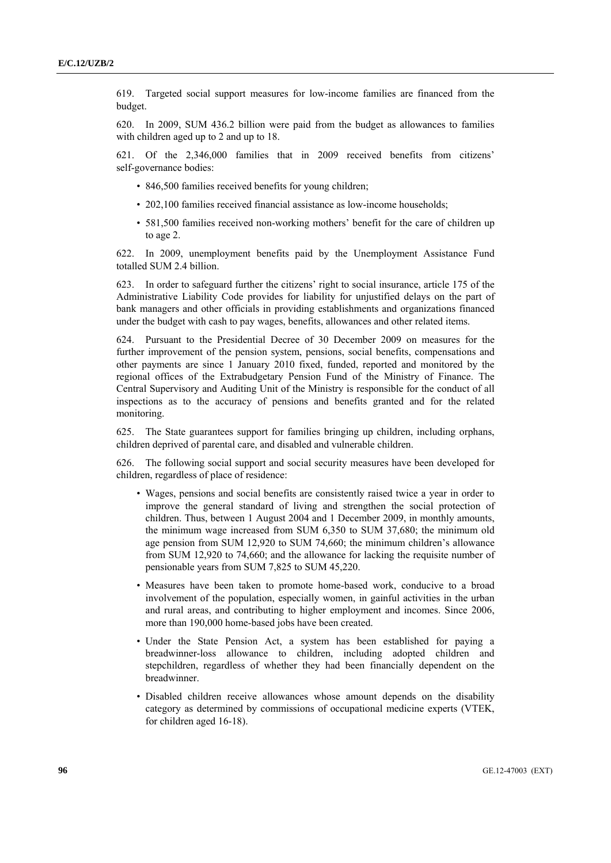619. Targeted social support measures for low-income families are financed from the budget.

620. In 2009, SUM 436.2 billion were paid from the budget as allowances to families with children aged up to 2 and up to 18.

621. Of the 2,346,000 families that in 2009 received benefits from citizens' self-governance bodies:

- 846,500 families received benefits for young children;
- 202,100 families received financial assistance as low-income households:
- 581,500 families received non-working mothers' benefit for the care of children up to age 2.

622. In 2009, unemployment benefits paid by the Unemployment Assistance Fund totalled SUM 2.4 billion.

623. In order to safeguard further the citizens' right to social insurance, article 175 of the Administrative Liability Code provides for liability for unjustified delays on the part of bank managers and other officials in providing establishments and organizations financed under the budget with cash to pay wages, benefits, allowances and other related items.

624. Pursuant to the Presidential Decree of 30 December 2009 on measures for the further improvement of the pension system, pensions, social benefits, compensations and other payments are since 1 January 2010 fixed, funded, reported and monitored by the regional offices of the Extrabudgetary Pension Fund of the Ministry of Finance. The Central Supervisory and Auditing Unit of the Ministry is responsible for the conduct of all inspections as to the accuracy of pensions and benefits granted and for the related monitoring.

625. The State guarantees support for families bringing up children, including orphans, children deprived of parental care, and disabled and vulnerable children.

626. The following social support and social security measures have been developed for children, regardless of place of residence:

- Wages, pensions and social benefits are consistently raised twice a year in order to improve the general standard of living and strengthen the social protection of children. Thus, between 1 August 2004 and 1 December 2009, in monthly amounts, the minimum wage increased from SUM 6,350 to SUM 37,680; the minimum old age pension from SUM 12,920 to SUM 74,660; the minimum children's allowance from SUM 12,920 to 74,660; and the allowance for lacking the requisite number of pensionable years from SUM 7,825 to SUM 45,220.
- Measures have been taken to promote home-based work, conducive to a broad involvement of the population, especially women, in gainful activities in the urban and rural areas, and contributing to higher employment and incomes. Since 2006, more than 190,000 home-based jobs have been created.
- Under the State Pension Act, a system has been established for paying a breadwinner-loss allowance to children, including adopted children and stepchildren, regardless of whether they had been financially dependent on the breadwinner.
- Disabled children receive allowances whose amount depends on the disability category as determined by commissions of occupational medicine experts (VTEK, for children aged 16-18).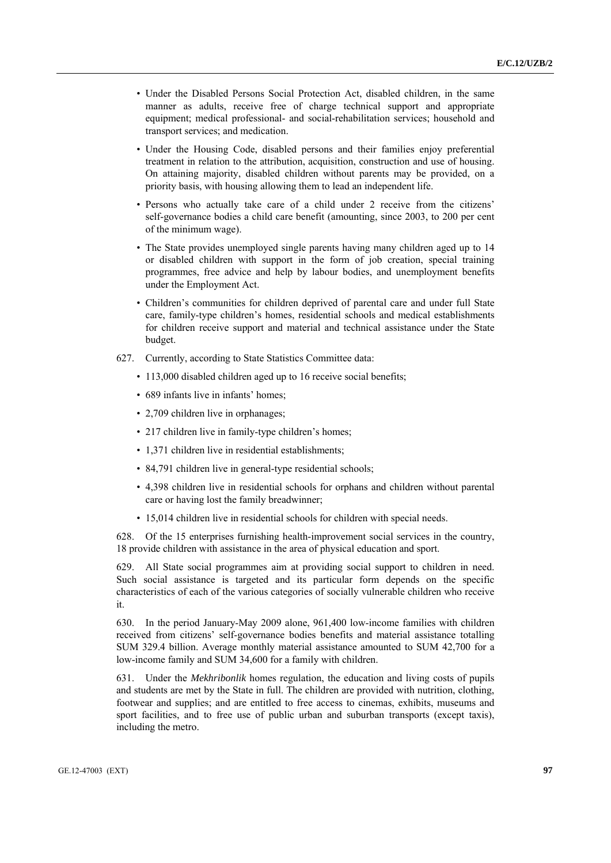- Under the Disabled Persons Social Protection Act, disabled children, in the same manner as adults, receive free of charge technical support and appropriate equipment; medical professional- and social-rehabilitation services; household and transport services; and medication.
- Under the Housing Code, disabled persons and their families enjoy preferential treatment in relation to the attribution, acquisition, construction and use of housing. On attaining majority, disabled children without parents may be provided, on a priority basis, with housing allowing them to lead an independent life.
- Persons who actually take care of a child under 2 receive from the citizens' self-governance bodies a child care benefit (amounting, since 2003, to 200 per cent of the minimum wage).
- The State provides unemployed single parents having many children aged up to 14 or disabled children with support in the form of job creation, special training programmes, free advice and help by labour bodies, and unemployment benefits under the Employment Act.
- Children's communities for children deprived of parental care and under full State care, family-type children's homes, residential schools and medical establishments for children receive support and material and technical assistance under the State budget.
- 627. Currently, according to State Statistics Committee data:
	- 113,000 disabled children aged up to 16 receive social benefits;
	- 689 infants live in infants' homes;
	- 2,709 children live in orphanages;
	- 217 children live in family-type children's homes;
	- 1,371 children live in residential establishments;
	- 84,791 children live in general-type residential schools;
	- 4,398 children live in residential schools for orphans and children without parental care or having lost the family breadwinner;
	- 15,014 children live in residential schools for children with special needs.

628. Of the 15 enterprises furnishing health-improvement social services in the country, 18 provide children with assistance in the area of physical education and sport.

629. All State social programmes aim at providing social support to children in need. Such social assistance is targeted and its particular form depends on the specific characteristics of each of the various categories of socially vulnerable children who receive it.

630. In the period January-May 2009 alone, 961,400 low-income families with children received from citizens' self-governance bodies benefits and material assistance totalling SUM 329.4 billion. Average monthly material assistance amounted to SUM 42,700 for a low-income family and SUM 34,600 for a family with children.

631. Under the *Mekhribonlik* homes regulation, the education and living costs of pupils and students are met by the State in full. The children are provided with nutrition, clothing, footwear and supplies; and are entitled to free access to cinemas, exhibits, museums and sport facilities, and to free use of public urban and suburban transports (except taxis), including the metro.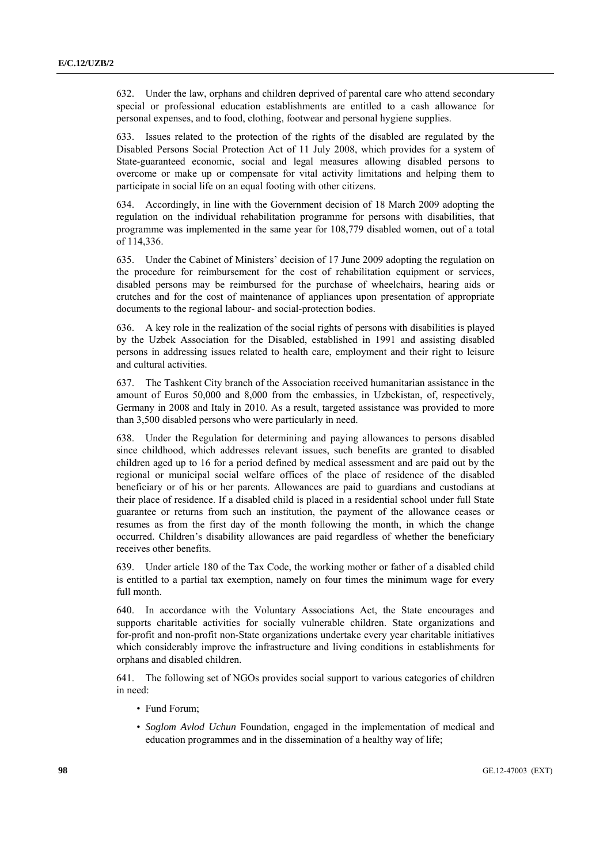632. Under the law, orphans and children deprived of parental care who attend secondary special or professional education establishments are entitled to a cash allowance for personal expenses, and to food, clothing, footwear and personal hygiene supplies.

633. Issues related to the protection of the rights of the disabled are regulated by the Disabled Persons Social Protection Act of 11 July 2008, which provides for a system of State-guaranteed economic, social and legal measures allowing disabled persons to overcome or make up or compensate for vital activity limitations and helping them to participate in social life on an equal footing with other citizens.

634. Accordingly, in line with the Government decision of 18 March 2009 adopting the regulation on the individual rehabilitation programme for persons with disabilities, that programme was implemented in the same year for 108,779 disabled women, out of a total of 114,336.

635. Under the Cabinet of Ministers' decision of 17 June 2009 adopting the regulation on the procedure for reimbursement for the cost of rehabilitation equipment or services, disabled persons may be reimbursed for the purchase of wheelchairs, hearing aids or crutches and for the cost of maintenance of appliances upon presentation of appropriate documents to the regional labour- and social-protection bodies.

636. A key role in the realization of the social rights of persons with disabilities is played by the Uzbek Association for the Disabled, established in 1991 and assisting disabled persons in addressing issues related to health care, employment and their right to leisure and cultural activities.

637. The Tashkent City branch of the Association received humanitarian assistance in the amount of Euros 50,000 and 8,000 from the embassies, in Uzbekistan, of, respectively, Germany in 2008 and Italy in 2010. As a result, targeted assistance was provided to more than 3,500 disabled persons who were particularly in need.

638. Under the Regulation for determining and paying allowances to persons disabled since childhood, which addresses relevant issues, such benefits are granted to disabled children aged up to 16 for a period defined by medical assessment and are paid out by the regional or municipal social welfare offices of the place of residence of the disabled beneficiary or of his or her parents. Allowances are paid to guardians and custodians at their place of residence. If a disabled child is placed in a residential school under full State guarantee or returns from such an institution, the payment of the allowance ceases or resumes as from the first day of the month following the month, in which the change occurred. Children's disability allowances are paid regardless of whether the beneficiary receives other benefits.

639. Under article 180 of the Tax Code, the working mother or father of a disabled child is entitled to a partial tax exemption, namely on four times the minimum wage for every full month.

640. In accordance with the Voluntary Associations Act, the State encourages and supports charitable activities for socially vulnerable children. State organizations and for-profit and non-profit non-State organizations undertake every year charitable initiatives which considerably improve the infrastructure and living conditions in establishments for orphans and disabled children.

641. The following set of NGOs provides social support to various categories of children in need:

- Fund Forum;
- *Soglom Avlod Uchun* Foundation, engaged in the implementation of medical and education programmes and in the dissemination of a healthy way of life;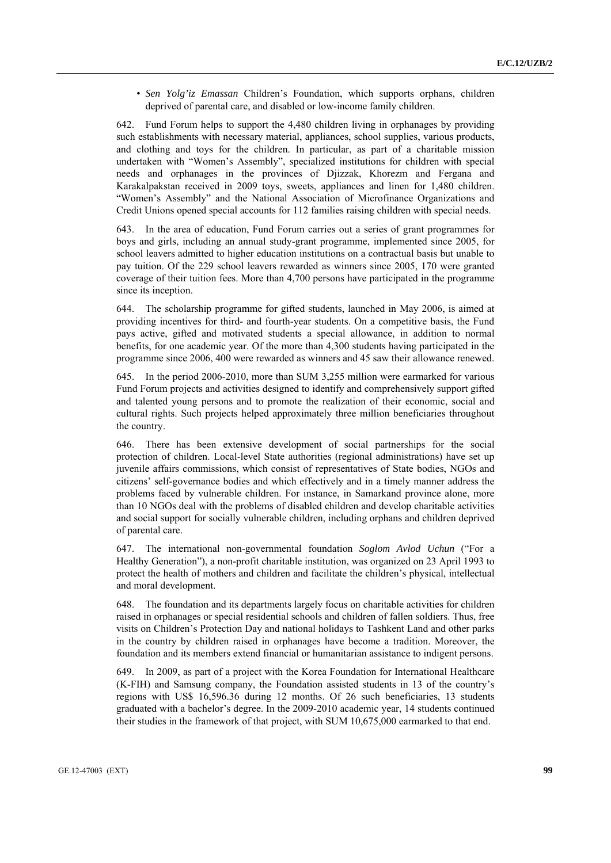• *Sen Yolg'iz Emassan* Children's Foundation, which supports orphans, children deprived of parental care, and disabled or low-income family children.

642. Fund Forum helps to support the 4,480 children living in orphanages by providing such establishments with necessary material, appliances, school supplies, various products, and clothing and toys for the children. In particular, as part of a charitable mission undertaken with "Women's Assembly", specialized institutions for children with special needs and orphanages in the provinces of Djizzak, Khorezm and Fergana and Karakalpakstan received in 2009 toys, sweets, appliances and linen for 1,480 children. "Women's Assembly" and the National Association of Microfinance Organizations and Credit Unions opened special accounts for 112 families raising children with special needs.

643. In the area of education, Fund Forum carries out a series of grant programmes for boys and girls, including an annual study-grant programme, implemented since 2005, for school leavers admitted to higher education institutions on a contractual basis but unable to pay tuition. Of the 229 school leavers rewarded as winners since 2005, 170 were granted coverage of their tuition fees. More than 4,700 persons have participated in the programme since its inception.

644. The scholarship programme for gifted students, launched in May 2006, is aimed at providing incentives for third- and fourth-year students. On a competitive basis, the Fund pays active, gifted and motivated students a special allowance, in addition to normal benefits, for one academic year. Of the more than 4,300 students having participated in the programme since 2006, 400 were rewarded as winners and 45 saw their allowance renewed.

645. In the period 2006-2010, more than SUM 3,255 million were earmarked for various Fund Forum projects and activities designed to identify and comprehensively support gifted and talented young persons and to promote the realization of their economic, social and cultural rights. Such projects helped approximately three million beneficiaries throughout the country.

646. There has been extensive development of social partnerships for the social protection of children. Local-level State authorities (regional administrations) have set up juvenile affairs commissions, which consist of representatives of State bodies, NGOs and citizens' self-governance bodies and which effectively and in a timely manner address the problems faced by vulnerable children. For instance, in Samarkand province alone, more than 10 NGOs deal with the problems of disabled children and develop charitable activities and social support for socially vulnerable children, including orphans and children deprived of parental care.

647. The international non-governmental foundation *Soglom Avlod Uchun* ("For a Healthy Generation"), a non-profit charitable institution, was organized on 23 April 1993 to protect the health of mothers and children and facilitate the children's physical, intellectual and moral development.

648. The foundation and its departments largely focus on charitable activities for children raised in orphanages or special residential schools and children of fallen soldiers. Thus, free visits on Children's Protection Day and national holidays to Tashkent Land and other parks in the country by children raised in orphanages have become a tradition. Moreover, the foundation and its members extend financial or humanitarian assistance to indigent persons.

649. In 2009, as part of a project with the Korea Foundation for International Healthcare (K-FIH) and Samsung company, the Foundation assisted students in 13 of the country's regions with US\$ 16,596.36 during 12 months. Of 26 such beneficiaries, 13 students graduated with a bachelor's degree. In the 2009-2010 academic year, 14 students continued their studies in the framework of that project, with SUM 10,675,000 earmarked to that end.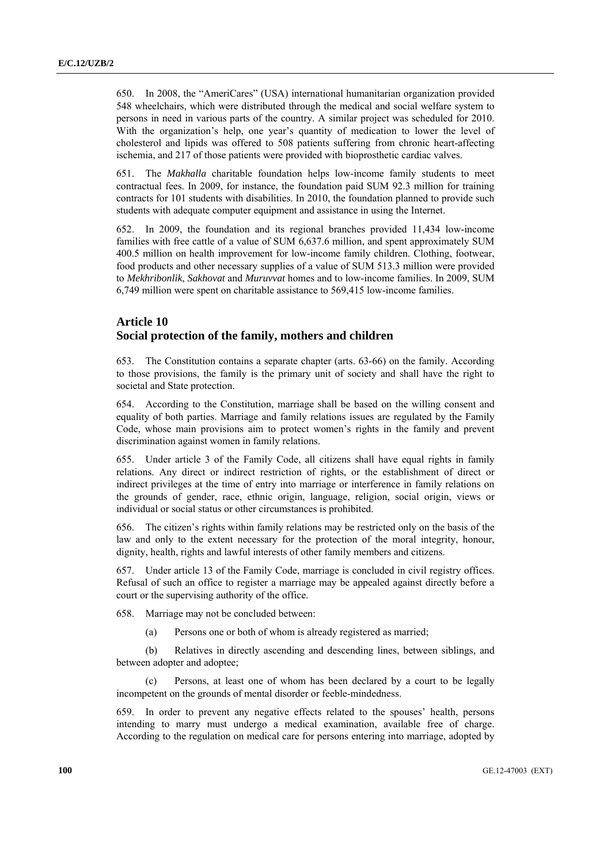650. In 2008, the "AmeriCares" (USA) international humanitarian organization provided 548 wheelchairs, which were distributed through the medical and social welfare system to persons in need in various parts of the country. A similar project was scheduled for 2010. With the organization's help, one year's quantity of medication to lower the level of cholesterol and lipids was offered to 508 patients suffering from chronic heart-affecting ischemia, and 217 of those patients were provided with bioprosthetic cardiac valves.

651. The *Makhalla* charitable foundation helps low-income family students to meet contractual fees. In 2009, for instance, the foundation paid SUM 92.3 million for training contracts for 101 students with disabilities. In 2010, the foundation planned to provide such students with adequate computer equipment and assistance in using the Internet.

652. In 2009, the foundation and its regional branches provided 11,434 low-income families with free cattle of a value of SUM 6,637.6 million, and spent approximately SUM 400.5 million on health improvement for low-income family children. Clothing, footwear, food products and other necessary supplies of a value of SUM 513.3 million were provided to *Mekhribonlik*, *Sakhovat* and *Muruvvat* homes and to low-income families. In 2009, SUM 6,749 million were spent on charitable assistance to 569,415 low-income families.

## **Article 10 Social protection of the family, mothers and children**

653. The Constitution contains a separate chapter (arts. 63-66) on the family. According to those provisions, the family is the primary unit of society and shall have the right to societal and State protection.

654. According to the Constitution, marriage shall be based on the willing consent and equality of both parties. Marriage and family relations issues are regulated by the Family Code, whose main provisions aim to protect women's rights in the family and prevent discrimination against women in family relations.

655. Under article 3 of the Family Code, all citizens shall have equal rights in family relations. Any direct or indirect restriction of rights, or the establishment of direct or indirect privileges at the time of entry into marriage or interference in family relations on the grounds of gender, race, ethnic origin, language, religion, social origin, views or individual or social status or other circumstances is prohibited.

656. The citizen's rights within family relations may be restricted only on the basis of the law and only to the extent necessary for the protection of the moral integrity, honour, dignity, health, rights and lawful interests of other family members and citizens.

657. Under article 13 of the Family Code, marriage is concluded in civil registry offices. Refusal of such an office to register a marriage may be appealed against directly before a court or the supervising authority of the office.

658. Marriage may not be concluded between:

(a) Persons one or both of whom is already registered as married;

 (b) Relatives in directly ascending and descending lines, between siblings, and between adopter and adoptee;

Persons, at least one of whom has been declared by a court to be legally incompetent on the grounds of mental disorder or feeble-mindedness.

659. In order to prevent any negative effects related to the spouses' health, persons intending to marry must undergo a medical examination, available free of charge. According to the regulation on medical care for persons entering into marriage, adopted by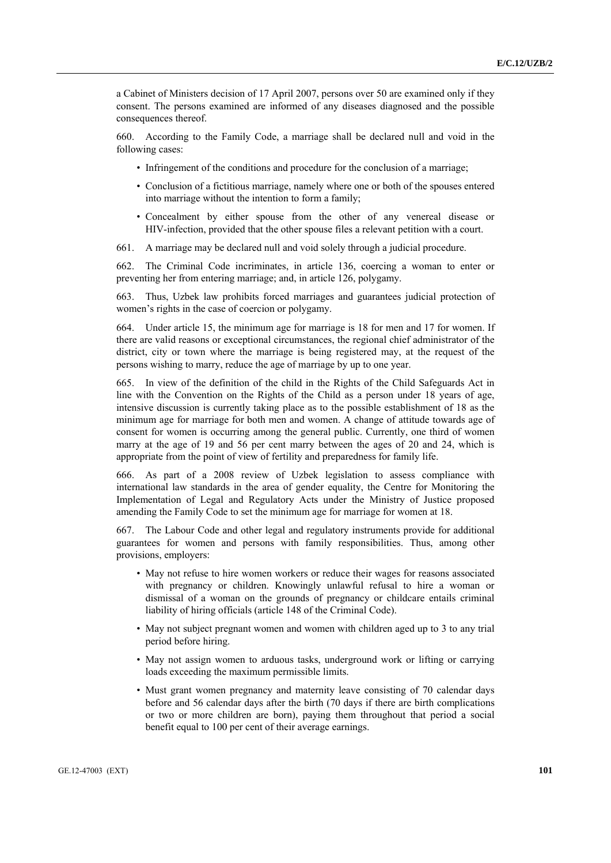a Cabinet of Ministers decision of 17 April 2007, persons over 50 are examined only if they consent. The persons examined are informed of any diseases diagnosed and the possible consequences thereof.

660. According to the Family Code, a marriage shall be declared null and void in the following cases:

- Infringement of the conditions and procedure for the conclusion of a marriage:
- Conclusion of a fictitious marriage, namely where one or both of the spouses entered into marriage without the intention to form a family;
- Concealment by either spouse from the other of any venereal disease or HIV-infection, provided that the other spouse files a relevant petition with a court.
- 661. A marriage may be declared null and void solely through a judicial procedure.

662. The Criminal Code incriminates, in article 136, coercing a woman to enter or preventing her from entering marriage; and, in article 126, polygamy.

663. Thus, Uzbek law prohibits forced marriages and guarantees judicial protection of women's rights in the case of coercion or polygamy.

664. Under article 15, the minimum age for marriage is 18 for men and 17 for women. If there are valid reasons or exceptional circumstances, the regional chief administrator of the district, city or town where the marriage is being registered may, at the request of the persons wishing to marry, reduce the age of marriage by up to one year.

665. In view of the definition of the child in the Rights of the Child Safeguards Act in line with the Convention on the Rights of the Child as a person under 18 years of age, intensive discussion is currently taking place as to the possible establishment of 18 as the minimum age for marriage for both men and women. A change of attitude towards age of consent for women is occurring among the general public. Currently, one third of women marry at the age of 19 and 56 per cent marry between the ages of 20 and 24, which is appropriate from the point of view of fertility and preparedness for family life.

666. As part of a 2008 review of Uzbek legislation to assess compliance with international law standards in the area of gender equality, the Centre for Monitoring the Implementation of Legal and Regulatory Acts under the Ministry of Justice proposed amending the Family Code to set the minimum age for marriage for women at 18.

667. The Labour Code and other legal and regulatory instruments provide for additional guarantees for women and persons with family responsibilities. Thus, among other provisions, employers:

- May not refuse to hire women workers or reduce their wages for reasons associated with pregnancy or children. Knowingly unlawful refusal to hire a woman or dismissal of a woman on the grounds of pregnancy or childcare entails criminal liability of hiring officials (article 148 of the Criminal Code).
- May not subject pregnant women and women with children aged up to 3 to any trial period before hiring.
- May not assign women to arduous tasks, underground work or lifting or carrying loads exceeding the maximum permissible limits.
- Must grant women pregnancy and maternity leave consisting of 70 calendar days before and 56 calendar days after the birth (70 days if there are birth complications or two or more children are born), paying them throughout that period a social benefit equal to 100 per cent of their average earnings.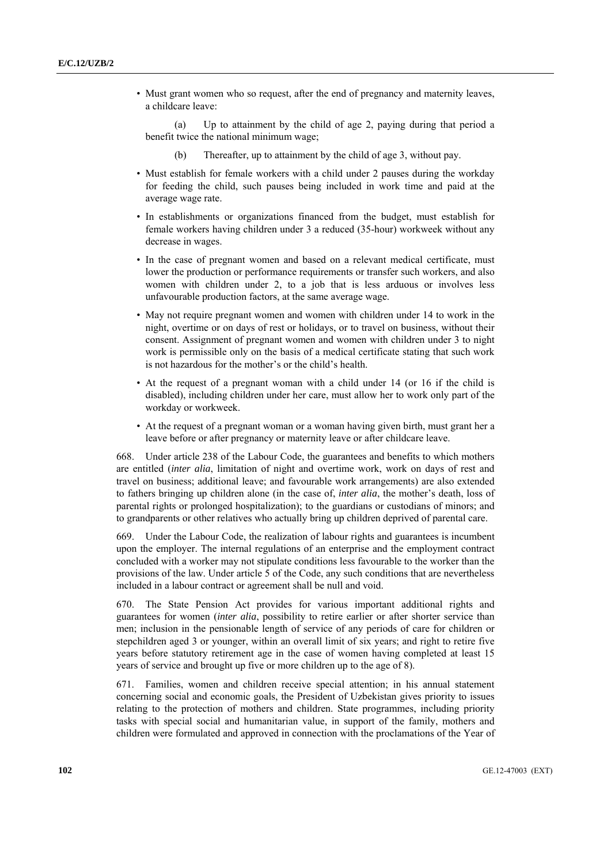• Must grant women who so request, after the end of pregnancy and maternity leaves, a childcare leave:

 (a) Up to attainment by the child of age 2, paying during that period a benefit twice the national minimum wage;

- (b) Thereafter, up to attainment by the child of age 3, without pay.
- Must establish for female workers with a child under 2 pauses during the workday for feeding the child, such pauses being included in work time and paid at the average wage rate.
- In establishments or organizations financed from the budget, must establish for female workers having children under 3 a reduced (35-hour) workweek without any decrease in wages.
- In the case of pregnant women and based on a relevant medical certificate, must lower the production or performance requirements or transfer such workers, and also women with children under 2, to a job that is less arduous or involves less unfavourable production factors, at the same average wage.
- May not require pregnant women and women with children under 14 to work in the night, overtime or on days of rest or holidays, or to travel on business, without their consent. Assignment of pregnant women and women with children under 3 to night work is permissible only on the basis of a medical certificate stating that such work is not hazardous for the mother's or the child's health.
- At the request of a pregnant woman with a child under 14 (or 16 if the child is disabled), including children under her care, must allow her to work only part of the workday or workweek.
- At the request of a pregnant woman or a woman having given birth, must grant her a leave before or after pregnancy or maternity leave or after childcare leave.

668. Under article 238 of the Labour Code, the guarantees and benefits to which mothers are entitled (*inter alia*, limitation of night and overtime work, work on days of rest and travel on business; additional leave; and favourable work arrangements) are also extended to fathers bringing up children alone (in the case of, *inter alia*, the mother's death, loss of parental rights or prolonged hospitalization); to the guardians or custodians of minors; and to grandparents or other relatives who actually bring up children deprived of parental care.

669. Under the Labour Code, the realization of labour rights and guarantees is incumbent upon the employer. The internal regulations of an enterprise and the employment contract concluded with a worker may not stipulate conditions less favourable to the worker than the provisions of the law. Under article 5 of the Code, any such conditions that are nevertheless included in a labour contract or agreement shall be null and void.

670. The State Pension Act provides for various important additional rights and guarantees for women (*inter alia*, possibility to retire earlier or after shorter service than men; inclusion in the pensionable length of service of any periods of care for children or stepchildren aged 3 or younger, within an overall limit of six years; and right to retire five years before statutory retirement age in the case of women having completed at least 15 years of service and brought up five or more children up to the age of 8).

671. Families, women and children receive special attention; in his annual statement concerning social and economic goals, the President of Uzbekistan gives priority to issues relating to the protection of mothers and children. State programmes, including priority tasks with special social and humanitarian value, in support of the family, mothers and children were formulated and approved in connection with the proclamations of the Year of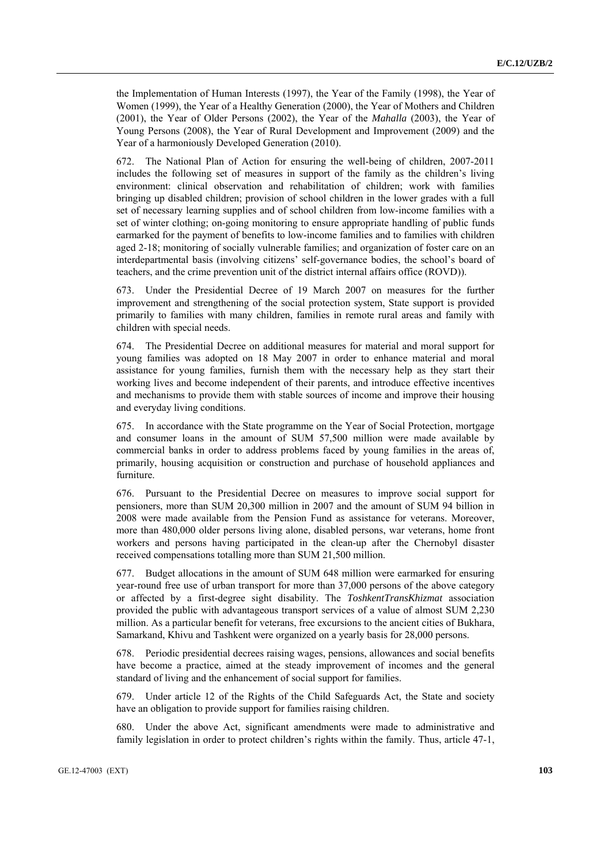the Implementation of Human Interests (1997), the Year of the Family (1998), the Year of Women (1999), the Year of a Healthy Generation (2000), the Year of Mothers and Children (2001), the Year of Older Persons (2002), the Year of the *Mahalla* (2003), the Year of Young Persons (2008), the Year of Rural Development and Improvement (2009) and the Year of a harmoniously Developed Generation (2010).

672. The National Plan of Action for ensuring the well-being of children, 2007-2011 includes the following set of measures in support of the family as the children's living environment: clinical observation and rehabilitation of children; work with families bringing up disabled children; provision of school children in the lower grades with a full set of necessary learning supplies and of school children from low-income families with a set of winter clothing; on-going monitoring to ensure appropriate handling of public funds earmarked for the payment of benefits to low-income families and to families with children aged 2-18; monitoring of socially vulnerable families; and organization of foster care on an interdepartmental basis (involving citizens' self-governance bodies, the school's board of teachers, and the crime prevention unit of the district internal affairs office (ROVD)).

673. Under the Presidential Decree of 19 March 2007 on measures for the further improvement and strengthening of the social protection system, State support is provided primarily to families with many children, families in remote rural areas and family with children with special needs.

674. The Presidential Decree on additional measures for material and moral support for young families was adopted on 18 May 2007 in order to enhance material and moral assistance for young families, furnish them with the necessary help as they start their working lives and become independent of their parents, and introduce effective incentives and mechanisms to provide them with stable sources of income and improve their housing and everyday living conditions.

675. In accordance with the State programme on the Year of Social Protection, mortgage and consumer loans in the amount of SUM 57,500 million were made available by commercial banks in order to address problems faced by young families in the areas of, primarily, housing acquisition or construction and purchase of household appliances and furniture.

676. Pursuant to the Presidential Decree on measures to improve social support for pensioners, more than SUM 20,300 million in 2007 and the amount of SUM 94 billion in 2008 were made available from the Pension Fund as assistance for veterans. Moreover, more than 480,000 older persons living alone, disabled persons, war veterans, home front workers and persons having participated in the clean-up after the Chernobyl disaster received compensations totalling more than SUM 21,500 million.

677. Budget allocations in the amount of SUM 648 million were earmarked for ensuring year-round free use of urban transport for more than 37,000 persons of the above category or affected by a first-degree sight disability. The *ToshkentTransKhizmat* association provided the public with advantageous transport services of a value of almost SUM 2,230 million. As a particular benefit for veterans, free excursions to the ancient cities of Bukhara, Samarkand, Khivu and Tashkent were organized on a yearly basis for 28,000 persons.

678. Periodic presidential decrees raising wages, pensions, allowances and social benefits have become a practice, aimed at the steady improvement of incomes and the general standard of living and the enhancement of social support for families.

679. Under article 12 of the Rights of the Child Safeguards Act, the State and society have an obligation to provide support for families raising children.

680. Under the above Act, significant amendments were made to administrative and family legislation in order to protect children's rights within the family. Thus, article 47-1,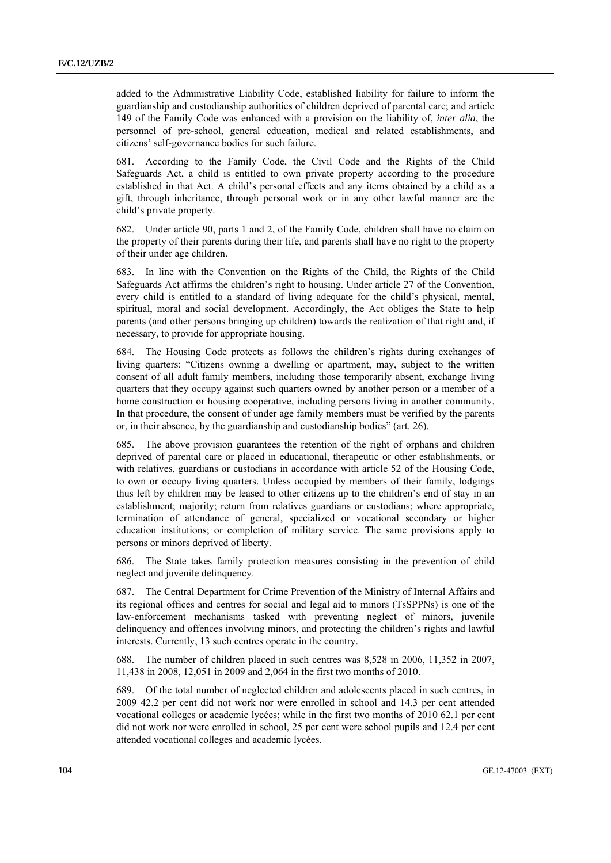added to the Administrative Liability Code, established liability for failure to inform the guardianship and custodianship authorities of children deprived of parental care; and article 149 of the Family Code was enhanced with a provision on the liability of, *inter alia*, the personnel of pre-school, general education, medical and related establishments, and citizens' self-governance bodies for such failure.

681. According to the Family Code, the Civil Code and the Rights of the Child Safeguards Act, a child is entitled to own private property according to the procedure established in that Act. A child's personal effects and any items obtained by a child as a gift, through inheritance, through personal work or in any other lawful manner are the child's private property.

682. Under article 90, parts 1 and 2, of the Family Code, children shall have no claim on the property of their parents during their life, and parents shall have no right to the property of their under age children.

683. In line with the Convention on the Rights of the Child, the Rights of the Child Safeguards Act affirms the children's right to housing. Under article 27 of the Convention, every child is entitled to a standard of living adequate for the child's physical, mental, spiritual, moral and social development. Accordingly, the Act obliges the State to help parents (and other persons bringing up children) towards the realization of that right and, if necessary, to provide for appropriate housing.

684. The Housing Code protects as follows the children's rights during exchanges of living quarters: "Citizens owning a dwelling or apartment, may, subject to the written consent of all adult family members, including those temporarily absent, exchange living quarters that they occupy against such quarters owned by another person or a member of a home construction or housing cooperative, including persons living in another community. In that procedure, the consent of under age family members must be verified by the parents or, in their absence, by the guardianship and custodianship bodies" (art. 26).

685. The above provision guarantees the retention of the right of orphans and children deprived of parental care or placed in educational, therapeutic or other establishments, or with relatives, guardians or custodians in accordance with article 52 of the Housing Code, to own or occupy living quarters. Unless occupied by members of their family, lodgings thus left by children may be leased to other citizens up to the children's end of stay in an establishment; majority; return from relatives guardians or custodians; where appropriate, termination of attendance of general, specialized or vocational secondary or higher education institutions; or completion of military service. The same provisions apply to persons or minors deprived of liberty.

686. The State takes family protection measures consisting in the prevention of child neglect and juvenile delinquency.

687. The Central Department for Crime Prevention of the Ministry of Internal Affairs and its regional offices and centres for social and legal aid to minors (TsSPPNs) is one of the law-enforcement mechanisms tasked with preventing neglect of minors, juvenile delinquency and offences involving minors, and protecting the children's rights and lawful interests. Currently, 13 such centres operate in the country.

688. The number of children placed in such centres was 8,528 in 2006, 11,352 in 2007, 11,438 in 2008, 12,051 in 2009 and 2,064 in the first two months of 2010.

689. Of the total number of neglected children and adolescents placed in such centres, in 2009 42.2 per cent did not work nor were enrolled in school and 14.3 per cent attended vocational colleges or academic lycées; while in the first two months of 2010 62.1 per cent did not work nor were enrolled in school, 25 per cent were school pupils and 12.4 per cent attended vocational colleges and academic lycées.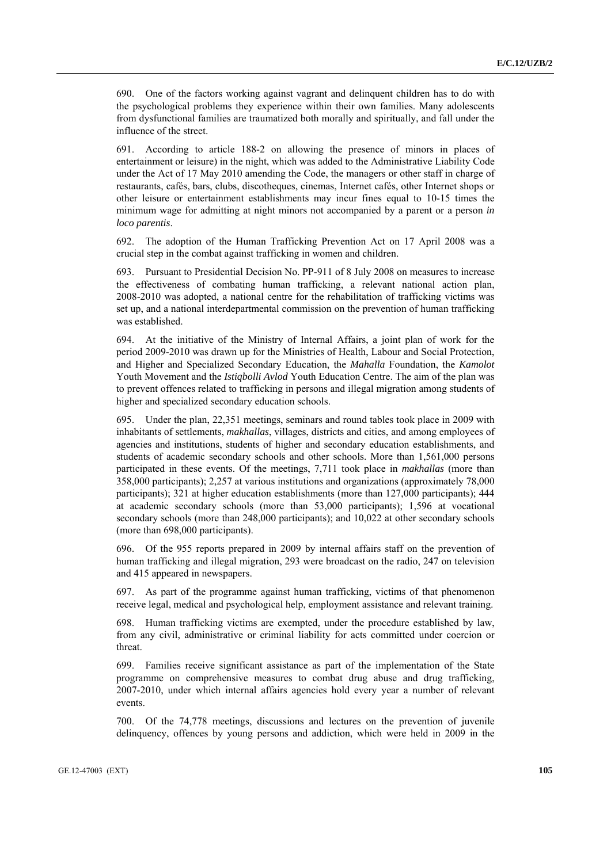690. One of the factors working against vagrant and delinquent children has to do with the psychological problems they experience within their own families. Many adolescents from dysfunctional families are traumatized both morally and spiritually, and fall under the influence of the street.

691. According to article 188-2 on allowing the presence of minors in places of entertainment or leisure) in the night, which was added to the Administrative Liability Code under the Act of 17 May 2010 amending the Code, the managers or other staff in charge of restaurants, cafés, bars, clubs, discotheques, cinemas, Internet cafés, other Internet shops or other leisure or entertainment establishments may incur fines equal to 10-15 times the minimum wage for admitting at night minors not accompanied by a parent or a person *in loco parentis*.

692. The adoption of the Human Trafficking Prevention Act on 17 April 2008 was a crucial step in the combat against trafficking in women and children.

693. Pursuant to Presidential Decision No. PP-911 of 8 July 2008 on measures to increase the effectiveness of combating human trafficking, a relevant national action plan, 2008-2010 was adopted, a national centre for the rehabilitation of trafficking victims was set up, and a national interdepartmental commission on the prevention of human trafficking was established.

694. At the initiative of the Ministry of Internal Affairs, a joint plan of work for the period 2009-2010 was drawn up for the Ministries of Health, Labour and Social Protection, and Higher and Specialized Secondary Education, the *Mahalla* Foundation, the *Kamolot* Youth Movement and the *Istiqbolli Avlod* Youth Education Centre. The aim of the plan was to prevent offences related to trafficking in persons and illegal migration among students of higher and specialized secondary education schools.

695. Under the plan, 22,351 meetings, seminars and round tables took place in 2009 with inhabitants of settlements, *makhallas*, villages, districts and cities, and among employees of agencies and institutions, students of higher and secondary education establishments, and students of academic secondary schools and other schools. More than 1,561,000 persons participated in these events. Of the meetings, 7,711 took place in *makhallas* (more than 358,000 participants); 2,257 at various institutions and organizations (approximately 78,000 participants); 321 at higher education establishments (more than 127,000 participants); 444 at academic secondary schools (more than 53,000 participants); 1,596 at vocational secondary schools (more than 248,000 participants); and 10,022 at other secondary schools (more than 698,000 participants).

696. Of the 955 reports prepared in 2009 by internal affairs staff on the prevention of human trafficking and illegal migration, 293 were broadcast on the radio, 247 on television and 415 appeared in newspapers.

697. As part of the programme against human trafficking, victims of that phenomenon receive legal, medical and psychological help, employment assistance and relevant training.

698. Human trafficking victims are exempted, under the procedure established by law, from any civil, administrative or criminal liability for acts committed under coercion or threat.

699. Families receive significant assistance as part of the implementation of the State programme on comprehensive measures to combat drug abuse and drug trafficking, 2007-2010, under which internal affairs agencies hold every year a number of relevant events.

700. Of the 74,778 meetings, discussions and lectures on the prevention of juvenile delinquency, offences by young persons and addiction, which were held in 2009 in the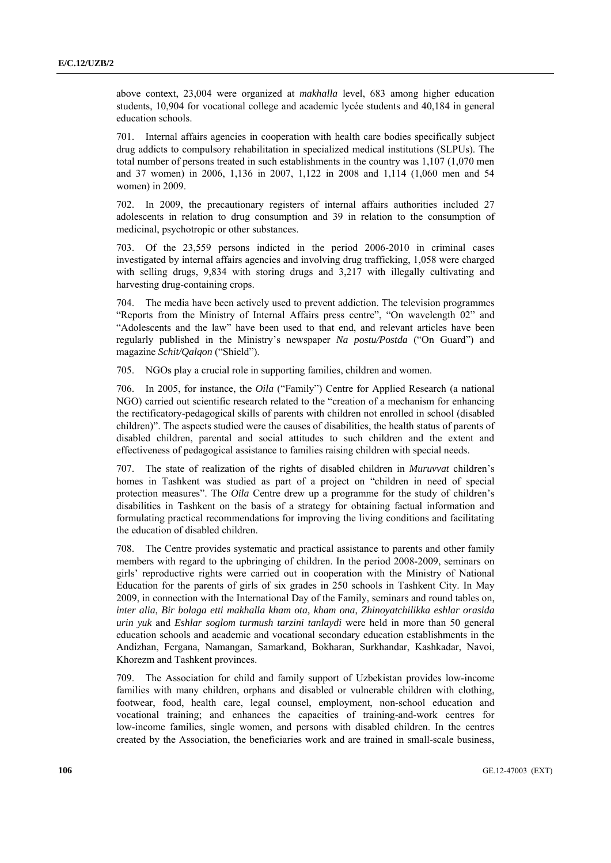above context, 23,004 were organized at *makhalla* level, 683 among higher education students, 10,904 for vocational college and academic lycée students and 40,184 in general education schools.

701. Internal affairs agencies in cooperation with health care bodies specifically subject drug addicts to compulsory rehabilitation in specialized medical institutions (SLPUs). The total number of persons treated in such establishments in the country was 1,107 (1,070 men and 37 women) in 2006, 1,136 in 2007, 1,122 in 2008 and 1,114 (1,060 men and 54 women) in 2009.

702. In 2009, the precautionary registers of internal affairs authorities included 27 adolescents in relation to drug consumption and 39 in relation to the consumption of medicinal, psychotropic or other substances.

703. Of the 23,559 persons indicted in the period 2006-2010 in criminal cases investigated by internal affairs agencies and involving drug trafficking, 1,058 were charged with selling drugs, 9,834 with storing drugs and 3,217 with illegally cultivating and harvesting drug-containing crops.

704. The media have been actively used to prevent addiction. The television programmes "Reports from the Ministry of Internal Affairs press centre", "On wavelength 02" and "Adolescents and the law" have been used to that end, and relevant articles have been regularly published in the Ministry's newspaper *Na postu/Postda* ("On Guard") and magazine *Schit/Qalqon* ("Shield").

705. NGOs play a crucial role in supporting families, children and women.

706. In 2005, for instance, the *Oila* ("Family") Centre for Applied Research (a national NGO) carried out scientific research related to the "creation of a mechanism for enhancing the rectificatory-pedagogical skills of parents with children not enrolled in school (disabled children)". The aspects studied were the causes of disabilities, the health status of parents of disabled children, parental and social attitudes to such children and the extent and effectiveness of pedagogical assistance to families raising children with special needs.

707. The state of realization of the rights of disabled children in *Muruvvat* children's homes in Tashkent was studied as part of a project on "children in need of special protection measures". The *Oila* Centre drew up a programme for the study of children's disabilities in Tashkent on the basis of a strategy for obtaining factual information and formulating practical recommendations for improving the living conditions and facilitating the education of disabled children.

708. The Centre provides systematic and practical assistance to parents and other family members with regard to the upbringing of children. In the period 2008-2009, seminars on girls' reproductive rights were carried out in cooperation with the Ministry of National Education for the parents of girls of six grades in 250 schools in Tashkent City. In May 2009, in connection with the International Day of the Family, seminars and round tables on, *inter alia*, *Bir bolaga etti makhalla kham ota, kham ona*, *Zhinoyatchilikka eshlar orasida urin yuk* and *Eshlar soglom turmush tarzini tanlaydi* were held in more than 50 general education schools and academic and vocational secondary education establishments in the Andizhan, Fergana, Namangan, Samarkand, Bokharan, Surkhandar, Kashkadar, Navoi, Khorezm and Tashkent provinces.

709. The Association for child and family support of Uzbekistan provides low-income families with many children, orphans and disabled or vulnerable children with clothing, footwear, food, health care, legal counsel, employment, non-school education and vocational training; and enhances the capacities of training-and-work centres for low-income families, single women, and persons with disabled children. In the centres created by the Association, the beneficiaries work and are trained in small-scale business,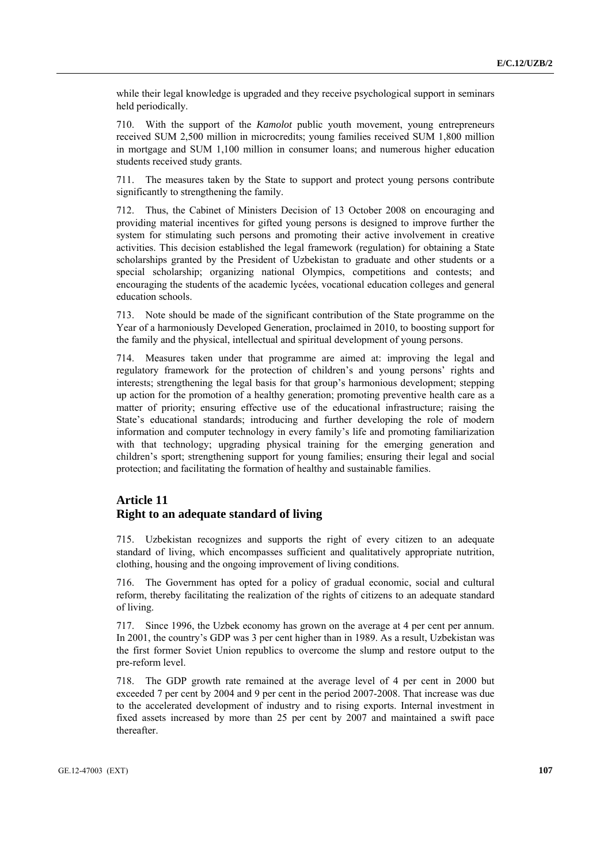while their legal knowledge is upgraded and they receive psychological support in seminars held periodically.

710. With the support of the *Kamolot* public youth movement, young entrepreneurs received SUM 2,500 million in microcredits; young families received SUM 1,800 million in mortgage and SUM 1,100 million in consumer loans; and numerous higher education students received study grants.

711. The measures taken by the State to support and protect young persons contribute significantly to strengthening the family.

712. Thus, the Cabinet of Ministers Decision of 13 October 2008 on encouraging and providing material incentives for gifted young persons is designed to improve further the system for stimulating such persons and promoting their active involvement in creative activities. This decision established the legal framework (regulation) for obtaining a State scholarships granted by the President of Uzbekistan to graduate and other students or a special scholarship; organizing national Olympics, competitions and contests; and encouraging the students of the academic lycées, vocational education colleges and general education schools.

713. Note should be made of the significant contribution of the State programme on the Year of a harmoniously Developed Generation, proclaimed in 2010, to boosting support for the family and the physical, intellectual and spiritual development of young persons.

714. Measures taken under that programme are aimed at: improving the legal and regulatory framework for the protection of children's and young persons' rights and interests; strengthening the legal basis for that group's harmonious development; stepping up action for the promotion of a healthy generation; promoting preventive health care as a matter of priority; ensuring effective use of the educational infrastructure; raising the State's educational standards; introducing and further developing the role of modern information and computer technology in every family's life and promoting familiarization with that technology; upgrading physical training for the emerging generation and children's sport; strengthening support for young families; ensuring their legal and social protection; and facilitating the formation of healthy and sustainable families.

# **Article 11 Right to an adequate standard of living**

715. Uzbekistan recognizes and supports the right of every citizen to an adequate standard of living, which encompasses sufficient and qualitatively appropriate nutrition, clothing, housing and the ongoing improvement of living conditions.

716. The Government has opted for a policy of gradual economic, social and cultural reform, thereby facilitating the realization of the rights of citizens to an adequate standard of living.

717. Since 1996, the Uzbek economy has grown on the average at 4 per cent per annum. In 2001, the country's GDP was 3 per cent higher than in 1989. As a result, Uzbekistan was the first former Soviet Union republics to overcome the slump and restore output to the pre-reform level.

718. The GDP growth rate remained at the average level of 4 per cent in 2000 but exceeded 7 per cent by 2004 and 9 per cent in the period 2007-2008. That increase was due to the accelerated development of industry and to rising exports. Internal investment in fixed assets increased by more than 25 per cent by 2007 and maintained a swift pace thereafter.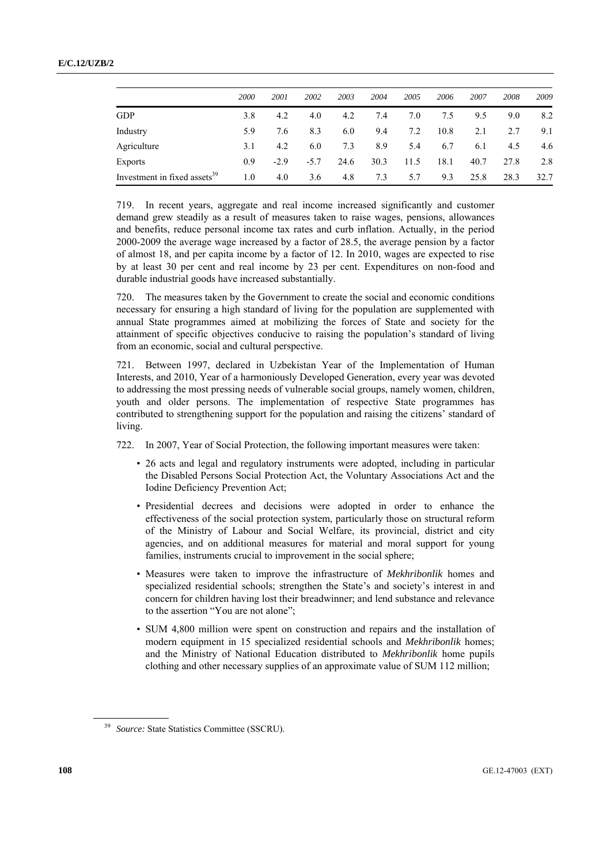|                                          | 2000 | 2001   | 2002   | 2003 | 2004 | 2005 | 2006 | 2007 | 2008 | 2009 |
|------------------------------------------|------|--------|--------|------|------|------|------|------|------|------|
| GDP                                      | 3.8  | 4.2    | 4.0    | 4.2  | 7.4  | 7.0  | 7.5  | 9.5  | 9.0  | 8.2  |
| Industry                                 | 5.9  | 7.6    | 8.3    | 6.0  | 9.4  | 7.2  | 10.8 | 2.1  | 2.7  | 9.1  |
| Agriculture                              | 3.1  | 4.2    | 6.0    | 7.3  | 8.9  | 5.4  | 6.7  | 6.1  | 4.5  | 4.6  |
| Exports                                  | 0.9  | $-2.9$ | $-5.7$ | 24.6 | 30.3 | 11.5 | 18.1 | 40.7 | 27.8 | 2.8  |
| Investment in fixed assets <sup>39</sup> | 1.0  | 4.0    | 3.6    | 4.8  | 7.3  | 5.7  | 9.3  | 25.8 | 28.3 | 32.7 |

719. In recent years, aggregate and real income increased significantly and customer demand grew steadily as a result of measures taken to raise wages, pensions, allowances and benefits, reduce personal income tax rates and curb inflation. Actually, in the period 2000-2009 the average wage increased by a factor of 28.5, the average pension by a factor of almost 18, and per capita income by a factor of 12. In 2010, wages are expected to rise by at least 30 per cent and real income by 23 per cent. Expenditures on non-food and durable industrial goods have increased substantially.

720. The measures taken by the Government to create the social and economic conditions necessary for ensuring a high standard of living for the population are supplemented with annual State programmes aimed at mobilizing the forces of State and society for the attainment of specific objectives conducive to raising the population's standard of living from an economic, social and cultural perspective.

721. Between 1997, declared in Uzbekistan Year of the Implementation of Human Interests, and 2010, Year of a harmoniously Developed Generation, every year was devoted to addressing the most pressing needs of vulnerable social groups, namely women, children, youth and older persons. The implementation of respective State programmes has contributed to strengthening support for the population and raising the citizens' standard of living.

722. In 2007, Year of Social Protection, the following important measures were taken:

- 26 acts and legal and regulatory instruments were adopted, including in particular the Disabled Persons Social Protection Act, the Voluntary Associations Act and the Iodine Deficiency Prevention Act;
- Presidential decrees and decisions were adopted in order to enhance the effectiveness of the social protection system, particularly those on structural reform of the Ministry of Labour and Social Welfare, its provincial, district and city agencies, and on additional measures for material and moral support for young families, instruments crucial to improvement in the social sphere;
- Measures were taken to improve the infrastructure of *Mekhribonlik* homes and specialized residential schools; strengthen the State's and society's interest in and concern for children having lost their breadwinner; and lend substance and relevance to the assertion "You are not alone";
- SUM 4,800 million were spent on construction and repairs and the installation of modern equipment in 15 specialized residential schools and *Mekhribonlik* homes; and the Ministry of National Education distributed to *Mekhribonlik* home pupils clothing and other necessary supplies of an approximate value of SUM 112 million;

<sup>&</sup>lt;sup>39</sup> Source: State Statistics Committee (SSCRU).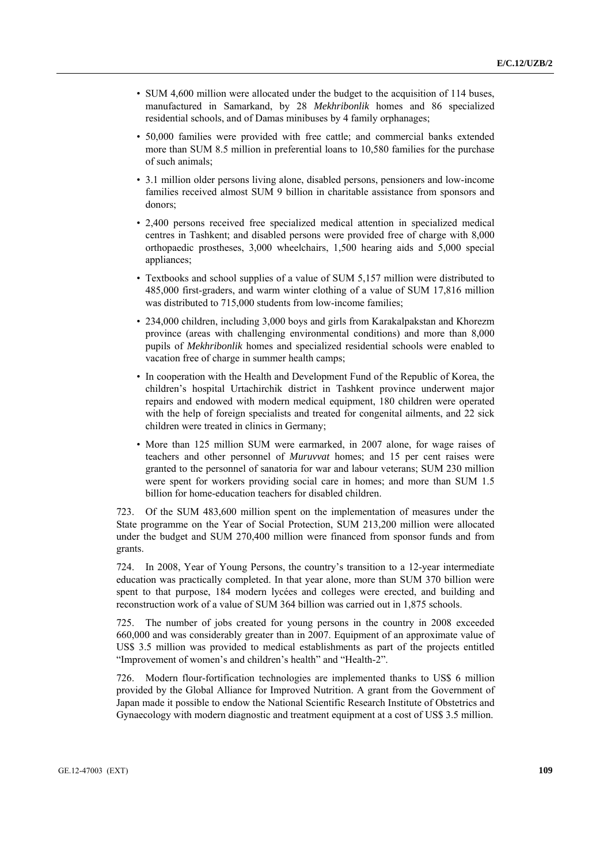- SUM 4,600 million were allocated under the budget to the acquisition of 114 buses, manufactured in Samarkand, by 28 *Mekhribonlik* homes and 86 specialized residential schools, and of Damas minibuses by 4 family orphanages;
- 50,000 families were provided with free cattle; and commercial banks extended more than SUM 8.5 million in preferential loans to 10,580 families for the purchase of such animals;
- 3.1 million older persons living alone, disabled persons, pensioners and low-income families received almost SUM 9 billion in charitable assistance from sponsors and donors;
- 2,400 persons received free specialized medical attention in specialized medical centres in Tashkent; and disabled persons were provided free of charge with 8,000 orthopaedic prostheses, 3,000 wheelchairs, 1,500 hearing aids and 5,000 special appliances;
- Textbooks and school supplies of a value of SUM 5,157 million were distributed to 485,000 first-graders, and warm winter clothing of a value of SUM 17,816 million was distributed to 715,000 students from low-income families;
- 234,000 children, including 3,000 boys and girls from Karakalpakstan and Khorezm province (areas with challenging environmental conditions) and more than 8,000 pupils of *Mekhribonlik* homes and specialized residential schools were enabled to vacation free of charge in summer health camps;
- In cooperation with the Health and Development Fund of the Republic of Korea, the children's hospital Urtachirchik district in Tashkent province underwent major repairs and endowed with modern medical equipment, 180 children were operated with the help of foreign specialists and treated for congenital ailments, and 22 sick children were treated in clinics in Germany;
- More than 125 million SUM were earmarked, in 2007 alone, for wage raises of teachers and other personnel of *Muruvvat* homes; and 15 per cent raises were granted to the personnel of sanatoria for war and labour veterans; SUM 230 million were spent for workers providing social care in homes; and more than SUM 1.5 billion for home-education teachers for disabled children.

723. Of the SUM 483,600 million spent on the implementation of measures under the State programme on the Year of Social Protection, SUM 213,200 million were allocated under the budget and SUM 270,400 million were financed from sponsor funds and from grants.

724. In 2008, Year of Young Persons, the country's transition to a 12-year intermediate education was practically completed. In that year alone, more than SUM 370 billion were spent to that purpose, 184 modern lycées and colleges were erected, and building and reconstruction work of a value of SUM 364 billion was carried out in 1,875 schools.

725. The number of jobs created for young persons in the country in 2008 exceeded 660,000 and was considerably greater than in 2007. Equipment of an approximate value of US\$ 3.5 million was provided to medical establishments as part of the projects entitled "Improvement of women's and children's health" and "Health-2".

726. Modern flour-fortification technologies are implemented thanks to US\$ 6 million provided by the Global Alliance for Improved Nutrition. A grant from the Government of Japan made it possible to endow the National Scientific Research Institute of Obstetrics and Gynaecology with modern diagnostic and treatment equipment at a cost of US\$ 3.5 million.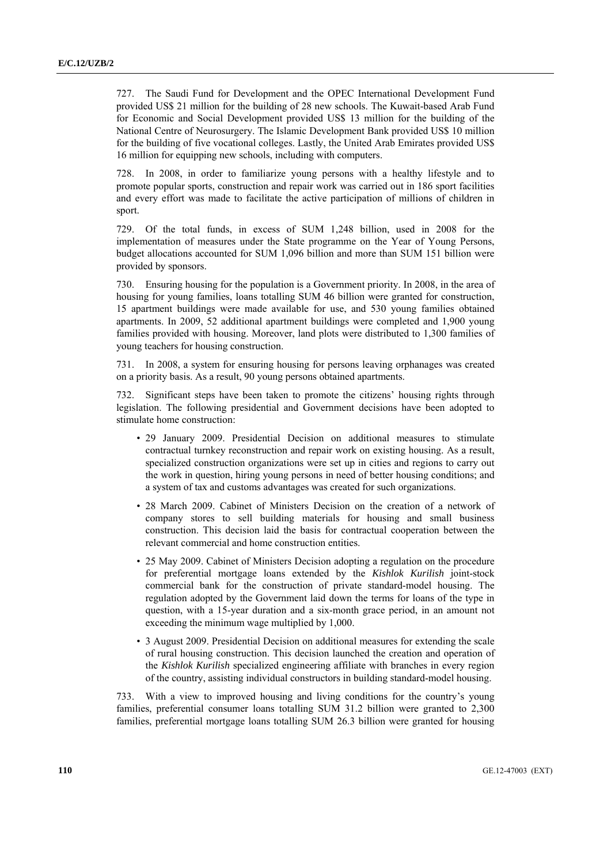727. The Saudi Fund for Development and the OPEC International Development Fund provided US\$ 21 million for the building of 28 new schools. The Kuwait-based Arab Fund for Economic and Social Development provided US\$ 13 million for the building of the National Centre of Neurosurgery. The Islamic Development Bank provided US\$ 10 million for the building of five vocational colleges. Lastly, the United Arab Emirates provided US\$ 16 million for equipping new schools, including with computers.

728. In 2008, in order to familiarize young persons with a healthy lifestyle and to promote popular sports, construction and repair work was carried out in 186 sport facilities and every effort was made to facilitate the active participation of millions of children in sport.

729. Of the total funds, in excess of SUM 1,248 billion, used in 2008 for the implementation of measures under the State programme on the Year of Young Persons, budget allocations accounted for SUM 1,096 billion and more than SUM 151 billion were provided by sponsors.

730. Ensuring housing for the population is a Government priority. In 2008, in the area of housing for young families, loans totalling SUM 46 billion were granted for construction, 15 apartment buildings were made available for use, and 530 young families obtained apartments. In 2009, 52 additional apartment buildings were completed and 1,900 young families provided with housing. Moreover, land plots were distributed to 1,300 families of young teachers for housing construction.

731. In 2008, a system for ensuring housing for persons leaving orphanages was created on a priority basis. As a result, 90 young persons obtained apartments.

732. Significant steps have been taken to promote the citizens' housing rights through legislation. The following presidential and Government decisions have been adopted to stimulate home construction:

- 29 January 2009. Presidential Decision on additional measures to stimulate contractual turnkey reconstruction and repair work on existing housing. As a result, specialized construction organizations were set up in cities and regions to carry out the work in question, hiring young persons in need of better housing conditions; and a system of tax and customs advantages was created for such organizations.
- 28 March 2009. Cabinet of Ministers Decision on the creation of a network of company stores to sell building materials for housing and small business construction. This decision laid the basis for contractual cooperation between the relevant commercial and home construction entities.
- 25 May 2009. Cabinet of Ministers Decision adopting a regulation on the procedure for preferential mortgage loans extended by the *Kishlok Kurilish* joint-stock commercial bank for the construction of private standard-model housing. The regulation adopted by the Government laid down the terms for loans of the type in question, with a 15-year duration and a six-month grace period, in an amount not exceeding the minimum wage multiplied by 1,000.
- 3 August 2009. Presidential Decision on additional measures for extending the scale of rural housing construction. This decision launched the creation and operation of the *Kishlok Kurilish* specialized engineering affiliate with branches in every region of the country, assisting individual constructors in building standard-model housing.

733. With a view to improved housing and living conditions for the country's young families, preferential consumer loans totalling SUM 31.2 billion were granted to 2,300 families, preferential mortgage loans totalling SUM 26.3 billion were granted for housing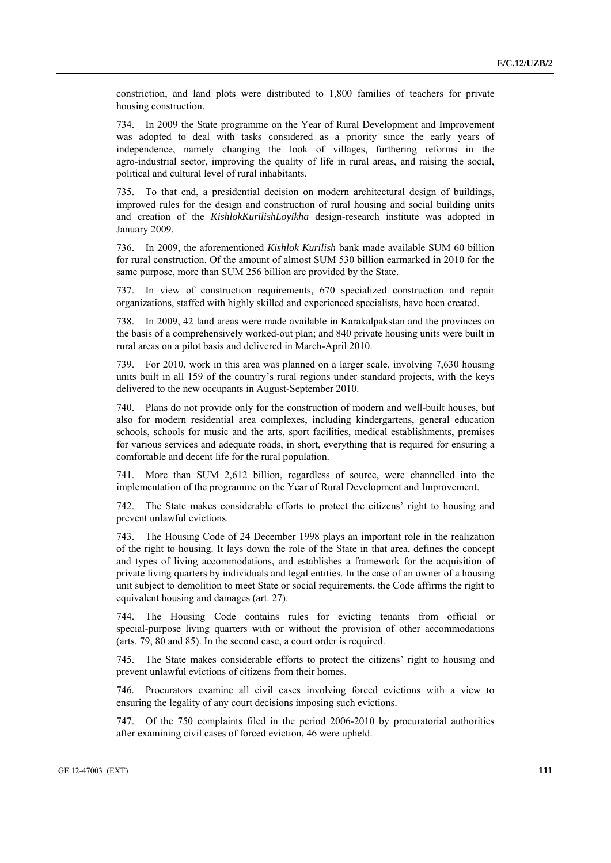constriction, and land plots were distributed to 1,800 families of teachers for private housing construction.

734. In 2009 the State programme on the Year of Rural Development and Improvement was adopted to deal with tasks considered as a priority since the early years of independence, namely changing the look of villages, furthering reforms in the agro-industrial sector, improving the quality of life in rural areas, and raising the social, political and cultural level of rural inhabitants.

735. To that end, a presidential decision on modern architectural design of buildings, improved rules for the design and construction of rural housing and social building units and creation of the *KishlokKurilishLoyikha* design-research institute was adopted in January 2009.

736. In 2009, the aforementioned *Kishlok Kurilish* bank made available SUM 60 billion for rural construction. Of the amount of almost SUM 530 billion earmarked in 2010 for the same purpose, more than SUM 256 billion are provided by the State.

737. In view of construction requirements, 670 specialized construction and repair organizations, staffed with highly skilled and experienced specialists, have been created.

738. In 2009, 42 land areas were made available in Karakalpakstan and the provinces on the basis of a comprehensively worked-out plan; and 840 private housing units were built in rural areas on a pilot basis and delivered in March-April 2010.

739. For 2010, work in this area was planned on a larger scale, involving 7,630 housing units built in all 159 of the country's rural regions under standard projects, with the keys delivered to the new occupants in August-September 2010.

740. Plans do not provide only for the construction of modern and well-built houses, but also for modern residential area complexes, including kindergartens, general education schools, schools for music and the arts, sport facilities, medical establishments, premises for various services and adequate roads, in short, everything that is required for ensuring a comfortable and decent life for the rural population.

741. More than SUM 2,612 billion, regardless of source, were channelled into the implementation of the programme on the Year of Rural Development and Improvement.

742. The State makes considerable efforts to protect the citizens' right to housing and prevent unlawful evictions.

743. The Housing Code of 24 December 1998 plays an important role in the realization of the right to housing. It lays down the role of the State in that area, defines the concept and types of living accommodations, and establishes a framework for the acquisition of private living quarters by individuals and legal entities. In the case of an owner of a housing unit subject to demolition to meet State or social requirements, the Code affirms the right to equivalent housing and damages (art. 27).

744. The Housing Code contains rules for evicting tenants from official or special-purpose living quarters with or without the provision of other accommodations (arts. 79, 80 and 85). In the second case, a court order is required.

745. The State makes considerable efforts to protect the citizens' right to housing and prevent unlawful evictions of citizens from their homes.

746. Procurators examine all civil cases involving forced evictions with a view to ensuring the legality of any court decisions imposing such evictions.

747. Of the 750 complaints filed in the period 2006-2010 by procuratorial authorities after examining civil cases of forced eviction, 46 were upheld.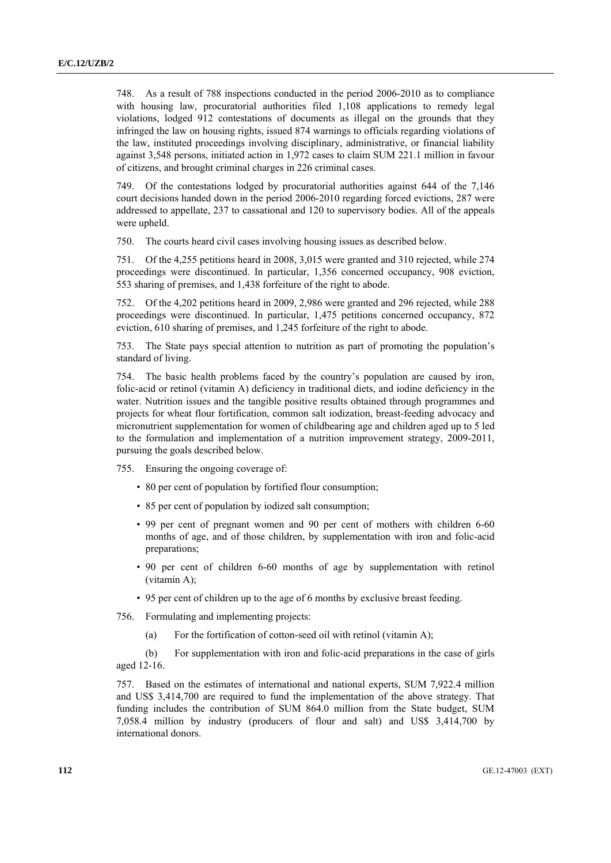748. As a result of 788 inspections conducted in the period 2006-2010 as to compliance with housing law, procuratorial authorities filed 1,108 applications to remedy legal violations, lodged 912 contestations of documents as illegal on the grounds that they infringed the law on housing rights, issued 874 warnings to officials regarding violations of the law, instituted proceedings involving disciplinary, administrative, or financial liability against 3,548 persons, initiated action in 1,972 cases to claim SUM 221.1 million in favour of citizens, and brought criminal charges in 226 criminal cases.

749. Of the contestations lodged by procuratorial authorities against 644 of the 7,146 court decisions handed down in the period 2006-2010 regarding forced evictions, 287 were addressed to appellate, 237 to cassational and 120 to supervisory bodies. All of the appeals were upheld.

750. The courts heard civil cases involving housing issues as described below.

751. Of the 4,255 petitions heard in 2008, 3,015 were granted and 310 rejected, while 274 proceedings were discontinued. In particular, 1,356 concerned occupancy, 908 eviction, 553 sharing of premises, and 1,438 forfeiture of the right to abode.

752. Of the 4,202 petitions heard in 2009, 2,986 were granted and 296 rejected, while 288 proceedings were discontinued. In particular, 1,475 petitions concerned occupancy, 872 eviction, 610 sharing of premises, and 1,245 forfeiture of the right to abode.

753. The State pays special attention to nutrition as part of promoting the population's standard of living.

754. The basic health problems faced by the country's population are caused by iron, folic-acid or retinol (vitamin A) deficiency in traditional diets, and iodine deficiency in the water. Nutrition issues and the tangible positive results obtained through programmes and projects for wheat flour fortification, common salt iodization, breast-feeding advocacy and micronutrient supplementation for women of childbearing age and children aged up to 5 led to the formulation and implementation of a nutrition improvement strategy, 2009-2011, pursuing the goals described below.

755. Ensuring the ongoing coverage of:

- 80 per cent of population by fortified flour consumption;
- 85 per cent of population by iodized salt consumption;
- 99 per cent of pregnant women and 90 per cent of mothers with children 6-60 months of age, and of those children, by supplementation with iron and folic-acid preparations;
- 90 per cent of children 6-60 months of age by supplementation with retinol (vitamin A);
- 95 per cent of children up to the age of 6 months by exclusive breast feeding.

756. Formulating and implementing projects:

(a) For the fortification of cotton-seed oil with retinol (vitamin A);

 (b) For supplementation with iron and folic-acid preparations in the case of girls aged 12-16.

757. Based on the estimates of international and national experts, SUM 7,922.4 million and US\$ 3,414,700 are required to fund the implementation of the above strategy. That funding includes the contribution of SUM 864.0 million from the State budget, SUM 7,058.4 million by industry (producers of flour and salt) and US\$ 3,414,700 by international donors.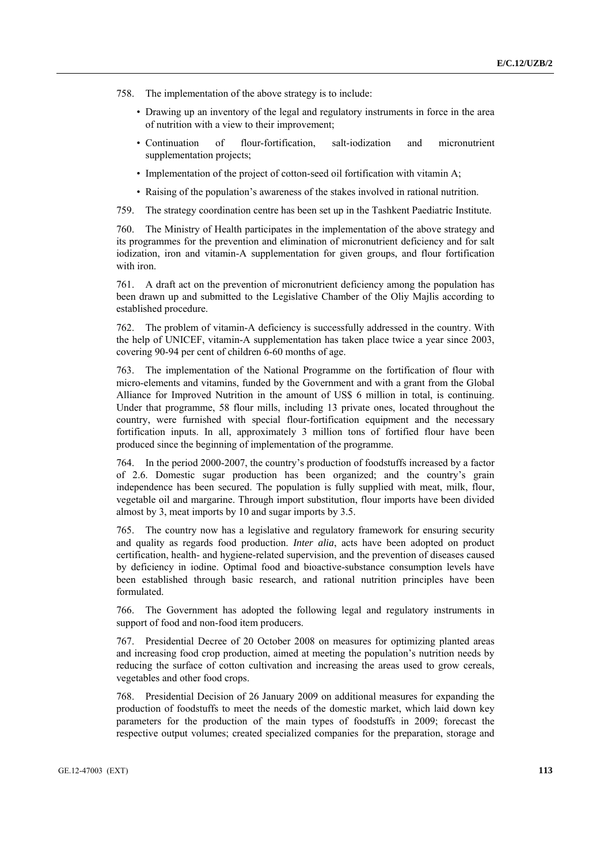- 758. The implementation of the above strategy is to include:
	- Drawing up an inventory of the legal and regulatory instruments in force in the area of nutrition with a view to their improvement;
	- Continuation of flour-fortification, salt-iodization and micronutrient supplementation projects;
	- Implementation of the project of cotton-seed oil fortification with vitamin A;
	- Raising of the population's awareness of the stakes involved in rational nutrition.

759. The strategy coordination centre has been set up in the Tashkent Paediatric Institute.

760. The Ministry of Health participates in the implementation of the above strategy and its programmes for the prevention and elimination of micronutrient deficiency and for salt iodization, iron and vitamin-A supplementation for given groups, and flour fortification with iron.

761. A draft act on the prevention of micronutrient deficiency among the population has been drawn up and submitted to the Legislative Chamber of the Oliy Majlis according to established procedure.

762. The problem of vitamin-A deficiency is successfully addressed in the country. With the help of UNICEF, vitamin-A supplementation has taken place twice a year since 2003, covering 90-94 per cent of children 6-60 months of age.

763. The implementation of the National Programme on the fortification of flour with micro-elements and vitamins, funded by the Government and with a grant from the Global Alliance for Improved Nutrition in the amount of US\$ 6 million in total, is continuing. Under that programme, 58 flour mills, including 13 private ones, located throughout the country, were furnished with special flour-fortification equipment and the necessary fortification inputs. In all, approximately 3 million tons of fortified flour have been produced since the beginning of implementation of the programme.

764. In the period 2000-2007, the country's production of foodstuffs increased by a factor of 2.6. Domestic sugar production has been organized; and the country's grain independence has been secured. The population is fully supplied with meat, milk, flour, vegetable oil and margarine. Through import substitution, flour imports have been divided almost by 3, meat imports by 10 and sugar imports by 3.5.

765. The country now has a legislative and regulatory framework for ensuring security and quality as regards food production. *Inter alia*, acts have been adopted on product certification, health- and hygiene-related supervision, and the prevention of diseases caused by deficiency in iodine. Optimal food and bioactive-substance consumption levels have been established through basic research, and rational nutrition principles have been formulated.

766. The Government has adopted the following legal and regulatory instruments in support of food and non-food item producers.

767. Presidential Decree of 20 October 2008 on measures for optimizing planted areas and increasing food crop production, aimed at meeting the population's nutrition needs by reducing the surface of cotton cultivation and increasing the areas used to grow cereals, vegetables and other food crops.

768. Presidential Decision of 26 January 2009 on additional measures for expanding the production of foodstuffs to meet the needs of the domestic market, which laid down key parameters for the production of the main types of foodstuffs in 2009; forecast the respective output volumes; created specialized companies for the preparation, storage and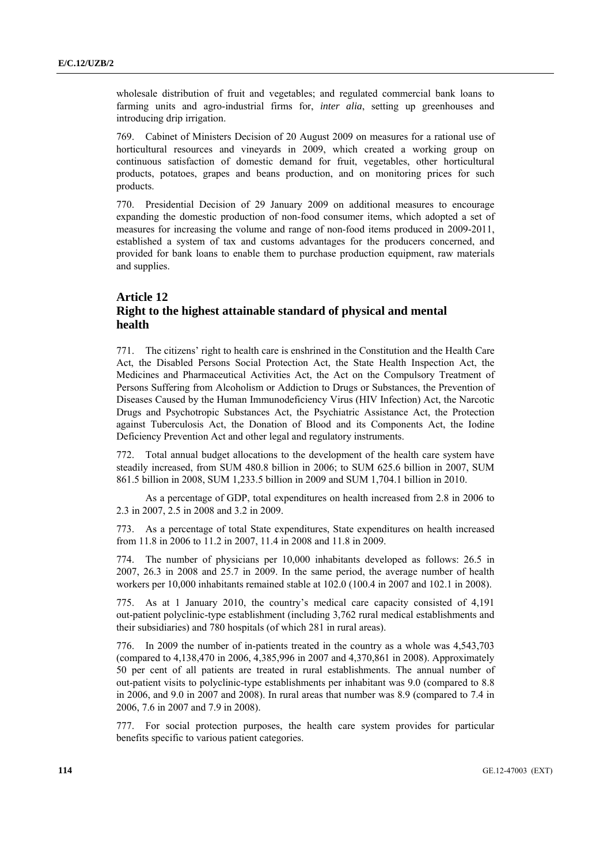wholesale distribution of fruit and vegetables; and regulated commercial bank loans to farming units and agro-industrial firms for, *inter alia*, setting up greenhouses and introducing drip irrigation.

769. Cabinet of Ministers Decision of 20 August 2009 on measures for a rational use of horticultural resources and vineyards in 2009, which created a working group on continuous satisfaction of domestic demand for fruit, vegetables, other horticultural products, potatoes, grapes and beans production, and on monitoring prices for such products.

770. Presidential Decision of 29 January 2009 on additional measures to encourage expanding the domestic production of non-food consumer items, which adopted a set of measures for increasing the volume and range of non-food items produced in 2009-2011, established a system of tax and customs advantages for the producers concerned, and provided for bank loans to enable them to purchase production equipment, raw materials and supplies.

## **Article 12 Right to the highest attainable standard of physical and mental health**

771. The citizens' right to health care is enshrined in the Constitution and the Health Care Act, the Disabled Persons Social Protection Act, the State Health Inspection Act, the Medicines and Pharmaceutical Activities Act, the Act on the Compulsory Treatment of Persons Suffering from Alcoholism or Addiction to Drugs or Substances, the Prevention of Diseases Caused by the Human Immunodeficiency Virus (HIV Infection) Act, the Narcotic Drugs and Psychotropic Substances Act, the Psychiatric Assistance Act, the Protection against Tuberculosis Act, the Donation of Blood and its Components Act, the Iodine Deficiency Prevention Act and other legal and regulatory instruments.

772. Total annual budget allocations to the development of the health care system have steadily increased, from SUM 480.8 billion in 2006; to SUM 625.6 billion in 2007, SUM 861.5 billion in 2008, SUM 1,233.5 billion in 2009 and SUM 1,704.1 billion in 2010.

 As a percentage of GDP, total expenditures on health increased from 2.8 in 2006 to 2.3 in 2007, 2.5 in 2008 and 3.2 in 2009.

773. As a percentage of total State expenditures, State expenditures on health increased from 11.8 in 2006 to 11.2 in 2007, 11.4 in 2008 and 11.8 in 2009.

774. The number of physicians per 10,000 inhabitants developed as follows: 26.5 in 2007, 26.3 in 2008 and 25.7 in 2009. In the same period, the average number of health workers per 10,000 inhabitants remained stable at 102.0 (100.4 in 2007 and 102.1 in 2008).

775. As at 1 January 2010, the country's medical care capacity consisted of 4,191 out-patient polyclinic-type establishment (including 3,762 rural medical establishments and their subsidiaries) and 780 hospitals (of which 281 in rural areas).

776. In 2009 the number of in-patients treated in the country as a whole was 4,543,703 (compared to 4,138,470 in 2006, 4,385,996 in 2007 and 4,370,861 in 2008). Approximately 50 per cent of all patients are treated in rural establishments. The annual number of out-patient visits to polyclinic-type establishments per inhabitant was 9.0 (compared to 8.8 in 2006, and 9.0 in 2007 and 2008). In rural areas that number was 8.9 (compared to 7.4 in 2006, 7.6 in 2007 and 7.9 in 2008).

777. For social protection purposes, the health care system provides for particular benefits specific to various patient categories.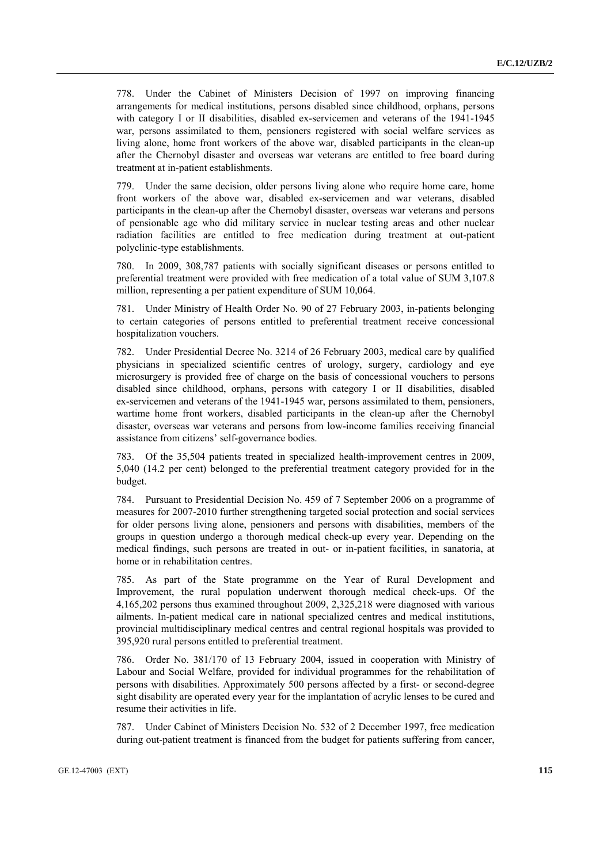778. Under the Cabinet of Ministers Decision of 1997 on improving financing arrangements for medical institutions, persons disabled since childhood, orphans, persons with category I or II disabilities, disabled ex-servicemen and veterans of the 1941-1945 war, persons assimilated to them, pensioners registered with social welfare services as living alone, home front workers of the above war, disabled participants in the clean-up after the Chernobyl disaster and overseas war veterans are entitled to free board during treatment at in-patient establishments.

779. Under the same decision, older persons living alone who require home care, home front workers of the above war, disabled ex-servicemen and war veterans, disabled participants in the clean-up after the Chernobyl disaster, overseas war veterans and persons of pensionable age who did military service in nuclear testing areas and other nuclear radiation facilities are entitled to free medication during treatment at out-patient polyclinic-type establishments.

780. In 2009, 308,787 patients with socially significant diseases or persons entitled to preferential treatment were provided with free medication of a total value of SUM 3,107.8 million, representing a per patient expenditure of SUM 10,064.

781. Under Ministry of Health Order No. 90 of 27 February 2003, in-patients belonging to certain categories of persons entitled to preferential treatment receive concessional hospitalization vouchers.

782. Under Presidential Decree No. 3214 of 26 February 2003, medical care by qualified physicians in specialized scientific centres of urology, surgery, cardiology and eye microsurgery is provided free of charge on the basis of concessional vouchers to persons disabled since childhood, orphans, persons with category I or II disabilities, disabled ex-servicemen and veterans of the 1941-1945 war, persons assimilated to them, pensioners, wartime home front workers, disabled participants in the clean-up after the Chernobyl disaster, overseas war veterans and persons from low-income families receiving financial assistance from citizens' self-governance bodies.

783. Of the 35,504 patients treated in specialized health-improvement centres in 2009, 5,040 (14.2 per cent) belonged to the preferential treatment category provided for in the budget.

784. Pursuant to Presidential Decision No. 459 of 7 September 2006 on a programme of measures for 2007-2010 further strengthening targeted social protection and social services for older persons living alone, pensioners and persons with disabilities, members of the groups in question undergo a thorough medical check-up every year. Depending on the medical findings, such persons are treated in out- or in-patient facilities, in sanatoria, at home or in rehabilitation centres.

785. As part of the State programme on the Year of Rural Development and Improvement, the rural population underwent thorough medical check-ups. Of the 4,165,202 persons thus examined throughout 2009, 2,325,218 were diagnosed with various ailments. In-patient medical care in national specialized centres and medical institutions, provincial multidisciplinary medical centres and central regional hospitals was provided to 395,920 rural persons entitled to preferential treatment.

786. Order No. 381/170 of 13 February 2004, issued in cooperation with Ministry of Labour and Social Welfare, provided for individual programmes for the rehabilitation of persons with disabilities. Approximately 500 persons affected by a first- or second-degree sight disability are operated every year for the implantation of acrylic lenses to be cured and resume their activities in life.

787. Under Cabinet of Ministers Decision No. 532 of 2 December 1997, free medication during out-patient treatment is financed from the budget for patients suffering from cancer,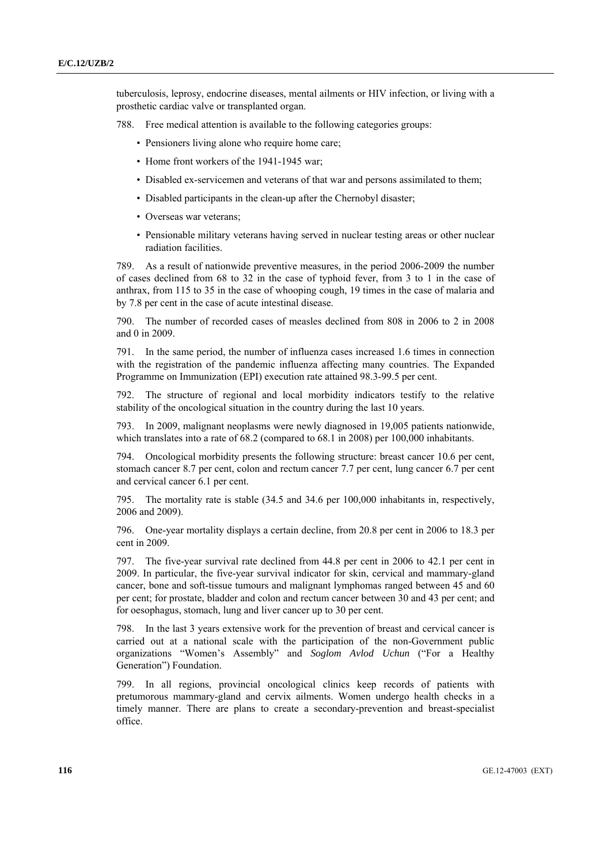tuberculosis, leprosy, endocrine diseases, mental ailments or HIV infection, or living with a prosthetic cardiac valve or transplanted organ.

- 788. Free medical attention is available to the following categories groups:
	- Pensioners living alone who require home care:
	- Home front workers of the 1941-1945 war:
	- Disabled ex-servicemen and veterans of that war and persons assimilated to them;
	- Disabled participants in the clean-up after the Chernobyl disaster;
	- Overseas war veterans;
	- Pensionable military veterans having served in nuclear testing areas or other nuclear radiation facilities.

789. As a result of nationwide preventive measures, in the period 2006-2009 the number of cases declined from 68 to 32 in the case of typhoid fever, from 3 to 1 in the case of anthrax, from 115 to 35 in the case of whooping cough, 19 times in the case of malaria and by 7.8 per cent in the case of acute intestinal disease.

790. The number of recorded cases of measles declined from 808 in 2006 to 2 in 2008 and 0 in 2009.

791. In the same period, the number of influenza cases increased 1.6 times in connection with the registration of the pandemic influenza affecting many countries. The Expanded Programme on Immunization (EPI) execution rate attained 98.3-99.5 per cent.

792. The structure of regional and local morbidity indicators testify to the relative stability of the oncological situation in the country during the last 10 years.

793. In 2009, malignant neoplasms were newly diagnosed in 19,005 patients nationwide, which translates into a rate of 68.2 (compared to 68.1 in 2008) per 100,000 inhabitants.

794. Oncological morbidity presents the following structure: breast cancer 10.6 per cent, stomach cancer 8.7 per cent, colon and rectum cancer 7.7 per cent, lung cancer 6.7 per cent and cervical cancer 6.1 per cent.

795. The mortality rate is stable (34.5 and 34.6 per 100,000 inhabitants in, respectively, 2006 and 2009).

796. One-year mortality displays a certain decline, from 20.8 per cent in 2006 to 18.3 per cent in 2009.

797. The five-year survival rate declined from 44.8 per cent in 2006 to 42.1 per cent in 2009. In particular, the five-year survival indicator for skin, cervical and mammary-gland cancer, bone and soft-tissue tumours and malignant lymphomas ranged between 45 and 60 per cent; for prostate, bladder and colon and rectum cancer between 30 and 43 per cent; and for oesophagus, stomach, lung and liver cancer up to 30 per cent.

798. In the last 3 years extensive work for the prevention of breast and cervical cancer is carried out at a national scale with the participation of the non-Government public organizations "Women's Assembly" and *Soglom Avlod Uchun* ("For a Healthy Generation") Foundation.

799. In all regions, provincial oncological clinics keep records of patients with pretumorous mammary-gland and cervix ailments. Women undergo health checks in a timely manner. There are plans to create a secondary-prevention and breast-specialist office.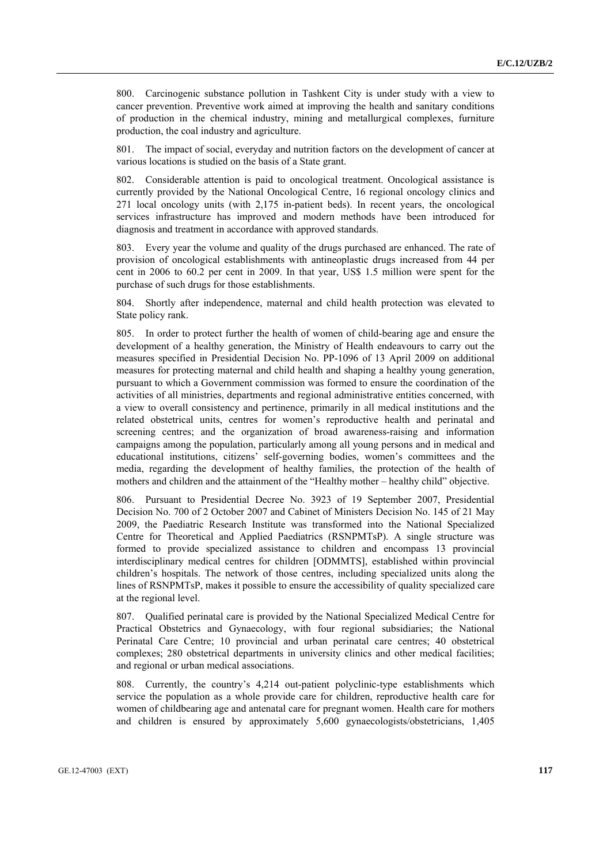800. Carcinogenic substance pollution in Tashkent City is under study with a view to cancer prevention. Preventive work aimed at improving the health and sanitary conditions of production in the chemical industry, mining and metallurgical complexes, furniture production, the coal industry and agriculture.

801. The impact of social, everyday and nutrition factors on the development of cancer at various locations is studied on the basis of a State grant.

802. Considerable attention is paid to oncological treatment. Oncological assistance is currently provided by the National Oncological Centre, 16 regional oncology clinics and 271 local oncology units (with 2,175 in-patient beds). In recent years, the oncological services infrastructure has improved and modern methods have been introduced for diagnosis and treatment in accordance with approved standards.

803. Every year the volume and quality of the drugs purchased are enhanced. The rate of provision of oncological establishments with antineoplastic drugs increased from 44 per cent in 2006 to 60.2 per cent in 2009. In that year, US\$ 1.5 million were spent for the purchase of such drugs for those establishments.

804. Shortly after independence, maternal and child health protection was elevated to State policy rank.

805. In order to protect further the health of women of child-bearing age and ensure the development of a healthy generation, the Ministry of Health endeavours to carry out the measures specified in Presidential Decision No. PP-1096 of 13 April 2009 on additional measures for protecting maternal and child health and shaping a healthy young generation, pursuant to which a Government commission was formed to ensure the coordination of the activities of all ministries, departments and regional administrative entities concerned, with a view to overall consistency and pertinence, primarily in all medical institutions and the related obstetrical units, centres for women's reproductive health and perinatal and screening centres; and the organization of broad awareness-raising and information campaigns among the population, particularly among all young persons and in medical and educational institutions, citizens' self-governing bodies, women's committees and the media, regarding the development of healthy families, the protection of the health of mothers and children and the attainment of the "Healthy mother – healthy child" objective.

806. Pursuant to Presidential Decree No. 3923 of 19 September 2007, Presidential Decision No. 700 of 2 October 2007 and Cabinet of Ministers Decision No. 145 of 21 May 2009, the Paediatric Research Institute was transformed into the National Specialized Centre for Theoretical and Applied Paediatrics (RSNPMTsP). A single structure was formed to provide specialized assistance to children and encompass 13 provincial interdisciplinary medical centres for children [ODMMTS], established within provincial children's hospitals. The network of those centres, including specialized units along the lines of RSNPMTsP, makes it possible to ensure the accessibility of quality specialized care at the regional level.

807. Qualified perinatal care is provided by the National Specialized Medical Centre for Practical Obstetrics and Gynaecology, with four regional subsidiaries; the National Perinatal Care Centre; 10 provincial and urban perinatal care centres; 40 obstetrical complexes; 280 obstetrical departments in university clinics and other medical facilities; and regional or urban medical associations.

808. Currently, the country's 4,214 out-patient polyclinic-type establishments which service the population as a whole provide care for children, reproductive health care for women of childbearing age and antenatal care for pregnant women. Health care for mothers and children is ensured by approximately 5,600 gynaecologists/obstetricians, 1,405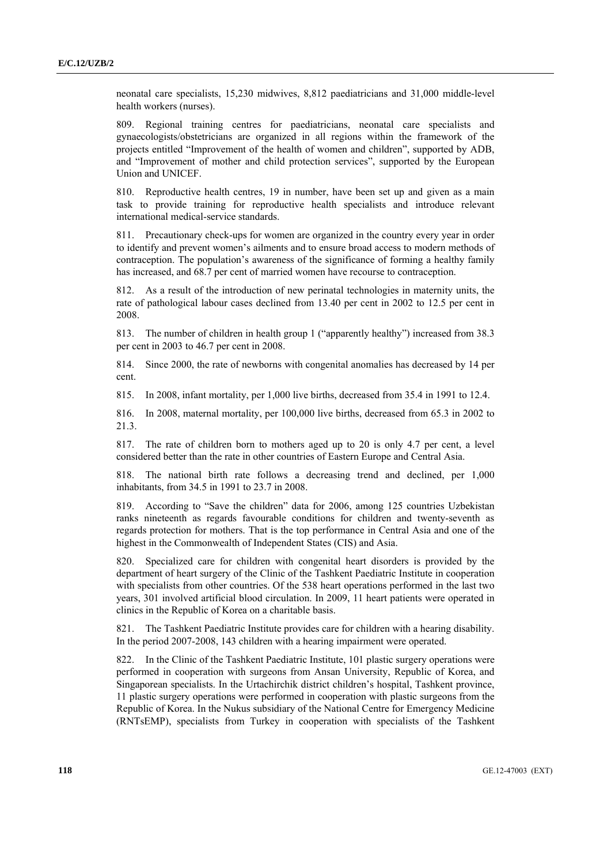neonatal care specialists, 15,230 midwives, 8,812 paediatricians and 31,000 middle-level health workers (nurses).

809. Regional training centres for paediatricians, neonatal care specialists and gynaecologists/obstetricians are organized in all regions within the framework of the projects entitled "Improvement of the health of women and children", supported by ADB, and "Improvement of mother and child protection services", supported by the European Union and UNICEF.

810. Reproductive health centres, 19 in number, have been set up and given as a main task to provide training for reproductive health specialists and introduce relevant international medical-service standards.

811. Precautionary check-ups for women are organized in the country every year in order to identify and prevent women's ailments and to ensure broad access to modern methods of contraception. The population's awareness of the significance of forming a healthy family has increased, and 68.7 per cent of married women have recourse to contraception.

812. As a result of the introduction of new perinatal technologies in maternity units, the rate of pathological labour cases declined from 13.40 per cent in 2002 to 12.5 per cent in 2008.

813. The number of children in health group 1 ("apparently healthy") increased from 38.3 per cent in 2003 to 46.7 per cent in 2008.

814. Since 2000, the rate of newborns with congenital anomalies has decreased by 14 per cent.

815. In 2008, infant mortality, per 1,000 live births, decreased from 35.4 in 1991 to 12.4.

816. In 2008, maternal mortality, per 100,000 live births, decreased from 65.3 in 2002 to 21.3.

817. The rate of children born to mothers aged up to 20 is only 4.7 per cent, a level considered better than the rate in other countries of Eastern Europe and Central Asia.

818. The national birth rate follows a decreasing trend and declined, per 1,000 inhabitants, from 34.5 in 1991 to 23.7 in 2008.

819. According to "Save the children" data for 2006, among 125 countries Uzbekistan ranks nineteenth as regards favourable conditions for children and twenty-seventh as regards protection for mothers. That is the top performance in Central Asia and one of the highest in the Commonwealth of Independent States (CIS) and Asia.

820. Specialized care for children with congenital heart disorders is provided by the department of heart surgery of the Clinic of the Tashkent Paediatric Institute in cooperation with specialists from other countries. Of the 538 heart operations performed in the last two years, 301 involved artificial blood circulation. In 2009, 11 heart patients were operated in clinics in the Republic of Korea on a charitable basis.

821. The Tashkent Paediatric Institute provides care for children with a hearing disability. In the period 2007-2008, 143 children with a hearing impairment were operated.

822. In the Clinic of the Tashkent Paediatric Institute, 101 plastic surgery operations were performed in cooperation with surgeons from Ansan University, Republic of Korea, and Singaporean specialists. In the Urtachirchik district children's hospital, Tashkent province, 11 plastic surgery operations were performed in cooperation with plastic surgeons from the Republic of Korea. In the Nukus subsidiary of the National Centre for Emergency Medicine (RNTsEMP), specialists from Turkey in cooperation with specialists of the Tashkent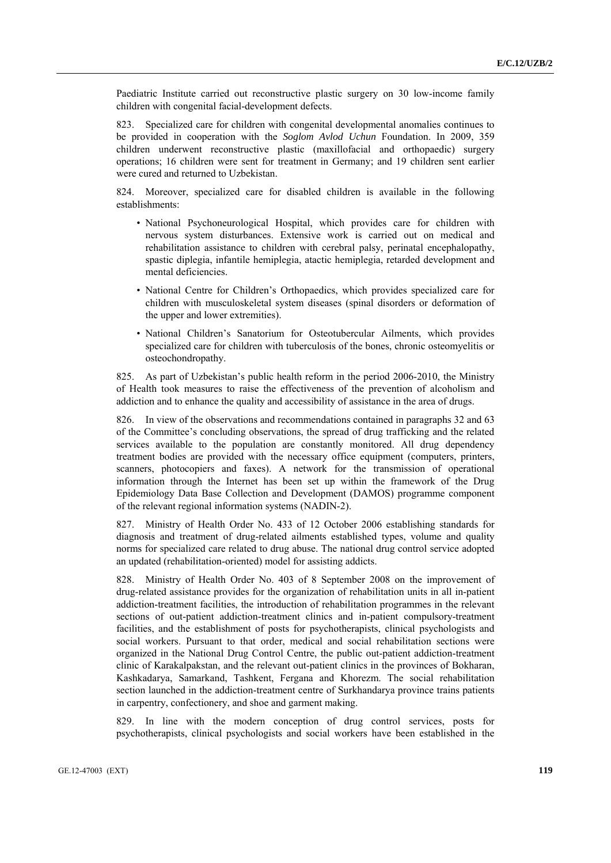Paediatric Institute carried out reconstructive plastic surgery on 30 low-income family children with congenital facial-development defects.

823. Specialized care for children with congenital developmental anomalies continues to be provided in cooperation with the *Soglom Avlod Uchun* Foundation. In 2009, 359 children underwent reconstructive plastic (maxillofacial and orthopaedic) surgery operations; 16 children were sent for treatment in Germany; and 19 children sent earlier were cured and returned to Uzbekistan.

824. Moreover, specialized care for disabled children is available in the following establishments:

- National Psychoneurological Hospital, which provides care for children with nervous system disturbances. Extensive work is carried out on medical and rehabilitation assistance to children with cerebral palsy, perinatal encephalopathy, spastic diplegia, infantile hemiplegia, atactic hemiplegia, retarded development and mental deficiencies.
- National Centre for Children's Orthopaedics, which provides specialized care for children with musculoskeletal system diseases (spinal disorders or deformation of the upper and lower extremities).
- National Children's Sanatorium for Osteotubercular Ailments, which provides specialized care for children with tuberculosis of the bones, chronic osteomyelitis or osteochondropathy.

825. As part of Uzbekistan's public health reform in the period 2006-2010, the Ministry of Health took measures to raise the effectiveness of the prevention of alcoholism and addiction and to enhance the quality and accessibility of assistance in the area of drugs.

826. In view of the observations and recommendations contained in paragraphs 32 and 63 of the Committee's concluding observations, the spread of drug trafficking and the related services available to the population are constantly monitored. All drug dependency treatment bodies are provided with the necessary office equipment (computers, printers, scanners, photocopiers and faxes). A network for the transmission of operational information through the Internet has been set up within the framework of the Drug Epidemiology Data Base Collection and Development (DAMOS) programme component of the relevant regional information systems (NADIN-2).

827. Ministry of Health Order No. 433 of 12 October 2006 establishing standards for diagnosis and treatment of drug-related ailments established types, volume and quality norms for specialized care related to drug abuse. The national drug control service adopted an updated (rehabilitation-oriented) model for assisting addicts.

828. Ministry of Health Order No. 403 of 8 September 2008 on the improvement of drug-related assistance provides for the organization of rehabilitation units in all in-patient addiction-treatment facilities, the introduction of rehabilitation programmes in the relevant sections of out-patient addiction-treatment clinics and in-patient compulsory-treatment facilities, and the establishment of posts for psychotherapists, clinical psychologists and social workers. Pursuant to that order, medical and social rehabilitation sections were organized in the National Drug Control Centre, the public out-patient addiction-treatment clinic of Karakalpakstan, and the relevant out-patient clinics in the provinces of Bokharan, Kashkadarya, Samarkand, Tashkent, Fergana and Khorezm. The social rehabilitation section launched in the addiction-treatment centre of Surkhandarya province trains patients in carpentry, confectionery, and shoe and garment making.

829. In line with the modern conception of drug control services, posts for psychotherapists, clinical psychologists and social workers have been established in the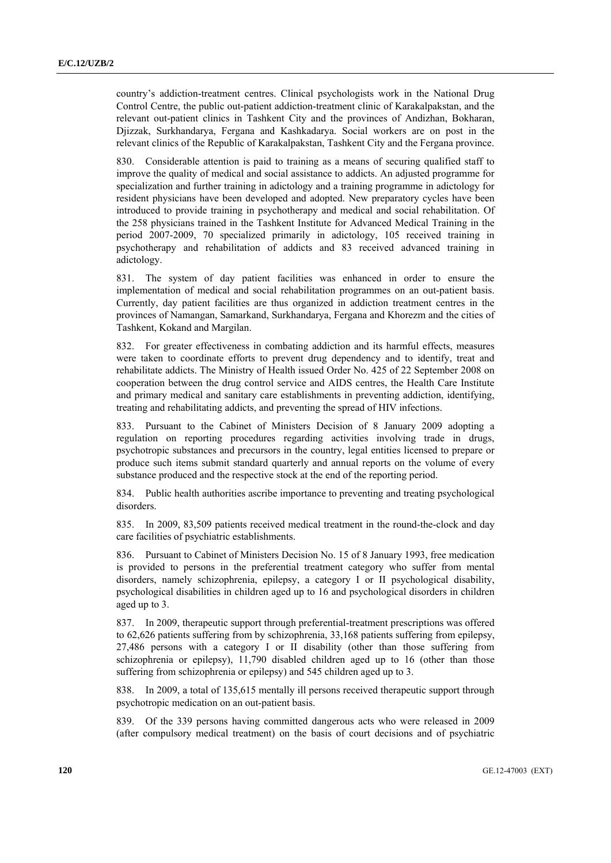country's addiction-treatment centres. Clinical psychologists work in the National Drug Control Centre, the public out-patient addiction-treatment clinic of Karakalpakstan, and the relevant out-patient clinics in Tashkent City and the provinces of Andizhan, Bokharan, Djizzak, Surkhandarya, Fergana and Kashkadarya. Social workers are on post in the relevant clinics of the Republic of Karakalpakstan, Tashkent City and the Fergana province.

830. Considerable attention is paid to training as a means of securing qualified staff to improve the quality of medical and social assistance to addicts. An adjusted programme for specialization and further training in adictology and a training programme in adictology for resident physicians have been developed and adopted. New preparatory cycles have been introduced to provide training in psychotherapy and medical and social rehabilitation. Of the 258 physicians trained in the Tashkent Institute for Advanced Medical Training in the period 2007-2009, 70 specialized primarily in adictology, 105 received training in psychotherapy and rehabilitation of addicts and 83 received advanced training in adictology.

831. The system of day patient facilities was enhanced in order to ensure the implementation of medical and social rehabilitation programmes on an out-patient basis. Currently, day patient facilities are thus organized in addiction treatment centres in the provinces of Namangan, Samarkand, Surkhandarya, Fergana and Khorezm and the cities of Tashkent, Kokand and Margilan.

832. For greater effectiveness in combating addiction and its harmful effects, measures were taken to coordinate efforts to prevent drug dependency and to identify, treat and rehabilitate addicts. The Ministry of Health issued Order No. 425 of 22 September 2008 on cooperation between the drug control service and AIDS centres, the Health Care Institute and primary medical and sanitary care establishments in preventing addiction, identifying, treating and rehabilitating addicts, and preventing the spread of HIV infections.

833. Pursuant to the Cabinet of Ministers Decision of 8 January 2009 adopting a regulation on reporting procedures regarding activities involving trade in drugs, psychotropic substances and precursors in the country, legal entities licensed to prepare or produce such items submit standard quarterly and annual reports on the volume of every substance produced and the respective stock at the end of the reporting period.

834. Public health authorities ascribe importance to preventing and treating psychological disorders.

835. In 2009, 83,509 patients received medical treatment in the round-the-clock and day care facilities of psychiatric establishments.

836. Pursuant to Cabinet of Ministers Decision No. 15 of 8 January 1993, free medication is provided to persons in the preferential treatment category who suffer from mental disorders, namely schizophrenia, epilepsy, a category I or II psychological disability, psychological disabilities in children aged up to 16 and psychological disorders in children aged up to 3.

837. In 2009, therapeutic support through preferential-treatment prescriptions was offered to 62,626 patients suffering from by schizophrenia, 33,168 patients suffering from epilepsy, 27,486 persons with a category I or II disability (other than those suffering from schizophrenia or epilepsy), 11,790 disabled children aged up to 16 (other than those suffering from schizophrenia or epilepsy) and 545 children aged up to 3.

838. In 2009, a total of 135,615 mentally ill persons received therapeutic support through psychotropic medication on an out-patient basis.

839. Of the 339 persons having committed dangerous acts who were released in 2009 (after compulsory medical treatment) on the basis of court decisions and of psychiatric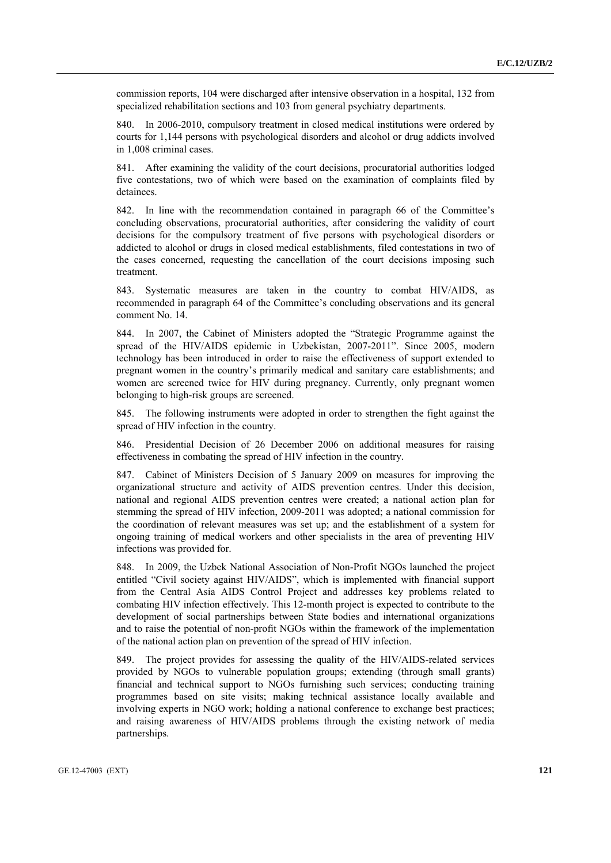commission reports, 104 were discharged after intensive observation in a hospital, 132 from specialized rehabilitation sections and 103 from general psychiatry departments.

840. In 2006-2010, compulsory treatment in closed medical institutions were ordered by courts for 1,144 persons with psychological disorders and alcohol or drug addicts involved in 1,008 criminal cases.

841. After examining the validity of the court decisions, procuratorial authorities lodged five contestations, two of which were based on the examination of complaints filed by detainees.

842. In line with the recommendation contained in paragraph 66 of the Committee's concluding observations, procuratorial authorities, after considering the validity of court decisions for the compulsory treatment of five persons with psychological disorders or addicted to alcohol or drugs in closed medical establishments, filed contestations in two of the cases concerned, requesting the cancellation of the court decisions imposing such treatment.

843. Systematic measures are taken in the country to combat HIV/AIDS, as recommended in paragraph 64 of the Committee's concluding observations and its general comment No. 14.

844. In 2007, the Cabinet of Ministers adopted the "Strategic Programme against the spread of the HIV/AIDS epidemic in Uzbekistan, 2007-2011". Since 2005, modern technology has been introduced in order to raise the effectiveness of support extended to pregnant women in the country's primarily medical and sanitary care establishments; and women are screened twice for HIV during pregnancy. Currently, only pregnant women belonging to high-risk groups are screened.

845. The following instruments were adopted in order to strengthen the fight against the spread of HIV infection in the country.

846. Presidential Decision of 26 December 2006 on additional measures for raising effectiveness in combating the spread of HIV infection in the country.

847. Cabinet of Ministers Decision of 5 January 2009 on measures for improving the organizational structure and activity of AIDS prevention centres. Under this decision, national and regional AIDS prevention centres were created; a national action plan for stemming the spread of HIV infection, 2009-2011 was adopted; a national commission for the coordination of relevant measures was set up; and the establishment of a system for ongoing training of medical workers and other specialists in the area of preventing HIV infections was provided for.

848. In 2009, the Uzbek National Association of Non-Profit NGOs launched the project entitled "Civil society against HIV/AIDS", which is implemented with financial support from the Central Asia AIDS Control Project and addresses key problems related to combating HIV infection effectively. This 12-month project is expected to contribute to the development of social partnerships between State bodies and international organizations and to raise the potential of non-profit NGOs within the framework of the implementation of the national action plan on prevention of the spread of HIV infection.

849. The project provides for assessing the quality of the HIV/AIDS-related services provided by NGOs to vulnerable population groups; extending (through small grants) financial and technical support to NGOs furnishing such services; conducting training programmes based on site visits; making technical assistance locally available and involving experts in NGO work; holding a national conference to exchange best practices; and raising awareness of HIV/AIDS problems through the existing network of media partnerships.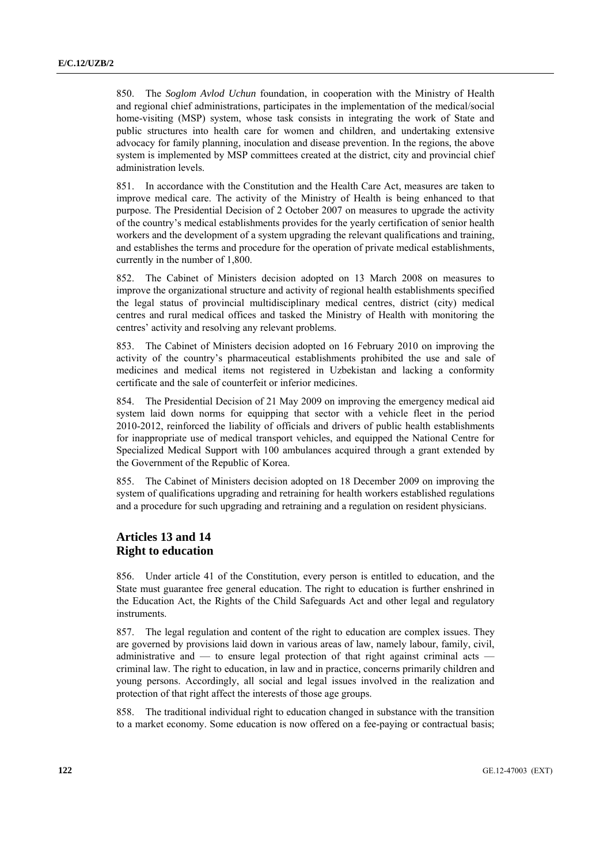850. The *Soglom Avlod Uchun* foundation, in cooperation with the Ministry of Health and regional chief administrations, participates in the implementation of the medical/social home-visiting (MSP) system, whose task consists in integrating the work of State and public structures into health care for women and children, and undertaking extensive advocacy for family planning, inoculation and disease prevention. In the regions, the above system is implemented by MSP committees created at the district, city and provincial chief administration levels.

851. In accordance with the Constitution and the Health Care Act, measures are taken to improve medical care. The activity of the Ministry of Health is being enhanced to that purpose. The Presidential Decision of 2 October 2007 on measures to upgrade the activity of the country's medical establishments provides for the yearly certification of senior health workers and the development of a system upgrading the relevant qualifications and training, and establishes the terms and procedure for the operation of private medical establishments, currently in the number of 1,800.

852. The Cabinet of Ministers decision adopted on 13 March 2008 on measures to improve the organizational structure and activity of regional health establishments specified the legal status of provincial multidisciplinary medical centres, district (city) medical centres and rural medical offices and tasked the Ministry of Health with monitoring the centres' activity and resolving any relevant problems.

853. The Cabinet of Ministers decision adopted on 16 February 2010 on improving the activity of the country's pharmaceutical establishments prohibited the use and sale of medicines and medical items not registered in Uzbekistan and lacking a conformity certificate and the sale of counterfeit or inferior medicines.

854. The Presidential Decision of 21 May 2009 on improving the emergency medical aid system laid down norms for equipping that sector with a vehicle fleet in the period 2010-2012, reinforced the liability of officials and drivers of public health establishments for inappropriate use of medical transport vehicles, and equipped the National Centre for Specialized Medical Support with 100 ambulances acquired through a grant extended by the Government of the Republic of Korea.

855. The Cabinet of Ministers decision adopted on 18 December 2009 on improving the system of qualifications upgrading and retraining for health workers established regulations and a procedure for such upgrading and retraining and a regulation on resident physicians.

## **Articles 13 and 14 Right to education**

856. Under article 41 of the Constitution, every person is entitled to education, and the State must guarantee free general education. The right to education is further enshrined in the Education Act, the Rights of the Child Safeguards Act and other legal and regulatory **instruments** 

857. The legal regulation and content of the right to education are complex issues. They are governed by provisions laid down in various areas of law, namely labour, family, civil, administrative and — to ensure legal protection of that right against criminal acts criminal law. The right to education, in law and in practice, concerns primarily children and young persons. Accordingly, all social and legal issues involved in the realization and protection of that right affect the interests of those age groups.

858. The traditional individual right to education changed in substance with the transition to a market economy. Some education is now offered on a fee-paying or contractual basis;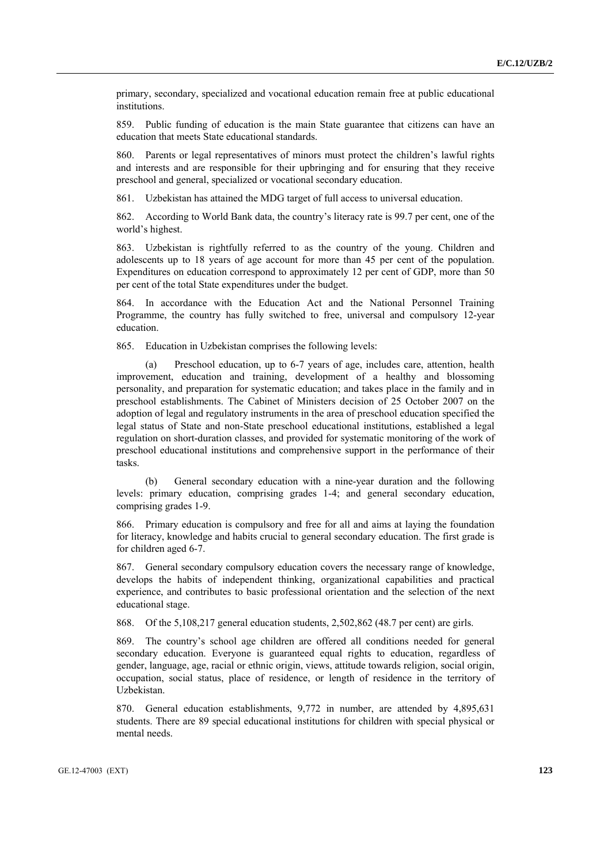primary, secondary, specialized and vocational education remain free at public educational institutions.

859. Public funding of education is the main State guarantee that citizens can have an education that meets State educational standards.

860. Parents or legal representatives of minors must protect the children's lawful rights and interests and are responsible for their upbringing and for ensuring that they receive preschool and general, specialized or vocational secondary education.

861. Uzbekistan has attained the MDG target of full access to universal education.

862. According to World Bank data, the country's literacy rate is 99.7 per cent, one of the world's highest.

863. Uzbekistan is rightfully referred to as the country of the young. Children and adolescents up to 18 years of age account for more than 45 per cent of the population. Expenditures on education correspond to approximately 12 per cent of GDP, more than 50 per cent of the total State expenditures under the budget.

864. In accordance with the Education Act and the National Personnel Training Programme, the country has fully switched to free, universal and compulsory 12-year education.

865. Education in Uzbekistan comprises the following levels:

Preschool education, up to 6-7 years of age, includes care, attention, health improvement, education and training, development of a healthy and blossoming personality, and preparation for systematic education; and takes place in the family and in preschool establishments. The Cabinet of Ministers decision of 25 October 2007 on the adoption of legal and regulatory instruments in the area of preschool education specified the legal status of State and non-State preschool educational institutions, established a legal regulation on short-duration classes, and provided for systematic monitoring of the work of preschool educational institutions and comprehensive support in the performance of their tasks.

 (b) General secondary education with a nine-year duration and the following levels: primary education, comprising grades 1-4; and general secondary education, comprising grades 1-9.

866. Primary education is compulsory and free for all and aims at laying the foundation for literacy, knowledge and habits crucial to general secondary education. The first grade is for children aged 6-7.

867. General secondary compulsory education covers the necessary range of knowledge, develops the habits of independent thinking, organizational capabilities and practical experience, and contributes to basic professional orientation and the selection of the next educational stage.

868. Of the 5,108,217 general education students, 2,502,862 (48.7 per cent) are girls.

869. The country's school age children are offered all conditions needed for general secondary education. Everyone is guaranteed equal rights to education, regardless of gender, language, age, racial or ethnic origin, views, attitude towards religion, social origin, occupation, social status, place of residence, or length of residence in the territory of Uzbekistan.

870. General education establishments, 9,772 in number, are attended by 4,895,631 students. There are 89 special educational institutions for children with special physical or mental needs.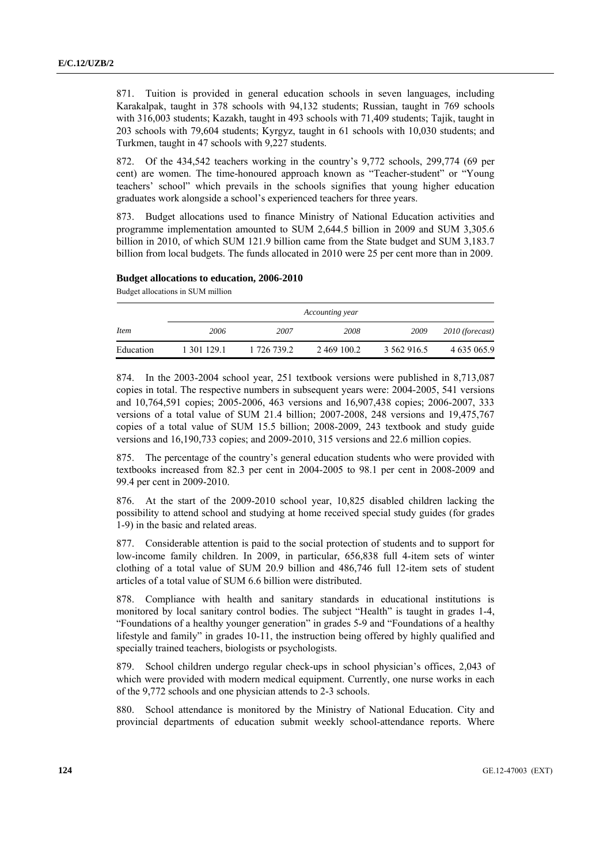871. Tuition is provided in general education schools in seven languages, including Karakalpak, taught in 378 schools with 94,132 students; Russian, taught in 769 schools with 316,003 students; Kazakh, taught in 493 schools with 71,409 students; Tajik, taught in 203 schools with 79,604 students; Kyrgyz, taught in 61 schools with 10,030 students; and Turkmen, taught in 47 schools with 9,227 students.

872. Of the 434,542 teachers working in the country's 9,772 schools, 299,774 (69 per cent) are women. The time-honoured approach known as "Teacher-student" or "Young teachers' school" which prevails in the schools signifies that young higher education graduates work alongside a school's experienced teachers for three years.

873. Budget allocations used to finance Ministry of National Education activities and programme implementation amounted to SUM 2,644.5 billion in 2009 and SUM 3,305.6 billion in 2010, of which SUM 121.9 billion came from the State budget and SUM 3,183.7 billion from local budgets. The funds allocated in 2010 were 25 per cent more than in 2009.

## **Budget allocations to education, 2006-2010**

Budget allocations in SUM million

|             | Accounting year |             |             |             |                 |  |
|-------------|-----------------|-------------|-------------|-------------|-----------------|--|
| <i>Item</i> | 2006            | 2007        | 2008        | 2009        | 2010 (forecast) |  |
| Education   | 1 301 129.1     | 1 726 739.2 | 2 469 100.2 | 3 562 916.5 | 4 635 065.9     |  |

874. In the 2003-2004 school year, 251 textbook versions were published in 8,713,087 copies in total. The respective numbers in subsequent years were: 2004-2005, 541 versions and 10,764,591 copies; 2005-2006, 463 versions and 16,907,438 copies; 2006-2007, 333 versions of a total value of SUM 21.4 billion; 2007-2008, 248 versions and 19,475,767 copies of a total value of SUM 15.5 billion; 2008-2009, 243 textbook and study guide versions and 16,190,733 copies; and 2009-2010, 315 versions and 22.6 million copies.

875. The percentage of the country's general education students who were provided with textbooks increased from 82.3 per cent in 2004-2005 to 98.1 per cent in 2008-2009 and 99.4 per cent in 2009-2010.

876. At the start of the 2009-2010 school year, 10,825 disabled children lacking the possibility to attend school and studying at home received special study guides (for grades 1-9) in the basic and related areas.

877. Considerable attention is paid to the social protection of students and to support for low-income family children. In 2009, in particular, 656,838 full 4-item sets of winter clothing of a total value of SUM 20.9 billion and 486,746 full 12-item sets of student articles of a total value of SUM 6.6 billion were distributed.

878. Compliance with health and sanitary standards in educational institutions is monitored by local sanitary control bodies. The subject "Health" is taught in grades 1-4, "Foundations of a healthy younger generation" in grades 5-9 and "Foundations of a healthy lifestyle and family" in grades 10-11, the instruction being offered by highly qualified and specially trained teachers, biologists or psychologists.

879. School children undergo regular check-ups in school physician's offices, 2,043 of which were provided with modern medical equipment. Currently, one nurse works in each of the 9,772 schools and one physician attends to 2-3 schools.

880. School attendance is monitored by the Ministry of National Education. City and provincial departments of education submit weekly school-attendance reports. Where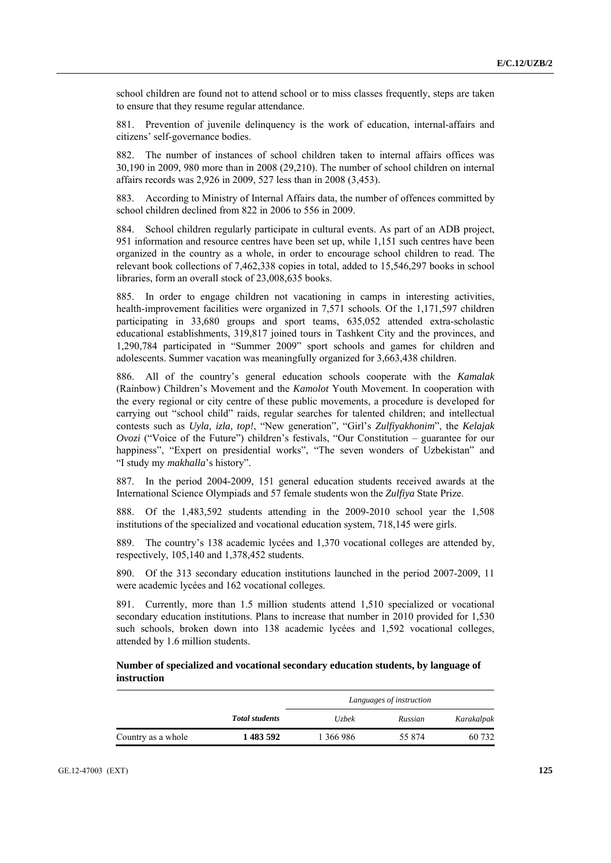school children are found not to attend school or to miss classes frequently, steps are taken to ensure that they resume regular attendance.

881. Prevention of juvenile delinquency is the work of education, internal-affairs and citizens' self-governance bodies.

882. The number of instances of school children taken to internal affairs offices was 30,190 in 2009, 980 more than in 2008 (29,210). The number of school children on internal affairs records was 2,926 in 2009, 527 less than in 2008 (3,453).

883. According to Ministry of Internal Affairs data, the number of offences committed by school children declined from 822 in 2006 to 556 in 2009.

884. School children regularly participate in cultural events. As part of an ADB project, 951 information and resource centres have been set up, while 1,151 such centres have been organized in the country as a whole, in order to encourage school children to read. The relevant book collections of 7,462,338 copies in total, added to 15,546,297 books in school libraries, form an overall stock of 23,008,635 books.

885. In order to engage children not vacationing in camps in interesting activities, health-improvement facilities were organized in 7,571 schools. Of the 1,171,597 children participating in 33,680 groups and sport teams, 635,052 attended extra-scholastic educational establishments, 319,817 joined tours in Tashkent City and the provinces, and 1,290,784 participated in "Summer 2009" sport schools and games for children and adolescents. Summer vacation was meaningfully organized for 3,663,438 children.

886. All of the country's general education schools cooperate with the *Kamalak* (Rainbow) Children's Movement and the *Kamolot* Youth Movement. In cooperation with the every regional or city centre of these public movements, a procedure is developed for carrying out "school child" raids, regular searches for talented children; and intellectual contests such as *Uyla, izla, top!*, "New generation", "Girl's *Zulfiyakhonim*", the *Kelajak Ovozi* ("Voice of the Future") children's festivals, "Our Constitution – guarantee for our happiness", "Expert on presidential works", "The seven wonders of Uzbekistan" and "I study my *makhalla*'s history".

887. In the period 2004-2009, 151 general education students received awards at the International Science Olympiads and 57 female students won the *Zulfiya* State Prize.

888. Of the 1,483,592 students attending in the 2009-2010 school year the 1,508 institutions of the specialized and vocational education system, 718,145 were girls.

889. The country's 138 academic lycées and 1,370 vocational colleges are attended by, respectively, 105,140 and 1,378,452 students.

890. Of the 313 secondary education institutions launched in the period 2007-2009, 11 were academic lycées and 162 vocational colleges.

891. Currently, more than 1.5 million students attend 1,510 specialized or vocational secondary education institutions. Plans to increase that number in 2010 provided for 1,530 such schools, broken down into 138 academic lycées and 1,592 vocational colleges, attended by 1.6 million students.

 **Number of specialized and vocational secondary education students, by language of instruction** 

|                    |                       | Languages of instruction |         |            |
|--------------------|-----------------------|--------------------------|---------|------------|
|                    | <b>Total students</b> | <i>Uzbek</i>             | Russian | Karakalpak |
| Country as a whole | 1 483 592             | 1 366 986                | 55 874  | 60 732     |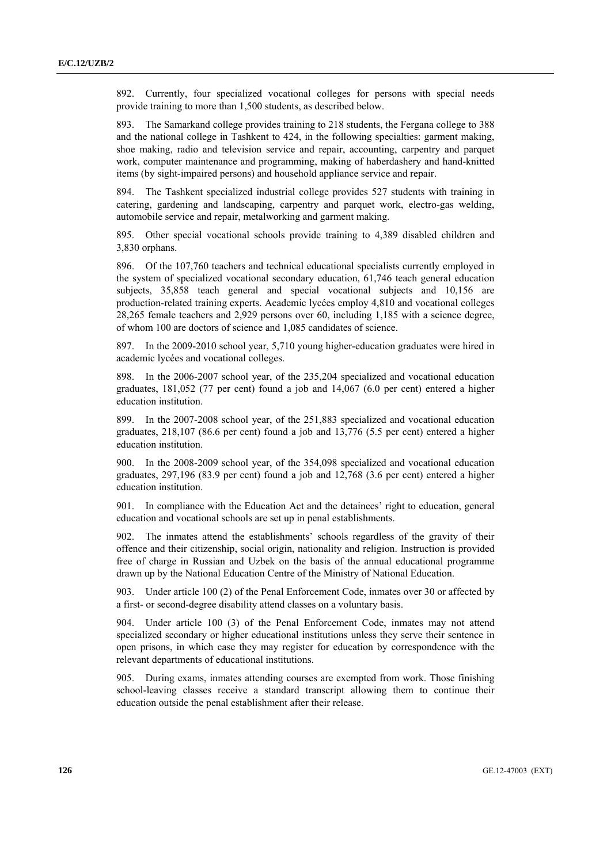892. Currently, four specialized vocational colleges for persons with special needs provide training to more than 1,500 students, as described below.

893. The Samarkand college provides training to 218 students, the Fergana college to 388 and the national college in Tashkent to 424, in the following specialties: garment making, shoe making, radio and television service and repair, accounting, carpentry and parquet work, computer maintenance and programming, making of haberdashery and hand-knitted items (by sight-impaired persons) and household appliance service and repair.

894. The Tashkent specialized industrial college provides 527 students with training in catering, gardening and landscaping, carpentry and parquet work, electro-gas welding, automobile service and repair, metalworking and garment making.

895. Other special vocational schools provide training to 4,389 disabled children and 3,830 orphans.

896. Of the 107,760 teachers and technical educational specialists currently employed in the system of specialized vocational secondary education, 61,746 teach general education subjects, 35,858 teach general and special vocational subjects and 10,156 are production-related training experts. Academic lycées employ 4,810 and vocational colleges 28,265 female teachers and 2,929 persons over 60, including 1,185 with a science degree, of whom 100 are doctors of science and 1,085 candidates of science.

897. In the 2009-2010 school year, 5,710 young higher-education graduates were hired in academic lycées and vocational colleges.

898. In the 2006-2007 school year, of the 235,204 specialized and vocational education graduates, 181,052 (77 per cent) found a job and 14,067 (6.0 per cent) entered a higher education institution.

899. In the 2007-2008 school year, of the 251,883 specialized and vocational education graduates, 218,107 (86.6 per cent) found a job and 13,776 (5.5 per cent) entered a higher education institution.

900. In the 2008-2009 school year, of the 354,098 specialized and vocational education graduates, 297,196 (83.9 per cent) found a job and 12,768 (3.6 per cent) entered a higher education institution.

901. In compliance with the Education Act and the detainees' right to education, general education and vocational schools are set up in penal establishments.

902. The inmates attend the establishments' schools regardless of the gravity of their offence and their citizenship, social origin, nationality and religion. Instruction is provided free of charge in Russian and Uzbek on the basis of the annual educational programme drawn up by the National Education Centre of the Ministry of National Education.

903. Under article 100 (2) of the Penal Enforcement Code, inmates over 30 or affected by a first- or second-degree disability attend classes on a voluntary basis.

904. Under article 100 (3) of the Penal Enforcement Code, inmates may not attend specialized secondary or higher educational institutions unless they serve their sentence in open prisons, in which case they may register for education by correspondence with the relevant departments of educational institutions.

905. During exams, inmates attending courses are exempted from work. Those finishing school-leaving classes receive a standard transcript allowing them to continue their education outside the penal establishment after their release.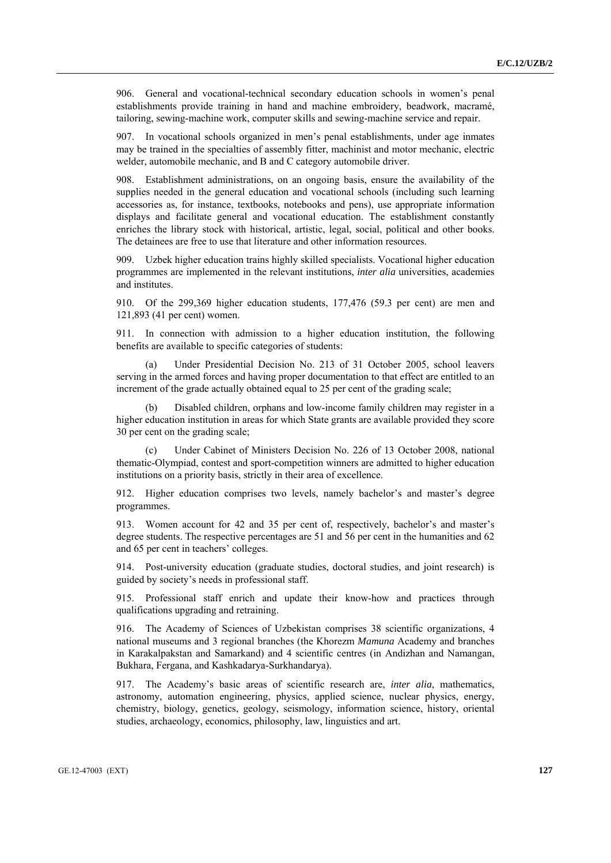906. General and vocational-technical secondary education schools in women's penal establishments provide training in hand and machine embroidery, beadwork, macramé, tailoring, sewing-machine work, computer skills and sewing-machine service and repair.

907. In vocational schools organized in men's penal establishments, under age inmates may be trained in the specialties of assembly fitter, machinist and motor mechanic, electric welder, automobile mechanic, and B and C category automobile driver.

908. Establishment administrations, on an ongoing basis, ensure the availability of the supplies needed in the general education and vocational schools (including such learning accessories as, for instance, textbooks, notebooks and pens), use appropriate information displays and facilitate general and vocational education. The establishment constantly enriches the library stock with historical, artistic, legal, social, political and other books. The detainees are free to use that literature and other information resources.

909. Uzbek higher education trains highly skilled specialists. Vocational higher education programmes are implemented in the relevant institutions, *inter alia* universities, academies and institutes.

910. Of the 299,369 higher education students, 177,476 (59.3 per cent) are men and 121,893 (41 per cent) women.

911. In connection with admission to a higher education institution, the following benefits are available to specific categories of students:

Under Presidential Decision No. 213 of 31 October 2005, school leavers serving in the armed forces and having proper documentation to that effect are entitled to an increment of the grade actually obtained equal to 25 per cent of the grading scale;

Disabled children, orphans and low-income family children may register in a higher education institution in areas for which State grants are available provided they score 30 per cent on the grading scale;

 (c) Under Cabinet of Ministers Decision No. 226 of 13 October 2008, national thematic-Olympiad, contest and sport-competition winners are admitted to higher education institutions on a priority basis, strictly in their area of excellence.

912. Higher education comprises two levels, namely bachelor's and master's degree programmes.

913. Women account for 42 and 35 per cent of, respectively, bachelor's and master's degree students. The respective percentages are 51 and 56 per cent in the humanities and 62 and 65 per cent in teachers' colleges.

914. Post-university education (graduate studies, doctoral studies, and joint research) is guided by society's needs in professional staff.

915. Professional staff enrich and update their know-how and practices through qualifications upgrading and retraining.

916. The Academy of Sciences of Uzbekistan comprises 38 scientific organizations, 4 national museums and 3 regional branches (the Khorezm *Mamuna* Academy and branches in Karakalpakstan and Samarkand) and 4 scientific centres (in Andizhan and Namangan, Bukhara, Fergana, and Kashkadarya-Surkhandarya).

917. The Academy's basic areas of scientific research are, *inter alia*, mathematics, astronomy, automation engineering, physics, applied science, nuclear physics, energy, chemistry, biology, genetics, geology, seismology, information science, history, oriental studies, archaeology, economics, philosophy, law, linguistics and art.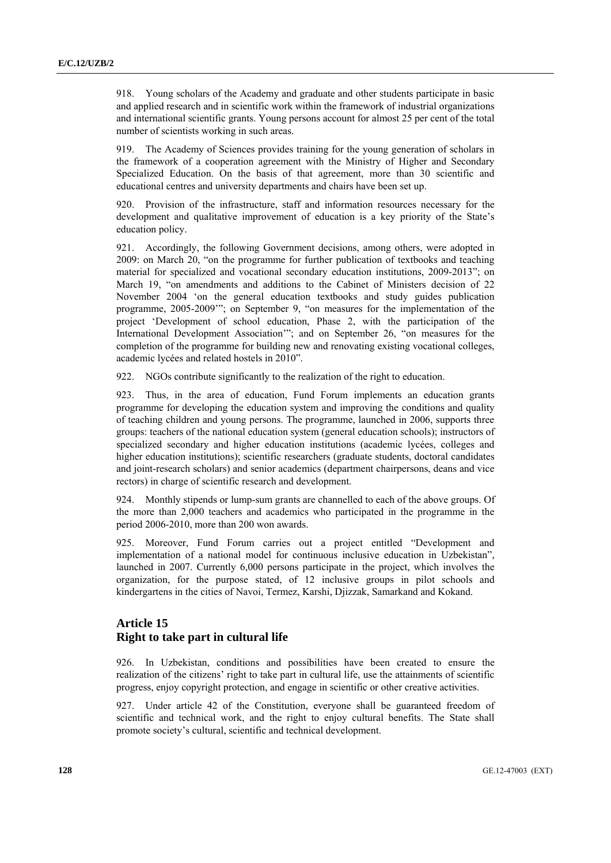918. Young scholars of the Academy and graduate and other students participate in basic and applied research and in scientific work within the framework of industrial organizations and international scientific grants. Young persons account for almost 25 per cent of the total number of scientists working in such areas.

919. The Academy of Sciences provides training for the young generation of scholars in the framework of a cooperation agreement with the Ministry of Higher and Secondary Specialized Education. On the basis of that agreement, more than 30 scientific and educational centres and university departments and chairs have been set up.

920. Provision of the infrastructure, staff and information resources necessary for the development and qualitative improvement of education is a key priority of the State's education policy.

921. Accordingly, the following Government decisions, among others, were adopted in 2009: on March 20, "on the programme for further publication of textbooks and teaching material for specialized and vocational secondary education institutions, 2009-2013"; on March 19, "on amendments and additions to the Cabinet of Ministers decision of 22 November 2004 'on the general education textbooks and study guides publication programme, 2005-2009'"; on September 9, "on measures for the implementation of the project 'Development of school education, Phase 2, with the participation of the International Development Association'"; and on September 26, "on measures for the completion of the programme for building new and renovating existing vocational colleges, academic lycées and related hostels in 2010".

922. NGOs contribute significantly to the realization of the right to education.

923. Thus, in the area of education, Fund Forum implements an education grants programme for developing the education system and improving the conditions and quality of teaching children and young persons. The programme, launched in 2006, supports three groups: teachers of the national education system (general education schools); instructors of specialized secondary and higher education institutions (academic lycées, colleges and higher education institutions); scientific researchers (graduate students, doctoral candidates and joint-research scholars) and senior academics (department chairpersons, deans and vice rectors) in charge of scientific research and development.

924. Monthly stipends or lump-sum grants are channelled to each of the above groups. Of the more than 2,000 teachers and academics who participated in the programme in the period 2006-2010, more than 200 won awards.

925. Moreover, Fund Forum carries out a project entitled "Development and implementation of a national model for continuous inclusive education in Uzbekistan", launched in 2007. Currently 6,000 persons participate in the project, which involves the organization, for the purpose stated, of 12 inclusive groups in pilot schools and kindergartens in the cities of Navoi, Termez, Karshi, Djizzak, Samarkand and Kokand.

## **Article 15 Right to take part in cultural life**

926. In Uzbekistan, conditions and possibilities have been created to ensure the realization of the citizens' right to take part in cultural life, use the attainments of scientific progress, enjoy copyright protection, and engage in scientific or other creative activities.

927. Under article 42 of the Constitution, everyone shall be guaranteed freedom of scientific and technical work, and the right to enjoy cultural benefits. The State shall promote society's cultural, scientific and technical development.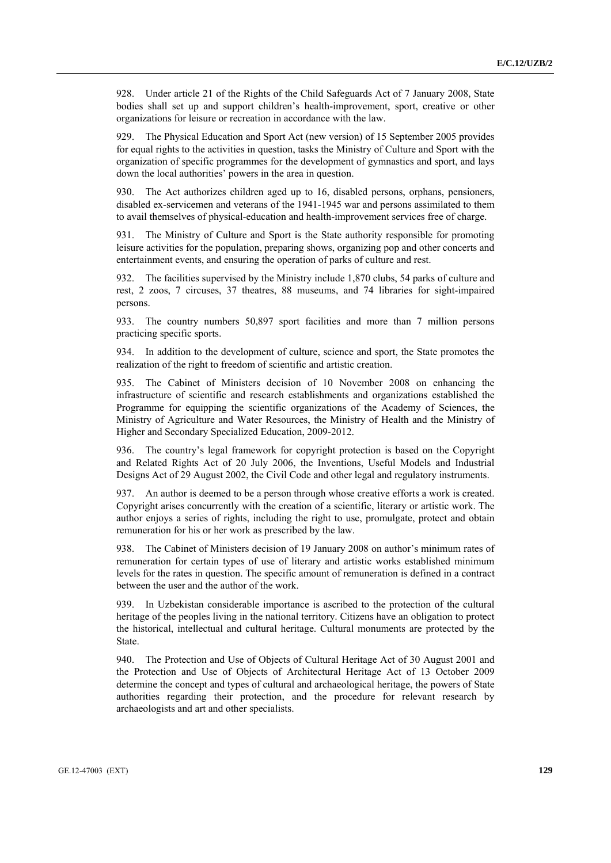928. Under article 21 of the Rights of the Child Safeguards Act of 7 January 2008, State bodies shall set up and support children's health-improvement, sport, creative or other organizations for leisure or recreation in accordance with the law.

929. The Physical Education and Sport Act (new version) of 15 September 2005 provides for equal rights to the activities in question, tasks the Ministry of Culture and Sport with the organization of specific programmes for the development of gymnastics and sport, and lays down the local authorities' powers in the area in question.

930. The Act authorizes children aged up to 16, disabled persons, orphans, pensioners, disabled ex-servicemen and veterans of the 1941-1945 war and persons assimilated to them to avail themselves of physical-education and health-improvement services free of charge.

931. The Ministry of Culture and Sport is the State authority responsible for promoting leisure activities for the population, preparing shows, organizing pop and other concerts and entertainment events, and ensuring the operation of parks of culture and rest.

932. The facilities supervised by the Ministry include 1,870 clubs, 54 parks of culture and rest, 2 zoos, 7 circuses, 37 theatres, 88 museums, and 74 libraries for sight-impaired persons.

933. The country numbers 50,897 sport facilities and more than 7 million persons practicing specific sports.

934. In addition to the development of culture, science and sport, the State promotes the realization of the right to freedom of scientific and artistic creation.

935. The Cabinet of Ministers decision of 10 November 2008 on enhancing the infrastructure of scientific and research establishments and organizations established the Programme for equipping the scientific organizations of the Academy of Sciences, the Ministry of Agriculture and Water Resources, the Ministry of Health and the Ministry of Higher and Secondary Specialized Education, 2009-2012.

936. The country's legal framework for copyright protection is based on the Copyright and Related Rights Act of 20 July 2006, the Inventions, Useful Models and Industrial Designs Act of 29 August 2002, the Civil Code and other legal and regulatory instruments.

937. An author is deemed to be a person through whose creative efforts a work is created. Copyright arises concurrently with the creation of a scientific, literary or artistic work. The author enjoys a series of rights, including the right to use, promulgate, protect and obtain remuneration for his or her work as prescribed by the law.

938. The Cabinet of Ministers decision of 19 January 2008 on author's minimum rates of remuneration for certain types of use of literary and artistic works established minimum levels for the rates in question. The specific amount of remuneration is defined in a contract between the user and the author of the work.

939. In Uzbekistan considerable importance is ascribed to the protection of the cultural heritage of the peoples living in the national territory. Citizens have an obligation to protect the historical, intellectual and cultural heritage. Cultural monuments are protected by the State.

940. The Protection and Use of Objects of Cultural Heritage Act of 30 August 2001 and the Protection and Use of Objects of Architectural Heritage Act of 13 October 2009 determine the concept and types of cultural and archaeological heritage, the powers of State authorities regarding their protection, and the procedure for relevant research by archaeologists and art and other specialists.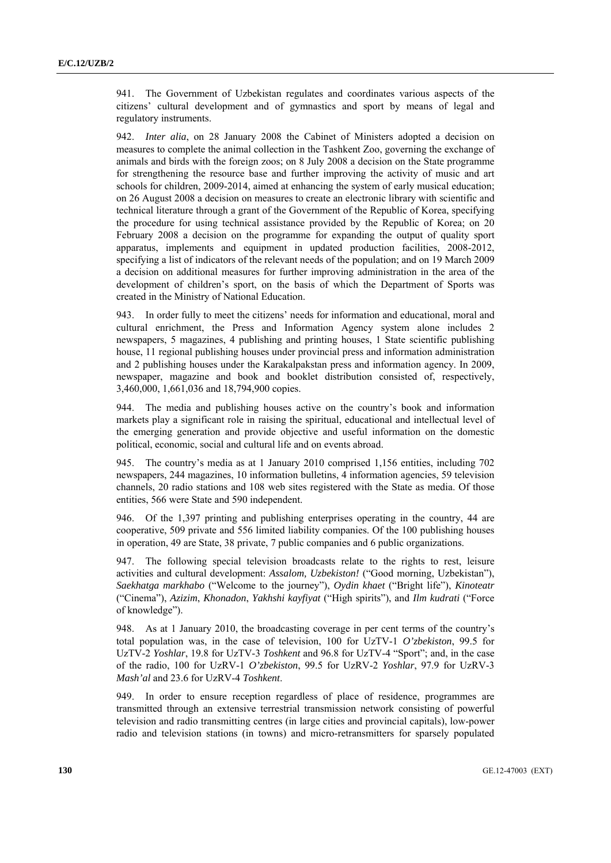941. The Government of Uzbekistan regulates and coordinates various aspects of the citizens' cultural development and of gymnastics and sport by means of legal and regulatory instruments.

942. *Inter alia*, on 28 January 2008 the Cabinet of Ministers adopted a decision on measures to complete the animal collection in the Tashkent Zoo, governing the exchange of animals and birds with the foreign zoos; on 8 July 2008 a decision on the State programme for strengthening the resource base and further improving the activity of music and art schools for children, 2009-2014, aimed at enhancing the system of early musical education; on 26 August 2008 a decision on measures to create an electronic library with scientific and technical literature through a grant of the Government of the Republic of Korea, specifying the procedure for using technical assistance provided by the Republic of Korea; on 20 February 2008 a decision on the programme for expanding the output of quality sport apparatus, implements and equipment in updated production facilities, 2008-2012, specifying a list of indicators of the relevant needs of the population; and on 19 March 2009 a decision on additional measures for further improving administration in the area of the development of children's sport, on the basis of which the Department of Sports was created in the Ministry of National Education.

943. In order fully to meet the citizens' needs for information and educational, moral and cultural enrichment, the Press and Information Agency system alone includes 2 newspapers, 5 magazines, 4 publishing and printing houses, 1 State scientific publishing house, 11 regional publishing houses under provincial press and information administration and 2 publishing houses under the Karakalpakstan press and information agency. In 2009, newspaper, magazine and book and booklet distribution consisted of, respectively, 3,460,000, 1,661,036 and 18,794,900 copies.

944. The media and publishing houses active on the country's book and information markets play a significant role in raising the spiritual, educational and intellectual level of the emerging generation and provide objective and useful information on the domestic political, economic, social and cultural life and on events abroad.

945. The country's media as at 1 January 2010 comprised 1,156 entities, including 702 newspapers, 244 magazines, 10 information bulletins, 4 information agencies, 59 television channels, 20 radio stations and 108 web sites registered with the State as media. Of those entities, 566 were State and 590 independent.

946. Of the 1,397 printing and publishing enterprises operating in the country, 44 are cooperative, 509 private and 556 limited liability companies. Of the 100 publishing houses in operation, 49 are State, 38 private, 7 public companies and 6 public organizations.

947. The following special television broadcasts relate to the rights to rest, leisure activities and cultural development: *Assalom, Uzbekiston!* ("Good morning, Uzbekistan"), *Saekhatga markhabo* ("Welcome to the journey"), *Oydin khaet* ("Bright life"), *Kinoteatr* ("Cinema"), *Azizim*, *Khonadon*, *Yakhshi kayfiyat* ("High spirits"), and *Ilm kudrati* ("Force of knowledge").

948. As at 1 January 2010, the broadcasting coverage in per cent terms of the country's total population was, in the case of television, 100 for UzTV-1 *O'zbekiston*, 99.5 for UzTV-2 *Yoshlar*, 19.8 for UzTV-3 *Toshkent* and 96.8 for UzTV-4 "Sport"; and, in the case of the radio, 100 for UzRV-1 *O'zbekiston*, 99.5 for UzRV-2 *Yoshlar*, 97.9 for UzRV-3 *Mash'al* and 23.6 for UzRV-4 *Toshkent*.

949. In order to ensure reception regardless of place of residence, programmes are transmitted through an extensive terrestrial transmission network consisting of powerful television and radio transmitting centres (in large cities and provincial capitals), low-power radio and television stations (in towns) and micro-retransmitters for sparsely populated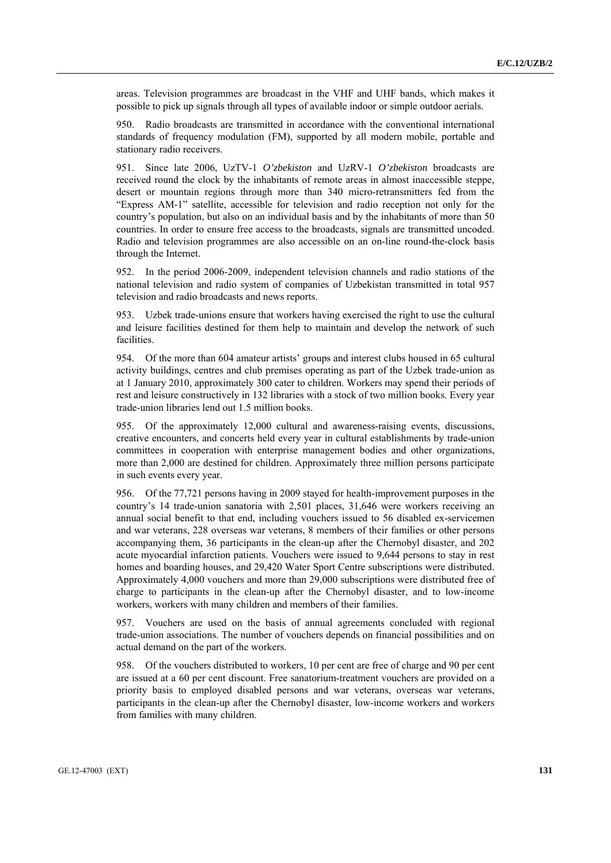areas. Television programmes are broadcast in the VHF and UHF bands, which makes it possible to pick up signals through all types of available indoor or simple outdoor aerials.

950. Radio broadcasts are transmitted in accordance with the conventional international standards of frequency modulation (FM), supported by all modern mobile, portable and stationary radio receivers.

951. Since late 2006, UzTV-1 *O'zbekiston* and UzRV-1 *O'zbekiston* broadcasts are received round the clock by the inhabitants of remote areas in almost inaccessible steppe, desert or mountain regions through more than 340 micro-retransmitters fed from the "Express AM-1" satellite, accessible for television and radio reception not only for the country's population, but also on an individual basis and by the inhabitants of more than 50 countries. In order to ensure free access to the broadcasts, signals are transmitted uncoded. Radio and television programmes are also accessible on an on-line round-the-clock basis through the Internet.

952. In the period 2006-2009, independent television channels and radio stations of the national television and radio system of companies of Uzbekistan transmitted in total 957 television and radio broadcasts and news reports.

953. Uzbek trade-unions ensure that workers having exercised the right to use the cultural and leisure facilities destined for them help to maintain and develop the network of such facilities.

954. Of the more than 604 amateur artists' groups and interest clubs housed in 65 cultural activity buildings, centres and club premises operating as part of the Uzbek trade-union as at 1 January 2010, approximately 300 cater to children. Workers may spend their periods of rest and leisure constructively in 132 libraries with a stock of two million books. Every year trade-union libraries lend out 1.5 million books.

955. Of the approximately 12,000 cultural and awareness-raising events, discussions, creative encounters, and concerts held every year in cultural establishments by trade-union committees in cooperation with enterprise management bodies and other organizations, more than 2,000 are destined for children. Approximately three million persons participate in such events every year.

956. Of the 77,721 persons having in 2009 stayed for health-improvement purposes in the country's 14 trade-union sanatoria with 2,501 places, 31,646 were workers receiving an annual social benefit to that end, including vouchers issued to 56 disabled ex-servicemen and war veterans, 228 overseas war veterans, 8 members of their families or other persons accompanying them, 36 participants in the clean-up after the Chernobyl disaster, and 202 acute myocardial infarction patients. Vouchers were issued to 9,644 persons to stay in rest homes and boarding houses, and 29,420 Water Sport Centre subscriptions were distributed. Approximately 4,000 vouchers and more than 29,000 subscriptions were distributed free of charge to participants in the clean-up after the Chernobyl disaster, and to low-income workers, workers with many children and members of their families.

957. Vouchers are used on the basis of annual agreements concluded with regional trade-union associations. The number of vouchers depends on financial possibilities and on actual demand on the part of the workers.

958. Of the vouchers distributed to workers, 10 per cent are free of charge and 90 per cent are issued at a 60 per cent discount. Free sanatorium-treatment vouchers are provided on a priority basis to employed disabled persons and war veterans, overseas war veterans, participants in the clean-up after the Chernobyl disaster, low-income workers and workers from families with many children.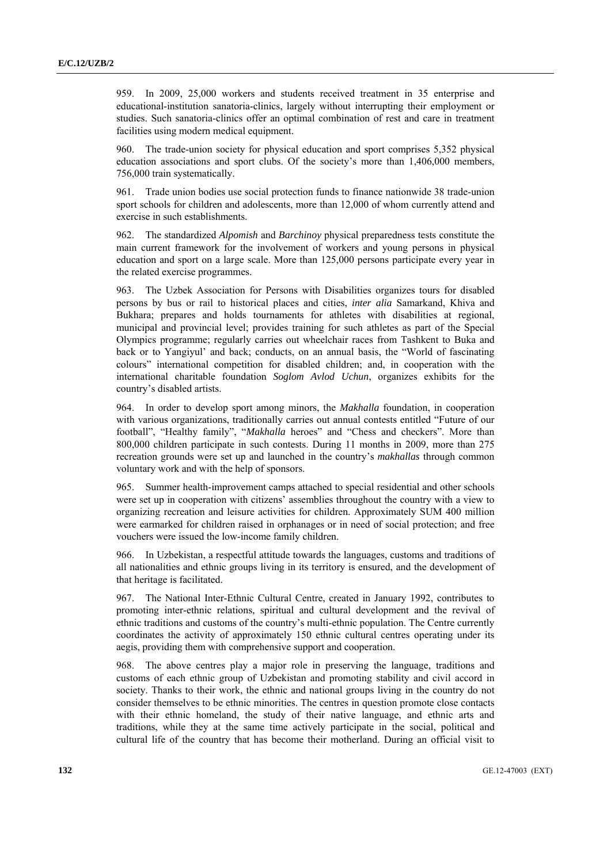959. In 2009, 25,000 workers and students received treatment in 35 enterprise and educational-institution sanatoria-clinics, largely without interrupting their employment or studies. Such sanatoria-clinics offer an optimal combination of rest and care in treatment facilities using modern medical equipment.

960. The trade-union society for physical education and sport comprises 5,352 physical education associations and sport clubs. Of the society's more than 1,406,000 members, 756,000 train systematically.

961. Trade union bodies use social protection funds to finance nationwide 38 trade-union sport schools for children and adolescents, more than 12,000 of whom currently attend and exercise in such establishments.

962. The standardized *Alpomish* and *Barchinoy* physical preparedness tests constitute the main current framework for the involvement of workers and young persons in physical education and sport on a large scale. More than 125,000 persons participate every year in the related exercise programmes.

963. The Uzbek Association for Persons with Disabilities organizes tours for disabled persons by bus or rail to historical places and cities, *inter alia* Samarkand, Khiva and Bukhara; prepares and holds tournaments for athletes with disabilities at regional, municipal and provincial level; provides training for such athletes as part of the Special Olympics programme; regularly carries out wheelchair races from Tashkent to Buka and back or to Yangiyul' and back; conducts, on an annual basis, the "World of fascinating colours" international competition for disabled children; and, in cooperation with the international charitable foundation *Soglom Avlod Uchun*, organizes exhibits for the country's disabled artists.

964. In order to develop sport among minors, the *Makhalla* foundation, in cooperation with various organizations, traditionally carries out annual contests entitled "Future of our football", "Healthy family", "*Makhalla* heroes" and "Chess and checkers". More than 800,000 children participate in such contests. During 11 months in 2009, more than 275 recreation grounds were set up and launched in the country's *makhallas* through common voluntary work and with the help of sponsors.

965. Summer health-improvement camps attached to special residential and other schools were set up in cooperation with citizens' assemblies throughout the country with a view to organizing recreation and leisure activities for children. Approximately SUM 400 million were earmarked for children raised in orphanages or in need of social protection; and free vouchers were issued the low-income family children.

966. In Uzbekistan, a respectful attitude towards the languages, customs and traditions of all nationalities and ethnic groups living in its territory is ensured, and the development of that heritage is facilitated.

967. The National Inter-Ethnic Cultural Centre, created in January 1992, contributes to promoting inter-ethnic relations, spiritual and cultural development and the revival of ethnic traditions and customs of the country's multi-ethnic population. The Centre currently coordinates the activity of approximately 150 ethnic cultural centres operating under its aegis, providing them with comprehensive support and cooperation.

968. The above centres play a major role in preserving the language, traditions and customs of each ethnic group of Uzbekistan and promoting stability and civil accord in society. Thanks to their work, the ethnic and national groups living in the country do not consider themselves to be ethnic minorities. The centres in question promote close contacts with their ethnic homeland, the study of their native language, and ethnic arts and traditions, while they at the same time actively participate in the social, political and cultural life of the country that has become their motherland. During an official visit to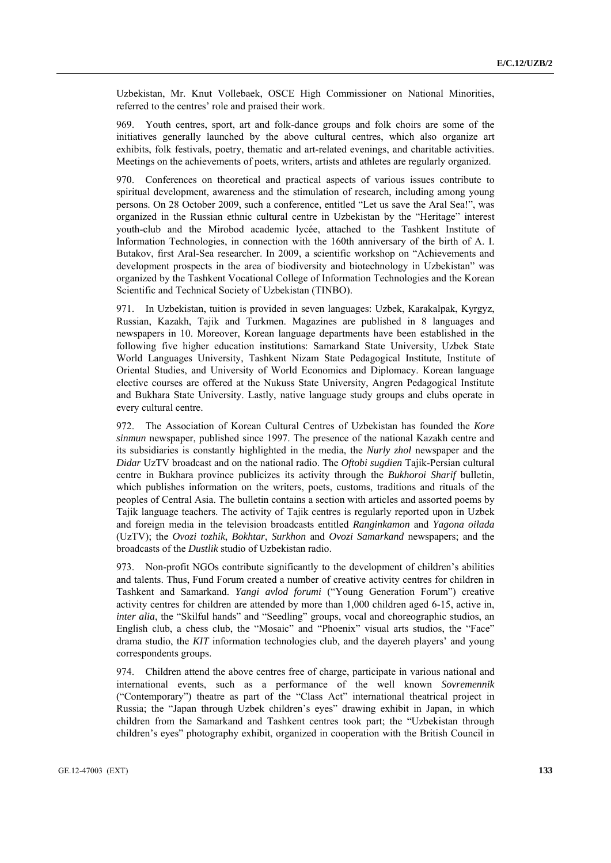Uzbekistan, Mr. Knut Vollebaek, OSCE High Commissioner on National Minorities, referred to the centres' role and praised their work.

969. Youth centres, sport, art and folk-dance groups and folk choirs are some of the initiatives generally launched by the above cultural centres, which also organize art exhibits, folk festivals, poetry, thematic and art-related evenings, and charitable activities. Meetings on the achievements of poets, writers, artists and athletes are regularly organized.

970. Conferences on theoretical and practical aspects of various issues contribute to spiritual development, awareness and the stimulation of research, including among young persons. On 28 October 2009, such a conference, entitled "Let us save the Aral Sea!", was organized in the Russian ethnic cultural centre in Uzbekistan by the "Heritage" interest youth-club and the Mirobod academic lycée, attached to the Tashkent Institute of Information Technologies, in connection with the 160th anniversary of the birth of A. I. Butakov, first Aral-Sea researcher. In 2009, a scientific workshop on "Achievements and development prospects in the area of biodiversity and biotechnology in Uzbekistan" was organized by the Tashkent Vocational College of Information Technologies and the Korean Scientific and Technical Society of Uzbekistan (TINBO).

971. In Uzbekistan, tuition is provided in seven languages: Uzbek, Karakalpak, Kyrgyz, Russian, Kazakh, Tajik and Turkmen. Magazines are published in 8 languages and newspapers in 10. Moreover, Korean language departments have been established in the following five higher education institutions: Samarkand State University, Uzbek State World Languages University, Tashkent Nizam State Pedagogical Institute, Institute of Oriental Studies, and University of World Economics and Diplomacy. Korean language elective courses are offered at the Nukuss State University, Angren Pedagogical Institute and Bukhara State University. Lastly, native language study groups and clubs operate in every cultural centre.

972. The Association of Korean Cultural Centres of Uzbekistan has founded the *Kore sinmun* newspaper, published since 1997. The presence of the national Kazakh centre and its subsidiaries is constantly highlighted in the media, the *Nurly zhol* newspaper and the *Didar* UzTV broadcast and on the national radio. The *Oftobi sugdien* Tajik-Persian cultural centre in Bukhara province publicizes its activity through the *Bukhoroi Sharif* bulletin, which publishes information on the writers, poets, customs, traditions and rituals of the peoples of Central Asia. The bulletin contains a section with articles and assorted poems by Tajik language teachers. The activity of Tajik centres is regularly reported upon in Uzbek and foreign media in the television broadcasts entitled *Ranginkamon* and *Yagona oilada* (UzTV); the *Ovozi tozhik*, *Bokhtar*, *Surkhon* and *Ovozi Samarkand* newspapers; and the broadcasts of the *Dustlik* studio of Uzbekistan radio.

973. Non-profit NGOs contribute significantly to the development of children's abilities and talents. Thus, Fund Forum created a number of creative activity centres for children in Tashkent and Samarkand. *Yangi avlod forumi* ("Young Generation Forum") creative activity centres for children are attended by more than 1,000 children aged 6-15, active in, *inter alia*, the "Skilful hands" and "Seedling" groups, vocal and choreographic studios, an English club, a chess club, the "Mosaic" and "Phoenix" visual arts studios, the "Face" drama studio, the *KIT* information technologies club, and the dayereh players' and young correspondents groups.

974. Children attend the above centres free of charge, participate in various national and international events, such as a performance of the well known *Sovremennik* ("Contemporary") theatre as part of the "Class Act" international theatrical project in Russia; the "Japan through Uzbek children's eyes" drawing exhibit in Japan, in which children from the Samarkand and Tashkent centres took part; the "Uzbekistan through children's eyes" photography exhibit, organized in cooperation with the British Council in